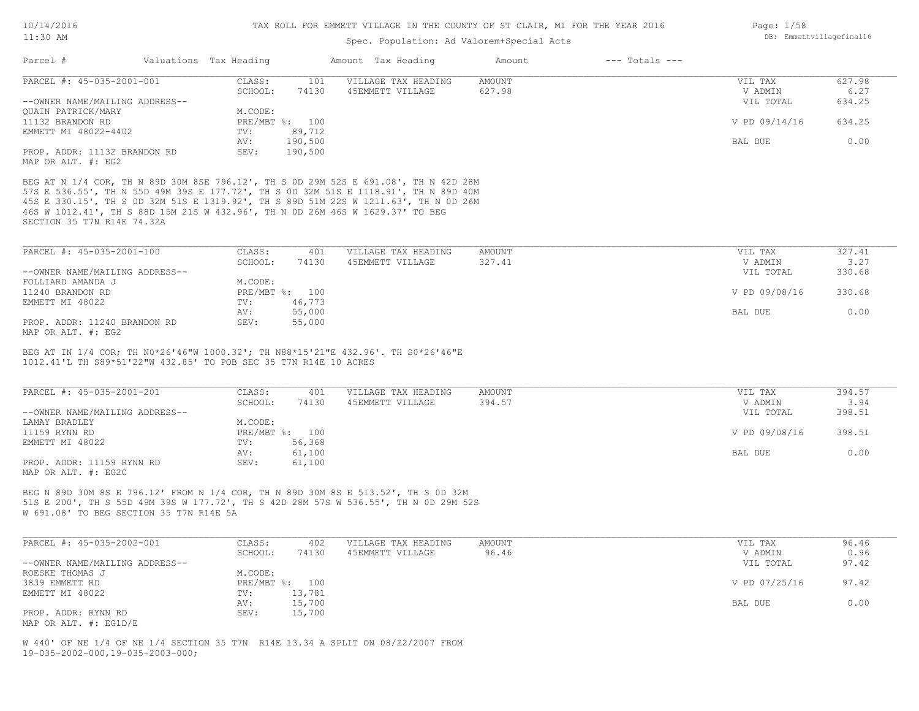### Spec. Population: Ad Valorem+Special Acts

| Parcel #                                           | Valuations Tax Heading |                | Amount Tax Heading  | Amount | $---$ Totals $---$ |               |        |
|----------------------------------------------------|------------------------|----------------|---------------------|--------|--------------------|---------------|--------|
| PARCEL #: 45-035-2001-001                          | CLASS:                 | 101            | VILLAGE TAX HEADING | AMOUNT |                    | VIL TAX       | 627.98 |
|                                                    | SCHOOL:                | 74130          | 45EMMETT VILLAGE    | 627.98 |                    | V ADMIN       | 6.27   |
| --OWNER NAME/MAILING ADDRESS--                     |                        |                |                     |        |                    | VIL TOTAL     | 634.25 |
| OUAIN PATRICK/MARY                                 | M.CODE:                |                |                     |        |                    |               |        |
| 11132 BRANDON RD                                   |                        | PRE/MBT %: 100 |                     |        |                    | V PD 09/14/16 | 634.25 |
| EMMETT MI 48022-4402                               | TV:                    | 89,712         |                     |        |                    |               |        |
|                                                    | AV:                    | 190,500        |                     |        |                    | BAL DUE       | 0.00   |
| PROP. ADDR: 11132 BRANDON RD<br>MAP OR ALT. #: EG2 | SEV:                   | 190,500        |                     |        |                    |               |        |

SECTION 35 T7N R14E 74.32A 46S W 1012.41', TH S 88D 15M 21S W 432.96', TH N 0D 26M 46S W 1629.37' TO BEG 45S E 330.15', TH S 0D 32M 51S E 1319.92', TH S 89D 51M 22S W 1211.63', TH N 0D 26M 57S E 536.55', TH N 55D 49M 39S E 177.72', TH S 0D 32M 51S E 1118.91', TH N 89D 40M BEG AT N 1/4 COR, TH N 89D 30M 8SE 796.12', TH S 0D 29M 52S E 691.08', TH N 42D 28M

| PARCEL #: 45-035-2001-100      | CLASS:  | 401            | VILLAGE TAX HEADING | AMOUNT | VIL TAX       | 327.41 |
|--------------------------------|---------|----------------|---------------------|--------|---------------|--------|
|                                | SCHOOL: | 74130          | 45EMMETT VILLAGE    | 327.41 | V ADMIN       | 3.27   |
| --OWNER NAME/MAILING ADDRESS-- |         |                |                     |        | VIL TOTAL     | 330.68 |
| FOLLIARD AMANDA J              | M.CODE: |                |                     |        |               |        |
| 11240 BRANDON RD               |         | PRE/MBT %: 100 |                     |        | V PD 09/08/16 | 330.68 |
| EMMETT MI 48022                | TV:     | 46,773         |                     |        |               |        |
|                                | AV:     | 55,000         |                     |        | BAL DUE       | 0.00   |
| PROP. ADDR: 11240 BRANDON RD   | SEV:    | 55,000         |                     |        |               |        |
|                                |         |                |                     |        |               |        |

MAP OR ALT. #: EG2

1012.41'L TH S89\*51'22"W 432.85' TO POB SEC 35 T7N R14E 10 ACRES BEG AT IN 1/4 COR; TH N0\*26'46"W 1000.32'; TH N88\*15'21"E 432.96'. TH S0\*26'46"E

| PARCEL #: 45-035-2001-201      | CLASS:  | 401            | VILLAGE TAX HEADING | AMOUNT | VIL TAX       | 394.57 |
|--------------------------------|---------|----------------|---------------------|--------|---------------|--------|
|                                | SCHOOL: | 74130          | 45EMMETT VILLAGE    | 394.57 | V ADMIN       | 3.94   |
| --OWNER NAME/MAILING ADDRESS-- |         |                |                     |        | VIL TOTAL     | 398.51 |
| LAMAY BRADLEY                  | M.CODE: |                |                     |        |               |        |
| 11159 RYNN RD                  |         | PRE/MBT %: 100 |                     |        | V PD 09/08/16 | 398.51 |
| EMMETT MI 48022                | TV:     | 56,368         |                     |        |               |        |
|                                | AV:     | 61,100         |                     |        | BAL DUE       | 0.00   |
| PROP. ADDR: 11159 RYNN RD      | SEV:    | 61,100         |                     |        |               |        |
| MAP OR ALT. #: EG2C            |         |                |                     |        |               |        |

W 691.08' TO BEG SECTION 35 T7N R14E 5A 51S E 200', TH S 55D 49M 39S W 177.72', TH S 42D 28M 57S W 536.55', TH N 0D 29M 52S BEG N 89D 30M 8S E 796.12' FROM N 1/4 COR, TH N 89D 30M 8S E 513.52', TH S 0D 32M

| PARCEL #: 45-035-2002-001      | CLASS:  | 402            | VILLAGE TAX HEADING | AMOUNT | VIL TAX       | 96.46 |
|--------------------------------|---------|----------------|---------------------|--------|---------------|-------|
|                                | SCHOOL: | 74130          | 45EMMETT VILLAGE    | 96.46  | V ADMIN       | 0.96  |
| --OWNER NAME/MAILING ADDRESS-- |         |                |                     |        | VIL TOTAL     | 97.42 |
| ROESKE THOMAS J                | M.CODE: |                |                     |        |               |       |
| 3839 EMMETT RD                 |         | PRE/MBT %: 100 |                     |        | V PD 07/25/16 | 97.42 |
| EMMETT MI 48022                | TV:     | 13,781         |                     |        |               |       |
|                                | AV:     | 15,700         |                     |        | BAL DUE       | 0.00  |
| PROP. ADDR: RYNN RD            | SEV:    | 15,700         |                     |        |               |       |
| MAP OR ALT. $\#$ : EG1D/E      |         |                |                     |        |               |       |

19-035-2002-000,19-035-2003-000; W 440' OF NE 1/4 OF NE 1/4 SECTION 35 T7N R14E 13.34 A SPLIT ON 08/22/2007 FROM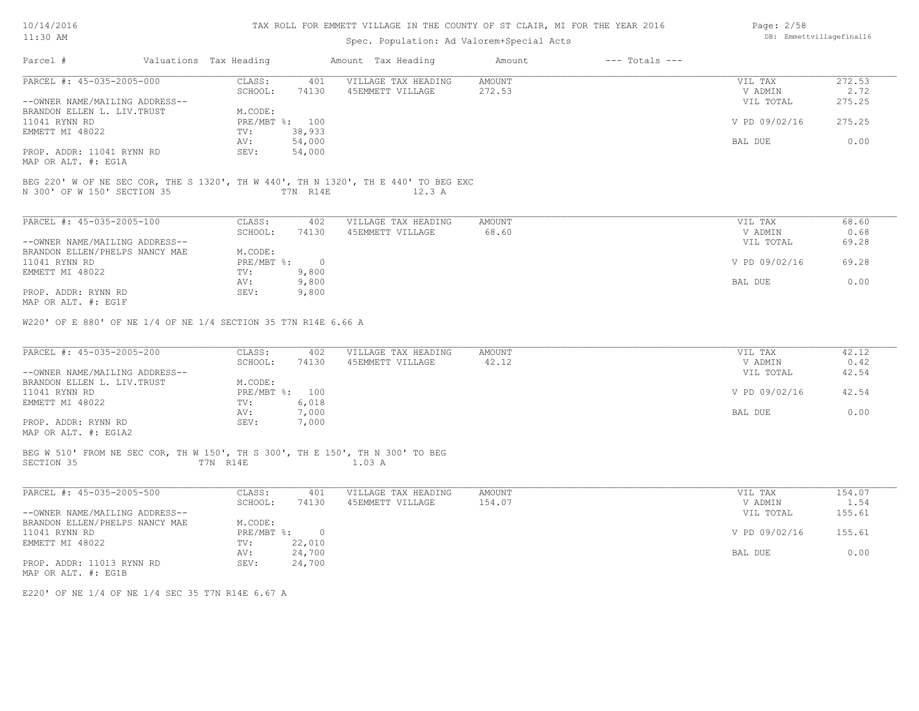| 10/14/2016 |  |
|------------|--|
| 11:30 AM   |  |

# Spec. Population: Ad Valorem+Special Acts

| Page: 2/58 |                          |
|------------|--------------------------|
|            | DB: Emmettvillagefinal16 |

| CLASS:<br>VILLAGE TAX HEADING<br>AMOUNT<br>VIL TAX<br>272.53<br>401<br>SCHOOL:<br>74130<br>45EMMETT VILLAGE<br>272.53<br>V ADMIN<br>2.72<br>275.25<br>--OWNER NAME/MAILING ADDRESS--<br>VIL TOTAL<br>BRANDON ELLEN L. LIV. TRUST<br>M.CODE:<br>PRE/MBT %: 100<br>V PD 09/02/16<br>275.25<br>EMMETT MI 48022<br>38,933<br>TV:<br>AV:<br>54,000<br>BAL DUE<br>0.00<br>54,000<br>SEV:<br>BEG 220' W OF NE SEC COR, THE S 1320', TH W 440', TH N 1320', TH E 440' TO BEG EXC<br>N 300' OF W 150' SECTION 35<br>T7N R14E<br>12.3 A<br>68.60<br>CLASS:<br>402<br>VILLAGE TAX HEADING<br>AMOUNT<br>VIL TAX<br>SCHOOL:<br>45EMMETT VILLAGE<br>68.60<br>0.68<br>74130<br>V ADMIN<br>--OWNER NAME/MAILING ADDRESS--<br>69.28<br>VIL TOTAL<br>M.CODE:<br>BRANDON ELLEN/PHELPS NANCY MAE<br>PRE/MBT %: 0<br>V PD 09/02/16<br>69.28<br>TV:<br>9,800<br>9,800<br>0.00<br>AV:<br>BAL DUE<br>SEV:<br>9,800<br>W220' OF E 880' OF NE 1/4 OF NE 1/4 SECTION 35 T7N R14E 6.66 A<br>42.12<br>CLASS:<br>402<br>VILLAGE TAX HEADING<br>AMOUNT<br>VIL TAX<br>SCHOOL:<br>42.12<br>0.42<br>74130<br>45EMMETT VILLAGE<br>V ADMIN<br>--OWNER NAME/MAILING ADDRESS--<br>42.54<br>VIL TOTAL<br>M.CODE:<br>PRE/MBT %: 100<br>V PD 09/02/16<br>42.54<br>6,018<br>TV:<br>AV:<br>7,000<br>BAL DUE<br>0.00<br>SEV:<br>7,000<br>MAP OR ALT. #: EG1A2<br>BEG W 510' FROM NE SEC COR, TH W 150', TH S 300', TH E 150', TH N 300' TO BEG<br>T7N R14E<br>1.03 A<br>CLASS:<br>154.07<br>401<br>VILLAGE TAX HEADING<br>AMOUNT<br>VIL TAX<br>SCHOOL:<br>45EMMETT VILLAGE<br>154.07<br>74130<br>V ADMIN<br>1.54<br>--OWNER NAME/MAILING ADDRESS--<br>VIL TOTAL<br>155.61<br>M.CODE:<br>BRANDON ELLEN/PHELPS NANCY MAE<br>PRE/MBT %: 0<br>155.61<br>V PD 09/02/16<br>22,010<br>$\text{TV}$ :<br>24,700<br>0.00<br>AV:<br>BAL DUE<br>SEV:<br>24,700 | Parcel #                                         | Valuations Tax Heading | Amount Tax Heading | Amount | $---$ Totals $---$ |  |
|--------------------------------------------------------------------------------------------------------------------------------------------------------------------------------------------------------------------------------------------------------------------------------------------------------------------------------------------------------------------------------------------------------------------------------------------------------------------------------------------------------------------------------------------------------------------------------------------------------------------------------------------------------------------------------------------------------------------------------------------------------------------------------------------------------------------------------------------------------------------------------------------------------------------------------------------------------------------------------------------------------------------------------------------------------------------------------------------------------------------------------------------------------------------------------------------------------------------------------------------------------------------------------------------------------------------------------------------------------------------------------------------------------------------------------------------------------------------------------------------------------------------------------------------------------------------------------------------------------------------------------------------------------------------------------------------------------------------------------------------------------------------------------------------------------|--------------------------------------------------|------------------------|--------------------|--------|--------------------|--|
|                                                                                                                                                                                                                                                                                                                                                                                                                                                                                                                                                                                                                                                                                                                                                                                                                                                                                                                                                                                                                                                                                                                                                                                                                                                                                                                                                                                                                                                                                                                                                                                                                                                                                                                                                                                                        | PARCEL #: 45-035-2005-000                        |                        |                    |        |                    |  |
|                                                                                                                                                                                                                                                                                                                                                                                                                                                                                                                                                                                                                                                                                                                                                                                                                                                                                                                                                                                                                                                                                                                                                                                                                                                                                                                                                                                                                                                                                                                                                                                                                                                                                                                                                                                                        |                                                  |                        |                    |        |                    |  |
|                                                                                                                                                                                                                                                                                                                                                                                                                                                                                                                                                                                                                                                                                                                                                                                                                                                                                                                                                                                                                                                                                                                                                                                                                                                                                                                                                                                                                                                                                                                                                                                                                                                                                                                                                                                                        | 11041 RYNN RD                                    |                        |                    |        |                    |  |
|                                                                                                                                                                                                                                                                                                                                                                                                                                                                                                                                                                                                                                                                                                                                                                                                                                                                                                                                                                                                                                                                                                                                                                                                                                                                                                                                                                                                                                                                                                                                                                                                                                                                                                                                                                                                        |                                                  |                        |                    |        |                    |  |
|                                                                                                                                                                                                                                                                                                                                                                                                                                                                                                                                                                                                                                                                                                                                                                                                                                                                                                                                                                                                                                                                                                                                                                                                                                                                                                                                                                                                                                                                                                                                                                                                                                                                                                                                                                                                        | PROP. ADDR: 11041 RYNN RD<br>MAP OR ALT. #: EG1A |                        |                    |        |                    |  |
|                                                                                                                                                                                                                                                                                                                                                                                                                                                                                                                                                                                                                                                                                                                                                                                                                                                                                                                                                                                                                                                                                                                                                                                                                                                                                                                                                                                                                                                                                                                                                                                                                                                                                                                                                                                                        |                                                  |                        |                    |        |                    |  |
|                                                                                                                                                                                                                                                                                                                                                                                                                                                                                                                                                                                                                                                                                                                                                                                                                                                                                                                                                                                                                                                                                                                                                                                                                                                                                                                                                                                                                                                                                                                                                                                                                                                                                                                                                                                                        | PARCEL #: 45-035-2005-100                        |                        |                    |        |                    |  |
|                                                                                                                                                                                                                                                                                                                                                                                                                                                                                                                                                                                                                                                                                                                                                                                                                                                                                                                                                                                                                                                                                                                                                                                                                                                                                                                                                                                                                                                                                                                                                                                                                                                                                                                                                                                                        |                                                  |                        |                    |        |                    |  |
|                                                                                                                                                                                                                                                                                                                                                                                                                                                                                                                                                                                                                                                                                                                                                                                                                                                                                                                                                                                                                                                                                                                                                                                                                                                                                                                                                                                                                                                                                                                                                                                                                                                                                                                                                                                                        | 11041 RYNN RD                                    |                        |                    |        |                    |  |
|                                                                                                                                                                                                                                                                                                                                                                                                                                                                                                                                                                                                                                                                                                                                                                                                                                                                                                                                                                                                                                                                                                                                                                                                                                                                                                                                                                                                                                                                                                                                                                                                                                                                                                                                                                                                        | EMMETT MI 48022                                  |                        |                    |        |                    |  |
|                                                                                                                                                                                                                                                                                                                                                                                                                                                                                                                                                                                                                                                                                                                                                                                                                                                                                                                                                                                                                                                                                                                                                                                                                                                                                                                                                                                                                                                                                                                                                                                                                                                                                                                                                                                                        | PROP. ADDR: RYNN RD<br>MAP OR ALT. #: EG1F       |                        |                    |        |                    |  |
|                                                                                                                                                                                                                                                                                                                                                                                                                                                                                                                                                                                                                                                                                                                                                                                                                                                                                                                                                                                                                                                                                                                                                                                                                                                                                                                                                                                                                                                                                                                                                                                                                                                                                                                                                                                                        | PARCEL #: 45-035-2005-200                        |                        |                    |        |                    |  |
|                                                                                                                                                                                                                                                                                                                                                                                                                                                                                                                                                                                                                                                                                                                                                                                                                                                                                                                                                                                                                                                                                                                                                                                                                                                                                                                                                                                                                                                                                                                                                                                                                                                                                                                                                                                                        | BRANDON ELLEN L. LIV. TRUST                      |                        |                    |        |                    |  |
|                                                                                                                                                                                                                                                                                                                                                                                                                                                                                                                                                                                                                                                                                                                                                                                                                                                                                                                                                                                                                                                                                                                                                                                                                                                                                                                                                                                                                                                                                                                                                                                                                                                                                                                                                                                                        | 11041 RYNN RD<br>EMMETT MI 48022                 |                        |                    |        |                    |  |
|                                                                                                                                                                                                                                                                                                                                                                                                                                                                                                                                                                                                                                                                                                                                                                                                                                                                                                                                                                                                                                                                                                                                                                                                                                                                                                                                                                                                                                                                                                                                                                                                                                                                                                                                                                                                        | PROP. ADDR: RYNN RD                              |                        |                    |        |                    |  |
|                                                                                                                                                                                                                                                                                                                                                                                                                                                                                                                                                                                                                                                                                                                                                                                                                                                                                                                                                                                                                                                                                                                                                                                                                                                                                                                                                                                                                                                                                                                                                                                                                                                                                                                                                                                                        | SECTION 35                                       |                        |                    |        |                    |  |
|                                                                                                                                                                                                                                                                                                                                                                                                                                                                                                                                                                                                                                                                                                                                                                                                                                                                                                                                                                                                                                                                                                                                                                                                                                                                                                                                                                                                                                                                                                                                                                                                                                                                                                                                                                                                        | PARCEL #: 45-035-2005-500                        |                        |                    |        |                    |  |
|                                                                                                                                                                                                                                                                                                                                                                                                                                                                                                                                                                                                                                                                                                                                                                                                                                                                                                                                                                                                                                                                                                                                                                                                                                                                                                                                                                                                                                                                                                                                                                                                                                                                                                                                                                                                        |                                                  |                        |                    |        |                    |  |
|                                                                                                                                                                                                                                                                                                                                                                                                                                                                                                                                                                                                                                                                                                                                                                                                                                                                                                                                                                                                                                                                                                                                                                                                                                                                                                                                                                                                                                                                                                                                                                                                                                                                                                                                                                                                        | 11041 RYNN RD                                    |                        |                    |        |                    |  |
|                                                                                                                                                                                                                                                                                                                                                                                                                                                                                                                                                                                                                                                                                                                                                                                                                                                                                                                                                                                                                                                                                                                                                                                                                                                                                                                                                                                                                                                                                                                                                                                                                                                                                                                                                                                                        | EMMETT MI 48022                                  |                        |                    |        |                    |  |
|                                                                                                                                                                                                                                                                                                                                                                                                                                                                                                                                                                                                                                                                                                                                                                                                                                                                                                                                                                                                                                                                                                                                                                                                                                                                                                                                                                                                                                                                                                                                                                                                                                                                                                                                                                                                        | PROP. ADDR: 11013 RYNN RD<br>MAP OR ALT. #: EG1B |                        |                    |        |                    |  |

E220' OF NE 1/4 OF NE 1/4 SEC 35 T7N R14E 6.67 A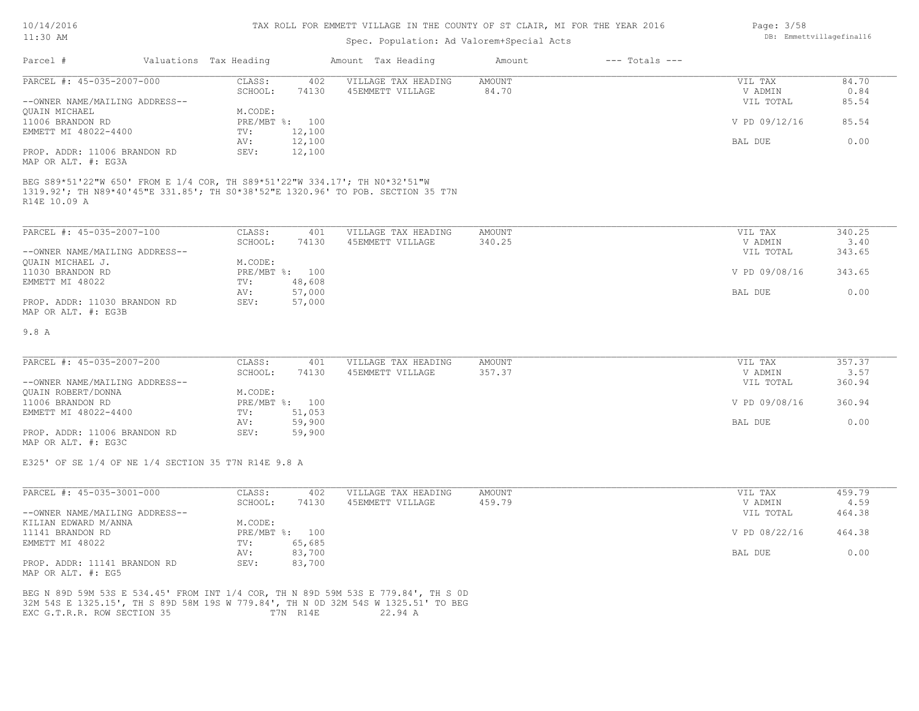#### TAX ROLL FOR EMMETT VILLAGE IN THE COUNTY OF ST CLAIR, MI FOR THE YEAR 2016

# Spec. Population: Ad Valorem+Special Acts

| Parcel #                       | Valuations Tax Heading |        | Amount Tax Heading  | Amount | $---$ Totals $---$ |               |       |
|--------------------------------|------------------------|--------|---------------------|--------|--------------------|---------------|-------|
| PARCEL #: 45-035-2007-000      | CLASS:                 | 402    | VILLAGE TAX HEADING | AMOUNT |                    | VIL TAX       | 84.70 |
|                                | SCHOOL:                | 74130  | 45EMMETT VILLAGE    | 84.70  |                    | V ADMIN       | 0.84  |
| --OWNER NAME/MAILING ADDRESS-- |                        |        |                     |        |                    | VIL TOTAL     | 85.54 |
| QUAIN MICHAEL                  | M.CODE:                |        |                     |        |                    |               |       |
| 11006 BRANDON RD               | PRE/MBT %:             | 100    |                     |        |                    | V PD 09/12/16 | 85.54 |
| EMMETT MI 48022-4400           | TV:                    | 12,100 |                     |        |                    |               |       |
|                                | AV:                    | 12,100 |                     |        |                    | BAL DUE       | 0.00  |
| PROP. ADDR: 11006 BRANDON RD   | SEV:                   | 12,100 |                     |        |                    |               |       |
| MAP OR ALT. #: EG3A            |                        |        |                     |        |                    |               |       |

R14E 10.09 A 1319.92'; TH N89\*40'45"E 331.85'; TH S0\*38'52"E 1320.96' TO POB. SECTION 35 T7N BEG S89\*51'22"W 650' FROM E 1/4 COR, TH S89\*51'22"W 334.17'; TH N0\*32'51"W

| PARCEL #: 45-035-2007-100      | CLASS:  | 401            | VILLAGE TAX HEADING | AMOUNT | VIL TAX       | 340.25 |
|--------------------------------|---------|----------------|---------------------|--------|---------------|--------|
|                                | SCHOOL: | 74130          | 45EMMETT VILLAGE    | 340.25 | V ADMIN       | 3.40   |
| --OWNER NAME/MAILING ADDRESS-- |         |                |                     |        | VIL TOTAL     | 343.65 |
| OUAIN MICHAEL J.               | M.CODE: |                |                     |        |               |        |
| 11030 BRANDON RD               |         | PRE/MBT %: 100 |                     |        | V PD 09/08/16 | 343.65 |
| EMMETT MI 48022                | TV:     | 48,608         |                     |        |               |        |
|                                | AV:     | 57,000         |                     |        | BAL DUE       | 0.00   |
| PROP. ADDR: 11030 BRANDON RD   | SEV:    | 57,000         |                     |        |               |        |
| MAP OR ALT. #: EG3B            |         |                |                     |        |               |        |

#### 9.8 A

| PARCEL #: 45-035-2007-200      | CLASS:       | 401    | VILLAGE TAX HEADING | AMOUNT | VIL TAX       | 357.37 |
|--------------------------------|--------------|--------|---------------------|--------|---------------|--------|
|                                | SCHOOL:      | 74130  | 45EMMETT VILLAGE    | 357.37 | V ADMIN       | 3.57   |
| --OWNER NAME/MAILING ADDRESS-- |              |        |                     |        | VIL TOTAL     | 360.94 |
| QUAIN ROBERT/DONNA             | M.CODE:      |        |                     |        |               |        |
| 11006 BRANDON RD               | $PRE/MBT$ %: | 100    |                     |        | V PD 09/08/16 | 360.94 |
| EMMETT MI 48022-4400           | TV:          | 51,053 |                     |        |               |        |
|                                | AV:          | 59,900 |                     |        | BAL DUE       | 0.00   |
| PROP. ADDR: 11006 BRANDON RD   | SEV:         | 59,900 |                     |        |               |        |

MAP OR ALT. #: EG3C

E325' OF SE 1/4 OF NE 1/4 SECTION 35 T7N R14E 9.8 A

| PARCEL #: 45-035-3001-000      | CLASS:     | 402    | VILLAGE TAX HEADING | AMOUNT | VIL TAX       | 459.79 |
|--------------------------------|------------|--------|---------------------|--------|---------------|--------|
|                                | SCHOOL:    | 74130  | 45EMMETT VILLAGE    | 459.79 | V ADMIN       | 4.59   |
| --OWNER NAME/MAILING ADDRESS-- |            |        |                     |        | VIL TOTAL     | 464.38 |
| KILIAN EDWARD M/ANNA           | M.CODE:    |        |                     |        |               |        |
| 11141 BRANDON RD               | PRE/MBT %: | 100    |                     |        | V PD 08/22/16 | 464.38 |
| EMMETT MI 48022                | TV:        | 65,685 |                     |        |               |        |
|                                | AV:        | 83,700 |                     |        | BAL DUE       | 0.00   |
| PROP. ADDR: 11141 BRANDON RD   | SEV:       | 83,700 |                     |        |               |        |
| MAP OR ALT. #: EG5             |            |        |                     |        |               |        |

EXC G.T.R.R. ROW SECTION 35 T7N R14E 22.94 A 32M 54S E 1325.15', TH S 89D 58M 19S W 779.84', TH N 0D 32M 54S W 1325.51' TO BEG BEG N 89D 59M 53S E 534.45' FROM INT 1/4 COR, TH N 89D 59M 53S E 779.84', TH S 0D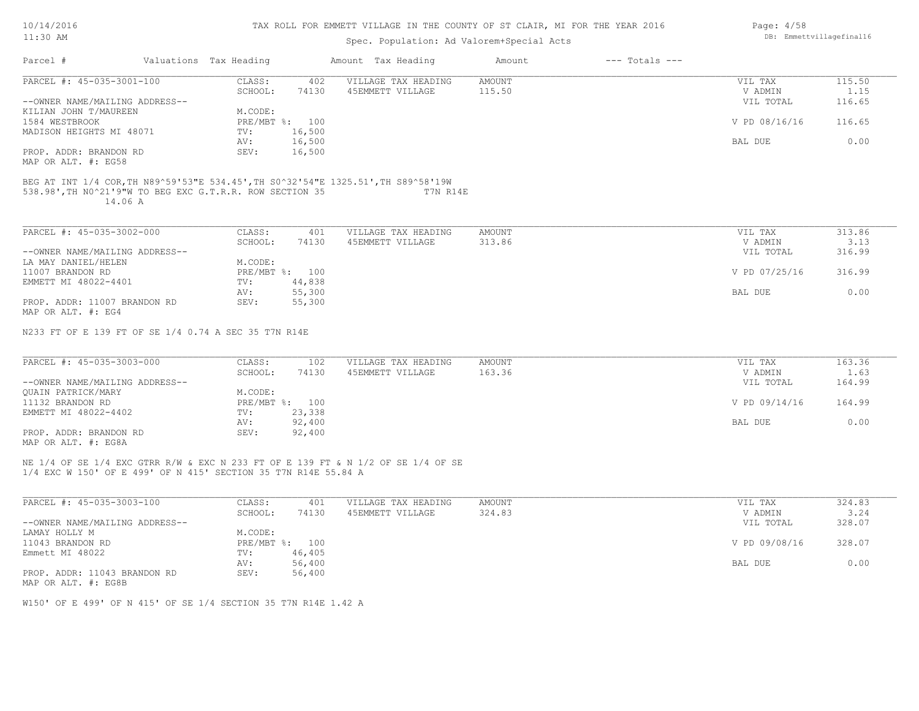| 10/14/2016 |  |
|------------|--|
| $1:30$ AM  |  |

| TT: 20 MM                                                      |         |                        |                | Spec. Population: Ad Valorem+Special Acts                                         |        |                    |               | ananeccvillagerinair |
|----------------------------------------------------------------|---------|------------------------|----------------|-----------------------------------------------------------------------------------|--------|--------------------|---------------|----------------------|
| Parcel #                                                       |         | Valuations Tax Heading |                | Amount Tax Heading                                                                | Amount | $---$ Totals $---$ |               |                      |
| PARCEL #: 45-035-3001-100                                      |         | CLASS:                 | 402            | VILLAGE TAX HEADING                                                               | AMOUNT |                    | VIL TAX       | 115.50               |
|                                                                |         | SCHOOL:                | 74130          | 45EMMETT VILLAGE                                                                  | 115.50 |                    | V ADMIN       | 1.15                 |
| --OWNER NAME/MAILING ADDRESS--                                 |         |                        |                |                                                                                   |        |                    | VIL TOTAL     | 116.65               |
| KILIAN JOHN T/MAUREEN                                          |         | M.CODE:                |                |                                                                                   |        |                    |               |                      |
| 1584 WESTBROOK                                                 |         |                        | PRE/MBT %: 100 |                                                                                   |        |                    | V PD 08/16/16 | 116.65               |
| MADISON HEIGHTS MI 48071                                       |         | TV:                    | 16,500         |                                                                                   |        |                    |               |                      |
|                                                                |         | AV:                    | 16,500         |                                                                                   |        |                    | BAL DUE       | 0.00                 |
| PROP. ADDR: BRANDON RD                                         |         | SEV:                   | 16,500         |                                                                                   |        |                    |               |                      |
| MAP OR ALT. #: EG58                                            |         |                        |                |                                                                                   |        |                    |               |                      |
|                                                                |         |                        |                | BEG AT INT 1/4 COR, TH N89^59'53"E 534.45', TH S0^32'54"E 1325.51', TH S89^58'19W |        |                    |               |                      |
| 538.98', TH NO^21'9"W TO BEG EXC G.T.R.R. ROW SECTION 35       | 14.06 A |                        |                | T7N R14E                                                                          |        |                    |               |                      |
|                                                                |         |                        |                |                                                                                   |        |                    |               |                      |
| PARCEL #: 45-035-3002-000                                      |         | CLASS:                 | 401            | VILLAGE TAX HEADING                                                               | AMOUNT |                    | VIL TAX       | 313.86               |
|                                                                |         | SCHOOL:                | 74130          | 45EMMETT VILLAGE                                                                  | 313.86 |                    | V ADMIN       | 3.13                 |
| --OWNER NAME/MAILING ADDRESS--                                 |         |                        |                |                                                                                   |        |                    | VIL TOTAL     | 316.99               |
| LA MAY DANIEL/HELEN                                            |         | M.CODE:                |                |                                                                                   |        |                    |               |                      |
| 11007 BRANDON RD                                               |         |                        | PRE/MBT %: 100 |                                                                                   |        |                    | V PD 07/25/16 | 316.99               |
| EMMETT MI 48022-4401                                           |         | TV:                    | 44,838         |                                                                                   |        |                    |               |                      |
|                                                                |         | AV:                    | 55,300         |                                                                                   |        |                    | BAL DUE       | 0.00                 |
| PROP. ADDR: 11007 BRANDON RD                                   |         | SEV:                   | 55,300         |                                                                                   |        |                    |               |                      |
| MAP OR ALT. #: EG4                                             |         |                        |                |                                                                                   |        |                    |               |                      |
| N233 FT OF E 139 FT OF SE 1/4 0.74 A SEC 35 T7N R14E           |         |                        |                |                                                                                   |        |                    |               |                      |
| PARCEL #: 45-035-3003-000                                      |         | CLASS:                 | 102            | VILLAGE TAX HEADING                                                               | AMOUNT |                    | VIL TAX       | 163.36               |
|                                                                |         | SCHOOL:                | 74130          | 45EMMETT VILLAGE                                                                  | 163.36 |                    | V ADMIN       | 1.63                 |
|                                                                |         |                        |                |                                                                                   |        |                    |               |                      |
| --OWNER NAME/MAILING ADDRESS--                                 |         |                        |                |                                                                                   |        |                    | VIL TOTAL     | 164.99               |
| OUAIN PATRICK/MARY                                             |         | M.CODE:                |                |                                                                                   |        |                    |               |                      |
| 11132 BRANDON RD                                               |         |                        | PRE/MBT %: 100 |                                                                                   |        |                    | V PD 09/14/16 | 164.99               |
| EMMETT MI 48022-4402                                           |         | TV:                    | 23,338         |                                                                                   |        |                    |               |                      |
|                                                                |         | AV:                    | 92,400         |                                                                                   |        |                    | BAL DUE       | 0.00                 |
| PROP. ADDR: BRANDON RD                                         |         | SEV:                   | 92,400         |                                                                                   |        |                    |               |                      |
| MAP OR ALT. #: EG8A                                            |         |                        |                |                                                                                   |        |                    |               |                      |
|                                                                |         |                        |                | NE 1/4 OF SE 1/4 EXC GTRR R/W & EXC N 233 FT OF E 139 FT & N 1/2 OF SE 1/4 OF SE  |        |                    |               |                      |
| 1/4 EXC W 150' OF E 499' OF N 415' SECTION 35 T7N R14E 55.84 A |         |                        |                |                                                                                   |        |                    |               |                      |
|                                                                |         |                        |                |                                                                                   |        |                    |               |                      |

| PARCEL #: 45-035-3003-100      | CLASS:     | 401    | VILLAGE TAX HEADING | AMOUNT | VIL TAX       | 324.83 |
|--------------------------------|------------|--------|---------------------|--------|---------------|--------|
|                                | SCHOOL:    | 74130  | 45EMMETT VILLAGE    | 324.83 | V ADMIN       | 3.24   |
| --OWNER NAME/MAILING ADDRESS-- |            |        |                     |        | VIL TOTAL     | 328.07 |
| LAMAY HOLLY M                  | M.CODE:    |        |                     |        |               |        |
| 11043 BRANDON RD               | PRE/MBT %: | 100    |                     |        | V PD 09/08/16 | 328.07 |
| Emmett MI 48022                | TV:        | 46,405 |                     |        |               |        |
|                                | AV:        | 56,400 |                     |        | BAL DUE       | 0.00   |
| PROP. ADDR: 11043 BRANDON RD   | SEV:       | 56,400 |                     |        |               |        |
| MAP OR ALT. #: EG8B            |            |        |                     |        |               |        |

 $\mathcal{L}_\mathcal{L} = \mathcal{L}_\mathcal{L} = \mathcal{L}_\mathcal{L} = \mathcal{L}_\mathcal{L} = \mathcal{L}_\mathcal{L} = \mathcal{L}_\mathcal{L} = \mathcal{L}_\mathcal{L} = \mathcal{L}_\mathcal{L} = \mathcal{L}_\mathcal{L} = \mathcal{L}_\mathcal{L} = \mathcal{L}_\mathcal{L} = \mathcal{L}_\mathcal{L} = \mathcal{L}_\mathcal{L} = \mathcal{L}_\mathcal{L} = \mathcal{L}_\mathcal{L} = \mathcal{L}_\mathcal{L} = \mathcal{L}_\mathcal{L}$ 

W150' OF E 499' OF N 415' OF SE 1/4 SECTION 35 T7N R14E 1.42 A

Page: 4/58 DB: Emmettvillagefinal16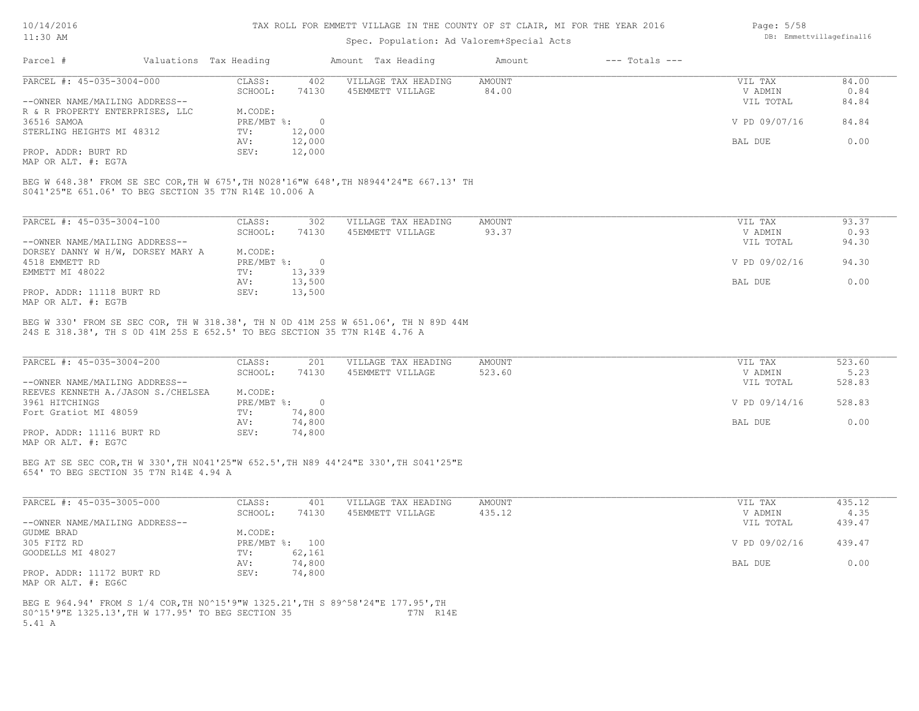### TAX ROLL FOR EMMETT VILLAGE IN THE COUNTY OF ST CLAIR, MI FOR THE YEAR 2016

### Spec. Population: Ad Valorem+Special Acts

| Page: 5/58 |                          |
|------------|--------------------------|
|            | DB: Emmettvillagefinal16 |

| Parcel #                                                                                                        | Valuations Tax Heading |        | Amount Tax Heading  | Amount | $---$ Totals $---$ |               |       |
|-----------------------------------------------------------------------------------------------------------------|------------------------|--------|---------------------|--------|--------------------|---------------|-------|
| PARCEL #: 45-035-3004-000                                                                                       | CLASS:                 | 402    | VILLAGE TAX HEADING | AMOUNT |                    | VIL TAX       | 84.00 |
|                                                                                                                 | SCHOOL:                | 74130  | 45EMMETT VILLAGE    | 84.00  |                    | V ADMIN       | 0.84  |
| --OWNER NAME/MAILING ADDRESS--                                                                                  |                        |        |                     |        |                    | VIL TOTAL     | 84.84 |
| R & R PROPERTY ENTERPRISES, LLC                                                                                 | M.CODE:                |        |                     |        |                    |               |       |
| 36516 SAMOA                                                                                                     | PRE/MBT %:             |        |                     |        |                    | V PD 09/07/16 | 84.84 |
| STERLING HEIGHTS MI 48312                                                                                       | TV:                    | 12,000 |                     |        |                    |               |       |
|                                                                                                                 | AV:                    | 12,000 |                     |        |                    | BAL DUE       | 0.00  |
| PROP. ADDR: BURT RD                                                                                             | SEV:                   | 12,000 |                     |        |                    |               |       |
| the contract of the contract of the contract of the contract of the contract of the contract of the contract of |                        |        |                     |        |                    |               |       |

MAP OR ALT. #: EG7A

S041'25"E 651.06' TO BEG SECTION 35 T7N R14E 10.006 A BEG W 648.38' FROM SE SEC COR,TH W 675',TH N028'16"W 648',TH N8944'24"E 667.13' TH

| PARCEL #: 45-035-3004-100         | CLASS:     | 302    | VILLAGE TAX HEADING | AMOUNT | VIL TAX       | 93.37 |
|-----------------------------------|------------|--------|---------------------|--------|---------------|-------|
|                                   | SCHOOL:    | 74130  | 45EMMETT VILLAGE    | 93.37  | V ADMIN       | 0.93  |
| --OWNER NAME/MAILING ADDRESS--    |            |        |                     |        | VIL TOTAL     | 94.30 |
| DORSEY DANNY W H/W, DORSEY MARY A | M.CODE:    |        |                     |        |               |       |
| 4518 EMMETT RD                    | PRE/MBT %: |        |                     |        | V PD 09/02/16 | 94.30 |
| EMMETT MI 48022                   | TV:        | 13,339 |                     |        |               |       |
|                                   | AV:        | 13,500 |                     |        | BAL DUE       | 0.00  |
| PROP. ADDR: 11118 BURT RD         | SEV:       | 13,500 |                     |        |               |       |
| MAP OR ALT. #: EG7B               |            |        |                     |        |               |       |

24S E 318.38', TH S 0D 41M 25S E 652.5' TO BEG SECTION 35 T7N R14E 4.76 A BEG W 330' FROM SE SEC COR, TH W 318.38', TH N 0D 41M 25S W 651.06', TH N 89D 44M

| PARCEL #: 45-035-3004-200          | CLASS:     | 201    | VILLAGE TAX HEADING | AMOUNT | VIL TAX       | 523.60 |
|------------------------------------|------------|--------|---------------------|--------|---------------|--------|
|                                    | SCHOOL:    | 74130  | 45EMMETT VILLAGE    | 523.60 | V ADMIN       | 5.23   |
| --OWNER NAME/MAILING ADDRESS--     |            |        |                     |        | VIL TOTAL     | 528.83 |
| REEVES KENNETH A./JASON S./CHELSEA | M.CODE:    |        |                     |        |               |        |
| 3961 HITCHINGS                     | PRE/MBT %: |        |                     |        | V PD 09/14/16 | 528.83 |
| Fort Gratiot MI 48059              | TV:        | 74,800 |                     |        |               |        |
|                                    | AV:        | 74,800 |                     |        | BAL DUE       | 0.00   |
| PROP. ADDR: 11116 BURT RD          | SEV:       | 74,800 |                     |        |               |        |
|                                    |            |        |                     |        |               |        |

MAP OR ALT. #: EG7C

654' TO BEG SECTION 35 T7N R14E 4.94 A BEG AT SE SEC COR,TH W 330',TH N041'25"W 652.5',TH N89 44'24"E 330',TH S041'25"E

| PARCEL #: 45-035-3005-000      | CLASS:  | 401            | VILLAGE TAX HEADING | AMOUNT | VIL TAX       | 435.12 |
|--------------------------------|---------|----------------|---------------------|--------|---------------|--------|
|                                | SCHOOL: | 74130          | 45EMMETT VILLAGE    | 435.12 | V ADMIN       | 4.35   |
| --OWNER NAME/MAILING ADDRESS-- |         |                |                     |        | VIL TOTAL     | 439.47 |
| GUDME BRAD                     | M.CODE: |                |                     |        |               |        |
| 305 FITZ RD                    |         | PRE/MBT %: 100 |                     |        | V PD 09/02/16 | 439.47 |
| GOODELLS MI 48027              | TV:     | 62,161         |                     |        |               |        |
|                                | AV:     | 74,800         |                     |        | BAL DUE       | 0.00   |
| PROP. ADDR: 11172 BURT RD      | SEV:    | 74,800         |                     |        |               |        |
| MAP OR ALT. #: EG6C            |         |                |                     |        |               |        |

5.41 A S0^15'9"E 1325.13',TH W 177.95' TO BEG SECTION 35 T7N R14E BEG E 964.94' FROM S 1/4 COR,TH N0^15'9"W 1325.21',TH S 89^58'24"E 177.95',TH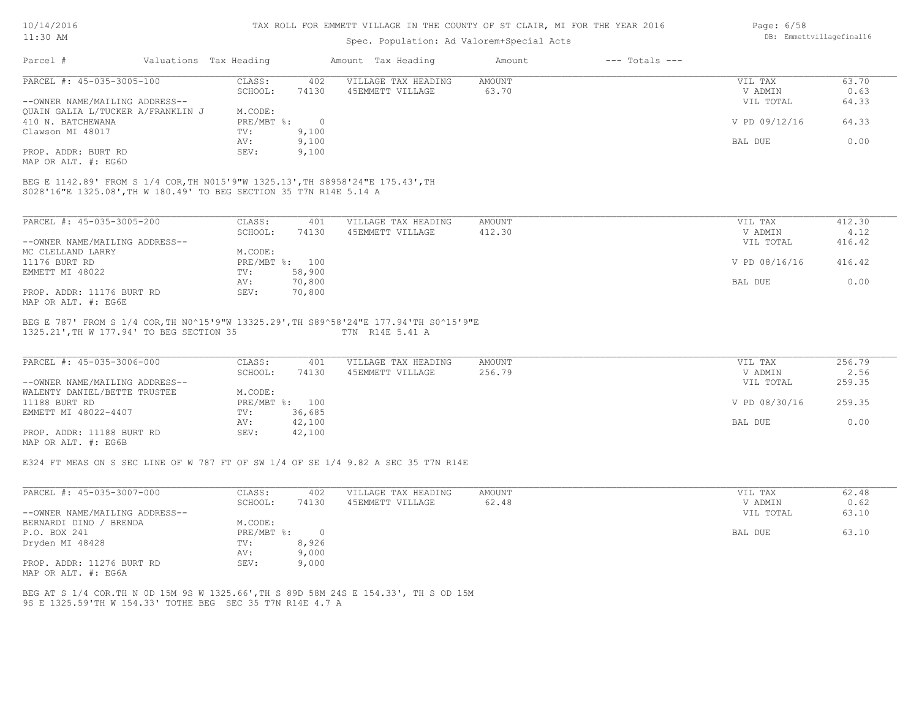| 10/14/2016 |  |
|------------|--|
| 11:30 AM   |  |

# Spec. Population: Ad Valorem+Special Acts

| Page: 6/58 |                          |
|------------|--------------------------|
|            | DB: Emmettvillagefinal16 |

|                                                  | Valuations Tax Heading    |                  | Amount Tax Heading                                                                    | Amount        | $---$ Totals $---$ |               |        |
|--------------------------------------------------|---------------------------|------------------|---------------------------------------------------------------------------------------|---------------|--------------------|---------------|--------|
| PARCEL #: 45-035-3005-100                        | CLASS:                    | 402              | VILLAGE TAX HEADING                                                                   | AMOUNT        |                    | VIL TAX       | 63.70  |
|                                                  | SCHOOL:                   | 74130            | 45EMMETT VILLAGE                                                                      | 63.70         |                    | V ADMIN       | 0.63   |
| --OWNER NAME/MAILING ADDRESS--                   |                           |                  |                                                                                       |               |                    | VIL TOTAL     | 64.33  |
| OUAIN GALIA L/TUCKER A/FRANKLIN J                | M.CODE:                   |                  |                                                                                       |               |                    |               |        |
| 410 N. BATCHEWANA                                | PRE/MBT %:                | $\overline{0}$   |                                                                                       |               |                    | V PD 09/12/16 | 64.33  |
| Clawson MI 48017                                 | TV:                       | 9,100            |                                                                                       |               |                    |               |        |
|                                                  | AV:                       | 9,100            |                                                                                       |               |                    | BAL DUE       | 0.00   |
| PROP. ADDR: BURT RD                              | SEV:                      | 9,100            |                                                                                       |               |                    |               |        |
| MAP OR ALT. #: EG6D                              |                           |                  |                                                                                       |               |                    |               |        |
|                                                  |                           |                  |                                                                                       |               |                    |               |        |
| PARCEL #: 45-035-3005-200                        | CLASS:                    | 401              | VILLAGE TAX HEADING                                                                   | <b>AMOUNT</b> |                    | VIL TAX       | 412.30 |
|                                                  | SCHOOL:                   | 74130            | 45EMMETT VILLAGE                                                                      | 412.30        |                    | V ADMIN       | 4.12   |
| --OWNER NAME/MAILING ADDRESS--                   |                           |                  |                                                                                       |               |                    | VIL TOTAL     | 416.42 |
| MC CLELLAND LARRY<br>11176 BURT RD               | M.CODE:<br>PRE/MBT %: 100 |                  |                                                                                       |               |                    | V PD 08/16/16 | 416.42 |
| EMMETT MI 48022                                  | TV:                       |                  |                                                                                       |               |                    |               |        |
|                                                  | AV:                       | 58,900<br>70,800 |                                                                                       |               |                    | BAL DUE       | 0.00   |
| PROP. ADDR: 11176 BURT RD<br>MAP OR ALT. #: EG6E | SEV:                      | 70,800           |                                                                                       |               |                    |               |        |
|                                                  |                           |                  | BEG E 787' FROM S 1/4 COR, TH NO^15'9"W 13325.29', TH S89^58'24"E 177.94'TH SO^15'9"E |               |                    |               |        |
| 1325.21', TH W 177.94' TO BEG SECTION 35         |                           |                  | T7N R14E 5.41 A                                                                       |               |                    |               |        |

| PARCEL #: 45-035-3006-000      | CLASS:       | 401    | VILLAGE TAX HEADING | AMOUNT | VIL TAX       | 256.79 |  |
|--------------------------------|--------------|--------|---------------------|--------|---------------|--------|--|
|                                | SCHOOL:      | 74130  | 45EMMETT VILLAGE    | 256.79 | V ADMIN       | 2.56   |  |
| --OWNER NAME/MAILING ADDRESS-- |              |        |                     |        | VIL TOTAL     | 259.35 |  |
| WALENTY DANIEL/BETTE TRUSTEE   | M.CODE:      |        |                     |        |               |        |  |
| 11188 BURT RD                  | $PRE/MBT$ %: | 100    |                     |        | V PD 08/30/16 | 259.35 |  |
| EMMETT MI 48022-4407           | TV:          | 36,685 |                     |        |               |        |  |
|                                | AV:          | 42,100 |                     |        | BAL DUE       | 0.00   |  |
| PROP. ADDR: 11188 BURT RD      | SEV:         | 42,100 |                     |        |               |        |  |
| MAP OR ALT. #: EG6B            |              |        |                     |        |               |        |  |

E324 FT MEAS ON S SEC LINE OF W 787 FT OF SW 1/4 OF SE 1/4 9.82 A SEC 35 T7N R14E

| PARCEL #: 45-035-3007-000      | CLASS:     | 402    | VILLAGE TAX HEADING | AMOUNT | 62.48<br>VIL TAX   |  |
|--------------------------------|------------|--------|---------------------|--------|--------------------|--|
|                                | SCHOOL:    | 74130  | 45EMMETT VILLAGE    | 62.48  | 0.62<br>V ADMIN    |  |
| --OWNER NAME/MAILING ADDRESS-- |            |        |                     |        | VIL TOTAL<br>63.10 |  |
| BERNARDI DINO / BRENDA         | M.CODE:    |        |                     |        |                    |  |
| P.O. BOX 241                   | PRE/MBT %: | $\Box$ |                     |        | 63.10<br>BAL DUE   |  |
| Dryden MI 48428                | TV:        | 8,926  |                     |        |                    |  |
|                                | AV:        | 9,000  |                     |        |                    |  |
| PROP. ADDR: 11276 BURT RD      | SEV:       | 9,000  |                     |        |                    |  |
| MAP OR ALT. #: EG6A            |            |        |                     |        |                    |  |

9S E 1325.59'TH W 154.33' TOTHE BEG SEC 35 T7N R14E 4.7 A BEG AT S 1/4 COR.TH N 0D 15M 9S W 1325.66',TH S 89D 58M 24S E 154.33', TH S OD 15M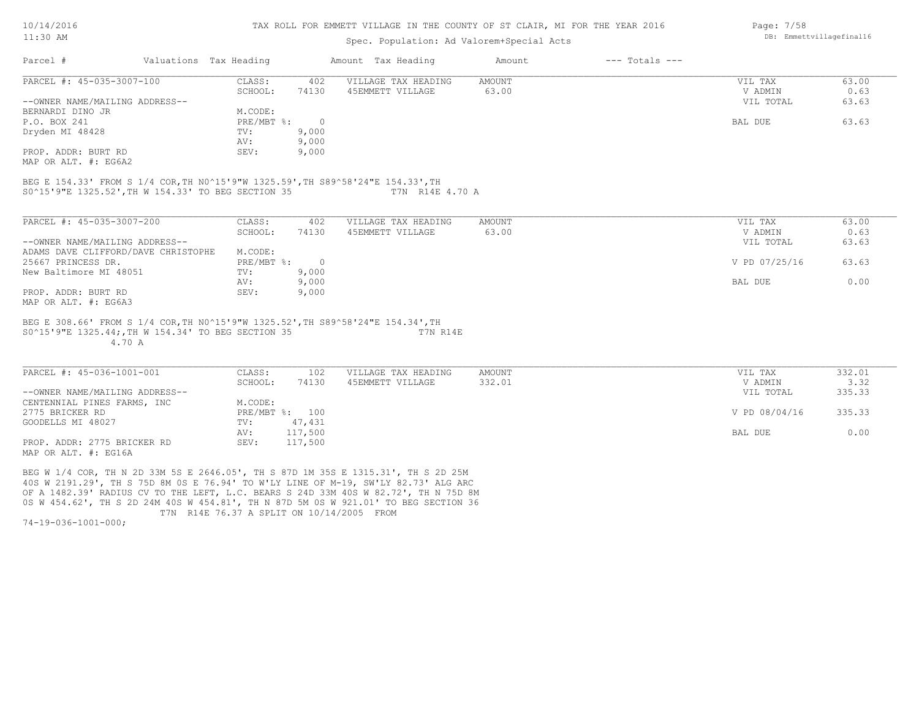#### TAX ROLL FOR EMMETT VILLAGE IN THE COUNTY OF ST CLAIR, MI FOR THE YEAR 2016

### Spec. Population: Ad Valorem+Special Acts

| Parcel #                       | Valuations Tax Heading |       | Amount Tax Heading  | Amount | $---$ Totals $---$ |           |       |
|--------------------------------|------------------------|-------|---------------------|--------|--------------------|-----------|-------|
| PARCEL #: 45-035-3007-100      | CLASS:                 | 402   | VILLAGE TAX HEADING | AMOUNT |                    | VIL TAX   | 63.00 |
|                                | SCHOOL:                | 74130 | 45EMMETT VILLAGE    | 63.00  |                    | V ADMIN   | 0.63  |
| --OWNER NAME/MAILING ADDRESS-- |                        |       |                     |        |                    | VIL TOTAL | 63.63 |
| BERNARDI DINO JR               | M.CODE:                |       |                     |        |                    |           |       |
| P.O. BOX 241                   | PRE/MBT %:             |       |                     |        |                    | BAL DUE   | 63.63 |
| Dryden MI 48428                | TV:                    | 9,000 |                     |        |                    |           |       |
|                                | AV:                    | 9,000 |                     |        |                    |           |       |
| PROP. ADDR: BURT RD            | SEV:                   | 9,000 |                     |        |                    |           |       |
| MAP OR ALT. #: EG6A2           |                        |       |                     |        |                    |           |       |

S0^15'9"E 1325.52',TH W 154.33' TO BEG SECTION 35 T7N R14E 4.70 A BEG E 154.33' FROM S 1/4 COR,TH N0^15'9"W 1325.59',TH S89^58'24"E 154.33',TH

| PARCEL #: 45-035-3007-200           | CLASS:     | 402      | VILLAGE TAX HEADING | AMOUNT | VIL TAX       | 63.00 |
|-------------------------------------|------------|----------|---------------------|--------|---------------|-------|
|                                     | SCHOOL:    | 74130    | 45EMMETT VILLAGE    | 63.00  | V ADMIN       | 0.63  |
| --OWNER NAME/MAILING ADDRESS--      |            |          |                     |        | VIL TOTAL     | 63.63 |
| ADAMS DAVE CLIFFORD/DAVE CHRISTOPHE | M.CODE:    |          |                     |        |               |       |
| 25667 PRINCESS DR.                  | PRE/MBT %: | $\Omega$ |                     |        | V PD 07/25/16 | 63.63 |
| New Baltimore MI 48051              | TV:        | 9,000    |                     |        |               |       |
|                                     | AV:        | 9,000    |                     |        | BAL DUE       | 0.00  |
| PROP. ADDR: BURT RD                 | SEV:       | 9,000    |                     |        |               |       |
| MAP OR ALT. #: EG6A3                |            |          |                     |        |               |       |

 4.70 A S0^15'9"E 1325.44;,TH W 154.34' TO BEG SECTION 35 T7N R14E BEG E 308.66' FROM S 1/4 COR,TH N0^15'9"W 1325.52',TH S89^58'24"E 154.34',TH

| PARCEL #: 45-036-1001-001      | CLASS:  | 102            | VILLAGE TAX HEADING | AMOUNT | VIL TAX       | 332.01 |
|--------------------------------|---------|----------------|---------------------|--------|---------------|--------|
|                                | SCHOOL: | 74130          | 45EMMETT VILLAGE    | 332.01 | V ADMIN       | 3.32   |
| --OWNER NAME/MAILING ADDRESS-- |         |                |                     |        | VIL TOTAL     | 335.33 |
| CENTENNIAL PINES FARMS, INC    | M.CODE: |                |                     |        |               |        |
| 2775 BRICKER RD                |         | PRE/MBT %: 100 |                     |        | V PD 08/04/16 | 335.33 |
| GOODELLS MI 48027              | TV:     | 47,431         |                     |        |               |        |
|                                | AV:     | 117,500        |                     |        | BAL DUE       | 0.00   |
| PROP. ADDR: 2775 BRICKER RD    | SEV:    | 117,500        |                     |        |               |        |
| MAP OR ALT. #: EG16A           |         |                |                     |        |               |        |

0S W 454.62', TH S 2D 24M 40S W 454.81', TH N 87D 5M 0S W 921.01' TO BEG SECTION 36 OF A 1482.39' RADIUS CV TO THE LEFT, L.C. BEARS S 24D 33M 40S W 82.72', TH N 75D 8M 40S W 2191.29', TH S 75D 8M 0S E 76.94' TO W'LY LINE OF M-19, SW'LY 82.73' ALG ARC BEG W 1/4 COR, TH N 2D 33M 5S E 2646.05', TH S 87D 1M 35S E 1315.31', TH S 2D 25M

T7N R14E 76.37 A SPLIT ON 10/14/2005 FROM

74-19-036-1001-000;

Page: 7/58 DB: Emmettvillagefinal16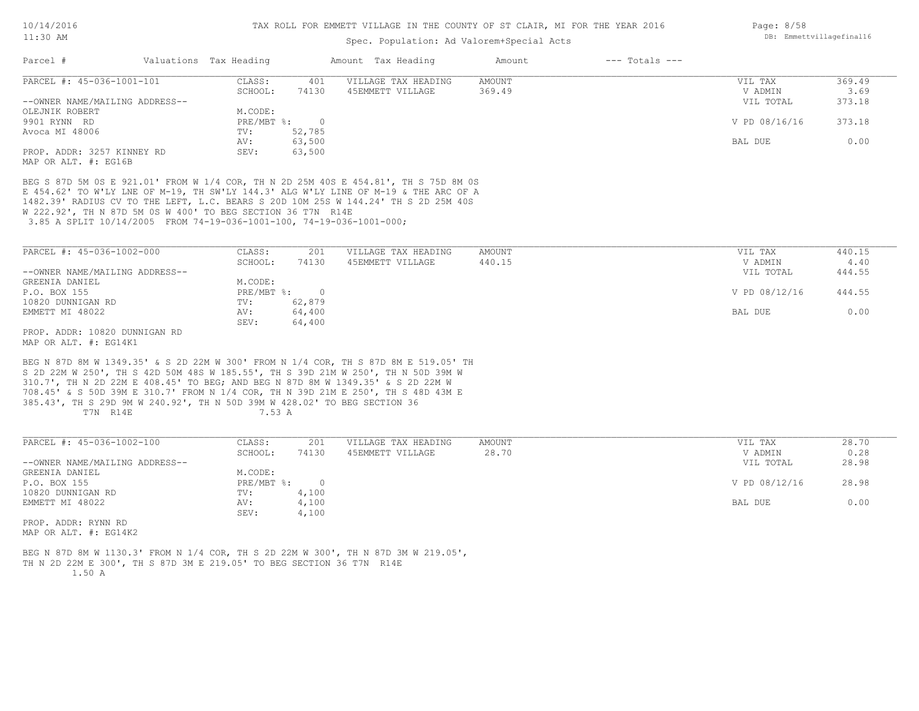#### Spec. Population: Ad Valorem+Special Acts

| Parcel #                       | Valuations Tax Heading |          | Amount Tax Heading  | Amount | $---$ Totals $---$ |               |        |
|--------------------------------|------------------------|----------|---------------------|--------|--------------------|---------------|--------|
| PARCEL #: 45-036-1001-101      | CLASS:                 | 401      | VILLAGE TAX HEADING | AMOUNT |                    | VIL TAX       | 369.49 |
|                                | SCHOOL:                | 74130    | 45EMMETT VILLAGE    | 369.49 |                    | V ADMIN       | 3.69   |
| --OWNER NAME/MAILING ADDRESS-- |                        |          |                     |        |                    | VIL TOTAL     | 373.18 |
| OLEJNIK ROBERT                 | M.CODE:                |          |                     |        |                    |               |        |
| 9901 RYNN RD                   | PRE/MBT %:             | $\Omega$ |                     |        |                    | V PD 08/16/16 | 373.18 |
| Avoca MI 48006                 | TV:                    | 52,785   |                     |        |                    |               |        |
|                                | AV:                    | 63,500   |                     |        |                    | BAL DUE       | 0.00   |
| PROP. ADDR: 3257 KINNEY RD     | SEV:                   | 63,500   |                     |        |                    |               |        |
| MAP OR ALT. #: EG16B           |                        |          |                     |        |                    |               |        |

 3.85 A SPLIT 10/14/2005 FROM 74-19-036-1001-100, 74-19-036-1001-000; W 222.92', TH N 87D 5M 0S W 400' TO BEG SECTION 36 T7N R14E 1482.39' RADIUS CV TO THE LEFT, L.C. BEARS S 20D 10M 25S W 144.24' TH S 2D 25M 40S E 454.62' TO W'LY LNE OF M-19, TH SW'LY 144.3' ALG W'LY LINE OF M-19 & THE ARC OF A BEG S 87D 5M 0S E 921.01' FROM W 1/4 COR, TH N 2D 25M 40S E 454.81', TH S 75D 8M 0S

| PARCEL #: 45-036-1002-000      | CLASS:       | 201    | VILLAGE TAX HEADING | AMOUNT | VIL TAX       | 440.15 |
|--------------------------------|--------------|--------|---------------------|--------|---------------|--------|
|                                | SCHOOL:      | 74130  | 45EMMETT VILLAGE    | 440.15 | V ADMIN       | 4.40   |
| --OWNER NAME/MAILING ADDRESS-- |              |        |                     |        | VIL TOTAL     | 444.55 |
| GREENIA DANIEL                 | M.CODE:      |        |                     |        |               |        |
| P.O. BOX 155                   | $PRE/MBT$ %: |        |                     |        | V PD 08/12/16 | 444.55 |
| 10820 DUNNIGAN RD              | TV:          | 62,879 |                     |        |               |        |
| EMMETT MI 48022                | AV:          | 64,400 |                     |        | BAL DUE       | 0.00   |
|                                | SEV:         | 64,400 |                     |        |               |        |
| PROP. ADDR: 10820 DUNNIGAN RD  |              |        |                     |        |               |        |

MAP OR ALT. #: EG14K1

T7N R14E 7.53 A 385.43', TH S 29D 9M W 240.92', TH N 50D 39M W 428.02' TO BEG SECTION 36 708.45' & S 50D 39M E 310.7' FROM N 1/4 COR, TH N 39D 21M E 250', TH S 48D 43M E 310.7', TH N 2D 22M E 408.45' TO BEG; AND BEG N 87D 8M W 1349.35' & S 2D 22M W S 2D 22M W 250', TH S 42D 50M 48S W 185.55', TH S 39D 21M W 250', TH N 50D 39M W BEG N 87D 8M W 1349.35' & S 2D 22M W 300' FROM N 1/4 COR, TH S 87D 8M E 519.05' TH

| PARCEL #: 45-036-1002-100      | CLASS:       | 201   | VILLAGE TAX HEADING | AMOUNT | VIL TAX       | 28.70 |
|--------------------------------|--------------|-------|---------------------|--------|---------------|-------|
|                                | SCHOOL:      | 74130 | 45EMMETT VILLAGE    | 28.70  | V ADMIN       | 0.28  |
| --OWNER NAME/MAILING ADDRESS-- |              |       |                     |        | VIL TOTAL     | 28.98 |
| GREENIA DANIEL                 | M.CODE:      |       |                     |        |               |       |
| P.O. BOX 155                   | $PRE/MBT$ %: |       |                     |        | V PD 08/12/16 | 28.98 |
| 10820 DUNNIGAN RD              | TV:          | 4,100 |                     |        |               |       |
| EMMETT MI 48022                | AV:          | 4,100 |                     |        | BAL DUE       | 0.00  |
|                                | SEV:         | 4,100 |                     |        |               |       |
| PROP. ADDR: RYNN RD            |              |       |                     |        |               |       |
|                                |              |       |                     |        |               |       |

MAP OR ALT. #: EG14K2

 1.50 A TH N 2D 22M E 300', TH S 87D 3M E 219.05' TO BEG SECTION 36 T7N R14E BEG N 87D 8M W 1130.3' FROM N 1/4 COR, TH S 2D 22M W 300', TH N 87D 3M W 219.05', Page: 8/58 DB: Emmettvillagefinal16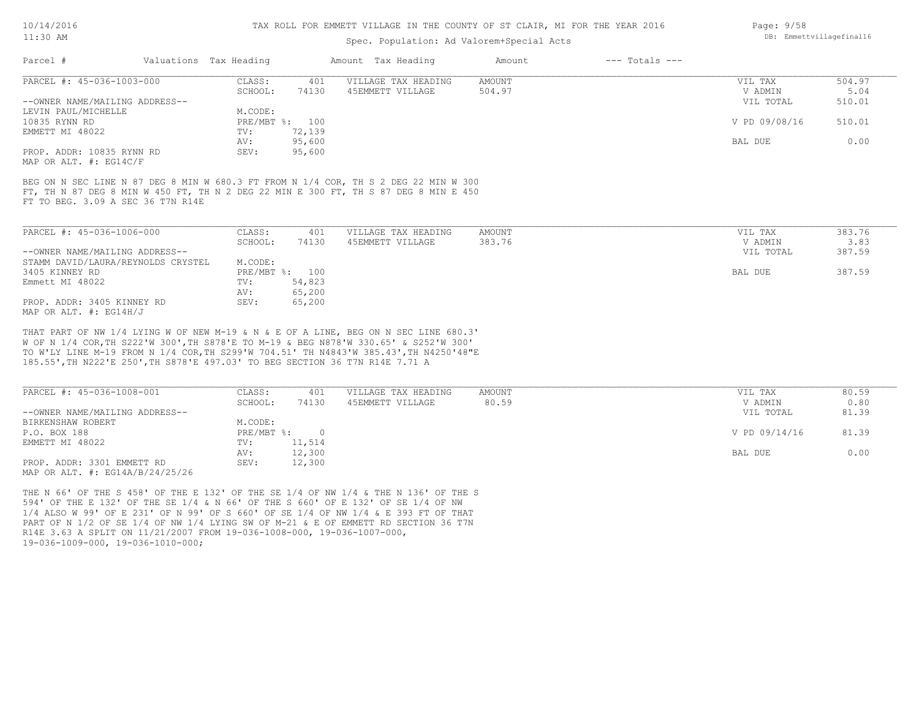#### TAX ROLL FOR EMMETT VILLAGE IN THE COUNTY OF ST CLAIR, MI FOR THE YEAR 2016

### Spec. Population: Ad Valorem+Special Acts

| Page: 9/58 |                          |
|------------|--------------------------|
|            | DB: Emmettvillagefinal16 |

| Parcel #                       | Valuations Tax Heading |                | Amount Tax Heading  | Amount | $---$ Totals $---$ |               |        |
|--------------------------------|------------------------|----------------|---------------------|--------|--------------------|---------------|--------|
| PARCEL #: 45-036-1003-000      | CLASS:                 | 401            | VILLAGE TAX HEADING | AMOUNT |                    | VIL TAX       | 504.97 |
|                                | SCHOOL:                | 74130          | 45EMMETT VILLAGE    | 504.97 |                    | V ADMIN       | 5.04   |
| --OWNER NAME/MAILING ADDRESS-- |                        |                |                     |        |                    | VIL TOTAL     | 510.01 |
| LEVIN PAUL/MICHELLE            | M.CODE:                |                |                     |        |                    |               |        |
| 10835 RYNN RD                  |                        | PRE/MBT %: 100 |                     |        |                    | V PD 09/08/16 | 510.01 |
| EMMETT MI 48022                | TV:                    | 72,139         |                     |        |                    |               |        |
|                                | AV:                    | 95,600         |                     |        |                    | BAL DUE       | 0.00   |
| PROP. ADDR: 10835 RYNN RD      | SEV:                   | 95,600         |                     |        |                    |               |        |
| MAP OR ALT. #: EG14C/F         |                        |                |                     |        |                    |               |        |

FT TO BEG. 3.09 A SEC 36 T7N R14E FT, TH N 87 DEG 8 MIN W 450 FT, TH N 2 DEG 22 MIN E 300 FT, TH S 87 DEG 8 MIN E 450 BEG ON N SEC LINE N 87 DEG 8 MIN W 680.3 FT FROM N 1/4 COR, TH S 2 DEG 22 MIN W 300

| PARCEL #: 45-036-1006-000          | CLASS:  | 401            | VILLAGE TAX HEADING | AMOUNT | VIL TAX   | 383.76 |
|------------------------------------|---------|----------------|---------------------|--------|-----------|--------|
|                                    | SCHOOL: | 74130          | 45EMMETT VILLAGE    | 383.76 | V ADMIN   | 3.83   |
| --OWNER NAME/MAILING ADDRESS--     |         |                |                     |        | VIL TOTAL | 387.59 |
| STAMM DAVID/LAURA/REYNOLDS CRYSTEL | M.CODE: |                |                     |        |           |        |
| 3405 KINNEY RD                     |         | PRE/MBT %: 100 |                     |        | BAL DUE   | 387.59 |
| Emmett MI 48022                    | TV:     | 54,823         |                     |        |           |        |
|                                    | AV:     | 65,200         |                     |        |           |        |
| PROP. ADDR: 3405 KINNEY RD         | SEV:    | 65,200         |                     |        |           |        |
| MAP OR ALT. $\#$ : EG14H/J         |         |                |                     |        |           |        |

185.55',TH N222'E 250',TH S878'E 497.03' TO BEG SECTION 36 T7N R14E 7.71 A TO W'LY LINE M-19 FROM N 1/4 COR,TH S299'W 704.51' TH N4843'W 385.43',TH N4250'48"E W OF N 1/4 COR,TH S222'W 300',TH S878'E TO M-19 & BEG N878'W 330.65' & S252'W 300' THAT PART OF NW 1/4 LYING W OF NEW M-19 & N & E OF A LINE, BEG ON N SEC LINE 680.3'

| PARCEL #: 45-036-1008-001           | CLASS:     | 401    | VILLAGE TAX HEADING | AMOUNT | VIL TAX       | 80.59 |
|-------------------------------------|------------|--------|---------------------|--------|---------------|-------|
|                                     | SCHOOL:    | 74130  | 45EMMETT VILLAGE    | 80.59  | V ADMIN       | 0.80  |
| --OWNER NAME/MAILING ADDRESS--      |            |        |                     |        | VIL TOTAL     | 81.39 |
| BIRKENSHAW ROBERT                   | M.CODE:    |        |                     |        |               |       |
| P.O. BOX 188                        | PRE/MBT %: |        |                     |        | V PD 09/14/16 | 81.39 |
| EMMETT MI 48022                     | TV:        | 11,514 |                     |        |               |       |
|                                     | AV:        | 12,300 |                     |        | BAL DUE       | 0.00  |
| PROP. ADDR: 3301 EMMETT RD          | SEV:       | 12,300 |                     |        |               |       |
| MAP OR ALT. $\#$ : EG14A/B/24/25/26 |            |        |                     |        |               |       |

19-036-1009-000, 19-036-1010-000; R14E 3.63 A SPLIT ON 11/21/2007 FROM 19-036-1008-000, 19-036-1007-000, PART OF N 1/2 OF SE 1/4 OF NW 1/4 LYING SW OF M-21 & E OF EMMETT RD SECTION 36 T7N 1/4 ALSO W 99' OF E 231' OF N 99' OF S 660' OF SE 1/4 OF NW 1/4 & E 393 FT OF THAT 594' OF THE E 132' OF THE SE 1/4 & N 66' OF THE S 660' OF E 132' OF SE 1/4 OF NW THE N 66' OF THE S 458' OF THE E 132' OF THE SE 1/4 OF NW 1/4 & THE N 136' OF THE S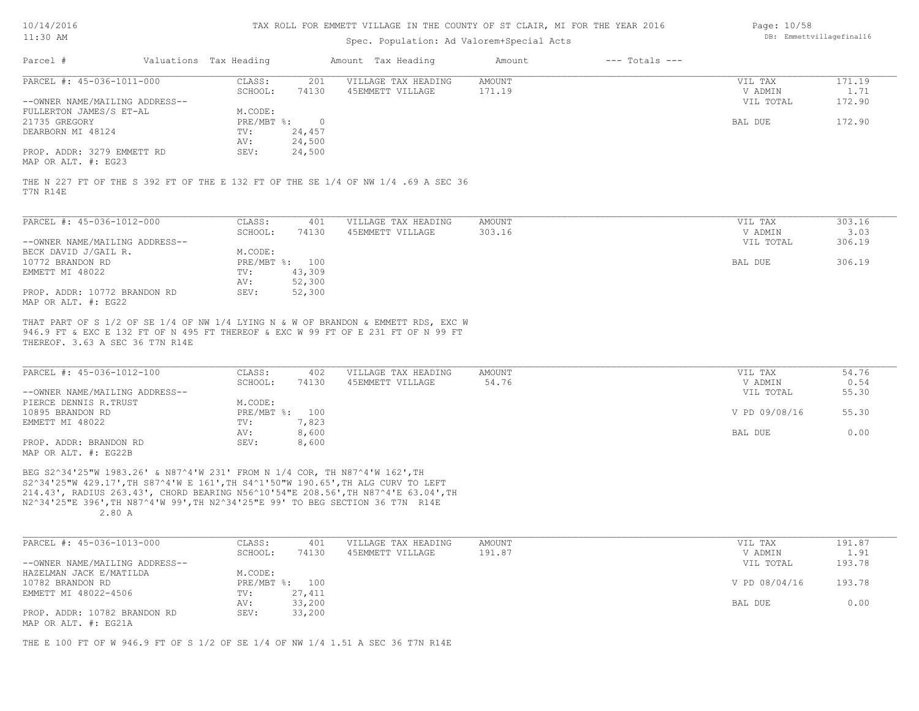| 10/14/2016 |  |
|------------|--|
| :30        |  |

### Spec. Population: Ad Valorem+Special Acts

| Page: 10/58              |
|--------------------------|
| DB: Emmettvillagefinal16 |

| Parcel #                       | Valuations Tax Heading |          | Amount Tax Heading  | Amount | $---$ Totals $---$ |           |        |
|--------------------------------|------------------------|----------|---------------------|--------|--------------------|-----------|--------|
| PARCEL #: 45-036-1011-000      | CLASS:                 | 201      | VILLAGE TAX HEADING | AMOUNT |                    | VIL TAX   | 171.19 |
|                                | SCHOOL:                | 74130    | 45EMMETT VILLAGE    | 171.19 |                    | V ADMIN   | 1.71   |
| --OWNER NAME/MAILING ADDRESS-- |                        |          |                     |        |                    | VIL TOTAL | 172.90 |
| FULLERTON JAMES/S ET-AL        | M.CODE:                |          |                     |        |                    |           |        |
| 21735 GREGORY                  | $PRE/MBT$ %:           | $\Omega$ |                     |        |                    | BAL DUE   | 172.90 |
| DEARBORN MI 48124              | TV:                    | 24,457   |                     |        |                    |           |        |
|                                | AV:                    | 24,500   |                     |        |                    |           |        |
| PROP. ADDR: 3279 EMMETT RD     | SEV:                   | 24,500   |                     |        |                    |           |        |
| MAP OR ALT. #: EG23            |                        |          |                     |        |                    |           |        |

T7N R14E THE N 227 FT OF THE S 392 FT OF THE E 132 FT OF THE SE 1/4 OF NW 1/4 .69 A SEC 36

| PARCEL #: 45-036-1012-000      | CLASS:                    | 401    | VILLAGE TAX HEADING | AMOUNT | VIL TAX   | 303.16 |
|--------------------------------|---------------------------|--------|---------------------|--------|-----------|--------|
|                                | SCHOOL:                   | 74130  | 45EMMETT VILLAGE    | 303.16 | V ADMIN   | 3.03   |
| --OWNER NAME/MAILING ADDRESS-- |                           |        |                     |        | VIL TOTAL | 306.19 |
| BECK DAVID J/GAIL R.           | M.CODE:                   |        |                     |        |           |        |
| 10772 BRANDON RD               | $PRE/MBT$ $\frac{1}{6}$ : | 100    |                     |        | BAL DUE   | 306.19 |
| EMMETT MI 48022                | TV:                       | 43,309 |                     |        |           |        |
|                                | AV:                       | 52,300 |                     |        |           |        |
| PROP. ADDR: 10772 BRANDON RD   | SEV:                      | 52,300 |                     |        |           |        |
| MAP OR ALT. #: EG22            |                           |        |                     |        |           |        |

THEREOF. 3.63 A SEC 36 T7N R14E 946.9 FT & EXC E 132 FT OF N 495 FT THEREOF & EXC W 99 FT OF E 231 FT OF N 99 FT THAT PART OF S 1/2 OF SE 1/4 OF NW 1/4 LYING N & W OF BRANDON & EMMETT RDS, EXC W

| PARCEL #: 45-036-1012-100      | CLASS:         | 402   | VILLAGE TAX HEADING | AMOUNT | VIL TAX       | 54.76 |
|--------------------------------|----------------|-------|---------------------|--------|---------------|-------|
|                                | SCHOOL:        | 74130 | 45EMMETT VILLAGE    | 54.76  | V ADMIN       | 0.54  |
| --OWNER NAME/MAILING ADDRESS-- |                |       |                     |        | VIL TOTAL     | 55.30 |
| PIERCE DENNIS R.TRUST          | M.CODE:        |       |                     |        |               |       |
| 10895 BRANDON RD               | PRE/MBT %: 100 |       |                     |        | V PD 09/08/16 | 55.30 |
| EMMETT MI 48022                | TV:            | 7,823 |                     |        |               |       |
|                                | AV:            | 8,600 |                     |        | BAL DUE       | 0.00  |
| PROP. ADDR: BRANDON RD         | SEV:           | 8,600 |                     |        |               |       |
| תממקה . 4 חזר תמשתות           |                |       |                     |        |               |       |

MAP OR ALT. #: EG22B

 2.80 A N2^34'25"E 396',TH N87^4'W 99',TH N2^34'25"E 99' TO BEG SECTION 36 T7N R14E 214.43', RADIUS 263.43', CHORD BEARING N56^10'54"E 208.56',TH N87^4'E 63.04',TH S2^34'25"W 429.17',TH S87^4'W E 161',TH S4^1'50"W 190.65',TH ALG CURV TO LEFT BEG S2^34'25"W 1983.26' & N87^4'W 231' FROM N 1/4 COR, TH N87^4'W 162',TH

| PARCEL #: 45-036-1013-000      | CLASS:  | 401            | VILLAGE TAX HEADING | AMOUNT | VIL TAX       | 191.87 |
|--------------------------------|---------|----------------|---------------------|--------|---------------|--------|
|                                | SCHOOL: | 74130          | 45EMMETT VILLAGE    | 191.87 | V ADMIN       | 1.91   |
| --OWNER NAME/MAILING ADDRESS-- |         |                |                     |        | VIL TOTAL     | 193.78 |
| HAZELMAN JACK E/MATILDA        | M.CODE: |                |                     |        |               |        |
| 10782 BRANDON RD               |         | PRE/MBT %: 100 |                     |        | V PD 08/04/16 | 193.78 |
| EMMETT MI 48022-4506           | TV:     | 27,411         |                     |        |               |        |
|                                | AV:     | 33,200         |                     |        | BAL DUE       | 0.00   |
| PROP. ADDR: 10782 BRANDON RD   | SEV:    | 33,200         |                     |        |               |        |
| MAP OR ALT. #: EG21A           |         |                |                     |        |               |        |

THE E 100 FT OF W 946.9 FT OF S 1/2 OF SE 1/4 OF NW 1/4 1.51 A SEC 36 T7N R14E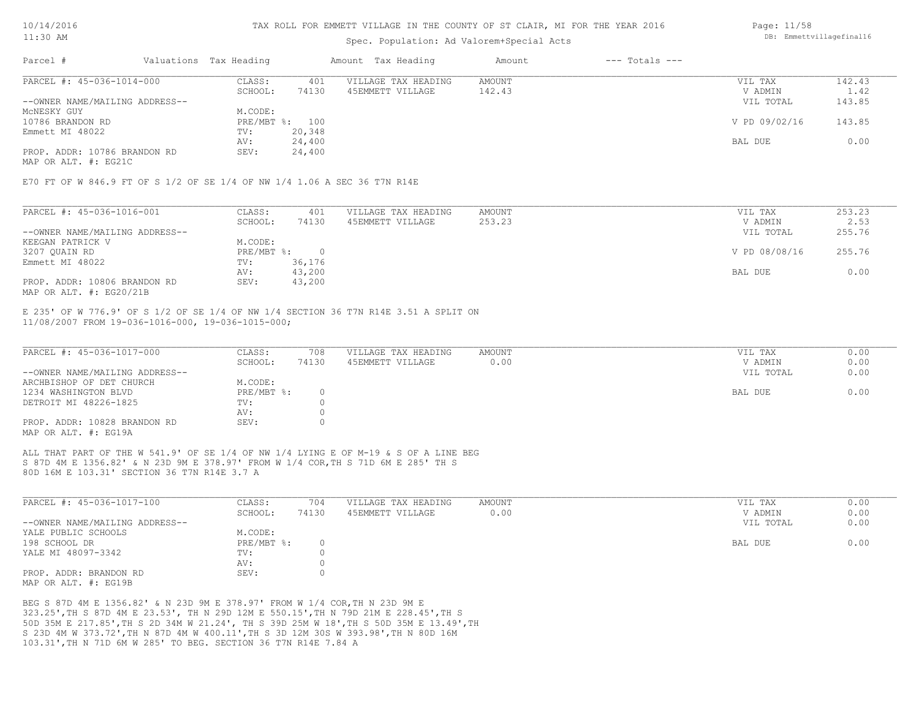#### TAX ROLL FOR EMMETT VILLAGE IN THE COUNTY OF ST CLAIR, MI FOR THE YEAR 2016

### Spec. Population: Ad Valorem+Special Acts

| Parcel #                       | Valuations Tax Heading |                | Amount Tax Heading  | Amount | $---$ Totals $---$ |               |        |
|--------------------------------|------------------------|----------------|---------------------|--------|--------------------|---------------|--------|
| PARCEL #: 45-036-1014-000      | CLASS:                 | 401            | VILLAGE TAX HEADING | AMOUNT |                    | VIL TAX       | 142.43 |
|                                | SCHOOL:                | 74130          | 45EMMETT VILLAGE    | 142.43 |                    | V ADMIN       | 1.42   |
| --OWNER NAME/MAILING ADDRESS-- |                        |                |                     |        |                    | VIL TOTAL     | 143.85 |
| MCNESKY GUY                    | M.CODE:                |                |                     |        |                    |               |        |
| 10786 BRANDON RD               |                        | PRE/MBT %: 100 |                     |        |                    | V PD 09/02/16 | 143.85 |
| Emmett MI 48022                | TV:                    | 20,348         |                     |        |                    |               |        |
|                                | AV:                    | 24,400         |                     |        |                    | BAL DUE       | 0.00   |
| PROP. ADDR: 10786 BRANDON RD   | SEV:                   | 24,400         |                     |        |                    |               |        |
|                                |                        |                |                     |        |                    |               |        |

MAP OR ALT. #: EG21C

E70 FT OF W 846.9 FT OF S 1/2 OF SE 1/4 OF NW 1/4 1.06 A SEC 36 T7N R14E

| PARCEL #: 45-036-1016-001      | CLASS:     | 401    | VILLAGE TAX HEADING | AMOUNT | VIL TAX       | 253.23 |
|--------------------------------|------------|--------|---------------------|--------|---------------|--------|
|                                | SCHOOL:    | 74130  | 45EMMETT VILLAGE    | 253.23 | V ADMIN       | 2.53   |
| --OWNER NAME/MAILING ADDRESS-- |            |        |                     |        | VIL TOTAL     | 255.76 |
| KEEGAN PATRICK V               | M.CODE:    |        |                     |        |               |        |
| 3207 QUAIN RD                  | PRE/MBT %: |        |                     |        | V PD 08/08/16 | 255.76 |
| Emmett MI 48022                | TV:        | 36,176 |                     |        |               |        |
|                                | AV:        | 43,200 |                     |        | BAL DUE       | 0.00   |
| PROP. ADDR: 10806 BRANDON RD   | SEV:       | 43,200 |                     |        |               |        |
| MAP OR ALT. $\#$ : EG20/21B    |            |        |                     |        |               |        |

11/08/2007 FROM 19-036-1016-000, 19-036-1015-000; E 235' OF W 776.9' OF S 1/2 OF SE 1/4 OF NW 1/4 SECTION 36 T7N R14E 3.51 A SPLIT ON

| PARCEL #: 45-036-1017-000      | CLASS:     | 708   | VILLAGE TAX HEADING | AMOUNT | VIL TAX   | 0.00 |
|--------------------------------|------------|-------|---------------------|--------|-----------|------|
|                                | SCHOOL:    | 74130 | 45EMMETT VILLAGE    | 0.00   | V ADMIN   | 0.00 |
| --OWNER NAME/MAILING ADDRESS-- |            |       |                     |        | VIL TOTAL | 0.00 |
| ARCHBISHOP OF DET CHURCH       | M.CODE:    |       |                     |        |           |      |
| 1234 WASHINGTON BLVD           | PRE/MBT %: |       |                     |        | BAL DUE   | 0.00 |
| DETROIT MI 48226-1825          | TV:        |       |                     |        |           |      |
|                                | AV:        |       |                     |        |           |      |
| PROP. ADDR: 10828 BRANDON RD   | SEV:       |       |                     |        |           |      |
| MAP OR ALT. #: EG19A           |            |       |                     |        |           |      |

80D 16M E 103.31' SECTION 36 T7N R14E 3.7 A S 87D 4M E 1356.82' & N 23D 9M E 378.97' FROM W 1/4 COR,TH S 71D 6M E 285' TH S ALL THAT PART OF THE W 541.9' OF SE 1/4 OF NW 1/4 LYING E OF M-19 & S OF A LINE BEG

| PARCEL #: 45-036-1017-100      | CLASS:     | 704   | VILLAGE TAX HEADING | AMOUNT | VIL TAX   | 0.00 |
|--------------------------------|------------|-------|---------------------|--------|-----------|------|
|                                | SCHOOL:    | 74130 | 45EMMETT VILLAGE    | 0.00   | V ADMIN   | 0.00 |
| --OWNER NAME/MAILING ADDRESS-- |            |       |                     |        | VIL TOTAL | 0.00 |
| YALE PUBLIC SCHOOLS            | M.CODE:    |       |                     |        |           |      |
| 198 SCHOOL DR                  | PRE/MBT %: |       |                     |        | BAL DUE   | 0.00 |
| YALE MI 48097-3342             | TV:        |       |                     |        |           |      |
|                                | AV:        |       |                     |        |           |      |
| PROP. ADDR: BRANDON RD         | SEV:       |       |                     |        |           |      |
| MAP OR ALT. #: EG19B           |            |       |                     |        |           |      |

103.31',TH N 71D 6M W 285' TO BEG. SECTION 36 T7N R14E 7.84 A S 23D 4M W 373.72',TH N 87D 4M W 400.11',TH S 3D 12M 30S W 393.98',TH N 80D 16M 50D 35M E 217.85',TH S 2D 34M W 21.24', TH S 39D 25M W 18',TH S 50D 35M E 13.49',TH 323.25',TH S 87D 4M E 23.53', TH N 29D 12M E 550.15',TH N 79D 21M E 228.45',TH S BEG S 87D 4M E 1356.82' & N 23D 9M E 378.97' FROM W 1/4 COR,TH N 23D 9M E

Page: 11/58 DB: Emmettvillagefinal16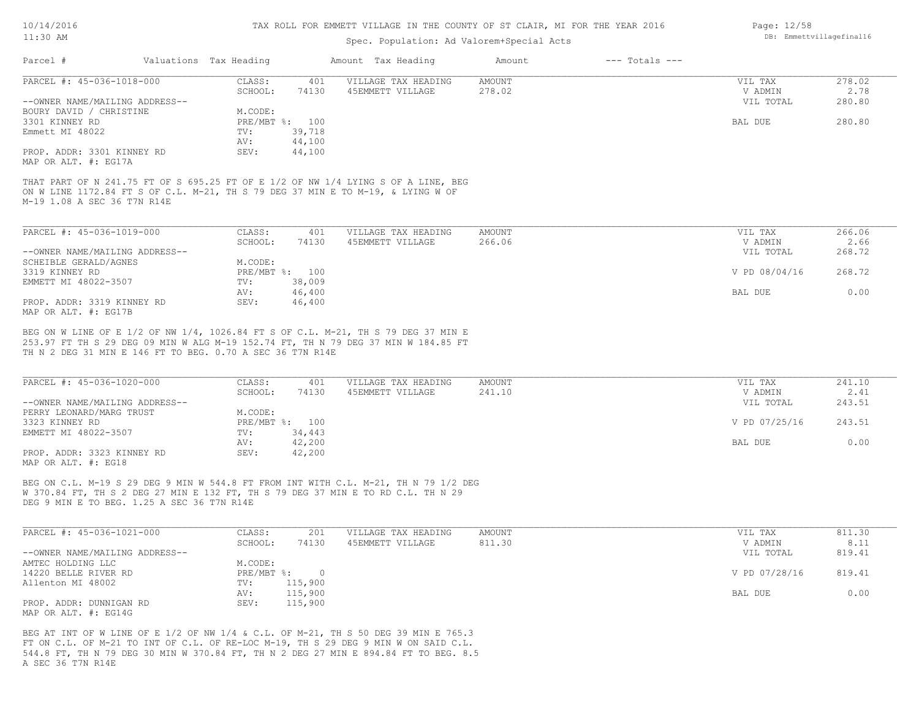#### TAX ROLL FOR EMMETT VILLAGE IN THE COUNTY OF ST CLAIR, MI FOR THE YEAR 2016

### Spec. Population: Ad Valorem+Special Acts

|        | $---$ Totals $---$                                                      |        |
|--------|-------------------------------------------------------------------------|--------|
| AMOUNT | VIL TAX                                                                 | 278.02 |
| 278.02 | V ADMIN                                                                 | 2.78   |
|        | VIL TOTAL                                                               | 280.80 |
|        |                                                                         |        |
|        | BAL DUE                                                                 | 280.80 |
|        |                                                                         |        |
|        |                                                                         |        |
|        |                                                                         |        |
|        | Amount Tax Heading<br>Amount<br>VILLAGE TAX HEADING<br>45EMMETT VILLAGE |        |

M-19 1.08 A SEC 36 T7N R14E ON W LINE 1172.84 FT S OF C.L. M-21, TH S 79 DEG 37 MIN E TO M-19, & LYING W OF THAT PART OF N 241.75 FT OF S 695.25 FT OF E 1/2 OF NW 1/4 LYING S OF A LINE, BEG

| PARCEL #: 45-036-1019-000      | CLASS:  | 401            | VILLAGE TAX HEADING | AMOUNT | VIL TAX       | 266.06 |
|--------------------------------|---------|----------------|---------------------|--------|---------------|--------|
|                                | SCHOOL: | 74130          | 45EMMETT VILLAGE    | 266.06 | V ADMIN       | 2.66   |
| --OWNER NAME/MAILING ADDRESS-- |         |                |                     |        | VIL TOTAL     | 268.72 |
| SCHEIBLE GERALD/AGNES          | M.CODE: |                |                     |        |               |        |
| 3319 KINNEY RD                 |         | PRE/MBT %: 100 |                     |        | V PD 08/04/16 | 268.72 |
| EMMETT MI 48022-3507           | TV:     | 38,009         |                     |        |               |        |
|                                | AV:     | 46,400         |                     |        | BAL DUE       | 0.00   |
| PROP. ADDR: 3319 KINNEY RD     | SEV:    | 46,400         |                     |        |               |        |
| MAP OR ALT. #: EG17B           |         |                |                     |        |               |        |

TH N 2 DEG 31 MIN E 146 FT TO BEG. 0.70 A SEC 36 T7N R14E 253.97 FT TH S 29 DEG 09 MIN W ALG M-19 152.74 FT, TH N 79 DEG 37 MIN W 184.85 FT BEG ON W LINE OF E 1/2 OF NW 1/4, 1026.84 FT S OF C.L. M-21, TH S 79 DEG 37 MIN E

| PARCEL #: 45-036-1020-000      | CLASS:  | 401            | VILLAGE TAX HEADING | AMOUNT | VIL TAX       | 241.10 |
|--------------------------------|---------|----------------|---------------------|--------|---------------|--------|
|                                | SCHOOL: | 74130          | 45EMMETT VILLAGE    | 241.10 | V ADMIN       | 2.41   |
| --OWNER NAME/MAILING ADDRESS-- |         |                |                     |        | VIL TOTAL     | 243.51 |
| PERRY LEONARD/MARG TRUST       | M.CODE: |                |                     |        |               |        |
| 3323 KINNEY RD                 |         | PRE/MBT %: 100 |                     |        | V PD 07/25/16 | 243.51 |
| EMMETT MI 48022-3507           | TV:     | 34,443         |                     |        |               |        |
|                                | AV:     | 42,200         |                     |        | BAL DUE       | 0.00   |
| PROP. ADDR: 3323 KINNEY RD     | SEV:    | 42,200         |                     |        |               |        |
| MAP OR ALT. #: EG18            |         |                |                     |        |               |        |

DEG 9 MIN E TO BEG. 1.25 A SEC 36 T7N R14E W 370.84 FT, TH S 2 DEG 27 MIN E 132 FT, TH S 79 DEG 37 MIN E TO RD C.L. TH N 29 BEG ON C.L. M-19 S 29 DEG 9 MIN W 544.8 FT FROM INT WITH C.L. M-21, TH N 79 1/2 DEG

| PARCEL #: 45-036-1021-000      | CLASS:       | 201     | VILLAGE TAX HEADING | AMOUNT | VIL TAX       | 811.30 |
|--------------------------------|--------------|---------|---------------------|--------|---------------|--------|
|                                | SCHOOL:      | 74130   | 45EMMETT VILLAGE    | 811.30 | V ADMIN       | 8.11   |
| --OWNER NAME/MAILING ADDRESS-- |              |         |                     |        | VIL TOTAL     | 819.41 |
| AMTEC HOLDING LLC              | M.CODE:      |         |                     |        |               |        |
| 14220 BELLE RIVER RD           | $PRE/MBT$ %: |         |                     |        | V PD 07/28/16 | 819.41 |
| Allenton MI 48002              | TV:          | 115,900 |                     |        |               |        |
|                                | AV:          | 115,900 |                     |        | BAL DUE       | 0.00   |
| PROP. ADDR: DUNNIGAN RD        | SEV:         | 115,900 |                     |        |               |        |
| MAP OR ALT. $\#$ : EG14G       |              |         |                     |        |               |        |

A SEC 36 T7N R14E 544.8 FT, TH N 79 DEG 30 MIN W 370.84 FT, TH N 2 DEG 27 MIN E 894.84 FT TO BEG. 8.5 FT ON C.L. OF M-21 TO INT OF C.L. OF RE-LOC M-19, TH S 29 DEG 9 MIN W ON SAID C.L. BEG AT INT OF W LINE OF E 1/2 OF NW 1/4 & C.L. OF M-21, TH S 50 DEG 39 MIN E 765.3

Page: 12/58 DB: Emmettvillagefinal16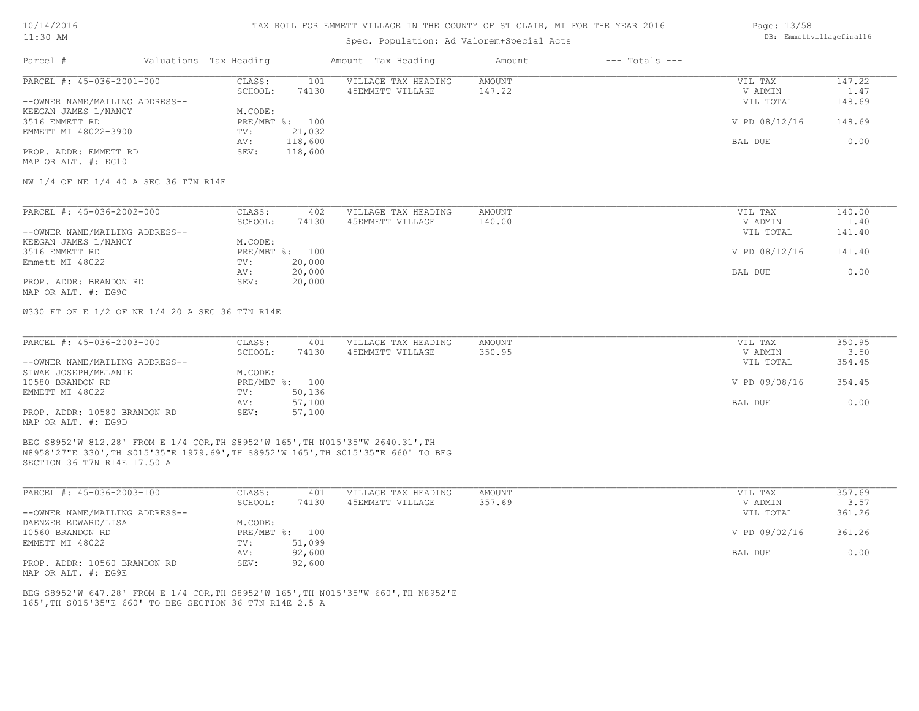10/14/2016

#### 11:30 AM

### TAX ROLL FOR EMMETT VILLAGE IN THE COUNTY OF ST CLAIR, MI FOR THE YEAR 2016

| THE OCITI                      | DD. Emmettviilagelinalio |         |                     |        |                    |               |        |
|--------------------------------|--------------------------|---------|---------------------|--------|--------------------|---------------|--------|
| Parcel #                       | Valuations Tax Heading   |         | Amount Tax Heading  | Amount | $---$ Totals $---$ |               |        |
| PARCEL #: 45-036-2001-000      | CLASS:                   | 101     | VILLAGE TAX HEADING | AMOUNT |                    | VIL TAX       | 147.22 |
|                                | SCHOOL:                  | 74130   | 45EMMETT VILLAGE    | 147.22 |                    | V ADMIN       | 1.47   |
| --OWNER NAME/MAILING ADDRESS-- |                          |         |                     |        |                    | VIL TOTAL     | 148.69 |
| KEEGAN JAMES L/NANCY           | M.CODE:                  |         |                     |        |                    |               |        |
| 3516 EMMETT RD                 | PRE/MBT %: 100           |         |                     |        |                    | V PD 08/12/16 | 148.69 |
| EMMETT MI 48022-3900           | TV:                      | 21,032  |                     |        |                    |               |        |
|                                | AV:                      | 118,600 |                     |        |                    | BAL DUE       | 0.00   |

MAP OR ALT. #: EG10 PROP. ADDR: EMMETT RD SEV: 118,600 AV: 118,600 BAL DUE 0.00

NW 1/4 OF NE 1/4 40 A SEC 36 T7N R14E

| PARCEL #: 45-036-2002-000      | CLASS:  | 402            | VILLAGE TAX HEADING | AMOUNT | VIL TAX       | 140.00 |
|--------------------------------|---------|----------------|---------------------|--------|---------------|--------|
|                                | SCHOOL: | 74130          | 45EMMETT VILLAGE    | 140.00 | V ADMIN       | 1.40   |
| --OWNER NAME/MAILING ADDRESS-- |         |                |                     |        | VIL TOTAL     | 141.40 |
| KEEGAN JAMES L/NANCY           | M.CODE: |                |                     |        |               |        |
| 3516 EMMETT RD                 |         | PRE/MBT %: 100 |                     |        | V PD 08/12/16 | 141.40 |
| Emmett MI 48022                | TV:     | 20,000         |                     |        |               |        |
|                                | AV:     | 20,000         |                     |        | BAL DUE       | 0.00   |
| PROP. ADDR: BRANDON RD         | SEV:    | 20,000         |                     |        |               |        |
| MAP OR ALT. #: EG9C            |         |                |                     |        |               |        |

W330 FT OF E 1/2 OF NE 1/4 20 A SEC 36 T7N R14E

| PARCEL #: 45-036-2003-000      | CLASS:  | 401            | VILLAGE TAX HEADING | AMOUNT | VIL TAX       | 350.95 |
|--------------------------------|---------|----------------|---------------------|--------|---------------|--------|
|                                | SCHOOL: | 74130          | 45EMMETT VILLAGE    | 350.95 | V ADMIN       | 3.50   |
| --OWNER NAME/MAILING ADDRESS-- |         |                |                     |        | VIL TOTAL     | 354.45 |
| SIWAK JOSEPH/MELANIE           | M.CODE: |                |                     |        |               |        |
| 10580 BRANDON RD               |         | PRE/MBT %: 100 |                     |        | V PD 09/08/16 | 354.45 |
| EMMETT MI 48022                | TV:     | 50,136         |                     |        |               |        |
|                                | AV:     | 57,100         |                     |        | BAL DUE       | 0.00   |
| PROP. ADDR: 10580 BRANDON RD   | SEV:    | 57,100         |                     |        |               |        |
| MAP OR ALT. #: EG9D            |         |                |                     |        |               |        |

SECTION 36 T7N R14E 17.50 A N8958'27"E 330',TH S015'35"E 1979.69',TH S8952'W 165',TH S015'35"E 660' TO BEG BEG S8952'W 812.28' FROM E 1/4 COR,TH S8952'W 165',TH N015'35"W 2640.31',TH

| PARCEL #: 45-036-2003-100      | CLASS:       | 401    | VILLAGE TAX HEADING | AMOUNT | VIL TAX       | 357.69 |
|--------------------------------|--------------|--------|---------------------|--------|---------------|--------|
|                                | SCHOOL:      | 74130  | 45EMMETT VILLAGE    | 357.69 | V ADMIN       | 3.57   |
| --OWNER NAME/MAILING ADDRESS-- |              |        |                     |        | VIL TOTAL     | 361.26 |
| DAENZER EDWARD/LISA            | M.CODE:      |        |                     |        |               |        |
| 10560 BRANDON RD               | $PRE/MBT$ %: | 100    |                     |        | V PD 09/02/16 | 361.26 |
| EMMETT MI 48022                | TV:          | 51,099 |                     |        |               |        |
|                                | AV:          | 92,600 |                     |        | BAL DUE       | 0.00   |
| PROP. ADDR: 10560 BRANDON RD   | SEV:         | 92,600 |                     |        |               |        |

MAP OR ALT. #: EG9E

165',TH S015'35"E 660' TO BEG SECTION 36 T7N R14E 2.5 A BEG S8952'W 647.28' FROM E 1/4 COR,TH S8952'W 165',TH N015'35"W 660',TH N8952'E Page: 13/58 DB: Emmettvillagefinal16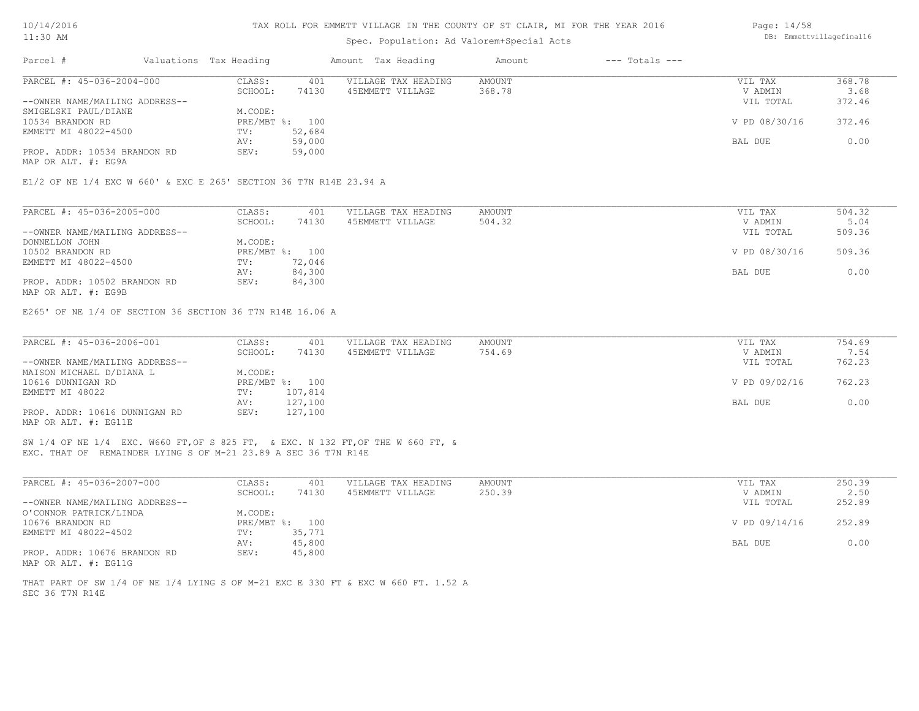#### TAX ROLL FOR EMMETT VILLAGE IN THE COUNTY OF ST CLAIR, MI FOR THE YEAR 2016

### Spec. Population: Ad Valorem+Special Acts

| Parcel #                       | Valuations Tax Heading |                | Amount Tax Heading  | Amount | $---$ Totals $---$ |               |        |
|--------------------------------|------------------------|----------------|---------------------|--------|--------------------|---------------|--------|
| PARCEL #: 45-036-2004-000      | CLASS:                 | 401            | VILLAGE TAX HEADING | AMOUNT |                    | VIL TAX       | 368.78 |
|                                | SCHOOL:                | 74130          | 45EMMETT VILLAGE    | 368.78 |                    | V ADMIN       | 3.68   |
| --OWNER NAME/MAILING ADDRESS-- |                        |                |                     |        |                    | VIL TOTAL     | 372.46 |
| SMIGELSKI PAUL/DIANE           | M.CODE:                |                |                     |        |                    |               |        |
| 10534 BRANDON RD               |                        | PRE/MBT %: 100 |                     |        |                    | V PD 08/30/16 | 372.46 |
| EMMETT MI 48022-4500           | TV:                    | 52,684         |                     |        |                    |               |        |
|                                | AV:                    | 59,000         |                     |        |                    | BAL DUE       | 0.00   |
| PROP. ADDR: 10534 BRANDON RD   | SEV:                   | 59,000         |                     |        |                    |               |        |
| MAP OR ALT. #: EG9A            |                        |                |                     |        |                    |               |        |

| PARCEL #: 45-036-2005-000      | CLASS:  | 401            | VILLAGE TAX HEADING | AMOUNT | VIL TAX       | 504.32 |
|--------------------------------|---------|----------------|---------------------|--------|---------------|--------|
|                                | SCHOOL: | 74130          | 45EMMETT VILLAGE    | 504.32 | V ADMIN       | 5.04   |
| --OWNER NAME/MAILING ADDRESS-- |         |                |                     |        | VIL TOTAL     | 509.36 |
| DONNELLON JOHN                 | M.CODE: |                |                     |        |               |        |
| 10502 BRANDON RD               |         | PRE/MBT %: 100 |                     |        | V PD 08/30/16 | 509.36 |
| EMMETT MI 48022-4500           | TV:     | 72,046         |                     |        |               |        |
|                                | AV:     | 84,300         |                     |        | BAL DUE       | 0.00   |
| PROP. ADDR: 10502 BRANDON RD   | SEV:    | 84,300         |                     |        |               |        |
|                                |         |                |                     |        |               |        |

MAP OR ALT. #: EG9B

E265' OF NE 1/4 OF SECTION 36 SECTION 36 T7N R14E 16.06 A

| PARCEL #: 45-036-2006-001      | CLASS:  | 401            | VILLAGE TAX HEADING | AMOUNT | VIL TAX       | 754.69 |
|--------------------------------|---------|----------------|---------------------|--------|---------------|--------|
|                                | SCHOOL: | 74130          | 45EMMETT VILLAGE    | 754.69 | V ADMIN       | 7.54   |
| --OWNER NAME/MAILING ADDRESS-- |         |                |                     |        | VIL TOTAL     | 762.23 |
| MAISON MICHAEL D/DIANA L       | M.CODE: |                |                     |        |               |        |
| 10616 DUNNIGAN RD              |         | PRE/MBT %: 100 |                     |        | V PD 09/02/16 | 762.23 |
| EMMETT MI 48022                | TV:     | 107,814        |                     |        |               |        |
|                                | AV:     | 127,100        |                     |        | BAL DUE       | 0.00   |
| PROP. ADDR: 10616 DUNNIGAN RD  | SEV:    | 127,100        |                     |        |               |        |
| MAP OR ALT. #: EG11E           |         |                |                     |        |               |        |

EXC. THAT OF REMAINDER LYING S OF M-21 23.89 A SEC 36 T7N R14E SW 1/4 OF NE 1/4 EXC. W660 FT,OF S 825 FT, & EXC. N 132 FT,OF THE W 660 FT, &

| PARCEL #: 45-036-2007-000      | CLASS:  | 401            | VILLAGE TAX HEADING | AMOUNT | VIL TAX       | 250.39 |
|--------------------------------|---------|----------------|---------------------|--------|---------------|--------|
|                                | SCHOOL: | 74130          | 45EMMETT VILLAGE    | 250.39 | V ADMIN       | 2.50   |
| --OWNER NAME/MAILING ADDRESS-- |         |                |                     |        | VIL TOTAL     | 252.89 |
| O'CONNOR PATRICK/LINDA         | M.CODE: |                |                     |        |               |        |
| 10676 BRANDON RD               |         | PRE/MBT %: 100 |                     |        | V PD 09/14/16 | 252.89 |
| EMMETT MI 48022-4502           | TV:     | 35,771         |                     |        |               |        |
|                                | AV:     | 45,800         |                     |        | BAL DUE       | 0.00   |
| PROP. ADDR: 10676 BRANDON RD   | SEV:    | 45,800         |                     |        |               |        |
| MAP OR ALT. #: EG11G           |         |                |                     |        |               |        |

SEC 36 T7N R14E THAT PART OF SW 1/4 OF NE 1/4 LYING S OF M-21 EXC E 330 FT & EXC W 660 FT. 1.52 A Page: 14/58 DB: Emmettvillagefinal16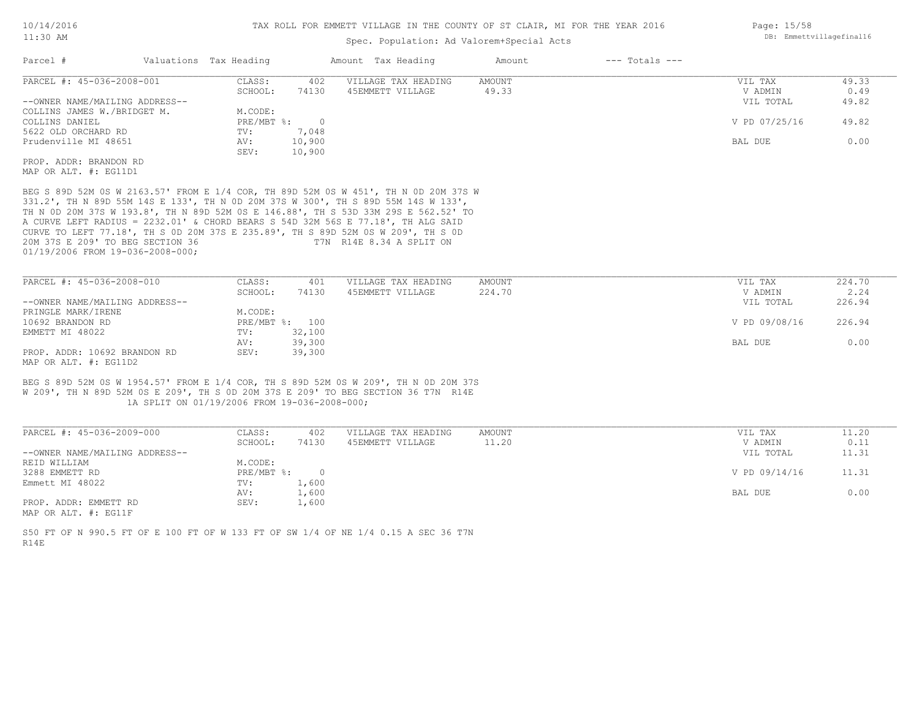### Spec. Population: Ad Valorem+Special Acts

| Parcel #                       | Valuations Tax Heading |        | Amount Tax Heading  | Amount | $---$ Totals $---$ |               |       |
|--------------------------------|------------------------|--------|---------------------|--------|--------------------|---------------|-------|
| PARCEL #: 45-036-2008-001      | CLASS:                 | 402    | VILLAGE TAX HEADING | AMOUNT |                    | VIL TAX       | 49.33 |
|                                | SCHOOL:                | 74130  | 45EMMETT VILLAGE    | 49.33  |                    | V ADMIN       | 0.49  |
| --OWNER NAME/MAILING ADDRESS-- |                        |        |                     |        |                    | VIL TOTAL     | 49.82 |
| COLLINS JAMES W./BRIDGET M.    | M.CODE:                |        |                     |        |                    |               |       |
| COLLINS DANIEL                 | $PRE/MBT$ %:           |        |                     |        |                    | V PD 07/25/16 | 49.82 |
| 5622 OLD ORCHARD RD            | TV:                    | 7,048  |                     |        |                    |               |       |
| Prudenville MI 48651           | AV:                    | 10,900 |                     |        |                    | BAL DUE       | 0.00  |
|                                | SEV:                   | 10,900 |                     |        |                    |               |       |
| PROP. ADDR: BRANDON RD         |                        |        |                     |        |                    |               |       |
|                                |                        |        |                     |        |                    |               |       |

MAP OR ALT. #: EG11D1

01/19/2006 FROM 19-036-2008-000; 20M 37S E 209' TO BEG SECTION 36 T7N R14E 8.34 A SPLIT ON CURVE TO LEFT 77.18', TH S 0D 20M 37S E 235.89', TH S 89D 52M 0S W 209', TH S 0D A CURVE LEFT RADIUS = 2232.01' & CHORD BEARS S 54D 32M 56S E 77.18', TH ALG SAID TH N 0D 20M 37S W 193.8', TH N 89D 52M 0S E 146.88', TH S 53D 33M 29S E 562.52' TO 331.2', TH N 89D 55M 14S E 133', TH N 0D 20M 37S W 300', TH S 89D 55M 14S W 133', BEG S 89D 52M 0S W 2163.57' FROM E 1/4 COR, TH 89D 52M 0S W 451', TH N 0D 20M 37S W

| PARCEL #: 45-036-2008-010      | CLASS:  | 401            | VILLAGE TAX HEADING | AMOUNT | VIL TAX       | 224.70 |
|--------------------------------|---------|----------------|---------------------|--------|---------------|--------|
|                                | SCHOOL: | 74130          | 45EMMETT VILLAGE    | 224.70 | V ADMIN       | 2.24   |
| --OWNER NAME/MAILING ADDRESS-- |         |                |                     |        | VIL TOTAL     | 226.94 |
| PRINGLE MARK/IRENE             | M.CODE: |                |                     |        |               |        |
| 10692 BRANDON RD               |         | PRE/MBT %: 100 |                     |        | V PD 09/08/16 | 226.94 |
| EMMETT MI 48022                | TV:     | 32,100         |                     |        |               |        |
|                                | AV:     | 39,300         |                     |        | BAL DUE       | 0.00   |
| PROP. ADDR: 10692 BRANDON RD   | SEV:    | 39,300         |                     |        |               |        |
| MAP OR ALT. #: EG11D2          |         |                |                     |        |               |        |

 1A SPLIT ON 01/19/2006 FROM 19-036-2008-000; W 209', TH N 89D 52M 0S E 209', TH S 0D 20M 37S E 209' TO BEG SECTION 36 T7N R14E BEG S 89D 52M 0S W 1954.57' FROM E 1/4 COR, TH S 89D 52M 0S W 209', TH N 0D 20M 37S

| PARCEL #: 45-036-2009-000                    | CLASS:     | 402   | VILLAGE TAX HEADING | AMOUNT | VIL TAX       | 11.20 |
|----------------------------------------------|------------|-------|---------------------|--------|---------------|-------|
|                                              | SCHOOL:    | 74130 | 45EMMETT VILLAGE    | 11.20  | V ADMIN       | 0.11  |
| --OWNER NAME/MAILING ADDRESS--               |            |       |                     |        | VIL TOTAL     | 11.31 |
| REID WILLIAM                                 | M.CODE:    |       |                     |        |               |       |
| 3288 EMMETT RD                               | PRE/MBT %: |       |                     |        | V PD 09/14/16 | 11.31 |
| Emmett MI 48022                              | TV:        | 1,600 |                     |        |               |       |
|                                              | AV:        | 1,600 |                     |        | BAL DUE       | 0.00  |
| PROP. ADDR: EMMETT RD                        | SEV:       | 1,600 |                     |        |               |       |
| $\cdots$ $\cdots$ $\cdots$ $\cdots$ $\cdots$ |            |       |                     |        |               |       |

MAP OR ALT. #: EG11F

R14E S50 FT OF N 990.5 FT OF E 100 FT OF W 133 FT OF SW 1/4 OF NE 1/4 0.15 A SEC 36 T7N Page: 15/58 DB: Emmettvillagefinal16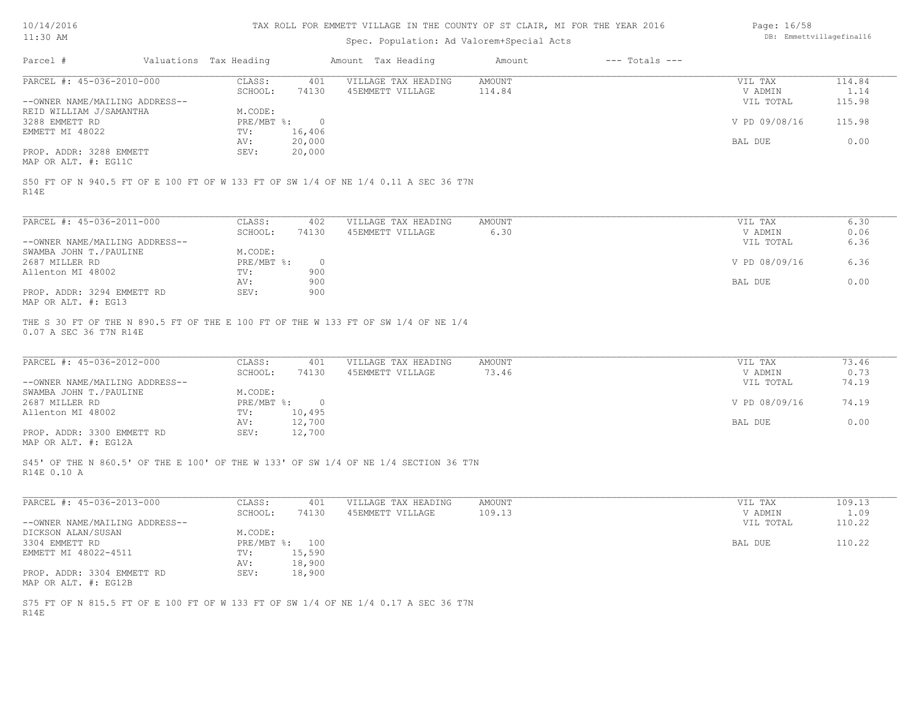| 10/14/2016 |  |
|------------|--|
| 11:30 AM   |  |

# Spec. Population: Ad Valorem+Special Acts

| Page: 16/58 |                          |
|-------------|--------------------------|
|             | DB: Emmettvillagefinal16 |

| Parcel #                       | Valuations Tax Heading |        | Amount Tax Heading  | Amount | $---$ Totals $---$ |               |        |
|--------------------------------|------------------------|--------|---------------------|--------|--------------------|---------------|--------|
| PARCEL #: 45-036-2010-000      | CLASS:                 | 401    | VILLAGE TAX HEADING | AMOUNT |                    | VIL TAX       | 114.84 |
|                                | SCHOOL:                | 74130  | 45EMMETT VILLAGE    | 114.84 |                    | V ADMIN       | 1.14   |
| --OWNER NAME/MAILING ADDRESS-- |                        |        |                     |        |                    | VIL TOTAL     | 115.98 |
| REID WILLIAM J/SAMANTHA        | M.CODE:                |        |                     |        |                    |               |        |
| 3288 EMMETT RD                 | PRE/MBT %:             |        |                     |        |                    | V PD 09/08/16 | 115.98 |
| EMMETT MI 48022                | TV:                    | 16,406 |                     |        |                    |               |        |
|                                | AV:                    | 20,000 |                     |        |                    | BAL DUE       | 0.00   |
| PROP. ADDR: 3288 EMMETT        | SEV:                   | 20,000 |                     |        |                    |               |        |
| MAP OR ALT. #: EG11C           |                        |        |                     |        |                    |               |        |

R14E

| PARCEL #: 45-036-2011-000      | CLASS:     | 402      | VILLAGE TAX HEADING | AMOUNT | VIL TAX       | 6.30 |
|--------------------------------|------------|----------|---------------------|--------|---------------|------|
|                                | SCHOOL:    | 74130    | 45EMMETT VILLAGE    | 6.30   | V ADMIN       | 0.06 |
| --OWNER NAME/MAILING ADDRESS-- |            |          |                     |        | VIL TOTAL     | 6.36 |
| SWAMBA JOHN T./PAULINE         | M.CODE:    |          |                     |        |               |      |
| 2687 MILLER RD                 | PRE/MBT %: | $\Omega$ |                     |        | V PD 08/09/16 | 6.36 |
| Allenton MI 48002              | TV:        | 900      |                     |        |               |      |
|                                | AV:        | 900      |                     |        | BAL DUE       | 0.00 |
| PROP. ADDR: 3294 EMMETT RD     | SEV:       | 900      |                     |        |               |      |
| MAP OR ALT. #: EG13            |            |          |                     |        |               |      |

0.07 A SEC 36 T7N R14E THE S 30 FT OF THE N 890.5 FT OF THE E 100 FT OF THE W 133 FT OF SW 1/4 OF NE 1/4

| PARCEL #: 45-036-2012-000      | CLASS:       | 401    | VILLAGE TAX HEADING | AMOUNT | VIL TAX       | 73.46 |
|--------------------------------|--------------|--------|---------------------|--------|---------------|-------|
|                                | SCHOOL:      | 74130  | 45EMMETT VILLAGE    | 73.46  | V ADMIN       | 0.73  |
| --OWNER NAME/MAILING ADDRESS-- |              |        |                     |        | VIL TOTAL     | 74.19 |
| SWAMBA JOHN T./PAULINE         | M.CODE:      |        |                     |        |               |       |
| 2687 MILLER RD                 | $PRE/MBT$ %: |        |                     |        | V PD 08/09/16 | 74.19 |
| Allenton MI 48002              | TV:          | 10,495 |                     |        |               |       |
|                                | AV:          | 12,700 |                     |        | BAL DUE       | 0.00  |
| PROP. ADDR: 3300 EMMETT RD     | SEV:         | 12,700 |                     |        |               |       |
| MAP OR ALT. #: EG12A           |              |        |                     |        |               |       |

R14E 0.10 A S45' OF THE N 860.5' OF THE E 100' OF THE W 133' OF SW 1/4 OF NE 1/4 SECTION 36 T7N

| PARCEL #: 45-036-2013-000      | CLASS:       | 401    | VILLAGE TAX HEADING | AMOUNT | VIL TAX   | 109.13 |
|--------------------------------|--------------|--------|---------------------|--------|-----------|--------|
|                                | SCHOOL:      | 74130  | 45EMMETT VILLAGE    | 109.13 | V ADMIN   | 1.09   |
| --OWNER NAME/MAILING ADDRESS-- |              |        |                     |        | VIL TOTAL | 110.22 |
| DICKSON ALAN/SUSAN             | M.CODE:      |        |                     |        |           |        |
| 3304 EMMETT RD                 | $PRE/MBT$ %: | 100    |                     |        | BAL DUE   | 110.22 |
| EMMETT MI 48022-4511           | TV:          | 15,590 |                     |        |           |        |
|                                | AV:          | 18,900 |                     |        |           |        |
| PROP. ADDR: 3304 EMMETT RD     | SEV:         | 18,900 |                     |        |           |        |
| MAP OR ALT. #: EG12B           |              |        |                     |        |           |        |

R14E S75 FT OF N 815.5 FT OF E 100 FT OF W 133 FT OF SW 1/4 OF NE 1/4 0.17 A SEC 36 T7N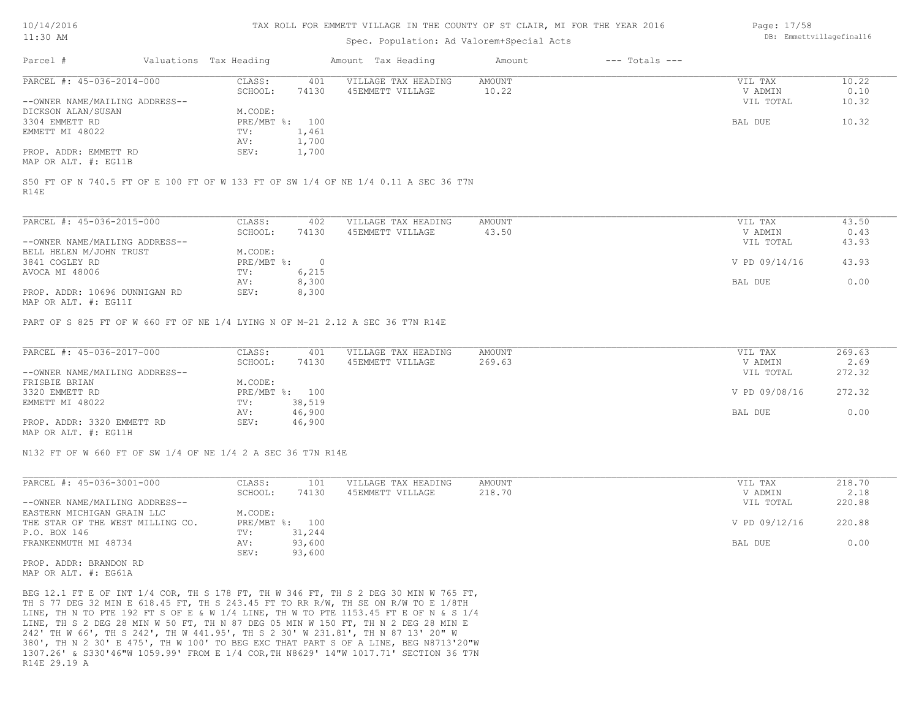#### TAX ROLL FOR EMMETT VILLAGE IN THE COUNTY OF ST CLAIR, MI FOR THE YEAR 2016

### Spec. Population: Ad Valorem+Special Acts

| Parcel #                       | Valuations Tax Heading |       | Amount Tax Heading  | Amount | $---$ Totals $---$ |           |       |
|--------------------------------|------------------------|-------|---------------------|--------|--------------------|-----------|-------|
| PARCEL #: 45-036-2014-000      | CLASS:                 | 401   | VILLAGE TAX HEADING | AMOUNT |                    | VIL TAX   | 10.22 |
|                                | SCHOOL:                | 74130 | 45EMMETT VILLAGE    | 10.22  |                    | V ADMIN   | 0.10  |
| --OWNER NAME/MAILING ADDRESS-- |                        |       |                     |        |                    | VIL TOTAL | 10.32 |
| DICKSON ALAN/SUSAN             | M.CODE:                |       |                     |        |                    |           |       |
| 3304 EMMETT RD                 | PRE/MBT %: 100         |       |                     |        |                    | BAL DUE   | 10.32 |
| EMMETT MI 48022                | TV:                    | 1,461 |                     |        |                    |           |       |
|                                | AV:                    | 1,700 |                     |        |                    |           |       |
| PROP. ADDR: EMMETT RD          | SEV:                   | 1,700 |                     |        |                    |           |       |
|                                |                        |       |                     |        |                    |           |       |

MAP OR ALT. #: EG11B

R14E S50 FT OF N 740.5 FT OF E 100 FT OF W 133 FT OF SW 1/4 OF NE 1/4 0.11 A SEC 36 T7N

| PARCEL #: 45-036-2015-000                      | CLASS:     | 402    | VILLAGE TAX HEADING | AMOUNT | VIL TAX       | 43.50 |
|------------------------------------------------|------------|--------|---------------------|--------|---------------|-------|
|                                                | SCHOOL:    | 74130  | 45EMMETT VILLAGE    | 43.50  | V ADMIN       | 0.43  |
| --OWNER NAME/MAILING ADDRESS--                 |            |        |                     |        | VIL TOTAL     | 43.93 |
| BELL HELEN M/JOHN TRUST                        | M.CODE:    |        |                     |        |               |       |
| 3841 COGLEY RD                                 | PRE/MBT %: | $\Box$ |                     |        | V PD 09/14/16 | 43.93 |
| AVOCA MI 48006                                 | TV:        | 6,215  |                     |        |               |       |
|                                                | AV:        | 8,300  |                     |        | BAL DUE       | 0.00  |
| PROP. ADDR: 10696 DUNNIGAN RD<br>$\frac{1}{2}$ | SEV:       | 8,300  |                     |        |               |       |

MAP OR ALT. #: EG11I

PART OF S 825 FT OF W 660 FT OF NE 1/4 LYING N OF M-21 2.12 A SEC 36 T7N R14E

| PARCEL #: 45-036-2017-000      | CLASS:  | 401            | VILLAGE TAX HEADING | AMOUNT | VIL TAX       | 269.63 |
|--------------------------------|---------|----------------|---------------------|--------|---------------|--------|
|                                | SCHOOL: | 74130          | 45EMMETT VILLAGE    | 269.63 | V ADMIN       | 2.69   |
| --OWNER NAME/MAILING ADDRESS-- |         |                |                     |        | VIL TOTAL     | 272.32 |
| FRISBIE BRIAN                  | M.CODE: |                |                     |        |               |        |
| 3320 EMMETT RD                 |         | PRE/MBT %: 100 |                     |        | V PD 09/08/16 | 272.32 |
| EMMETT MI 48022                | TV:     | 38,519         |                     |        |               |        |
|                                | AV:     | 46,900         |                     |        | BAL DUE       | 0.00   |
| PROP. ADDR: 3320 EMMETT RD     | SEV:    | 46,900         |                     |        |               |        |
| MAP OR ALT. #: EG11H           |         |                |                     |        |               |        |

N132 FT OF W 660 FT OF SW 1/4 OF NE 1/4 2 A SEC 36 T7N R14E

| PARCEL #: 45-036-3001-000        | CLASS:  | 101            | VILLAGE TAX HEADING | AMOUNT | VIL TAX       | 218.70 |
|----------------------------------|---------|----------------|---------------------|--------|---------------|--------|
|                                  | SCHOOL: | 74130          | 45EMMETT VILLAGE    | 218.70 | V ADMIN       | 2.18   |
| --OWNER NAME/MAILING ADDRESS--   |         |                |                     |        | VIL TOTAL     | 220.88 |
| EASTERN MICHIGAN GRAIN LLC       | M.CODE: |                |                     |        |               |        |
| THE STAR OF THE WEST MILLING CO. |         | PRE/MBT %: 100 |                     |        | V PD 09/12/16 | 220.88 |
| P.O. BOX 146                     | TV:     | 31,244         |                     |        |               |        |
| FRANKENMUTH MI 48734             | AV:     | 93,600         |                     |        | BAL DUE       | 0.00   |
|                                  | SEV:    | 93,600         |                     |        |               |        |

MAP OR ALT. #: EG61A PROP. ADDR: BRANDON RD

R14E 29.19 A 1307.26' & S330'46"W 1059.99' FROM E 1/4 COR,TH N8629' 14"W 1017.71' SECTION 36 T7N 380', TH N 2 30' E 475', TH W 100' TO BEG EXC THAT PART S OF A LINE, BEG N8713'20"W 242' TH W 66', TH S 242', TH W 441.95', TH S 2 30' W 231.81', TH N 87 13' 20" W LINE, TH S 2 DEG 28 MIN W 50 FT, TH N 87 DEG 05 MIN W 150 FT, TH N 2 DEG 28 MIN E LINE, TH N TO PTE 192 FT S OF E & W 1/4 LINE, TH W TO PTE 1153.45 FT E OF N & S 1/4 TH S 77 DEG 32 MIN E 618.45 FT, TH S 243.45 FT TO RR R/W, TH SE ON R/W TO E 1/8TH BEG 12.1 FT E OF INT 1/4 COR, TH S 178 FT, TH W 346 FT, TH S 2 DEG 30 MIN W 765 FT, Page: 17/58 DB: Emmettvillagefinal16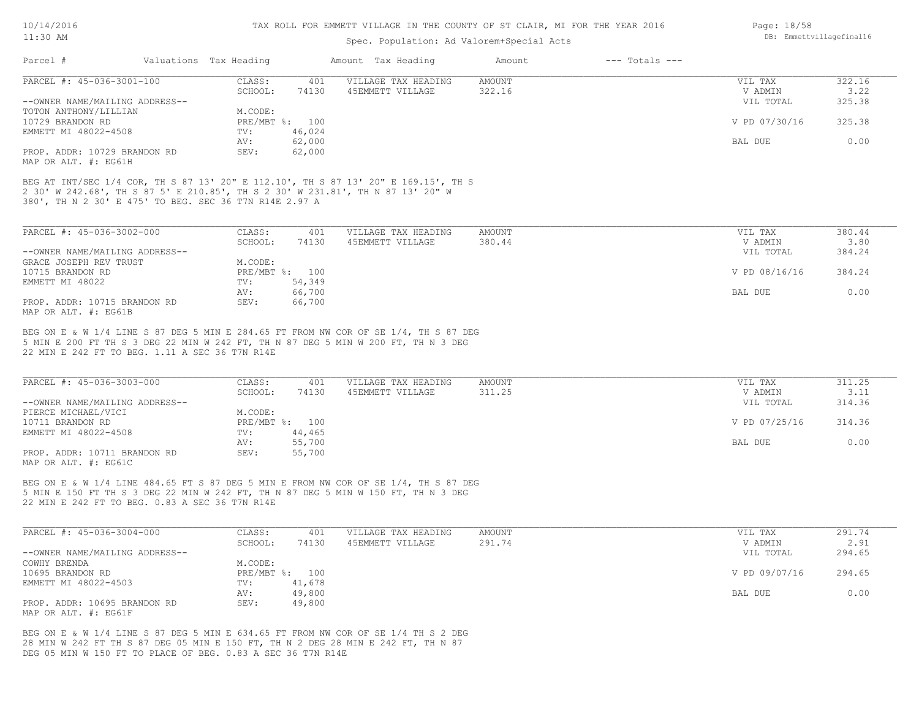| $11:30$ AM                                                                                                                                                                                                                     |                                   | Spec. Population: Ad Valorem+Special Acts | DB: Emmettvillagefinal16 |                    |                                 |                          |
|--------------------------------------------------------------------------------------------------------------------------------------------------------------------------------------------------------------------------------|-----------------------------------|-------------------------------------------|--------------------------|--------------------|---------------------------------|--------------------------|
| Parcel #                                                                                                                                                                                                                       | Valuations Tax Heading            | Amount Tax Heading                        | Amount                   | $---$ Totals $---$ |                                 |                          |
| PARCEL #: 45-036-3001-100                                                                                                                                                                                                      | CLASS:<br>401                     | VILLAGE TAX HEADING                       | <b>AMOUNT</b>            |                    | VIL TAX                         | 322.16                   |
| --OWNER NAME/MAILING ADDRESS--                                                                                                                                                                                                 | SCHOOL:<br>74130                  | 45EMMETT VILLAGE                          | 322.16                   |                    | V ADMIN<br>VIL TOTAL            | 3.22<br>325.38           |
| TOTON ANTHONY/LILLIAN                                                                                                                                                                                                          | M.CODE:                           |                                           |                          |                    |                                 |                          |
| 10729 BRANDON RD                                                                                                                                                                                                               | PRE/MBT %: 100                    |                                           |                          |                    | V PD 07/30/16                   | 325.38                   |
| EMMETT MI 48022-4508                                                                                                                                                                                                           | 46,024<br>TV:                     |                                           |                          |                    |                                 |                          |
|                                                                                                                                                                                                                                | 62,000<br>AV:                     |                                           |                          |                    | BAL DUE                         | 0.00                     |
| PROP. ADDR: 10729 BRANDON RD<br>MAP OR ALT. #: EG61H                                                                                                                                                                           | SEV:<br>62,000                    |                                           |                          |                    |                                 |                          |
| BEG AT INT/SEC 1/4 COR, TH S 87 13' 20" E 112.10', TH S 87 13' 20" E 169.15', TH S<br>2 30' W 242.68', TH S 87 5' E 210.85', TH S 2 30' W 231.81', TH N 87 13' 20" W<br>380', TH N 2 30' E 475' TO BEG. SEC 36 T7N R14E 2.97 A |                                   |                                           |                          |                    |                                 |                          |
| PARCEL #: 45-036-3002-000                                                                                                                                                                                                      | CLASS:<br>401                     | VILLAGE TAX HEADING                       | AMOUNT                   |                    | VIL TAX                         | 380.44                   |
|                                                                                                                                                                                                                                | SCHOOL:<br>74130                  | 45EMMETT VILLAGE                          | 380.44                   |                    | V ADMIN                         | 3.80                     |
| --OWNER NAME/MAILING ADDRESS--                                                                                                                                                                                                 |                                   |                                           |                          |                    | VIL TOTAL                       | 384.24                   |
| GRACE JOSEPH REV TRUST                                                                                                                                                                                                         | M.CODE:                           |                                           |                          |                    |                                 |                          |
| 10715 BRANDON RD                                                                                                                                                                                                               | PRE/MBT %: 100                    |                                           |                          |                    | V PD 08/16/16                   | 384.24                   |
| EMMETT MI 48022                                                                                                                                                                                                                | 54,349<br>TV:                     |                                           |                          |                    |                                 |                          |
|                                                                                                                                                                                                                                | 66,700<br>AV:                     |                                           |                          |                    | BAL DUE                         | 0.00                     |
| PROP. ADDR: 10715 BRANDON RD<br>MAP OR ALT. #: EG61B                                                                                                                                                                           | SEV:<br>66,700                    |                                           |                          |                    |                                 |                          |
| 5 MIN E 200 FT TH S 3 DEG 22 MIN W 242 FT, TH N 87 DEG 5 MIN W 200 FT, TH N 3 DEG<br>22 MIN E 242 FT TO BEG. 1.11 A SEC 36 T7N R14E<br>PARCEL #: 45-036-3003-000<br>--OWNER NAME/MAILING ADDRESS--                             | CLASS:<br>401<br>SCHOOL:<br>74130 | VILLAGE TAX HEADING<br>45EMMETT VILLAGE   | <b>AMOUNT</b><br>311.25  |                    | VIL TAX<br>V ADMIN<br>VIL TOTAL | 311.25<br>3.11<br>314.36 |
| PIERCE MICHAEL/VICI                                                                                                                                                                                                            | M.CODE:                           |                                           |                          |                    |                                 |                          |
| 10711 BRANDON RD                                                                                                                                                                                                               | PRE/MBT %: 100                    |                                           |                          |                    | V PD 07/25/16                   | 314.36                   |
| EMMETT MI 48022-4508                                                                                                                                                                                                           | 44,465<br>$\text{TV}$ :           |                                           |                          |                    |                                 |                          |
|                                                                                                                                                                                                                                | 55,700<br>AV:                     |                                           |                          |                    | BAL DUE                         | 0.00                     |
| PROP. ADDR: 10711 BRANDON RD<br>MAP OR ALT. #: EG61C                                                                                                                                                                           | SEV:<br>55,700                    |                                           |                          |                    |                                 |                          |
| BEG ON E & W 1/4 LINE 484.65 FT S 87 DEG 5 MIN E FROM NW COR OF SE 1/4, TH S 87 DEG<br>5 MIN E 150 FT TH S 3 DEG 22 MIN W 242 FT, TH N 87 DEG 5 MIN W 150 FT, TH N 3 DEG<br>22 MIN E 242 FT TO BEG. 0.83 A SEC 36 T7N R14E     |                                   |                                           |                          |                    |                                 |                          |
| PARCEL #: 45-036-3004-000                                                                                                                                                                                                      | CLASS:<br>401                     | VILLAGE TAX HEADING                       | <b>AMOUNT</b>            |                    | VIL TAX                         | 291.74                   |
|                                                                                                                                                                                                                                | SCHOOL:<br>74130                  | 45EMMETT VILLAGE                          | 291.74                   |                    | V ADMIN                         | 2.91                     |
| --OWNER NAME/MAILING ADDRESS--                                                                                                                                                                                                 |                                   |                                           |                          |                    | VIL TOTAL                       | 294.65                   |
| COWHY BRENDA                                                                                                                                                                                                                   | M.CODE:                           |                                           |                          |                    |                                 |                          |
| 10695 BRANDON RD                                                                                                                                                                                                               | PRE/MBT %: 100                    |                                           |                          |                    | V PD 09/07/16                   | 294.65                   |
| EMMETT MI 48022-4503                                                                                                                                                                                                           | 41,678<br>TV:                     |                                           |                          |                    |                                 |                          |
|                                                                                                                                                                                                                                | 49,800<br>AV:                     |                                           |                          |                    | BAL DUE                         | 0.00                     |

MAP OR ALT. #: EG61F PROP. ADDR: 10695 BRANDON RD SEV: 49,800

DEG 05 MIN W 150 FT TO PLACE OF BEG. 0.83 A SEC 36 T7N R14E 28 MIN W 242 FT TH S 87 DEG 05 MIN E 150 FT, TH N 2 DEG 28 MIN E 242 FT, TH N 87 BEG ON E & W 1/4 LINE S 87 DEG 5 MIN E 634.65 FT FROM NW COR OF SE 1/4 TH S 2 DEG Page: 18/58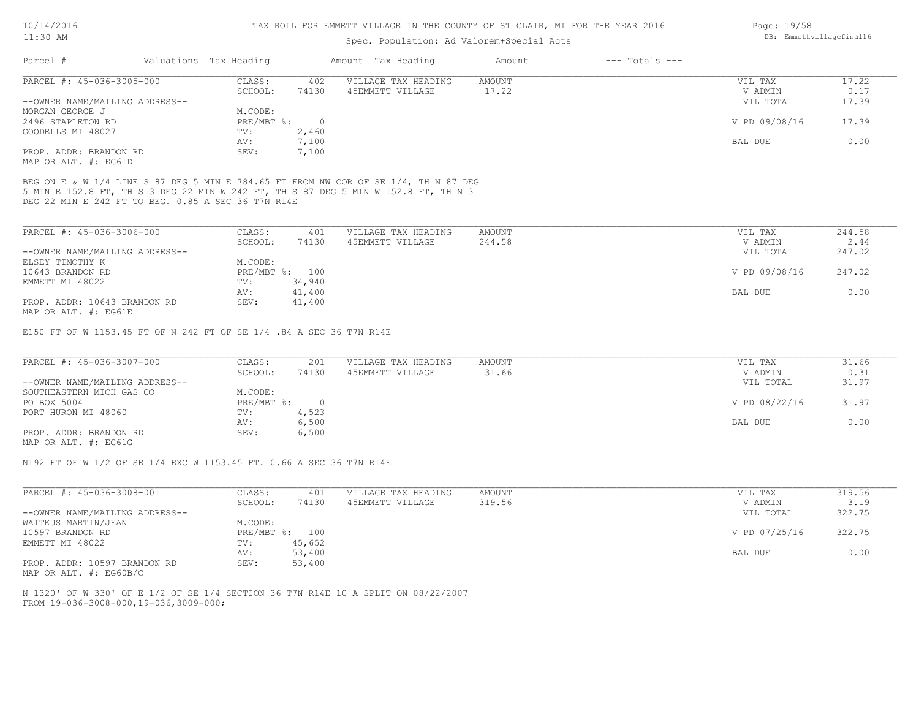### Spec. Population: Ad Valorem+Special Acts

| Parcel #                       | Valuations Tax Heading |       | Amount Tax Heading  | Amount | $---$ Totals $---$ |               |       |
|--------------------------------|------------------------|-------|---------------------|--------|--------------------|---------------|-------|
| PARCEL #: 45-036-3005-000      | CLASS:                 | 402   | VILLAGE TAX HEADING | AMOUNT |                    | VIL TAX       | 17.22 |
|                                | SCHOOL:                | 74130 | 45EMMETT VILLAGE    | 17.22  |                    | V ADMIN       | 0.17  |
| --OWNER NAME/MAILING ADDRESS-- |                        |       |                     |        |                    | VIL TOTAL     | 17.39 |
| MORGAN GEORGE J                | M.CODE:                |       |                     |        |                    |               |       |
| 2496 STAPLETON RD              | $PRE/MBT$ %:           |       |                     |        |                    | V PD 09/08/16 | 17.39 |
| GOODELLS MI 48027              | TV:                    | 2,460 |                     |        |                    |               |       |
|                                | AV:                    | 7,100 |                     |        |                    | BAL DUE       | 0.00  |
| PROP. ADDR: BRANDON RD         | SEV:                   | 7,100 |                     |        |                    |               |       |
| MAP OR ALT. #: EG61D           |                        |       |                     |        |                    |               |       |

5 MIN E 152.8 FT, TH S 3 DEG 22 MIN W 242 FT, TH S 87 DEG 5 MIN W 152.8 FT, TH N 3 BEG ON E & W 1/4 LINE S 87 DEG 5 MIN E 784.65 FT FROM NW COR OF SE 1/4, TH N 87 DEG

DEG 22 MIN E 242 FT TO BEG. 0.85 A SEC 36 T7N R14E

| PARCEL #: 45-036-3006-000      | CLASS:  | 401            | VILLAGE TAX HEADING | AMOUNT | VIL TAX       | 244.58 |
|--------------------------------|---------|----------------|---------------------|--------|---------------|--------|
|                                | SCHOOL: | 74130          | 45EMMETT VILLAGE    | 244.58 | V ADMIN       | 2.44   |
| --OWNER NAME/MAILING ADDRESS-- |         |                |                     |        | VIL TOTAL     | 247.02 |
| ELSEY TIMOTHY K                | M.CODE: |                |                     |        |               |        |
| 10643 BRANDON RD               |         | PRE/MBT %: 100 |                     |        | V PD 09/08/16 | 247.02 |
| EMMETT MI 48022                | TV:     | 34,940         |                     |        |               |        |
|                                | AV:     | 41,400         |                     |        | BAL DUE       | 0.00   |
| PROP. ADDR: 10643 BRANDON RD   | SEV:    | 41,400         |                     |        |               |        |
| MAP OR ALT. #: EG61E           |         |                |                     |        |               |        |

E150 FT OF W 1153.45 FT OF N 242 FT OF SE 1/4 .84 A SEC 36 T7N R14E

| PARCEL #: 45-036-3007-000      | CLASS:     | 201   | VILLAGE TAX HEADING | AMOUNT | VIL TAX       | 31.66 |
|--------------------------------|------------|-------|---------------------|--------|---------------|-------|
|                                | SCHOOL:    | 74130 | 45EMMETT VILLAGE    | 31.66  | V ADMIN       | 0.31  |
| --OWNER NAME/MAILING ADDRESS-- |            |       |                     |        | VIL TOTAL     | 31.97 |
| SOUTHEASTERN MICH GAS CO       | M.CODE:    |       |                     |        |               |       |
| PO BOX 5004                    | PRE/MBT %: |       |                     |        | V PD 08/22/16 | 31.97 |
| PORT HURON MI 48060            | TV:        | 4,523 |                     |        |               |       |
|                                | AV:        | 6,500 |                     |        | BAL DUE       | 0.00  |
| PROP. ADDR: BRANDON RD         | SEV:       | 6,500 |                     |        |               |       |
| MAP OR ALT. #: EG61G           |            |       |                     |        |               |       |

N192 FT OF W 1/2 OF SE 1/4 EXC W 1153.45 FT. 0.66 A SEC 36 T7N R14E

| PARCEL #: 45-036-3008-001      | CLASS:             | 401    | VILLAGE TAX HEADING | AMOUNT | VIL TAX       | 319.56 |
|--------------------------------|--------------------|--------|---------------------|--------|---------------|--------|
|                                | SCHOOL:            | 74130  | 45EMMETT VILLAGE    | 319.56 | V ADMIN       | 3.19   |
| --OWNER NAME/MAILING ADDRESS-- |                    |        |                     |        | VIL TOTAL     | 322.75 |
| WAITKUS MARTIN/JEAN            | M.CODE:            |        |                     |        |               |        |
| 10597 BRANDON RD               | $PRE/MBT$ $\div$ : | 100    |                     |        | V PD 07/25/16 | 322.75 |
| EMMETT MI 48022                | TV:                | 45,652 |                     |        |               |        |
|                                | AV:                | 53,400 |                     |        | BAL DUE       | 0.00   |
| PROP. ADDR: 10597 BRANDON RD   | SEV:               | 53,400 |                     |        |               |        |

MAP OR ALT. #: EG60B/C

FROM 19-036-3008-000,19-036,3009-000; N 1320' OF W 330' OF E 1/2 OF SE 1/4 SECTION 36 T7N R14E 10 A SPLIT ON 08/22/2007 Page: 19/58 DB: Emmettvillagefinal16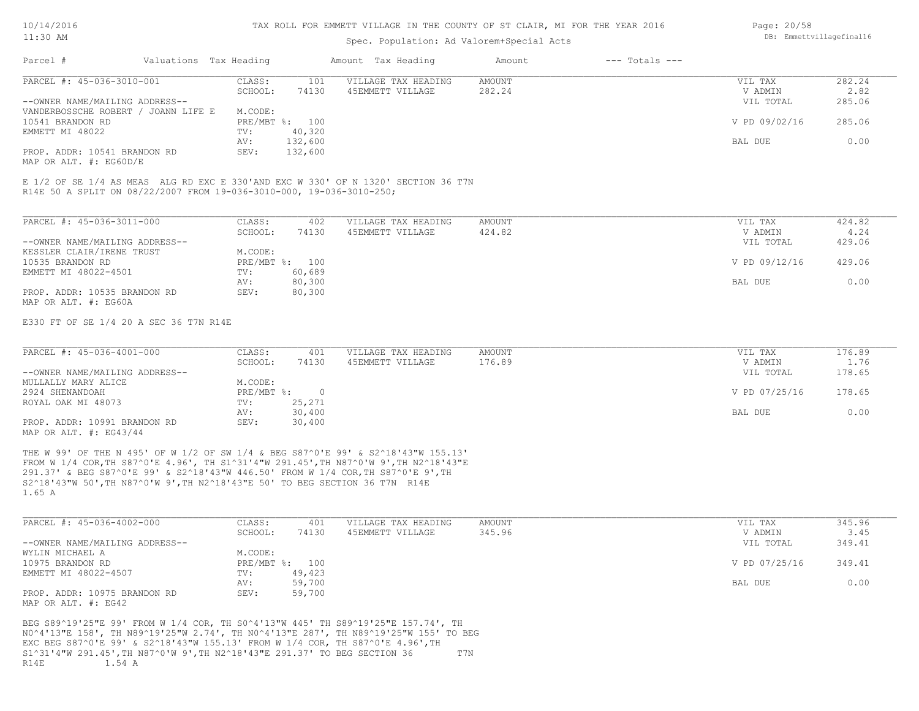#### TAX ROLL FOR EMMETT VILLAGE IN THE COUNTY OF ST CLAIR, MI FOR THE YEAR 2016

### Spec. Population: Ad Valorem+Special Acts

| Page: 20/58              |
|--------------------------|
| DB: Emmettvillagefinal16 |

| 282.24<br>VIL TAX       |
|-------------------------|
|                         |
| 2.82<br>V ADMIN         |
| 285.06<br>VIL TOTAL     |
|                         |
| V PD 09/02/16<br>285.06 |
|                         |
| BAL DUE<br>0.00         |
|                         |
|                         |

R14E 50 A SPLIT ON 08/22/2007 FROM 19-036-3010-000, 19-036-3010-250; E 1/2 OF SE 1/4 AS MEAS ALG RD EXC E 330'AND EXC W 330' OF N 1320' SECTION 36 T7N

| PARCEL #: 45-036-3011-000      | CLASS:       | 402    | VILLAGE TAX HEADING | AMOUNT | VIL TAX       | 424.82 |
|--------------------------------|--------------|--------|---------------------|--------|---------------|--------|
|                                | SCHOOL:      | 74130  | 45EMMETT VILLAGE    | 424.82 | V ADMIN       | 4.24   |
| --OWNER NAME/MAILING ADDRESS-- |              |        |                     |        | VIL TOTAL     | 429.06 |
| KESSLER CLAIR/IRENE TRUST      | M.CODE:      |        |                     |        |               |        |
| 10535 BRANDON RD               | $PRE/MBT$ %: | 100    |                     |        | V PD 09/12/16 | 429.06 |
| EMMETT MI 48022-4501           | TV:          | 60,689 |                     |        |               |        |
|                                | AV:          | 80,300 |                     |        | BAL DUE       | 0.00   |
| PROP. ADDR: 10535 BRANDON RD   | SEV:         | 80,300 |                     |        |               |        |
| MAP OR ALT. #: EG60A           |              |        |                     |        |               |        |

E330 FT OF SE 1/4 20 A SEC 36 T7N R14E

| PARCEL #: 45-036-4001-000      | CLASS:     | 401    | VILLAGE TAX HEADING | AMOUNT | VIL TAX       | 176.89 |
|--------------------------------|------------|--------|---------------------|--------|---------------|--------|
|                                | SCHOOL:    | 74130  | 45EMMETT VILLAGE    | 176.89 | V ADMIN       | 1.76   |
| --OWNER NAME/MAILING ADDRESS-- |            |        |                     |        | VIL TOTAL     | 178.65 |
| MULLALLY MARY ALICE            | M.CODE:    |        |                     |        |               |        |
| 2924 SHENANDOAH                | PRE/MBT %: |        |                     |        | V PD 07/25/16 | 178.65 |
| ROYAL OAK MI 48073             | TV:        | 25,271 |                     |        |               |        |
|                                | AV:        | 30,400 |                     |        | BAL DUE       | 0.00   |
| PROP. ADDR: 10991 BRANDON RD   | SEV:       | 30,400 |                     |        |               |        |
| MAP OR ALT. $\#$ : EG43/44     |            |        |                     |        |               |        |

1.65 A S2^18'43"W 50',TH N87^0'W 9',TH N2^18'43"E 50' TO BEG SECTION 36 T7N R14E 291.37' & BEG S87^0'E 99' & S2^18'43"W 446.50' FROM W 1/4 COR,TH S87^0'E 9',TH FROM W 1/4 COR,TH S87^0'E 4.96', TH S1^31'4"W 291.45',TH N87^0'W 9',TH N2^18'43"E THE W 99' OF THE N 495' OF W 1/2 OF SW 1/4 & BEG S87^0'E 99' & S2^18'43"W 155.13'

| PARCEL #: 45-036-4002-000      | CLASS:  | 401            | VILLAGE TAX HEADING | AMOUNT | VIL TAX       | 345.96 |
|--------------------------------|---------|----------------|---------------------|--------|---------------|--------|
|                                | SCHOOL: | 74130          | 45EMMETT VILLAGE    | 345.96 | V ADMIN       | 3.45   |
| --OWNER NAME/MAILING ADDRESS-- |         |                |                     |        | VIL TOTAL     | 349.41 |
| WYLIN MICHAEL A                | M.CODE: |                |                     |        |               |        |
| 10975 BRANDON RD               |         | PRE/MBT %: 100 |                     |        | V PD 07/25/16 | 349.41 |
| EMMETT MI 48022-4507           | TV:     | 49,423         |                     |        |               |        |
|                                | AV:     | 59,700         |                     |        | BAL DUE       | 0.00   |
| PROP. ADDR: 10975 BRANDON RD   | SEV:    | 59,700         |                     |        |               |        |
| MAP OR ALT. #: EG42            |         |                |                     |        |               |        |

R14E 1.54 A S1^31'4"W 291.45',TH N87^0'W 9',TH N2^18'43"E 291.37' TO BEG SECTION 36 T7N EXC BEG S87^0'E 99' & S2^18'43"W 155.13' FROM W 1/4 COR, TH S87^0'E 4.96',TH N0^4'13"E 158', TH N89^19'25"W 2.74', TH N0^4'13"E 287', TH N89^19'25"W 155' TO BEG BEG S89^19'25"E 99' FROM W 1/4 COR, TH S0^4'13"W 445' TH S89^19'25"E 157.74', TH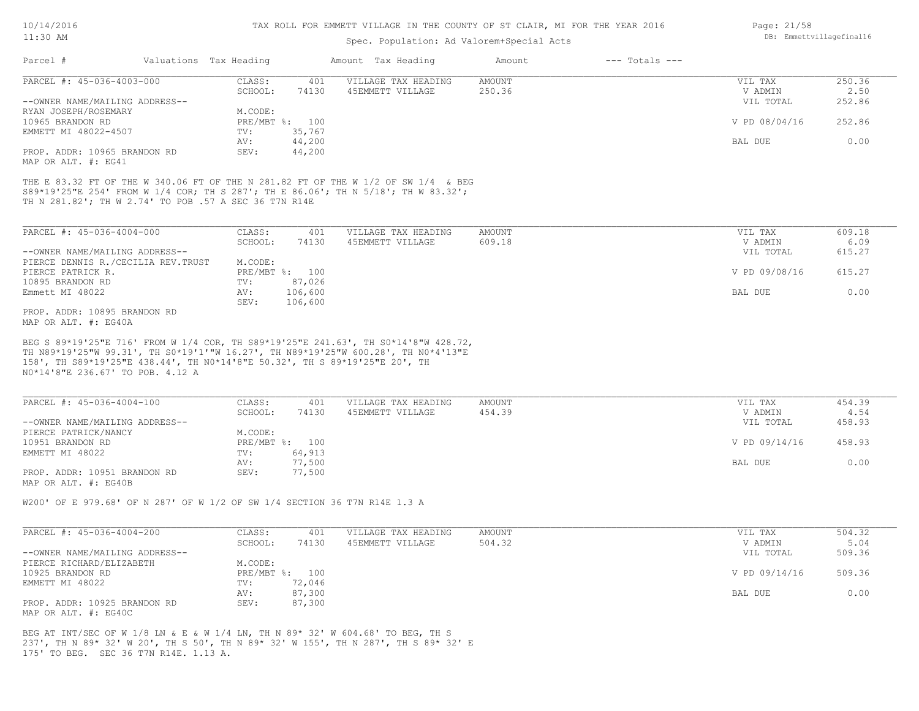#### TAX ROLL FOR EMMETT VILLAGE IN THE COUNTY OF ST CLAIR, MI FOR THE YEAR 2016

# Spec. Population: Ad Valorem+Special Acts

| Parcel #<br>Valuations Tax Heading<br>Amount Tax Heading<br>$---$ Totals $---$<br>Amount<br>CLASS:<br>401<br>VILLAGE TAX HEADING<br>AMOUNT<br>74130<br>250.36<br>SCHOOL:<br>45EMMETT VILLAGE<br>M.CODE:<br>PRE/MBT %: 100<br>TV:<br>35,767<br>44,200<br>AV:<br>SEV:<br>44,200<br>CLASS:<br>401<br>VILLAGE TAX HEADING<br>AMOUNT<br>SCHOOL:<br>74130<br>45EMMETT VILLAGE<br>609.18<br>M.CODE:<br>PRE/MBT %: 100<br>TV:<br>87,026<br>AV:<br>106,600<br>106,600<br>SEV:                                                                                                                                                                                | VIL TAX<br>V ADMIN<br>VIL TOTAL<br>V PD 08/04/16<br>BAL DUE<br>VIL TAX<br>V ADMIN<br>VIL TOTAL<br>V PD 09/08/16 |                                                      |
|-----------------------------------------------------------------------------------------------------------------------------------------------------------------------------------------------------------------------------------------------------------------------------------------------------------------------------------------------------------------------------------------------------------------------------------------------------------------------------------------------------------------------------------------------------------------------------------------------------------------------------------------------------|-----------------------------------------------------------------------------------------------------------------|------------------------------------------------------|
| PARCEL #: 45-036-4003-000<br>--OWNER NAME/MAILING ADDRESS--<br>RYAN JOSEPH/ROSEMARY<br>10965 BRANDON RD<br>EMMETT MI 48022-4507<br>PROP. ADDR: 10965 BRANDON RD<br>MAP OR ALT. #: EG41<br>THE E 83.32 FT OF THE W 340.06 FT OF THE N 281.82 FT OF THE W 1/2 OF SW 1/4 & BEG<br>S89*19'25"E 254' FROM W 1/4 COR; TH S 287'; TH E 86.06'; TH N 5/18'; TH W 83.32';<br>TH N 281.82'; TH W 2.74' TO POB .57 A SEC 36 T7N R14E<br>PARCEL #: 45-036-4004-000<br>--OWNER NAME/MAILING ADDRESS--<br>PIERCE DENNIS R./CECILIA REV. TRUST<br>PIERCE PATRICK R.<br>10895 BRANDON RD<br>Emmett MI 48022<br>PROP. ADDR: 10895 BRANDON RD<br>MAP OR ALT. #: EG40A |                                                                                                                 | 250.36<br>2.50                                       |
|                                                                                                                                                                                                                                                                                                                                                                                                                                                                                                                                                                                                                                                     |                                                                                                                 | 252.86<br>252.86<br>0.00<br>609.18<br>6.09<br>615.27 |
|                                                                                                                                                                                                                                                                                                                                                                                                                                                                                                                                                                                                                                                     |                                                                                                                 |                                                      |
|                                                                                                                                                                                                                                                                                                                                                                                                                                                                                                                                                                                                                                                     |                                                                                                                 |                                                      |
|                                                                                                                                                                                                                                                                                                                                                                                                                                                                                                                                                                                                                                                     |                                                                                                                 |                                                      |
|                                                                                                                                                                                                                                                                                                                                                                                                                                                                                                                                                                                                                                                     |                                                                                                                 |                                                      |
|                                                                                                                                                                                                                                                                                                                                                                                                                                                                                                                                                                                                                                                     |                                                                                                                 |                                                      |
|                                                                                                                                                                                                                                                                                                                                                                                                                                                                                                                                                                                                                                                     |                                                                                                                 |                                                      |
|                                                                                                                                                                                                                                                                                                                                                                                                                                                                                                                                                                                                                                                     |                                                                                                                 |                                                      |
|                                                                                                                                                                                                                                                                                                                                                                                                                                                                                                                                                                                                                                                     |                                                                                                                 |                                                      |
|                                                                                                                                                                                                                                                                                                                                                                                                                                                                                                                                                                                                                                                     |                                                                                                                 |                                                      |
|                                                                                                                                                                                                                                                                                                                                                                                                                                                                                                                                                                                                                                                     |                                                                                                                 |                                                      |
|                                                                                                                                                                                                                                                                                                                                                                                                                                                                                                                                                                                                                                                     |                                                                                                                 |                                                      |
|                                                                                                                                                                                                                                                                                                                                                                                                                                                                                                                                                                                                                                                     |                                                                                                                 | 615.27                                               |
|                                                                                                                                                                                                                                                                                                                                                                                                                                                                                                                                                                                                                                                     |                                                                                                                 |                                                      |
|                                                                                                                                                                                                                                                                                                                                                                                                                                                                                                                                                                                                                                                     | <b>BAL DUE</b>                                                                                                  | 0.00                                                 |
|                                                                                                                                                                                                                                                                                                                                                                                                                                                                                                                                                                                                                                                     |                                                                                                                 |                                                      |
|                                                                                                                                                                                                                                                                                                                                                                                                                                                                                                                                                                                                                                                     |                                                                                                                 |                                                      |
| 158', TH S89*19'25"E 438.44', TH NO*14'8"E 50.32', TH S 89*19'25"E 20', TH<br>NO*14'8"E 236.67' TO POB. 4.12 A<br>PARCEL #: 45-036-4004-100<br>CLASS:<br>VILLAGE TAX HEADING<br><b>AMOUNT</b><br>401                                                                                                                                                                                                                                                                                                                                                                                                                                                | VIL TAX                                                                                                         | 454.39                                               |
| SCHOOL:<br>74130<br>45EMMETT VILLAGE<br>454.39                                                                                                                                                                                                                                                                                                                                                                                                                                                                                                                                                                                                      | V ADMIN                                                                                                         | 4.54                                                 |
| --OWNER NAME/MAILING ADDRESS--                                                                                                                                                                                                                                                                                                                                                                                                                                                                                                                                                                                                                      | VIL TOTAL                                                                                                       | 458.93                                               |
| PIERCE PATRICK/NANCY<br>M.CODE:                                                                                                                                                                                                                                                                                                                                                                                                                                                                                                                                                                                                                     |                                                                                                                 |                                                      |
| PRE/MBT %: 100<br>10951 BRANDON RD                                                                                                                                                                                                                                                                                                                                                                                                                                                                                                                                                                                                                  | V PD 09/14/16                                                                                                   | 458.93                                               |
| 64,913<br>EMMETT MI 48022<br>TV:                                                                                                                                                                                                                                                                                                                                                                                                                                                                                                                                                                                                                    |                                                                                                                 |                                                      |
| 77,500<br>AV:                                                                                                                                                                                                                                                                                                                                                                                                                                                                                                                                                                                                                                       | BAL DUE                                                                                                         | 0.00                                                 |
| PROP. ADDR: 10951 BRANDON RD<br>SEV:<br>77,500<br>MAP OR ALT. #: EG40B                                                                                                                                                                                                                                                                                                                                                                                                                                                                                                                                                                              |                                                                                                                 |                                                      |
| W200' OF E 979.68' OF N 287' OF W 1/2 OF SW 1/4 SECTION 36 T7N R14E 1.3 A                                                                                                                                                                                                                                                                                                                                                                                                                                                                                                                                                                           |                                                                                                                 |                                                      |
|                                                                                                                                                                                                                                                                                                                                                                                                                                                                                                                                                                                                                                                     |                                                                                                                 |                                                      |
| PARCEL #: 45-036-4004-200<br>CLASS:<br>401<br>VILLAGE TAX HEADING<br>AMOUNT<br>SCHOOL:<br>74130<br>45EMMETT VILLAGE<br>504.32                                                                                                                                                                                                                                                                                                                                                                                                                                                                                                                       | VIL TAX<br>V ADMIN                                                                                              | 504.32<br>5.04                                       |
| --OWNER NAME/MAILING ADDRESS--                                                                                                                                                                                                                                                                                                                                                                                                                                                                                                                                                                                                                      | VIL TOTAL                                                                                                       | 509.36                                               |
| PIERCE RICHARD/ELIZABETH<br>M.CODE:                                                                                                                                                                                                                                                                                                                                                                                                                                                                                                                                                                                                                 |                                                                                                                 |                                                      |
|                                                                                                                                                                                                                                                                                                                                                                                                                                                                                                                                                                                                                                                     | V PD 09/14/16                                                                                                   | 509.36                                               |
|                                                                                                                                                                                                                                                                                                                                                                                                                                                                                                                                                                                                                                                     |                                                                                                                 |                                                      |
| PRE/MBT %: 100<br>10925 BRANDON RD                                                                                                                                                                                                                                                                                                                                                                                                                                                                                                                                                                                                                  |                                                                                                                 | 0.00                                                 |
| EMMETT MI 48022<br>TV:<br>72,046<br>87,300<br>AV:                                                                                                                                                                                                                                                                                                                                                                                                                                                                                                                                                                                                   | BAL DUE                                                                                                         |                                                      |

175' TO BEG. SEC 36 T7N R14E. 1.13 A. 237', TH N 89\* 32' W 20', TH S 50', TH N 89\* 32' W 155', TH N 287', TH S 89\* 32' E BEG AT INT/SEC OF W 1/8 LN & E & W 1/4 LN, TH N 89\* 32' W 604.68' TO BEG, TH S

Page: 21/58 DB: Emmettvillagefinal16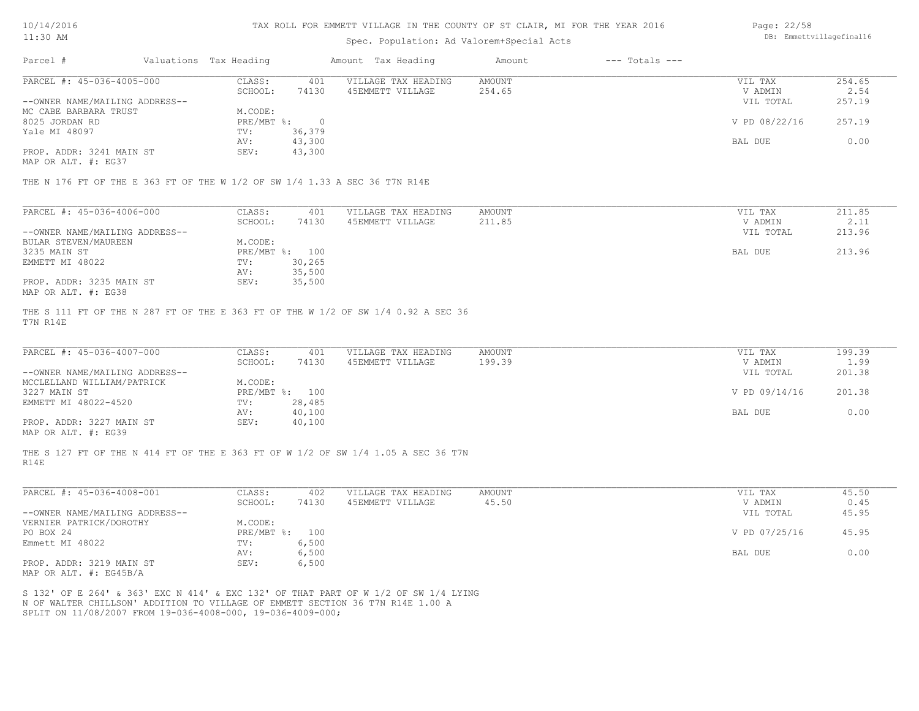| 10/14/2016 |  |
|------------|--|
| 11:30 AM   |  |

| $11:30$ AM |                           |                        |       | Spec. Population: Ad Valorem+Special Acts |        |                | DB: Emmettvillagefinal16 |        |
|------------|---------------------------|------------------------|-------|-------------------------------------------|--------|----------------|--------------------------|--------|
| Parcel #   |                           | Valuations Tax Heading |       | Amount Tax Heading                        | Amount | --- Totals --- |                          |        |
|            | PARCEL #: 45-036-4005-000 | CLASS:                 | 401   | VILLAGE TAX HEADING                       | AMOUNT |                | VIL TAX                  | 254.65 |
|            |                           | SCHOOL:                | 74130 | 45EMMETT VILLAGE                          | 254.65 |                | V ADMIN                  | 2.54   |

|                                | JULIUUI .    | 77130     | turnin i vilman m | 297.09 | ALL'ILIN      | 2.JT   |
|--------------------------------|--------------|-----------|-------------------|--------|---------------|--------|
| --OWNER NAME/MAILING ADDRESS-- |              |           |                   |        | VIL TOTAL     | 257.19 |
| MC CABE BARBARA TRUST          | M.CODE:      |           |                   |        |               |        |
| 8025 JORDAN RD                 | $PRE/MBT$ %: | $\bigcap$ |                   |        | V PD 08/22/16 | 257.19 |
| Yale MI 48097                  | TV:          | 36,379    |                   |        |               |        |
|                                | AV:          | 43,300    |                   |        | BAL DUE       | 0.00   |
| PROP. ADDR: 3241 MAIN ST       | SEV:         | 43,300    |                   |        |               |        |

MAP OR ALT. #: EG37

THE N 176 FT OF THE E 363 FT OF THE W 1/2 OF SW 1/4 1.33 A SEC 36 T7N R14E

| PARCEL #: 45-036-4006-000      | CLASS:  | 401            | VILLAGE TAX HEADING | AMOUNT | VIL TAX   | 211.85 |
|--------------------------------|---------|----------------|---------------------|--------|-----------|--------|
|                                | SCHOOL: | 74130          | 45EMMETT VILLAGE    | 211.85 | V ADMIN   | 2.11   |
| --OWNER NAME/MAILING ADDRESS-- |         |                |                     |        | VIL TOTAL | 213.96 |
| BULAR STEVEN/MAUREEN           | M.CODE: |                |                     |        |           |        |
| 3235 MAIN ST                   |         | PRE/MBT %: 100 |                     |        | BAL DUE   | 213.96 |
| EMMETT MI 48022                | TV:     | 30,265         |                     |        |           |        |
|                                | AV:     | 35,500         |                     |        |           |        |
| PROP. ADDR: 3235 MAIN ST       | SEV:    | 35,500         |                     |        |           |        |
| MAP OR ALT. #: EG38            |         |                |                     |        |           |        |

T7N R14E THE S 111 FT OF THE N 287 FT OF THE E 363 FT OF THE W 1/2 OF SW 1/4 0.92 A SEC 36

| PARCEL #: 45-036-4007-000      | CLASS:  | 401            | VILLAGE TAX HEADING | AMOUNT | VIL TAX       | 199.39 |
|--------------------------------|---------|----------------|---------------------|--------|---------------|--------|
|                                | SCHOOL: | 74130          | 45EMMETT VILLAGE    | 199.39 | V ADMIN       | 1.99   |
| --OWNER NAME/MAILING ADDRESS-- |         |                |                     |        | VIL TOTAL     | 201.38 |
| MCCLELLAND WILLIAM/PATRICK     | M.CODE: |                |                     |        |               |        |
| 3227 MAIN ST                   |         | PRE/MBT %: 100 |                     |        | V PD 09/14/16 | 201.38 |
| EMMETT MI 48022-4520           | TV:     | 28,485         |                     |        |               |        |
|                                | AV:     | 40,100         |                     |        | BAL DUE       | 0.00   |
| PROP. ADDR: 3227 MAIN ST       | SEV:    | 40,100         |                     |        |               |        |
| $\frac{1}{2}$                  |         |                |                     |        |               |        |

MAP OR ALT. #: EG39

R14E THE S 127 FT OF THE N 414 FT OF THE E 363 FT OF W 1/2 OF SW 1/4 1.05 A SEC 36 T7N

| PARCEL #: 45-036-4008-001                 | CLASS:       | 402   | VILLAGE TAX HEADING | AMOUNT | VIL TAX       | 45.50 |
|-------------------------------------------|--------------|-------|---------------------|--------|---------------|-------|
|                                           | SCHOOL:      | 74130 | 45EMMETT VILLAGE    | 45.50  | V ADMIN       | 0.45  |
| --OWNER NAME/MAILING ADDRESS--            |              |       |                     |        | VIL TOTAL     | 45.95 |
| VERNIER PATRICK/DOROTHY                   | M.CODE:      |       |                     |        |               |       |
| PO BOX 24                                 | $PRE/MBT$ %: | 100   |                     |        | V PD 07/25/16 | 45.95 |
| Emmett MI 48022                           | TV:          | 6,500 |                     |        |               |       |
|                                           | AV:          | 6,500 |                     |        | BAL DUE       | 0.00  |
| PROP. ADDR: 3219 MAIN ST<br>$\frac{1}{2}$ | SEV:         | 6,500 |                     |        |               |       |

MAP OR ALT. #: EG45B/A

SPLIT ON 11/08/2007 FROM 19-036-4008-000, 19-036-4009-000; N OF WALTER CHILLSON' ADDITION TO VILLAGE OF EMMETT SECTION 36 T7N R14E 1.00 A S 132' OF E 264' & 363' EXC N 414' & EXC 132' OF THAT PART OF W 1/2 OF SW 1/4 LYING Page: 22/58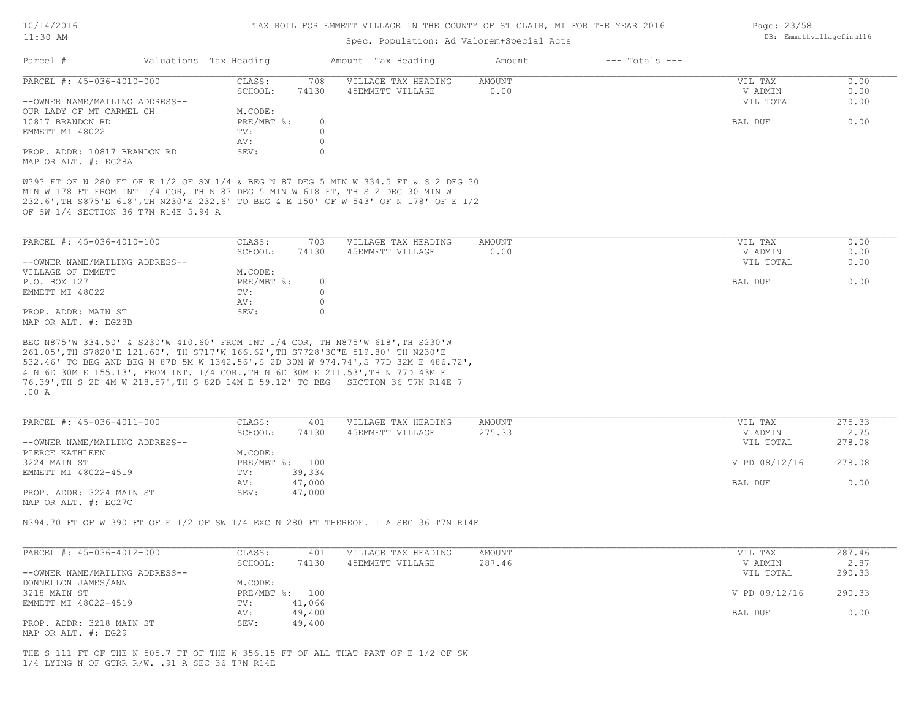| 10/14/2016 |  |
|------------|--|
| 11:30 AM   |  |

Page: 23/58

DB: Emmettvillagefinal16

# Spec. Population: Ad Valorem+Special Acts

| Parcel #                                                    | Valuations Tax Heading                                                                                                                                                                                                                                         | Amount Tax Heading                      | Amount                | $---$ Totals $---$ |                                 |                      |
|-------------------------------------------------------------|----------------------------------------------------------------------------------------------------------------------------------------------------------------------------------------------------------------------------------------------------------------|-----------------------------------------|-----------------------|--------------------|---------------------------------|----------------------|
| PARCEL #: 45-036-4010-000<br>--OWNER NAME/MAILING ADDRESS-- | CLASS:<br>708<br>SCHOOL:<br>74130                                                                                                                                                                                                                              | VILLAGE TAX HEADING<br>45EMMETT VILLAGE | <b>AMOUNT</b><br>0.00 |                    | VIL TAX<br>V ADMIN<br>VIL TOTAL | 0.00<br>0.00<br>0.00 |
| OUR LADY OF MT CARMEL CH                                    | M.CODE:                                                                                                                                                                                                                                                        |                                         |                       |                    |                                 |                      |
| 10817 BRANDON RD                                            | PRE/MBT %:                                                                                                                                                                                                                                                     | $\circ$                                 |                       |                    | BAL DUE                         | 0.00                 |
| EMMETT MI 48022                                             | TV:                                                                                                                                                                                                                                                            | $\circ$                                 |                       |                    |                                 |                      |
|                                                             | AV:                                                                                                                                                                                                                                                            | $\circ$                                 |                       |                    |                                 |                      |
| PROP. ADDR: 10817 BRANDON RD<br>MAP OR ALT. #: EG28A        | SEV:                                                                                                                                                                                                                                                           | $\circ$                                 |                       |                    |                                 |                      |
| OF SW 1/4 SECTION 36 T7N R14E 5.94 A                        | W393 FT OF N 280 FT OF E 1/2 OF SW 1/4 & BEG N 87 DEG 5 MIN W 334.5 FT & S 2 DEG 30<br>MIN W 178 FT FROM INT 1/4 COR, TH N 87 DEG 5 MIN W 618 FT, TH S 2 DEG 30 MIN W<br>232.6', TH S875'E 618', TH N230'E 232.6' TO BEG & E 150' OF W 543' OF N 178' OF E 1/2 |                                         |                       |                    |                                 |                      |
| PARCEL #: 45-036-4010-100                                   | CLASS:<br>703                                                                                                                                                                                                                                                  | VILLAGE TAX HEADING                     | AMOUNT                |                    | VIL TAX                         | 0.00                 |
|                                                             | SCHOOL:<br>74130                                                                                                                                                                                                                                               | 45EMMETT VILLAGE                        | 0.00                  |                    | V ADMIN                         | 0.00                 |
| --OWNER NAME/MAILING ADDRESS--                              |                                                                                                                                                                                                                                                                |                                         |                       |                    | VIL TOTAL                       | 0.00                 |
| VILLAGE OF EMMETT                                           | M.CODE:                                                                                                                                                                                                                                                        |                                         |                       |                    |                                 |                      |
| P.O. BOX 127                                                | PRE/MBT %:                                                                                                                                                                                                                                                     | $\circ$                                 |                       |                    | BAL DUE                         | 0.00                 |
| EMMETT MI 48022                                             | TV:                                                                                                                                                                                                                                                            | $\circ$                                 |                       |                    |                                 |                      |
|                                                             | AV:                                                                                                                                                                                                                                                            | $\circ$                                 |                       |                    |                                 |                      |
| PROP. ADDR: MAIN ST<br>MAP OR ALT. #: EG28B                 | SEV:                                                                                                                                                                                                                                                           | $\circ$                                 |                       |                    |                                 |                      |
| .00A                                                        | 76.39', TH S 2D 4M W 218.57', TH S 82D 14M E 59.12' TO BEG SECTION 36 T7N R14E 7                                                                                                                                                                               |                                         |                       |                    |                                 |                      |
| PARCEL #: 45-036-4011-000                                   | CLASS:<br>401                                                                                                                                                                                                                                                  | VILLAGE TAX HEADING                     | AMOUNT                |                    | VIL TAX                         | 275.33               |
|                                                             | SCHOOL:<br>74130                                                                                                                                                                                                                                               | 45EMMETT VILLAGE                        | 275.33                |                    | V ADMIN                         | 2.75                 |
| --OWNER NAME/MAILING ADDRESS--<br>PIERCE KATHLEEN           | M.CODE:                                                                                                                                                                                                                                                        |                                         |                       |                    | VIL TOTAL                       | 278.08               |
| 3224 MAIN ST                                                | PRE/MBT %: 100                                                                                                                                                                                                                                                 |                                         |                       |                    | V PD 08/12/16                   | 278.08               |
| EMMETT MI 48022-4519                                        | 39,334<br>TV:                                                                                                                                                                                                                                                  |                                         |                       |                    |                                 |                      |
|                                                             | 47,000<br>AV:                                                                                                                                                                                                                                                  |                                         |                       |                    | BAL DUE                         | 0.00                 |
| PROP. ADDR: 3224 MAIN ST<br>MAP OR ALT. #: EG27C            | SEV:<br>47,000                                                                                                                                                                                                                                                 |                                         |                       |                    |                                 |                      |
|                                                             | N394.70 FT OF W 390 FT OF E 1/2 OF SW 1/4 EXC N 280 FT THEREOF. 1 A SEC 36 T7N R14E                                                                                                                                                                            |                                         |                       |                    |                                 |                      |
| PARCEL #: 45-036-4012-000                                   | CLASS:<br>401                                                                                                                                                                                                                                                  | VILLAGE TAX HEADING                     | AMOUNT                |                    | VIL TAX                         | 287.46               |
|                                                             | SCHOOL:<br>74130                                                                                                                                                                                                                                               | 45EMMETT VILLAGE                        | 287.46                |                    | V ADMIN                         | 2.87                 |
| --OWNER NAME/MAILING ADDRESS--                              |                                                                                                                                                                                                                                                                |                                         |                       |                    | VIL TOTAL                       | 290.33               |
| DONNELLON JAMES/ANN                                         | M.CODE:                                                                                                                                                                                                                                                        |                                         |                       |                    |                                 |                      |
| 3218 MAIN ST                                                | PRE/MBT %: 100                                                                                                                                                                                                                                                 |                                         |                       |                    | V PD 09/12/16                   | 290.33               |
| EMMETT MI 48022-4519                                        | TV:<br>41,066<br>AV:                                                                                                                                                                                                                                           |                                         |                       |                    |                                 | 0.00                 |
| PROP. ADDR: 3218 MAIN ST                                    | 49,400<br>49,400<br>SEV:                                                                                                                                                                                                                                       |                                         |                       |                    | BAL DUE                         |                      |
| MAP OR ALT. #: EG29                                         |                                                                                                                                                                                                                                                                |                                         |                       |                    |                                 |                      |
| $1/4$ LYING N OF GTRR R/W. . 91 A SEC 36 T7N R14E           | THE S 111 FT OF THE N 505.7 FT OF THE W 356.15 FT OF ALL THAT PART OF E 1/2 OF SW                                                                                                                                                                              |                                         |                       |                    |                                 |                      |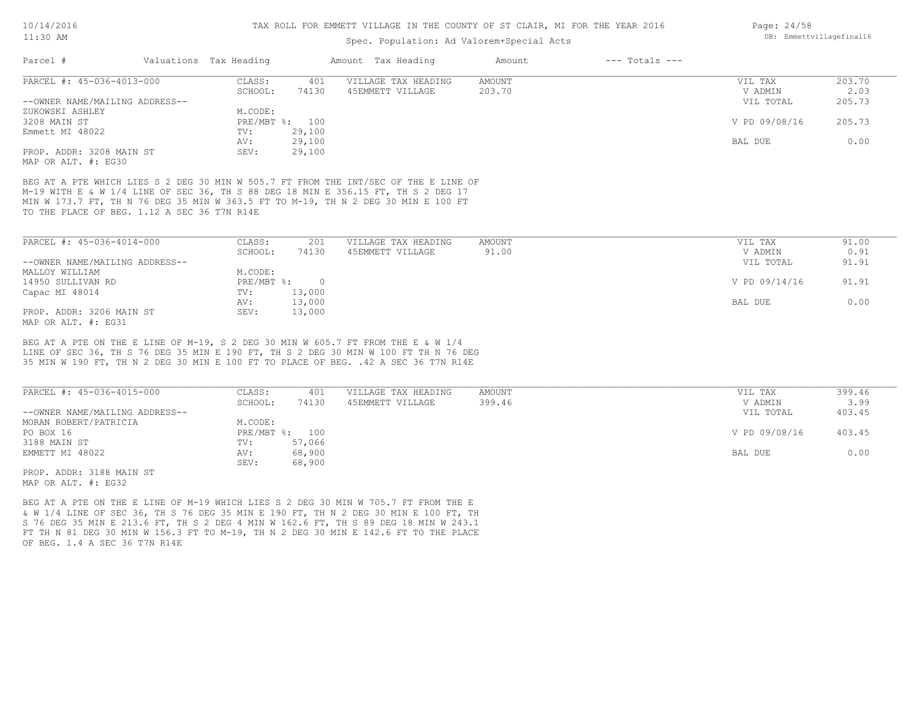### Spec. Population: Ad Valorem+Special Acts

| Parcel #                       | Valuations Tax Heading |        | Amount Tax Heading  | Amount | $---$ Totals $---$ |               |        |
|--------------------------------|------------------------|--------|---------------------|--------|--------------------|---------------|--------|
| PARCEL #: 45-036-4013-000      | CLASS:                 | 401    | VILLAGE TAX HEADING | AMOUNT |                    | VIL TAX       | 203.70 |
|                                | SCHOOL:                | 74130  | 45EMMETT VILLAGE    | 203.70 |                    | V ADMIN       | 2.03   |
| --OWNER NAME/MAILING ADDRESS-- |                        |        |                     |        |                    | VIL TOTAL     | 205.73 |
| ZUKOWSKI ASHLEY                | M.CODE:                |        |                     |        |                    |               |        |
| 3208 MAIN ST                   | PRE/MBT %: 100         |        |                     |        |                    | V PD 09/08/16 | 205.73 |
| Emmett MI 48022                | TV:                    | 29,100 |                     |        |                    |               |        |
|                                | AV:                    | 29,100 |                     |        |                    | BAL DUE       | 0.00   |
| PROP. ADDR: 3208 MAIN ST       | SEV:                   | 29,100 |                     |        |                    |               |        |
| MAP OR ALT. #: EG30            |                        |        |                     |        |                    |               |        |

TO THE PLACE OF BEG. 1.12 A SEC 36 T7N R14E MIN W 173.7 FT, TH N 76 DEG 35 MIN W 363.5 FT TO M-19, TH N 2 DEG 30 MIN E 100 FT M-19 WITH E & W 1/4 LINE OF SEC 36, TH S 88 DEG 18 MIN E 356.15 FT, TH S 2 DEG 17 BEG AT A PTE WHICH LIES S 2 DEG 30 MIN W 505.7 FT FROM THE INT/SEC OF THE E LINE OF

| PARCEL #: 45-036-4014-000      | CLASS:     | 201      | VILLAGE TAX HEADING | AMOUNT | VIL TAX       | 91.00 |
|--------------------------------|------------|----------|---------------------|--------|---------------|-------|
|                                | SCHOOL:    | 74130    | 45EMMETT VILLAGE    | 91.00  | V ADMIN       | 0.91  |
| --OWNER NAME/MAILING ADDRESS-- |            |          |                     |        | VIL TOTAL     | 91.91 |
| MALLOY WILLIAM                 | M.CODE:    |          |                     |        |               |       |
| 14950 SULLIVAN RD              | PRE/MBT %: | $\Omega$ |                     |        | V PD 09/14/16 | 91.91 |
| Capac MI 48014                 | TV:        | 13,000   |                     |        |               |       |
|                                | AV:        | 13,000   |                     |        | BAL DUE       | 0.00  |
| PROP. ADDR: 3206 MAIN ST       | SEV:       | 13,000   |                     |        |               |       |
| MAP OR ALT. #: EG31            |            |          |                     |        |               |       |

35 MIN W 190 FT, TH N 2 DEG 30 MIN E 100 FT TO PLACE OF BEG. .42 A SEC 36 T7N R14E LINE OF SEC 36, TH S 76 DEG 35 MIN E 190 FT, TH S 2 DEG 30 MIN W 100 FT TH N 76 DEG BEG AT A PTE ON THE E LINE OF M-19, S 2 DEG 30 MIN W 605.7 FT FROM THE E & W 1/4

| PARCEL #: 45-036-4015-000      | CLASS:         | 401    | VILLAGE TAX HEADING | AMOUNT | VIL TAX       | 399.46 |
|--------------------------------|----------------|--------|---------------------|--------|---------------|--------|
|                                | SCHOOL:        | 74130  | 45EMMETT VILLAGE    | 399.46 | V ADMIN       | 3.99   |
| --OWNER NAME/MAILING ADDRESS-- |                |        |                     |        | VIL TOTAL     | 403.45 |
| MORAN ROBERT/PATRICIA          | M.CODE:        |        |                     |        |               |        |
| PO BOX 16                      | PRE/MBT %: 100 |        |                     |        | V PD 09/08/16 | 403.45 |
| 3188 MAIN ST                   | TV:            | 57,066 |                     |        |               |        |
| EMMETT MI 48022                | AV:            | 68,900 |                     |        | BAL DUE       | 0.00   |
|                                | SEV:           | 68,900 |                     |        |               |        |
| PROP. ADDR: 3188 MAIN ST       |                |        |                     |        |               |        |

MAP OR ALT. #: EG32

OF BEG. 1.4 A SEC 36 T7N R14E FT TH N 81 DEG 30 MIN W 156.3 FT TO M-19, TH N 2 DEG 30 MIN E 142.6 FT TO THE PLACE S 76 DEG 35 MIN E 213.6 FT, TH S 2 DEG 4 MIN W 162.6 FT, TH S 89 DEG 18 MIN W 243.1 & W 1/4 LINE OF SEC 36, TH S 76 DEG 35 MIN E 190 FT, TH N 2 DEG 30 MIN E 100 FT, TH BEG AT A PTE ON THE E LINE OF M-19 WHICH LIES S 2 DEG 30 MIN W 705.7 FT FROM THE E

Page: 24/58 DB: Emmettvillagefinal16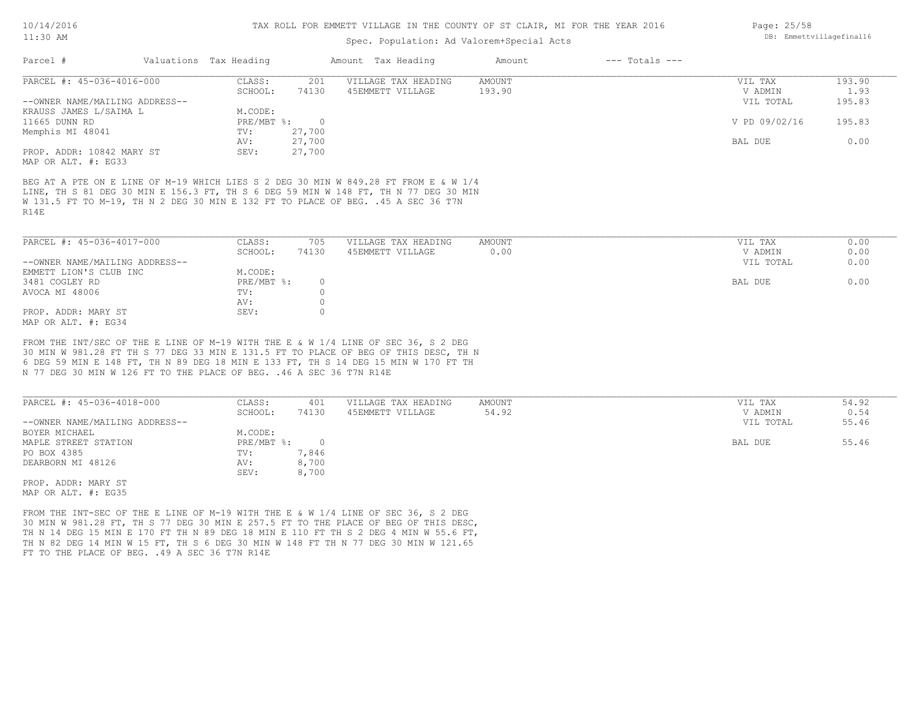### Spec. Population: Ad Valorem+Special Acts

| Parcel #                       | Valuations Tax Heading |        | Amount Tax Heading  | Amount | $---$ Totals $---$ |               |        |
|--------------------------------|------------------------|--------|---------------------|--------|--------------------|---------------|--------|
| PARCEL #: 45-036-4016-000      | CLASS:                 | 201    | VILLAGE TAX HEADING | AMOUNT |                    | VIL TAX       | 193.90 |
|                                | SCHOOL:                | 74130  | 45EMMETT VILLAGE    | 193.90 |                    | V ADMIN       | 1.93   |
| --OWNER NAME/MAILING ADDRESS-- |                        |        |                     |        |                    | VIL TOTAL     | 195.83 |
| KRAUSS JAMES L/SAIMA L         | M.CODE:                |        |                     |        |                    |               |        |
| 11665 DUNN RD                  | $PRE/MBT$ %:           |        |                     |        |                    | V PD 09/02/16 | 195.83 |
| Memphis MI 48041               | TV:                    | 27,700 |                     |        |                    |               |        |
|                                | AV:                    | 27,700 |                     |        |                    | BAL DUE       | 0.00   |
| PROP. ADDR: 10842 MARY ST      | SEV:                   | 27,700 |                     |        |                    |               |        |
| MAP OR ALT. #: EG33            |                        |        |                     |        |                    |               |        |
|                                |                        |        |                     |        |                    |               |        |

R14E W 131.5 FT TO M-19, TH N 2 DEG 30 MIN E 132 FT TO PLACE OF BEG. .45 A SEC 36 T7N LINE, TH S 81 DEG 30 MIN E 156.3 FT, TH S 6 DEG 59 MIN W 148 FT, TH N 77 DEG 30 MIN BEG AT A PTE ON E LINE OF M-19 WHICH LIES S 2 DEG 30 MIN W 849.28 FT FROM E & W 1/4

| PARCEL #: 45-036-4017-000      | CLASS:     | 705   | VILLAGE TAX HEADING | AMOUNT | VIL TAX         | 0.00 |
|--------------------------------|------------|-------|---------------------|--------|-----------------|------|
|                                | SCHOOL:    | 74130 | 45EMMETT VILLAGE    | 0.00   | 0.00<br>V ADMIN |      |
| --OWNER NAME/MAILING ADDRESS-- |            |       |                     |        | VIL TOTAL       | 0.00 |
| EMMETT LION'S CLUB INC         | M.CODE:    |       |                     |        |                 |      |
| 3481 COGLEY RD                 | PRE/MBT %: |       |                     |        | 0.00<br>BAL DUE |      |
| AVOCA MI 48006                 | TV:        |       |                     |        |                 |      |
|                                | AV:        |       |                     |        |                 |      |
| PROP. ADDR: MARY ST            | SEV:       |       |                     |        |                 |      |
| MAP OR ALT. #: EG34            |            |       |                     |        |                 |      |

N 77 DEG 30 MIN W 126 FT TO THE PLACE OF BEG. .46 A SEC 36 T7N R14E 6 DEG 59 MIN E 148 FT, TH N 89 DEG 18 MIN E 133 FT, TH S 14 DEG 15 MIN W 170 FT TH 30 MIN W 981.28 FT TH S 77 DEG 33 MIN E 131.5 FT TO PLACE OF BEG OF THIS DESC, TH N FROM THE INT/SEC OF THE E LINE OF M-19 WITH THE E & W 1/4 LINE OF SEC 36, S 2 DEG

| PARCEL #: 45-036-4018-000      | CLASS:       | 401   | VILLAGE TAX HEADING | AMOUNT | VIL TAX   | 54.92 |
|--------------------------------|--------------|-------|---------------------|--------|-----------|-------|
|                                | SCHOOL:      | 74130 | 45EMMETT VILLAGE    | 54.92  | V ADMIN   | 0.54  |
| --OWNER NAME/MAILING ADDRESS-- |              |       |                     |        | VIL TOTAL | 55.46 |
| BOYER MICHAEL                  | M.CODE:      |       |                     |        |           |       |
| MAPLE STREET STATION           | $PRE/MBT$ %: |       |                     |        | BAL DUE   | 55.46 |
| PO BOX 4385                    | TV:          | 7,846 |                     |        |           |       |
| DEARBORN MI 48126              | AV:          | 8,700 |                     |        |           |       |
|                                | SEV:         | 8,700 |                     |        |           |       |
| PROP. ADDR: MARY ST            |              |       |                     |        |           |       |

MAP OR ALT. #: EG35

FT TO THE PLACE OF BEG. . 49 A SEC 36 T7N R14E TH N 82 DEG 14 MIN W 15 FT, TH S 6 DEG 30 MIN W 148 FT TH N 77 DEG 30 MIN W 121.65 TH N 14 DEG 15 MIN E 170 FT TH N 89 DEG 18 MIN E 110 FT TH S 2 DEG 4 MIN W 55.6 FT, 30 MIN W 981.28 FT, TH S 77 DEG 30 MIN E 257.5 FT TO THE PLACE OF BEG OF THIS DESC, FROM THE INT-SEC OF THE E LINE OF M-19 WITH THE E & W 1/4 LINE OF SEC 36, S 2 DEG

Page: 25/58 DB: Emmettvillagefinal16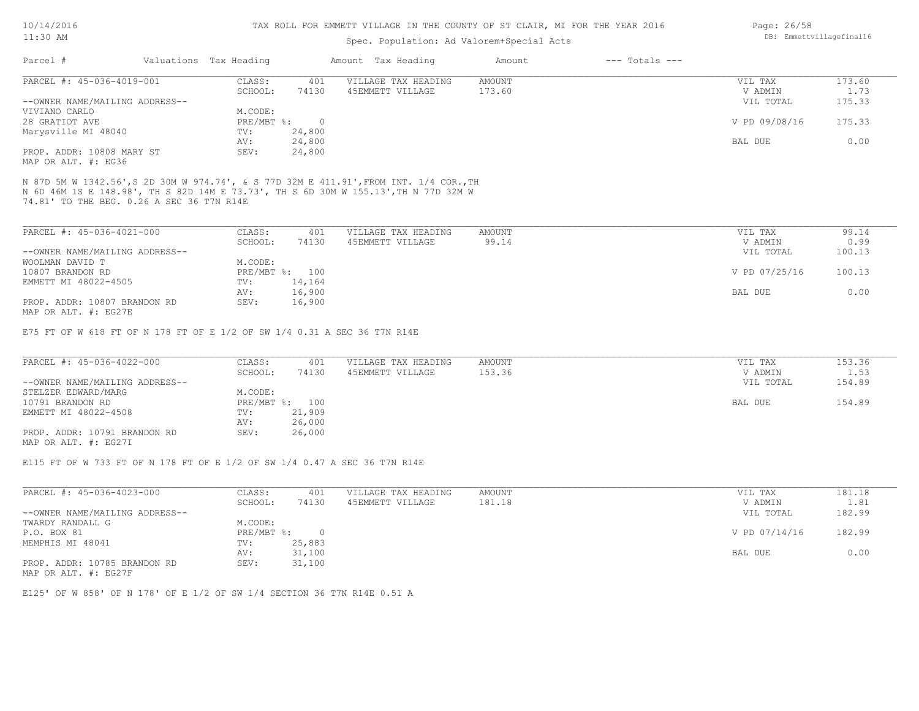#### TAX ROLL FOR EMMETT VILLAGE IN THE COUNTY OF ST CLAIR, MI FOR THE YEAR 2016

# Spec. Population: Ad Valorem+Special Acts

| Parcel #                       | Valuations Tax Heading |        | Amount Tax Heading  | Amount | $---$ Totals $---$ |               |        |
|--------------------------------|------------------------|--------|---------------------|--------|--------------------|---------------|--------|
| PARCEL #: 45-036-4019-001      | CLASS:                 | 401    | VILLAGE TAX HEADING | AMOUNT |                    | VIL TAX       | 173.60 |
|                                | SCHOOL:                | 74130  | 45EMMETT VILLAGE    | 173.60 |                    | V ADMIN       | 1.73   |
| --OWNER NAME/MAILING ADDRESS-- |                        |        |                     |        |                    | VIL TOTAL     | 175.33 |
| VIVIANO CARLO                  | M.CODE:                |        |                     |        |                    |               |        |
| 28 GRATIOT AVE                 | $PRE/MBT$ %:           |        |                     |        |                    | V PD 09/08/16 | 175.33 |
| Marysville MI 48040            | TV:                    | 24,800 |                     |        |                    |               |        |
|                                | AV:                    | 24,800 |                     |        |                    | BAL DUE       | 0.00   |
| PROP. ADDR: 10808 MARY ST      | SEV:                   | 24,800 |                     |        |                    |               |        |
|                                |                        |        |                     |        |                    |               |        |

MAP OR ALT. #: EG36

74.81' TO THE BEG. 0.26 A SEC 36 T7N R14E N 6D 46M 1S E 148.98', TH S 82D 14M E 73.73', TH S 6D 30M W 155.13',TH N 77D 32M W N 87D 5M W 1342.56',S 2D 30M W 974.74', & S 77D 32M E 411.91',FROM INT. 1/4 COR.,TH

| PARCEL #: 45-036-4021-000      | CLASS:  | 401            | VILLAGE TAX HEADING | AMOUNT | VIL TAX       | 99.14  |
|--------------------------------|---------|----------------|---------------------|--------|---------------|--------|
|                                | SCHOOL: | 74130          | 45EMMETT VILLAGE    | 99.14  | V ADMIN       | 0.99   |
| --OWNER NAME/MAILING ADDRESS-- |         |                |                     |        | VIL TOTAL     | 100.13 |
| WOOLMAN DAVID T                | M.CODE: |                |                     |        |               |        |
| 10807 BRANDON RD               |         | PRE/MBT %: 100 |                     |        | V PD 07/25/16 | 100.13 |
| EMMETT MI 48022-4505           | TV:     | 14,164         |                     |        |               |        |
|                                | AV:     | 16,900         |                     |        | BAL DUE       | 0.00   |
| PROP. ADDR: 10807 BRANDON RD   | SEV:    | 16,900         |                     |        |               |        |
| MAP OR ALT. #: EG27E           |         |                |                     |        |               |        |

E75 FT OF W 618 FT OF N 178 FT OF E 1/2 OF SW 1/4 0.31 A SEC 36 T7N R14E

| PARCEL #: 45-036-4022-000      | CLASS:  | 401            | VILLAGE TAX HEADING | AMOUNT | VIL TAX   | 153.36 |
|--------------------------------|---------|----------------|---------------------|--------|-----------|--------|
|                                | SCHOOL: | 74130          | 45EMMETT VILLAGE    | 153.36 | V ADMIN   | 1.53   |
| --OWNER NAME/MAILING ADDRESS-- |         |                |                     |        | VIL TOTAL | 154.89 |
| STELZER EDWARD/MARG            | M.CODE: |                |                     |        |           |        |
| 10791 BRANDON RD               |         | PRE/MBT %: 100 |                     |        | BAL DUE   | 154.89 |
| EMMETT MI 48022-4508           | TV:     | 21,909         |                     |        |           |        |
|                                | AV:     | 26,000         |                     |        |           |        |
| PROP. ADDR: 10791 BRANDON RD   | SEV:    | 26,000         |                     |        |           |        |
| MAP OR ALT. #: EG27I           |         |                |                     |        |           |        |

E115 FT OF W 733 FT OF N 178 FT OF E 1/2 OF SW 1/4 0.47 A SEC 36 T7N R14E

| PARCEL #: 45-036-4023-000      | CLASS:     | 401    | VILLAGE TAX HEADING | AMOUNT | VIL TAX       | 181.18 |
|--------------------------------|------------|--------|---------------------|--------|---------------|--------|
|                                | SCHOOL:    | 74130  | 45EMMETT VILLAGE    | 181.18 | V ADMIN       | 1.81   |
| --OWNER NAME/MAILING ADDRESS-- |            |        |                     |        | VIL TOTAL     | 182.99 |
| TWARDY RANDALL G               | M.CODE:    |        |                     |        |               |        |
| P.O. BOX 81                    | PRE/MBT %: |        |                     |        | V PD 07/14/16 | 182.99 |
| MEMPHIS MI 48041               | TV:        | 25,883 |                     |        |               |        |
|                                | AV:        | 31,100 |                     |        | BAL DUE       | 0.00   |
| PROP. ADDR: 10785 BRANDON RD   | SEV:       | 31,100 |                     |        |               |        |

MAP OR ALT. #: EG27F

E125' OF W 858' OF N 178' OF E 1/2 OF SW 1/4 SECTION 36 T7N R14E 0.51 A

Page: 26/58 DB: Emmettvillagefinal16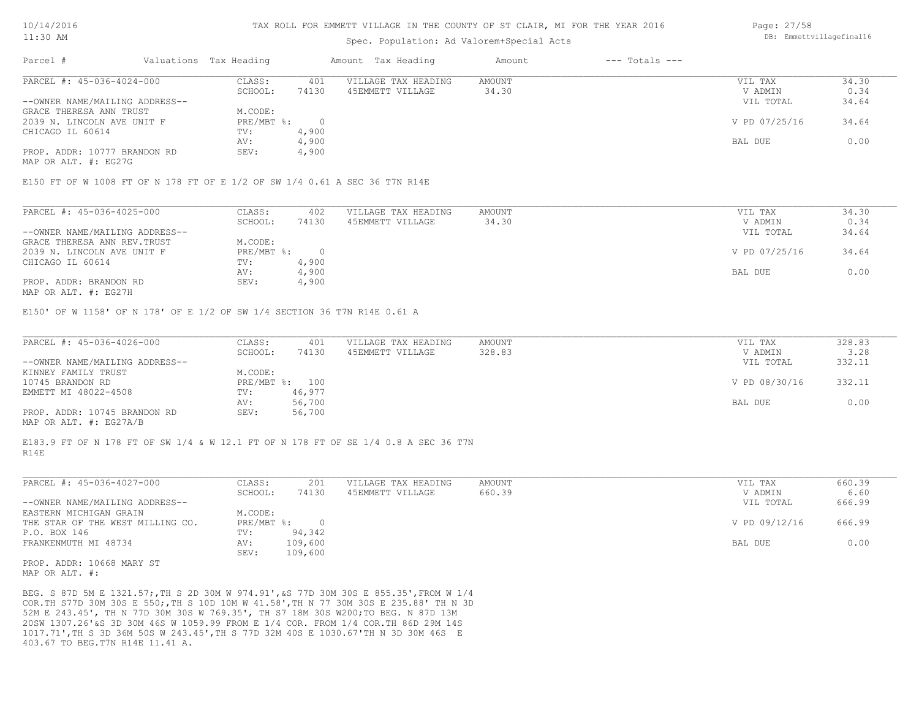### Spec. Population: Ad Valorem+Special Acts

| Parcel #                       | Valuations Tax Heading |       | Amount Tax Heading  | Amount | $---$ Totals $---$ |               |       |
|--------------------------------|------------------------|-------|---------------------|--------|--------------------|---------------|-------|
| PARCEL #: 45-036-4024-000      | CLASS:                 | 401   | VILLAGE TAX HEADING | AMOUNT |                    | VIL TAX       | 34.30 |
|                                | SCHOOL:                | 74130 | 45EMMETT VILLAGE    | 34.30  |                    | V ADMIN       | 0.34  |
| --OWNER NAME/MAILING ADDRESS-- |                        |       |                     |        |                    | VIL TOTAL     | 34.64 |
| GRACE THERESA ANN TRUST        | M.CODE:                |       |                     |        |                    |               |       |
| 2039 N. LINCOLN AVE UNIT F     | $PRE/MBT$ %:           |       |                     |        |                    | V PD 07/25/16 | 34.64 |
| CHICAGO IL 60614               | TV:                    | 4,900 |                     |        |                    |               |       |
|                                | AV:                    | 4,900 |                     |        |                    | BAL DUE       | 0.00  |
| PROP. ADDR: 10777 BRANDON RD   | SEV:                   | 4,900 |                     |        |                    |               |       |

MAP OR ALT. #: EG27G

E150 FT OF W 1008 FT OF N 178 FT OF E 1/2 OF SW 1/4 0.61 A SEC 36 T7N R14E

| PARCEL #: 45-036-4025-000      | CLASS:     | 402   | VILLAGE TAX HEADING | AMOUNT | VIL TAX       | 34.30 |
|--------------------------------|------------|-------|---------------------|--------|---------------|-------|
|                                | SCHOOL:    | 74130 | 45EMMETT VILLAGE    | 34.30  | V ADMIN       | 0.34  |
| --OWNER NAME/MAILING ADDRESS-- |            |       |                     |        | VIL TOTAL     | 34.64 |
| GRACE THERESA ANN REV. TRUST   | M.CODE:    |       |                     |        |               |       |
| 2039 N. LINCOLN AVE UNIT F     | PRE/MBT %: |       |                     |        | V PD 07/25/16 | 34.64 |
| CHICAGO IL 60614               | TV:        | 4,900 |                     |        |               |       |
|                                | AV:        | 4,900 |                     |        | BAL DUE       | 0.00  |
| PROP. ADDR: BRANDON RD         | SEV:       | 4,900 |                     |        |               |       |
|                                |            |       |                     |        |               |       |

MAP OR ALT. #: EG27H

E150' OF W 1158' OF N 178' OF E 1/2 OF SW 1/4 SECTION 36 T7N R14E 0.61 A

| PARCEL #: 45-036-4026-000      | CLASS:  | 401            | VILLAGE TAX HEADING | AMOUNT | VIL TAX       | 328.83 |
|--------------------------------|---------|----------------|---------------------|--------|---------------|--------|
|                                | SCHOOL: | 74130          | 45EMMETT VILLAGE    | 328.83 | V ADMIN       | 3.28   |
| --OWNER NAME/MAILING ADDRESS-- |         |                |                     |        | VIL TOTAL     | 332.11 |
| KINNEY FAMILY TRUST            | M.CODE: |                |                     |        |               |        |
| 10745 BRANDON RD               |         | PRE/MBT %: 100 |                     |        | V PD 08/30/16 | 332.11 |
| EMMETT MI 48022-4508           | TV:     | 46,977         |                     |        |               |        |
|                                | AV:     | 56,700         |                     |        | BAL DUE       | 0.00   |
| PROP. ADDR: 10745 BRANDON RD   | SEV:    | 56,700         |                     |        |               |        |
| MAP OR ALT. #: EG27A/B         |         |                |                     |        |               |        |

R14E E183.9 FT OF N 178 FT OF SW 1/4 & W 12.1 FT OF N 178 FT OF SE 1/4 0.8 A SEC 36 T7N

| PARCEL #: 45-036-4027-000        | CLASS:     | 201     | VILLAGE TAX HEADING | AMOUNT | VIL TAX       | 660.39 |
|----------------------------------|------------|---------|---------------------|--------|---------------|--------|
|                                  | SCHOOL:    | 74130   | 45EMMETT VILLAGE    | 660.39 | V ADMIN       | 6.60   |
| --OWNER NAME/MAILING ADDRESS--   |            |         |                     |        | VIL TOTAL     | 666.99 |
| EASTERN MICHIGAN GRAIN           | M.CODE:    |         |                     |        |               |        |
| THE STAR OF THE WEST MILLING CO. | PRE/MBT %: |         |                     |        | V PD 09/12/16 | 666.99 |
| P.O. BOX 146                     | TV:        | 94,342  |                     |        |               |        |
| FRANKENMUTH MI 48734             | AV:        | 109,600 |                     |        | BAL DUE       | 0.00   |
|                                  | SEV:       | 109,600 |                     |        |               |        |

MAP OR ALT. #: PROP. ADDR: 10668 MARY ST

403.67 TO BEG.T7N R14E 11.41 A. 1017.71',TH S 3D 36M 50S W 243.45',TH S 77D 32M 40S E 1030.67'TH N 3D 30M 46S E 20SW 1307.26'&S 3D 30M 46S W 1059.99 FROM E 1/4 COR. FROM 1/4 COR.TH 86D 29M 14S 52M E 243.45', TH N 77D 30M 30S W 769.35', TH S7 18M 30S W200;TO BEG. N 87D 13M COR.TH S77D 30M 30S E 550;,TH S 10D 10M W 41.58',TH N 77 30M 30S E 235.88' TH N 3D BEG. S 87D 5M E 1321.57;,TH S 2D 30M W 974.91',&S 77D 30M 30S E 855.35',FROM W 1/4 Page: 27/58 DB: Emmettvillagefinal16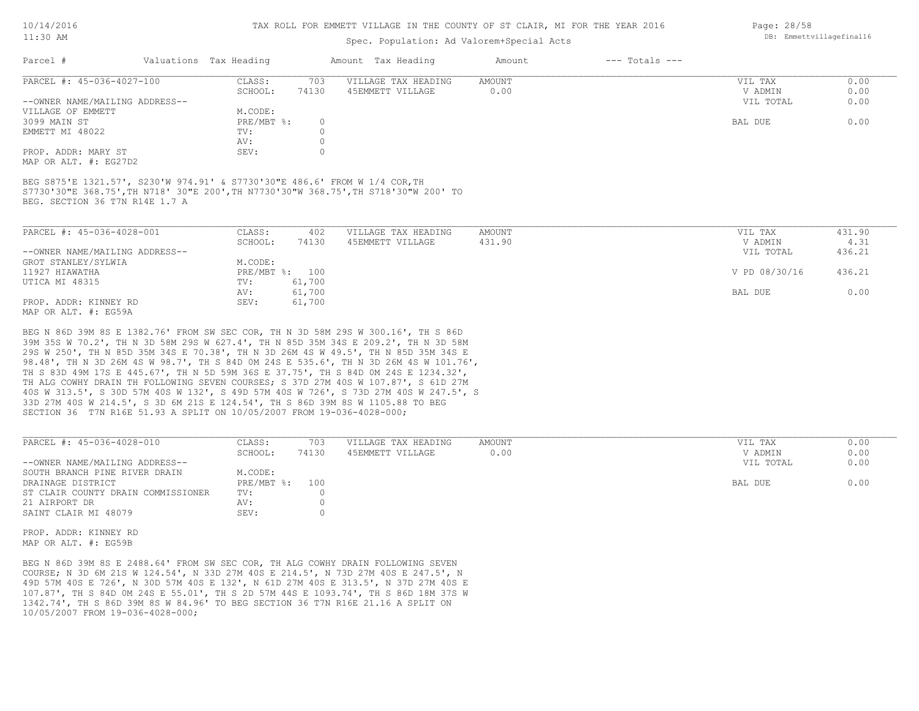#### TAX ROLL FOR EMMETT VILLAGE IN THE COUNTY OF ST CLAIR, MI FOR THE YEAR 2016

# Spec. Population: Ad Valorem+Special Acts

| Parcel #                       | Valuations Tax Heading |       | Amount Tax Heading  | Amount | $---$ Totals $---$ |           |      |
|--------------------------------|------------------------|-------|---------------------|--------|--------------------|-----------|------|
| PARCEL #: 45-036-4027-100      | CLASS:                 | 703   | VILLAGE TAX HEADING | AMOUNT |                    | VIL TAX   | 0.00 |
|                                | SCHOOL:                | 74130 | 45EMMETT VILLAGE    | 0.00   |                    | V ADMIN   | 0.00 |
| --OWNER NAME/MAILING ADDRESS-- |                        |       |                     |        |                    | VIL TOTAL | 0.00 |
| VILLAGE OF EMMETT              | M.CODE:                |       |                     |        |                    |           |      |
| 3099 MAIN ST                   | $PRE/MBT$ %:           |       |                     |        |                    | BAL DUE   | 0.00 |
| EMMETT MI 48022                | TV:                    |       |                     |        |                    |           |      |
|                                | AV:                    |       |                     |        |                    |           |      |
| PROP. ADDR: MARY ST            | SEV:                   |       |                     |        |                    |           |      |
|                                |                        |       |                     |        |                    |           |      |

MAP OR ALT. #: EG27D2

BEG. SECTION 36 T7N R14E 1.7 A S7730'30"E 368.75',TH N718' 30"E 200',TH N7730'30"W 368.75',TH S718'30"W 200' TO BEG S875'E 1321.57', S230'W 974.91' & S7730'30"E 486.6' FROM W 1/4 COR,TH

| PARCEL #: 45-036-4028-001      | CLASS:  | 402            | VILLAGE TAX HEADING | AMOUNT | VIL TAX       | 431.90 |
|--------------------------------|---------|----------------|---------------------|--------|---------------|--------|
|                                | SCHOOL: | 74130          | 45EMMETT VILLAGE    | 431.90 | V ADMIN       | 4.31   |
| --OWNER NAME/MAILING ADDRESS-- |         |                |                     |        | VIL TOTAL     | 436.21 |
| GROT STANLEY/SYLWIA            | M.CODE: |                |                     |        |               |        |
| 11927 HIAWATHA                 |         | PRE/MBT %: 100 |                     |        | V PD 08/30/16 | 436.21 |
| UTICA MI 48315                 | TV:     | 61,700         |                     |        |               |        |
|                                | AV:     | 61,700         |                     |        | BAL DUE       | 0.00   |
| PROP. ADDR: KINNEY RD          | SEV:    | 61,700         |                     |        |               |        |
| MAP OR ALT, #: EG59A           |         |                |                     |        |               |        |

SECTION 36 T7N R16E 51.93 A SPLIT ON 10/05/2007 FROM 19-036-4028-000; 33D 27M 40S W 214.5', S 3D 6M 21S E 124.54', TH S 86D 39M 8S W 1105.88 TO BEG 40S W 313.5', S 30D 57M 40S W 132', S 49D 57M 40S W 726', S 73D 27M 40S W 247.5', S TH ALG COWHY DRAIN TH FOLLOWING SEVEN COURSES; S 37D 27M 40S W 107.87', S 61D 27M TH S 83D 49M 17S E 445.67', TH N 5D 59M 36S E 37.75', TH S 84D 0M 24S E 1234.32', 98.48', TH N 3D 26M 4S W 98.7', TH S 84D 0M 24S E 535.6', TH N 3D 26M 4S W 101.76', 29S W 250', TH N 85D 35M 34S E 70.38', TH N 3D 26M 4S W 49.5', TH N 85D 35M 34S E 39M 35S W 70.2', TH N 3D 58M 29S W 627.4', TH N 85D 35M 34S E 209.2', TH N 3D 58M BEG N 86D 39M 8S E 1382.76' FROM SW SEC COR, TH N 3D 58M 29S W 300.16', TH S 86D

| PARCEL #: 45-036-4028-010          | CLASS:       | 703   | VILLAGE TAX HEADING | AMOUNT | VIL TAX   | 0.00 |
|------------------------------------|--------------|-------|---------------------|--------|-----------|------|
|                                    | SCHOOL:      | 74130 | 45EMMETT VILLAGE    | 0.00   | V ADMIN   | 0.00 |
| --OWNER NAME/MAILING ADDRESS--     |              |       |                     |        | VIL TOTAL | 0.00 |
| SOUTH BRANCH PINE RIVER DRAIN      | M.CODE:      |       |                     |        |           |      |
| DRAINAGE DISTRICT                  | $PRE/MBT$ %: | 100   |                     |        | BAL DUE   | 0.00 |
| ST CLAIR COUNTY DRAIN COMMISSIONER | TV:          |       |                     |        |           |      |
| 21 AIRPORT DR                      | AV:          |       |                     |        |           |      |
| SAINT CLAIR MI 48079               | SEV:         |       |                     |        |           |      |
|                                    |              |       |                     |        |           |      |

 $\mathcal{L}_\mathcal{L} = \mathcal{L}_\mathcal{L} = \mathcal{L}_\mathcal{L} = \mathcal{L}_\mathcal{L} = \mathcal{L}_\mathcal{L} = \mathcal{L}_\mathcal{L} = \mathcal{L}_\mathcal{L} = \mathcal{L}_\mathcal{L} = \mathcal{L}_\mathcal{L} = \mathcal{L}_\mathcal{L} = \mathcal{L}_\mathcal{L} = \mathcal{L}_\mathcal{L} = \mathcal{L}_\mathcal{L} = \mathcal{L}_\mathcal{L} = \mathcal{L}_\mathcal{L} = \mathcal{L}_\mathcal{L} = \mathcal{L}_\mathcal{L}$ 

MAP OR ALT. #: EG59B PROP. ADDR: KINNEY RD

10/05/2007 FROM 19-036-4028-000; 1342.74', TH S 86D 39M 8S W 84.96' TO BEG SECTION 36 T7N R16E 21.16 A SPLIT ON 107.87', TH S 84D 0M 24S E 55.01', TH S 2D 57M 44S E 1093.74', TH S 86D 18M 37S W 49D 57M 40S E 726', N 30D 57M 40S E 132', N 61D 27M 40S E 313.5', N 37D 27M 40S E COURSE; N 3D 6M 21S W 124.54', N 33D 27M 40S E 214.5', N 73D 27M 40S E 247.5', N BEG N 86D 39M 8S E 2488.64' FROM SW SEC COR, TH ALG COWHY DRAIN FOLLOWING SEVEN

Page: 28/58 DB: Emmettvillagefinal16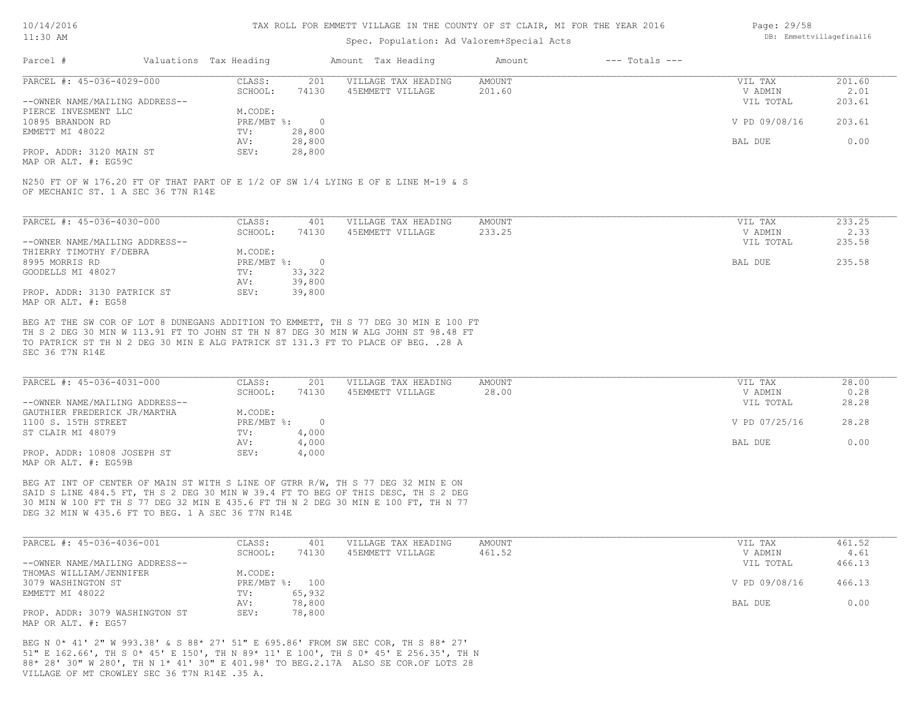#### TAX ROLL FOR EMMETT VILLAGE IN THE COUNTY OF ST CLAIR, MI FOR THE YEAR 2016

### Spec. Population: Ad Valorem+Special Acts

| Page: 29/58 |                          |
|-------------|--------------------------|
|             | DB: Emmettvillagefinal16 |

| Parcel #                       | Valuations Tax Heading |        | Amount Tax Heading  | Amount | $---$ Totals $---$ |               |        |
|--------------------------------|------------------------|--------|---------------------|--------|--------------------|---------------|--------|
| PARCEL #: 45-036-4029-000      | CLASS:                 | 201    | VILLAGE TAX HEADING | AMOUNT |                    | VIL TAX       | 201.60 |
|                                | SCHOOL:                | 74130  | 45EMMETT VILLAGE    | 201.60 |                    | V ADMIN       | 2.01   |
| --OWNER NAME/MAILING ADDRESS-- |                        |        |                     |        |                    | VIL TOTAL     | 203.61 |
| PIERCE INVESMENT LLC           | M.CODE:                |        |                     |        |                    |               |        |
| 10895 BRANDON RD               | PRE/MBT %:             |        |                     |        |                    | V PD 09/08/16 | 203.61 |
| EMMETT MI 48022                | TV:                    | 28,800 |                     |        |                    |               |        |
|                                | AV:                    | 28,800 |                     |        |                    | BAL DUE       | 0.00   |
| PROP. ADDR: 3120 MAIN ST       | SEV:                   | 28,800 |                     |        |                    |               |        |
|                                |                        |        |                     |        |                    |               |        |

MAP OR ALT. #: EG59C

OF MECHANIC ST. 1 A SEC 36 T7N R14E N250 FT OF W 176.20 FT OF THAT PART OF E 1/2 OF SW 1/4 LYING E OF E LINE M-19 & S

| PARCEL #: 45-036-4030-000      | CLASS:     | 401    | VILLAGE TAX HEADING | AMOUNT | VIL TAX   | 233.25 |
|--------------------------------|------------|--------|---------------------|--------|-----------|--------|
|                                | SCHOOL:    | 74130  | 45EMMETT VILLAGE    | 233.25 | V ADMIN   | 2.33   |
| --OWNER NAME/MAILING ADDRESS-- |            |        |                     |        | VIL TOTAL | 235.58 |
| THIERRY TIMOTHY F/DEBRA        | M.CODE:    |        |                     |        |           |        |
| 8995 MORRIS RD                 | PRE/MBT %: |        |                     |        | BAL DUE   | 235.58 |
| GOODELLS MI 48027              | TV:        | 33,322 |                     |        |           |        |
|                                | AV:        | 39,800 |                     |        |           |        |
| PROP. ADDR: 3130 PATRICK ST    | SEV:       | 39,800 |                     |        |           |        |
| MAP OR ALT. #: EG58            |            |        |                     |        |           |        |

SEC 36 T7N R14E TO PATRICK ST TH N 2 DEG 30 MIN E ALG PATRICK ST 131.3 FT TO PLACE OF BEG. .28 A TH S 2 DEG 30 MIN W 113.91 FT TO JOHN ST TH N 87 DEG 30 MIN W ALG JOHN ST 98.48 FT BEG AT THE SW COR OF LOT 8 DUNEGANS ADDITION TO EMMETT, TH S 77 DEG 30 MIN E 100 FT

| PARCEL #: 45-036-4031-000      | CLASS:     | 201   | VILLAGE TAX HEADING | AMOUNT | VIL TAX       | 28.00 |
|--------------------------------|------------|-------|---------------------|--------|---------------|-------|
|                                | SCHOOL:    | 74130 | 45EMMETT VILLAGE    | 28.00  | V ADMIN       | 0.28  |
| --OWNER NAME/MAILING ADDRESS-- |            |       |                     |        | VIL TOTAL     | 28.28 |
| GAUTHIER FREDERICK JR/MARTHA   | M.CODE:    |       |                     |        |               |       |
| 1100 S. 15TH STREET            | PRE/MBT %: |       |                     |        | V PD 07/25/16 | 28.28 |
| ST CLAIR MI 48079              | TV:        | 4,000 |                     |        |               |       |
|                                | AV:        | 4,000 |                     |        | BAL DUE       | 0.00  |
| PROP. ADDR: 10808 JOSEPH ST    | SEV:       | 4,000 |                     |        |               |       |
| MAP OR ALT. #: EG59B           |            |       |                     |        |               |       |

DEG 32 MIN W 435.6 FT TO BEG. 1 A SEC 36 T7N R14E 30 MIN W 100 FT TH S 77 DEG 32 MIN E 435.6 FT TH N 2 DEG 30 MIN E 100 FT, TH N 77 SAID S LINE 484.5 FT, TH S 2 DEG 30 MIN W 39.4 FT TO BEG OF THIS DESC, TH S 2 DEG BEG AT INT OF CENTER OF MAIN ST WITH S LINE OF GTRR R/W, TH S 77 DEG 32 MIN E ON

| PARCEL #: 45-036-4036-001      | CLASS:  | 401            | VILLAGE TAX HEADING | AMOUNT | VIL TAX       | 461.52 |
|--------------------------------|---------|----------------|---------------------|--------|---------------|--------|
|                                | SCHOOL: | 74130          | 45EMMETT VILLAGE    | 461.52 | V ADMIN       | 4.61   |
| --OWNER NAME/MAILING ADDRESS-- |         |                |                     |        | VIL TOTAL     | 466.13 |
| THOMAS WILLIAM/JENNIFER        | M.CODE: |                |                     |        |               |        |
| 3079 WASHINGTON ST             |         | PRE/MBT %: 100 |                     |        | V PD 09/08/16 | 466.13 |
| EMMETT MI 48022                | TV:     | 65,932         |                     |        |               |        |
|                                | AV:     | 78,800         |                     |        | BAL DUE       | 0.00   |
| PROP. ADDR: 3079 WASHINGTON ST | SEV:    | 78,800         |                     |        |               |        |
| MAP OR ALT. #: EG57            |         |                |                     |        |               |        |

VILLAGE OF MT CROWLEY SEC 36 T7N R14E .35 A. 88\* 28' 30" W 280', TH N 1\* 41' 30" E 401.98' TO BEG.2.17A ALSO SE COR.OF LOTS 28 51" E 162.66', TH S 0\* 45' E 150', TH N 89\* 11' E 100', TH S 0\* 45' E 256.35', TH N BEG N 0\* 41' 2" W 993.38' & S 88\* 27' 51" E 695.86' FROM SW SEC COR, TH S 88\* 27'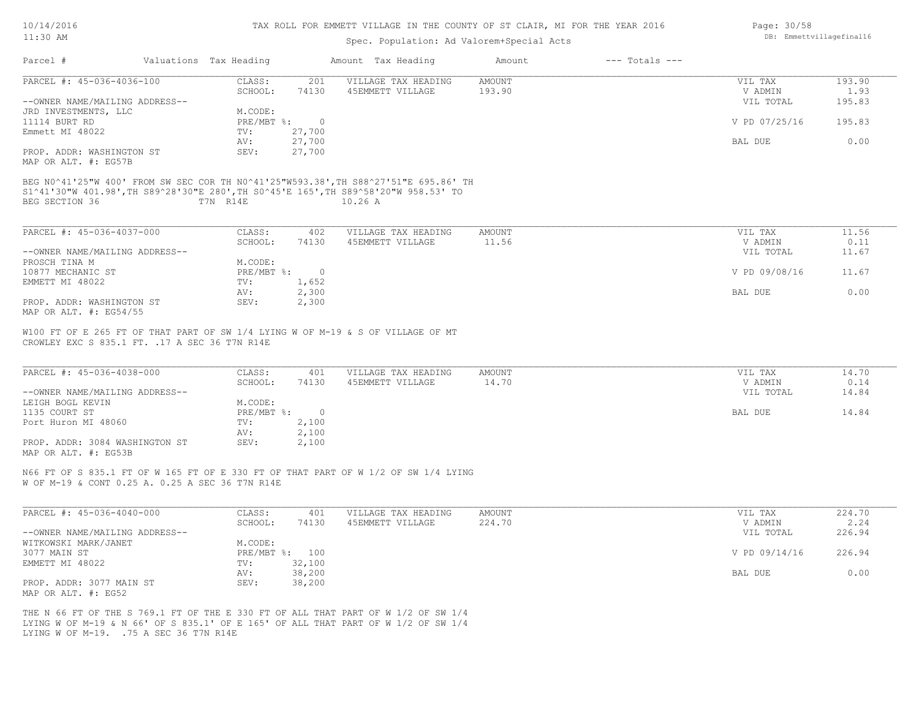| 10/14/2016 |  |
|------------|--|
| 11:30 AM   |  |

### Spec. Population: Ad Valorem+Special Acts

| Page: 30/58 |                          |
|-------------|--------------------------|
|             | DB: Emmettvillagefinal16 |

| Parcel #                                                                                                                                                                   | Valuations Tax Heading |                | Amount Tax Heading  | Amount        | $---$ Totals $---$ |               |        |
|----------------------------------------------------------------------------------------------------------------------------------------------------------------------------|------------------------|----------------|---------------------|---------------|--------------------|---------------|--------|
| PARCEL #: 45-036-4036-100                                                                                                                                                  | CLASS:                 | 201            | VILLAGE TAX HEADING | AMOUNT        |                    | VIL TAX       | 193.90 |
|                                                                                                                                                                            | SCHOOL:                | 74130          | 45EMMETT VILLAGE    | 193.90        |                    | V ADMIN       | 1.93   |
| --OWNER NAME/MAILING ADDRESS--                                                                                                                                             |                        |                |                     |               |                    | VIL TOTAL     | 195.83 |
| JRD INVESTMENTS, LLC                                                                                                                                                       | M.CODE:                |                |                     |               |                    |               |        |
| 11114 BURT RD                                                                                                                                                              |                        | PRE/MBT %: 0   |                     |               |                    | V PD 07/25/16 | 195.83 |
| Emmett MI 48022                                                                                                                                                            | TV:                    | 27,700         |                     |               |                    |               |        |
|                                                                                                                                                                            | AV:                    | 27,700         |                     |               |                    | BAL DUE       | 0.00   |
| PROP. ADDR: WASHINGTON ST                                                                                                                                                  | SEV:                   | 27,700         |                     |               |                    |               |        |
| MAP OR ALT. #: EG57B                                                                                                                                                       |                        |                |                     |               |                    |               |        |
|                                                                                                                                                                            |                        |                |                     |               |                    |               |        |
| BEG N0^41'25"W 400' FROM SW SEC COR TH N0^41'25"W593.38', TH S88^27'51"E 695.86' TH<br>S1^41'30"W 401.98', TH S89^28'30"E 280', TH S0^45'E 165', TH S89^58'20"W 958.53' TO |                        |                |                     |               |                    |               |        |
| BEG SECTION 36                                                                                                                                                             | T7N R14E               |                | 10.26A              |               |                    |               |        |
|                                                                                                                                                                            |                        |                |                     |               |                    |               |        |
|                                                                                                                                                                            |                        |                |                     |               |                    |               |        |
| PARCEL #: 45-036-4037-000                                                                                                                                                  | CLASS:                 | 402            | VILLAGE TAX HEADING | AMOUNT        |                    | VIL TAX       | 11.56  |
|                                                                                                                                                                            | SCHOOL:                | 74130          | 45EMMETT VILLAGE    | 11.56         |                    | V ADMIN       | 0.11   |
| --OWNER NAME/MAILING ADDRESS--                                                                                                                                             |                        |                |                     |               |                    | VIL TOTAL     | 11.67  |
| PROSCH TINA M                                                                                                                                                              | M.CODE:                |                |                     |               |                    |               |        |
| 10877 MECHANIC ST                                                                                                                                                          | PRE/MBT %:             | $\sim$ 0       |                     |               |                    | V PD 09/08/16 | 11.67  |
| EMMETT MI 48022                                                                                                                                                            | TV:                    | 1,652          |                     |               |                    |               |        |
|                                                                                                                                                                            | AV:                    | 2,300          |                     |               |                    | BAL DUE       | 0.00   |
| PROP. ADDR: WASHINGTON ST                                                                                                                                                  | SEV:                   | 2,300          |                     |               |                    |               |        |
| MAP OR ALT. #: EG54/55                                                                                                                                                     |                        |                |                     |               |                    |               |        |
|                                                                                                                                                                            |                        |                |                     |               |                    |               |        |
| W100 FT OF E 265 FT OF THAT PART OF SW 1/4 LYING W OF M-19 & S OF VILLAGE OF MT                                                                                            |                        |                |                     |               |                    |               |        |
| CROWLEY EXC S 835.1 FT. . 17 A SEC 36 T7N R14E                                                                                                                             |                        |                |                     |               |                    |               |        |
|                                                                                                                                                                            |                        |                |                     |               |                    |               |        |
| PARCEL #: 45-036-4038-000                                                                                                                                                  |                        |                |                     |               |                    |               |        |
|                                                                                                                                                                            | CLASS:                 | 401            | VILLAGE TAX HEADING | <b>AMOUNT</b> |                    | VIL TAX       | 14.70  |
|                                                                                                                                                                            | SCHOOL:                | 74130          | 45EMMETT VILLAGE    | 14.70         |                    | V ADMIN       | 0.14   |
| --OWNER NAME/MAILING ADDRESS--                                                                                                                                             |                        |                |                     |               |                    | VIL TOTAL     | 14.84  |
| LEIGH BOGL KEVIN                                                                                                                                                           | M.CODE:                |                |                     |               |                    |               |        |
| 1135 COURT ST                                                                                                                                                              | PRE/MBT %:             | $\overline{0}$ |                     |               |                    | BAL DUE       | 14.84  |
| Port Huron MI 48060                                                                                                                                                        | TV:                    | 2,100          |                     |               |                    |               |        |
|                                                                                                                                                                            | AV:                    | 2,100          |                     |               |                    |               |        |

MAP OR ALT. #: EG53B PROP. ADDR: 3084 WASHINGTON ST SEV: 2,100

W OF M-19 & CONT 0.25 A. 0.25 A SEC 36 T7N R14E N66 FT OF S 835.1 FT OF W 165 FT OF E 330 FT OF THAT PART OF W 1/2 OF SW 1/4 LYING

| PARCEL #: 45-036-4040-000      | CLASS:  | 401            | VILLAGE TAX HEADING | AMOUNT | VIL TAX       | 224.70 |
|--------------------------------|---------|----------------|---------------------|--------|---------------|--------|
|                                | SCHOOL: | 74130          | 45EMMETT VILLAGE    | 224.70 | V ADMIN       | 2.24   |
| --OWNER NAME/MAILING ADDRESS-- |         |                |                     |        | VIL TOTAL     | 226.94 |
| WITKOWSKI MARK/JANET           | M.CODE: |                |                     |        |               |        |
| 3077 MAIN ST                   |         | PRE/MBT %: 100 |                     |        | V PD 09/14/16 | 226.94 |
| EMMETT MI 48022                | TV:     | 32,100         |                     |        |               |        |
|                                | AV:     | 38,200         |                     |        | BAL DUE       | 0.00   |
| PROP. ADDR: 3077 MAIN ST       | SEV:    | 38,200         |                     |        |               |        |
| MAP OR ALT. #: EG52            |         |                |                     |        |               |        |

LYING W OF M-19. .75 A SEC 36 T7N R14E LYING W OF M-19 & N 66' OF S 835.1' OF E 165' OF ALL THAT PART OF W 1/2 OF SW 1/4 THE N 66 FT OF THE S 769.1 FT OF THE E 330 FT OF ALL THAT PART OF W 1/2 OF SW 1/4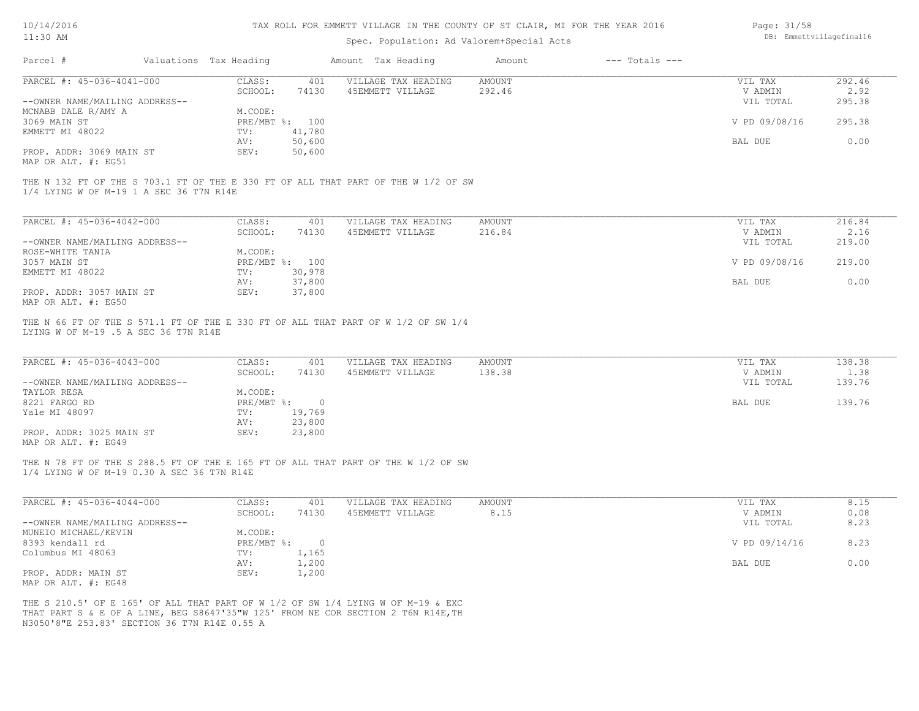| 10/14/2016 |  |
|------------|--|
|------------|--|

| Page: 31/58             |
|-------------------------|
| DB: Emmettvillagefinall |

| $11:30$ AM                                                        |                                                                                    |                | Spec. Population: Ad Valorem+Special Acts | DB: Emmettvillagefinal16 |                    |                    |                |
|-------------------------------------------------------------------|------------------------------------------------------------------------------------|----------------|-------------------------------------------|--------------------------|--------------------|--------------------|----------------|
| Parcel #                                                          | Valuations Tax Heading                                                             |                | Amount Tax Heading                        | Amount                   | $---$ Totals $---$ |                    |                |
| PARCEL #: 45-036-4041-000                                         | CLASS:                                                                             | 401            | VILLAGE TAX HEADING                       | <b>AMOUNT</b>            |                    | VIL TAX            | 292.46         |
|                                                                   | SCHOOL:                                                                            | 74130          | 45EMMETT VILLAGE                          | 292.46                   |                    | V ADMIN            | 2.92           |
| --OWNER NAME/MAILING ADDRESS--                                    |                                                                                    |                |                                           |                          |                    | VIL TOTAL          | 295.38         |
| MCNABB DALE R/AMY A                                               | M.CODE:                                                                            |                |                                           |                          |                    |                    |                |
| 3069 MAIN ST                                                      | PRE/MBT %: 100                                                                     |                |                                           |                          |                    | V PD 09/08/16      | 295.38         |
| EMMETT MI 48022                                                   | TV:                                                                                | 41,780         |                                           |                          |                    |                    |                |
|                                                                   | AV:                                                                                | 50,600         |                                           |                          |                    | BAL DUE            | 0.00           |
| PROP. ADDR: 3069 MAIN ST                                          | SEV:                                                                               | 50,600         |                                           |                          |                    |                    |                |
| MAP OR ALT. #: EG51                                               |                                                                                    |                |                                           |                          |                    |                    |                |
| 1/4 LYING W OF M-19 1 A SEC 36 T7N R14E                           | THE N 132 FT OF THE S 703.1 FT OF THE E 330 FT OF ALL THAT PART OF THE W 1/2 OF SW |                |                                           |                          |                    |                    |                |
| PARCEL #: 45-036-4042-000                                         | CLASS:                                                                             | 401            | VILLAGE TAX HEADING                       | <b>AMOUNT</b>            |                    | VIL TAX            | 216.84         |
|                                                                   | SCHOOL:                                                                            | 74130          | 45EMMETT VILLAGE                          | 216.84                   |                    | V ADMIN            | 2.16           |
| --OWNER NAME/MAILING ADDRESS--                                    |                                                                                    |                |                                           |                          |                    | VIL TOTAL          | 219.00         |
| ROSE-WHITE TANIA                                                  | M.CODE:                                                                            |                |                                           |                          |                    |                    |                |
|                                                                   |                                                                                    |                |                                           |                          |                    |                    |                |
| 3057 MAIN ST                                                      | PRE/MBT %: 100                                                                     |                |                                           |                          |                    | V PD 09/08/16      | 219.00         |
| EMMETT MI 48022                                                   | TV:                                                                                | 30,978         |                                           |                          |                    |                    |                |
|                                                                   | AV:                                                                                | 37,800         |                                           |                          |                    | BAL DUE            | 0.00           |
| PROP. ADDR: 3057 MAIN ST                                          | SEV:                                                                               | 37,800         |                                           |                          |                    |                    |                |
| MAP OR ALT. #: EG50                                               |                                                                                    |                |                                           |                          |                    |                    |                |
| LYING W OF M-19 .5 A SEC 36 T7N R14E<br>PARCEL #: 45-036-4043-000 | CLASS:<br>SCHOOL:                                                                  | 401<br>74130   | VILLAGE TAX HEADING<br>45EMMETT VILLAGE   | AMOUNT<br>138.38         |                    | VIL TAX<br>V ADMIN | 138.38<br>1.38 |
| --OWNER NAME/MAILING ADDRESS--                                    |                                                                                    |                |                                           |                          |                    | VIL TOTAL          | 139.76         |
| TAYLOR RESA                                                       | M.CODE:                                                                            |                |                                           |                          |                    |                    |                |
| 8221 FARGO RD                                                     | $PRE/MBT$ $\div$                                                                   | $\overline{0}$ |                                           |                          |                    | BAL DUE            | 139.76         |
| Yale MI 48097                                                     | TV:                                                                                | 19,769         |                                           |                          |                    |                    |                |
|                                                                   | AV:                                                                                | 23,800         |                                           |                          |                    |                    |                |
| PROP. ADDR: 3025 MAIN ST                                          | SEV:                                                                               | 23,800         |                                           |                          |                    |                    |                |
| MAP OR ALT. #: EG49                                               |                                                                                    |                |                                           |                          |                    |                    |                |
| 1/4 LYING W OF M-19 0.30 A SEC 36 T7N R14E                        | THE N 78 FT OF THE S 288.5 FT OF THE E 165 FT OF ALL THAT PART OF THE W 1/2 OF SW  |                |                                           |                          |                    |                    |                |
| PARCEL #: 45-036-4044-000                                         | CLASS:                                                                             | 401            | VILLAGE TAX HEADING                       | AMOUNT                   |                    | VIL TAX            | 8.15           |
|                                                                   | SCHOOL:                                                                            | 74130          | 45EMMETT VILLAGE                          | 8.15                     |                    | V ADMIN            | 0.08           |
| --OWNER NAME/MAILING ADDRESS--                                    |                                                                                    |                |                                           |                          |                    | VIL TOTAL          | 8.23           |
| MUNEIO MICHAEL/KEVIN                                              | M.CODE:                                                                            |                |                                           |                          |                    |                    |                |
| 8393 kendall rd                                                   | PRE/MBT %:                                                                         | $\circ$        |                                           |                          |                    | V PD 09/14/16      | 8.23           |
| Columbus MI 48063                                                 | TV:                                                                                | 1,165          |                                           |                          |                    |                    |                |
|                                                                   | AV:                                                                                | 1,200          |                                           |                          |                    | BAL DUE            | 0.00           |
| PROP. ADDR: MAIN ST                                               | SEV:                                                                               | 1,200          |                                           |                          |                    |                    |                |
| MAP OR ALT. #: EG48                                               |                                                                                    |                |                                           |                          |                    |                    |                |
|                                                                   |                                                                                    |                |                                           |                          |                    |                    |                |
|                                                                   |                                                                                    |                |                                           |                          |                    |                    |                |
|                                                                   | THE S 210.5' OF E 165' OF ALL THAT PART OF W 1/2 OF SW 1/4 LYING W OF M-19 & EXC   |                |                                           |                          |                    |                    |                |
|                                                                   | THAT PART S & E OF A LINE, BEG S8647'35"W 125' FROM NE COR SECTION 2 T6N R14E, TH  |                |                                           |                          |                    |                    |                |
| N3050'8"E 253.83' SECTION 36 T7N R14E 0.55 A                      |                                                                                    |                |                                           |                          |                    |                    |                |
|                                                                   |                                                                                    |                |                                           |                          |                    |                    |                |
|                                                                   |                                                                                    |                |                                           |                          |                    |                    |                |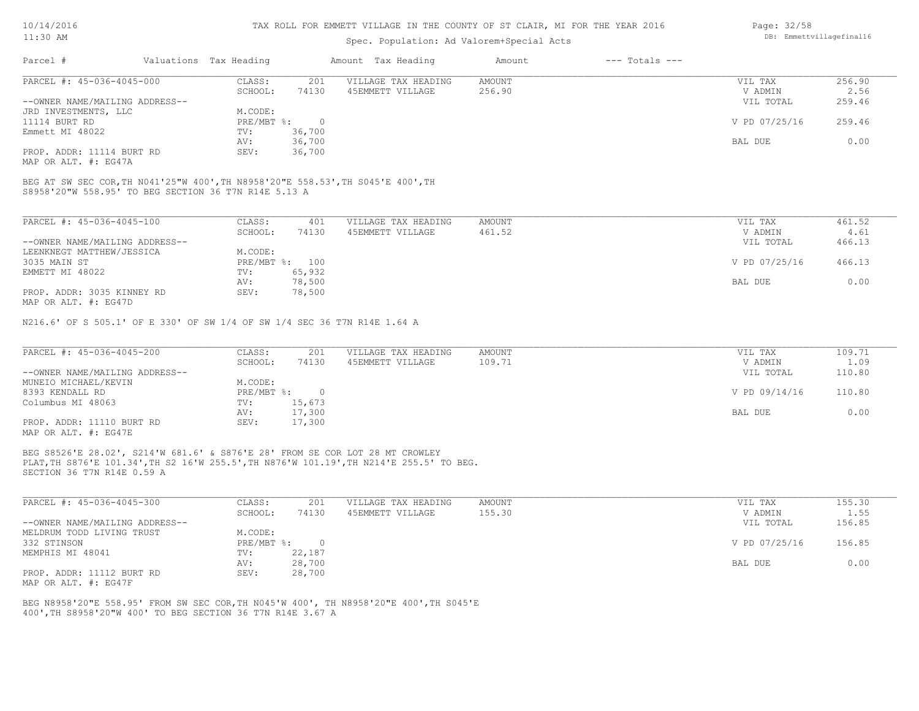#### TAX ROLL FOR EMMETT VILLAGE IN THE COUNTY OF ST CLAIR, MI FOR THE YEAR 2016

### Spec. Population: Ad Valorem+Special Acts

| Parcel #                       | Valuations Tax Heading |        | Amount Tax Heading  | Amount | $---$ Totals $---$ |               |        |
|--------------------------------|------------------------|--------|---------------------|--------|--------------------|---------------|--------|
| PARCEL #: 45-036-4045-000      | CLASS:                 | 201    | VILLAGE TAX HEADING | AMOUNT |                    | VIL TAX       | 256.90 |
|                                | SCHOOL:                | 74130  | 45EMMETT VILLAGE    | 256.90 |                    | V ADMIN       | 2.56   |
| --OWNER NAME/MAILING ADDRESS-- |                        |        |                     |        |                    | VIL TOTAL     | 259.46 |
| JRD INVESTMENTS, LLC           | M.CODE:                |        |                     |        |                    |               |        |
| 11114 BURT RD                  | PRE/MBT %:             |        |                     |        |                    | V PD 07/25/16 | 259.46 |
| Emmett MI 48022                | TV:                    | 36,700 |                     |        |                    |               |        |
|                                | AV:                    | 36,700 |                     |        |                    | BAL DUE       | 0.00   |
| PROP. ADDR: 11114 BURT RD      | SEV:                   | 36,700 |                     |        |                    |               |        |

MAP OR ALT. #: EG47A

S8958'20"W 558.95' TO BEG SECTION 36 T7N R14E 5.13 A BEG AT SW SEC COR,TH N041'25"W 400',TH N8958'20"E 558.53',TH S045'E 400',TH

| PARCEL #: 45-036-4045-100      | CLASS:     | 401    | VILLAGE TAX HEADING | AMOUNT | VIL TAX       | 461.52 |
|--------------------------------|------------|--------|---------------------|--------|---------------|--------|
|                                | SCHOOL:    | 74130  | 45EMMETT VILLAGE    | 461.52 | V ADMIN       | 4.61   |
| --OWNER NAME/MAILING ADDRESS-- |            |        |                     |        | VIL TOTAL     | 466.13 |
| LEENKNEGT MATTHEW/JESSICA      | M.CODE:    |        |                     |        |               |        |
| 3035 MAIN ST                   | PRE/MBT %: | 100    |                     |        | V PD 07/25/16 | 466.13 |
| EMMETT MI 48022                | TV:        | 65,932 |                     |        |               |        |
|                                | AV:        | 78,500 |                     |        | BAL DUE       | 0.00   |
| PROP. ADDR: 3035 KINNEY RD     | SEV:       | 78,500 |                     |        |               |        |
| $\frac{1}{2}$                  |            |        |                     |        |               |        |

MAP OR ALT. #: EG47D

N216.6' OF S 505.1' OF E 330' OF SW 1/4 OF SW 1/4 SEC 36 T7N R14E 1.64 A

| PARCEL #: 45-036-4045-200      | CLASS:     | 201    | VILLAGE TAX HEADING | AMOUNT | VIL TAX       | 109.71 |
|--------------------------------|------------|--------|---------------------|--------|---------------|--------|
|                                | SCHOOL:    | 74130  | 45EMMETT VILLAGE    | 109.71 | V ADMIN       | 1.09   |
| --OWNER NAME/MAILING ADDRESS-- |            |        |                     |        | VIL TOTAL     | 110.80 |
| MUNEIO MICHAEL/KEVIN           | M.CODE:    |        |                     |        |               |        |
| 8393 KENDALL RD                | PRE/MBT %: |        |                     |        | V PD 09/14/16 | 110.80 |
| Columbus MI 48063              | TV:        | 15,673 |                     |        |               |        |
|                                | AV:        | 17,300 |                     |        | BAL DUE       | 0.00   |
| PROP. ADDR: 11110 BURT RD      | SEV:       | 17,300 |                     |        |               |        |
| MAP OR ALT. #: EG47E           |            |        |                     |        |               |        |

SECTION 36 T7N R14E 0.59 A PLAT,TH S876'E 101.34',TH S2 16'W 255.5',TH N876'W 101.19',TH N214'E 255.5' TO BEG. BEG S8526'E 28.02', S214'W 681.6' & S876'E 28' FROM SE COR LOT 28 MT CROWLEY

| PARCEL #: 45-036-4045-300      | CLASS:       | 201    | VILLAGE TAX HEADING | AMOUNT | VIL TAX       | 155.30 |
|--------------------------------|--------------|--------|---------------------|--------|---------------|--------|
|                                | SCHOOL:      | 74130  | 45EMMETT VILLAGE    | 155.30 | V ADMIN       | 1.55   |
| --OWNER NAME/MAILING ADDRESS-- |              |        |                     |        | VIL TOTAL     | 156.85 |
| MELDRUM TODD LIVING TRUST      | M.CODE:      |        |                     |        |               |        |
| 332 STINSON                    | $PRE/MBT$ %: |        |                     |        | V PD 07/25/16 | 156.85 |
| MEMPHIS MI 48041               | TV:          | 22,187 |                     |        |               |        |
|                                | AV:          | 28,700 |                     |        | BAL DUE       | 0.00   |
| PROP. ADDR: 11112 BURT RD      | SEV:         | 28,700 |                     |        |               |        |
| MAP OR ALT. #: EG47F           |              |        |                     |        |               |        |

400',TH S8958'20"W 400' TO BEG SECTION 36 T7N R14E 3.67 A BEG N8958'20"E 558.95' FROM SW SEC COR,TH N045'W 400', TH N8958'20"E 400',TH S045'E Page: 32/58 DB: Emmettvillagefinal16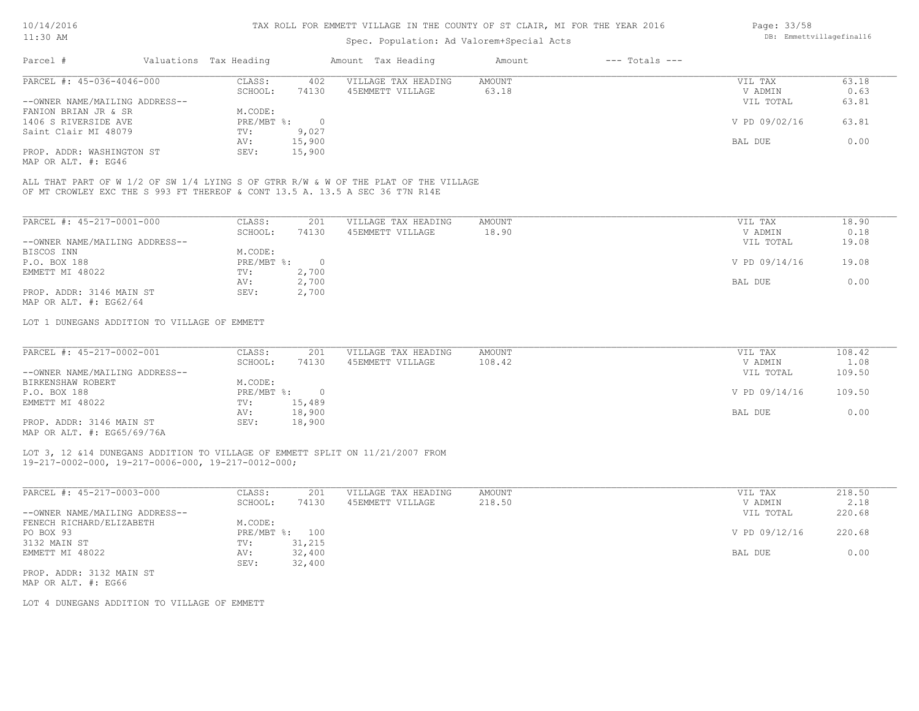### Spec. Population: Ad Valorem+Special Acts

| Parcel #                       | Valuations Tax Heading |        | Amount Tax Heading  | Amount | $---$ Totals $---$ |               |       |
|--------------------------------|------------------------|--------|---------------------|--------|--------------------|---------------|-------|
| PARCEL #: 45-036-4046-000      | CLASS:                 | 402    | VILLAGE TAX HEADING | AMOUNT |                    | VIL TAX       | 63.18 |
|                                | SCHOOL:                | 74130  | 45EMMETT VILLAGE    | 63.18  |                    | V ADMIN       | 0.63  |
| --OWNER NAME/MAILING ADDRESS-- |                        |        |                     |        |                    | VIL TOTAL     | 63.81 |
| FANION BRIAN JR & SR           | M.CODE:                |        |                     |        |                    |               |       |
| 1406 S RIVERSIDE AVE           | PRE/MBT %:             |        |                     |        |                    | V PD 09/02/16 | 63.81 |
| Saint Clair MI 48079           | TV:                    | 9,027  |                     |        |                    |               |       |
|                                | AV:                    | 15,900 |                     |        |                    | BAL DUE       | 0.00  |
| PROP. ADDR: WASHINGTON ST      | SEV:                   | 15,900 |                     |        |                    |               |       |

MAP OR ALT. #: EG46

OF MT CROWLEY EXC THE S 993 FT THEREOF & CONT 13.5 A. 13.5 A SEC 36 T7N R14E ALL THAT PART OF W 1/2 OF SW 1/4 LYING S OF GTRR R/W & W OF THE PLAT OF THE VILLAGE

| PARCEL #: 45-217-0001-000      | CLASS:     | 201    | VILLAGE TAX HEADING | AMOUNT | 18.90<br>VIL TAX       |
|--------------------------------|------------|--------|---------------------|--------|------------------------|
|                                | SCHOOL:    | 74130  | 45EMMETT VILLAGE    | 18.90  | 0.18<br>V ADMIN        |
| --OWNER NAME/MAILING ADDRESS-- |            |        |                     |        | 19.08<br>VIL TOTAL     |
| BISCOS INN                     | M.CODE:    |        |                     |        |                        |
| P.O. BOX 188                   | PRE/MBT %: | $\Box$ |                     |        | V PD 09/14/16<br>19.08 |
| EMMETT MI 48022                | TV:        | 2,700  |                     |        |                        |
|                                | AV:        | 2,700  |                     |        | 0.00<br>BAL DUE        |
| PROP. ADDR: 3146 MAIN ST       | SEV:       | 2,700  |                     |        |                        |
| MAP OR ALT. $\#$ : EG62/64     |            |        |                     |        |                        |

LOT 1 DUNEGANS ADDITION TO VILLAGE OF EMMETT

| PARCEL #: 45-217-0002-001      | CLASS:     | 201    | VILLAGE TAX HEADING | AMOUNT | VIL TAX       | 108.42 |
|--------------------------------|------------|--------|---------------------|--------|---------------|--------|
|                                | SCHOOL:    | 74130  | 45EMMETT VILLAGE    | 108.42 | V ADMIN       | 1.08   |
| --OWNER NAME/MAILING ADDRESS-- |            |        |                     |        | VIL TOTAL     | 109.50 |
| BIRKENSHAW ROBERT              | M.CODE:    |        |                     |        |               |        |
| P.O. BOX 188                   | PRE/MBT %: |        |                     |        | V PD 09/14/16 | 109.50 |
| EMMETT MI 48022                | TV:        | 15,489 |                     |        |               |        |
|                                | AV:        | 18,900 |                     |        | BAL DUE       | 0.00   |
| PROP. ADDR: 3146 MAIN ST       | SEV:       | 18,900 |                     |        |               |        |
| $\frac{1}{2}$                  |            |        |                     |        |               |        |

MAP OR ALT. #: EG65/69/76A

#### 19-217-0002-000, 19-217-0006-000, 19-217-0012-000; LOT 3, 12 &14 DUNEGANS ADDITION TO VILLAGE OF EMMETT SPLIT ON 11/21/2007 FROM

| PARCEL #: 45-217-0003-000      | CLASS:     | 201    | VILLAGE TAX HEADING | AMOUNT | VIL TAX       | 218.50 |
|--------------------------------|------------|--------|---------------------|--------|---------------|--------|
|                                | SCHOOL:    | 74130  | 45EMMETT VILLAGE    | 218.50 | V ADMIN       | 2.18   |
| --OWNER NAME/MAILING ADDRESS-- |            |        |                     |        | VIL TOTAL     | 220.68 |
| FENECH RICHARD/ELIZABETH       | M.CODE:    |        |                     |        |               |        |
| PO BOX 93                      | PRE/MBT %: | 100    |                     |        | V PD 09/12/16 | 220.68 |
| 3132 MAIN ST                   | TV:        | 31,215 |                     |        |               |        |
| EMMETT MI 48022                | AV:        | 32,400 |                     |        | BAL DUE       | 0.00   |
|                                | SEV:       | 32,400 |                     |        |               |        |
| PROP. ADDR: 3132 MAIN ST       |            |        |                     |        |               |        |

MAP OR ALT. #: EG66

LOT 4 DUNEGANS ADDITION TO VILLAGE OF EMMETT

Page: 33/58 DB: Emmettvillagefinal16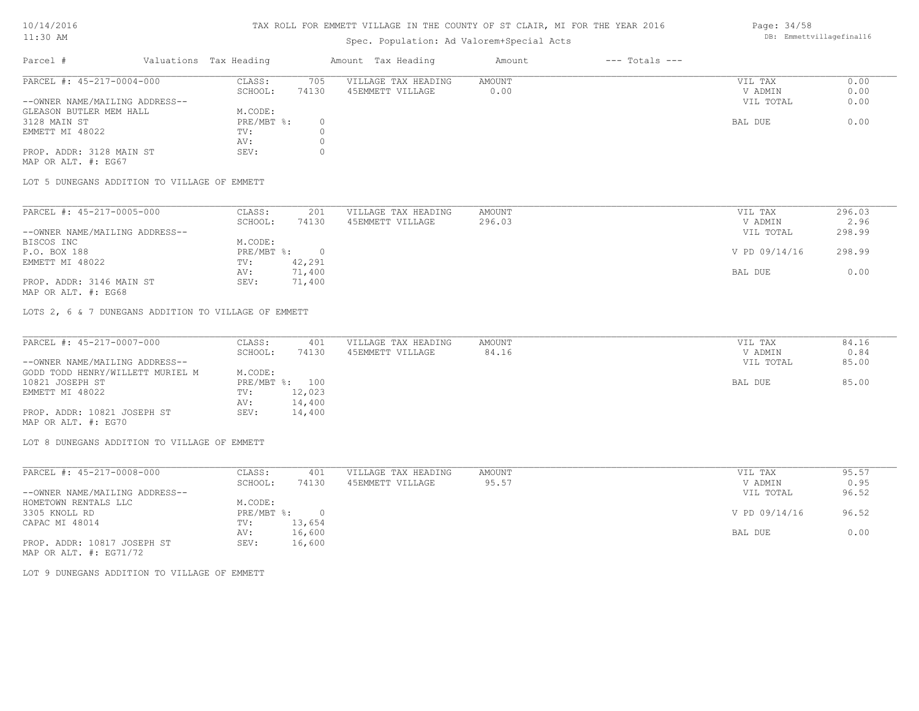### TAX ROLL FOR EMMETT VILLAGE IN THE COUNTY OF ST CLAIR, MI FOR THE YEAR 2016

# Spec. Population: Ad Valorem+Special Acts

|                                |         |                        |                     | Amount             | $---$ Totals $---$ |           |      |
|--------------------------------|---------|------------------------|---------------------|--------------------|--------------------|-----------|------|
| PARCEL #: 45-217-0004-000      | CLASS:  | 705                    | VILLAGE TAX HEADING | AMOUNT             |                    | VIL TAX   | 0.00 |
|                                | SCHOOL: | 74130                  | 45EMMETT VILLAGE    | 0.00               |                    | V ADMIN   | 0.00 |
| --OWNER NAME/MAILING ADDRESS-- |         |                        |                     |                    |                    | VIL TOTAL | 0.00 |
| GLEASON BUTLER MEM HALL        | M.CODE: |                        |                     |                    |                    |           |      |
|                                |         |                        |                     |                    |                    | BAL DUE   | 0.00 |
|                                | TV:     |                        |                     |                    |                    |           |      |
|                                | AV:     |                        |                     |                    |                    |           |      |
| PROP. ADDR: 3128 MAIN ST       | SEV:    |                        |                     |                    |                    |           |      |
|                                |         | Valuations Tax Heading | $PRE/MBT$ %:        | Amount Tax Heading |                    |           |      |

MAP OR ALT. #: EG67

LOT 5 DUNEGANS ADDITION TO VILLAGE OF EMMETT

| PARCEL #: 45-217-0005-000      | CLASS:     | 201    | VILLAGE TAX HEADING | AMOUNT | VIL TAX       | 296.03 |
|--------------------------------|------------|--------|---------------------|--------|---------------|--------|
|                                | SCHOOL:    | 74130  | 45EMMETT VILLAGE    | 296.03 | V ADMIN       | 2.96   |
| --OWNER NAME/MAILING ADDRESS-- |            |        |                     |        | VIL TOTAL     | 298.99 |
| BISCOS INC                     | M.CODE:    |        |                     |        |               |        |
| P.O. BOX 188                   | PRE/MBT %: |        |                     |        | V PD 09/14/16 | 298.99 |
| EMMETT MI 48022                | TV:        | 42,291 |                     |        |               |        |
|                                | AV:        | 71,400 |                     |        | BAL DUE       | 0.00   |
| PROP. ADDR: 3146 MAIN ST       | SEV:       | 71,400 |                     |        |               |        |

MAP OR ALT. #: EG68

LOTS 2, 6 & 7 DUNEGANS ADDITION TO VILLAGE OF EMMETT

| PARCEL #: 45-217-0007-000        | CLASS:  | 401            | VILLAGE TAX HEADING | AMOUNT | VIL TAX   | 84.16 |
|----------------------------------|---------|----------------|---------------------|--------|-----------|-------|
|                                  | SCHOOL: | 74130          | 45EMMETT VILLAGE    | 84.16  | V ADMIN   | 0.84  |
| --OWNER NAME/MAILING ADDRESS--   |         |                |                     |        | VIL TOTAL | 85.00 |
| GODD TODD HENRY/WILLETT MURIEL M | M.CODE: |                |                     |        |           |       |
| 10821 JOSEPH ST                  |         | PRE/MBT %: 100 |                     |        | BAL DUE   | 85.00 |
| EMMETT MI 48022                  | TV:     | 12,023         |                     |        |           |       |
|                                  | AV:     | 14,400         |                     |        |           |       |
| PROP. ADDR: 10821 JOSEPH ST      | SEV:    | 14,400         |                     |        |           |       |
| MAP OR ALT. #: EG70              |         |                |                     |        |           |       |

LOT 8 DUNEGANS ADDITION TO VILLAGE OF EMMETT

| PARCEL #: 45-217-0008-000                                                                                                                                                                                                                                                                                                                    | CLASS:     | 401    | VILLAGE TAX HEADING | AMOUNT | VIL TAX       | 95.57 |
|----------------------------------------------------------------------------------------------------------------------------------------------------------------------------------------------------------------------------------------------------------------------------------------------------------------------------------------------|------------|--------|---------------------|--------|---------------|-------|
|                                                                                                                                                                                                                                                                                                                                              | SCHOOL:    | 74130  | 45EMMETT VILLAGE    | 95.57  | V ADMIN       | 0.95  |
| --OWNER NAME/MAILING ADDRESS--                                                                                                                                                                                                                                                                                                               |            |        |                     |        | VIL TOTAL     | 96.52 |
| HOMETOWN RENTALS LLC                                                                                                                                                                                                                                                                                                                         | M.CODE:    |        |                     |        |               |       |
| 3305 KNOLL RD                                                                                                                                                                                                                                                                                                                                | PRE/MBT %: | $\cap$ |                     |        | V PD 09/14/16 | 96.52 |
| CAPAC MI 48014                                                                                                                                                                                                                                                                                                                               | TV:        | 13,654 |                     |        |               |       |
|                                                                                                                                                                                                                                                                                                                                              | AV:        | 16,600 |                     |        | BAL DUE       | 0.00  |
| PROP. ADDR: 10817 JOSEPH ST                                                                                                                                                                                                                                                                                                                  | SEV:       | 16,600 |                     |        |               |       |
| $\cdots$ $\cdots$ $\cdots$ $\cdots$ $\cdots$ $\cdots$ $\cdots$ $\cdots$ $\cdots$ $\cdots$ $\cdots$ $\cdots$ $\cdots$ $\cdots$ $\cdots$ $\cdots$ $\cdots$ $\cdots$ $\cdots$ $\cdots$ $\cdots$ $\cdots$ $\cdots$ $\cdots$ $\cdots$ $\cdots$ $\cdots$ $\cdots$ $\cdots$ $\cdots$ $\cdots$ $\cdots$ $\cdots$ $\cdots$ $\cdots$ $\cdots$ $\cdots$ |            |        |                     |        |               |       |

MAP OR ALT. #: EG71/72

LOT 9 DUNEGANS ADDITION TO VILLAGE OF EMMETT

Page: 34/58 DB: Emmettvillagefinal16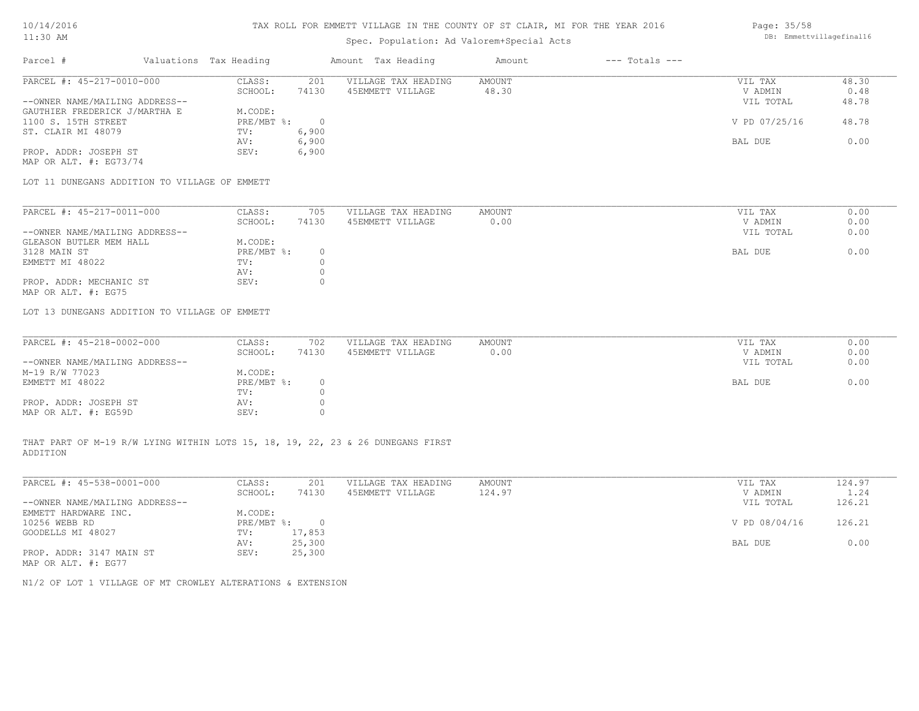## Spec. Population: Ad Valorem+Special Acts

#### Page: 35/58 DB: Emmettvillagefinal16

| Parcel #                       | Valuations Tax Heading |       | Amount Tax Heading  | Amount | $---$ Totals $---$ |               |       |
|--------------------------------|------------------------|-------|---------------------|--------|--------------------|---------------|-------|
| PARCEL #: 45-217-0010-000      | CLASS:                 | 201   | VILLAGE TAX HEADING | AMOUNT |                    | VIL TAX       | 48.30 |
|                                | SCHOOL:                | 74130 | 45EMMETT VILLAGE    | 48.30  |                    | V ADMIN       | 0.48  |
| --OWNER NAME/MAILING ADDRESS-- |                        |       |                     |        |                    | VIL TOTAL     | 48.78 |
| GAUTHIER FREDERICK J/MARTHA E  | M.CODE:                |       |                     |        |                    |               |       |
| 1100 S. 15TH STREET            | $PRE/MBT$ %:           |       |                     |        |                    | V PD 07/25/16 | 48.78 |
| ST. CLAIR MI 48079             | TV:                    | 6,900 |                     |        |                    |               |       |
|                                | AV:                    | 6,900 |                     |        |                    | BAL DUE       | 0.00  |
| PROP. ADDR: JOSEPH ST          | SEV:                   | 6,900 |                     |        |                    |               |       |
| MAP OR ALT. $\#$ : EG73/74     |                        |       |                     |        |                    |               |       |

LOT 11 DUNEGANS ADDITION TO VILLAGE OF EMMETT

| PARCEL #: 45-217-0011-000      | CLASS:     | 705   | VILLAGE TAX HEADING | AMOUNT | VIL TAX   | 0.00 |
|--------------------------------|------------|-------|---------------------|--------|-----------|------|
|                                | SCHOOL:    | 74130 | 45EMMETT VILLAGE    | 0.00   | V ADMIN   | 0.00 |
| --OWNER NAME/MAILING ADDRESS-- |            |       |                     |        | VIL TOTAL | 0.00 |
| GLEASON BUTLER MEM HALL        | M.CODE:    |       |                     |        |           |      |
| 3128 MAIN ST                   | PRE/MBT %: |       |                     |        | BAL DUE   | 0.00 |
| EMMETT MI 48022                | TV:        |       |                     |        |           |      |
|                                | AV:        |       |                     |        |           |      |
| PROP. ADDR: MECHANIC ST        | SEV:       |       |                     |        |           |      |
| MAP OR ALT. #: EG75            |            |       |                     |        |           |      |

LOT 13 DUNEGANS ADDITION TO VILLAGE OF EMMETT

| PARCEL #: 45-218-0002-000      | CLASS:       | 702   | VILLAGE TAX HEADING | AMOUNT | VIL TAX   | 0.00 |
|--------------------------------|--------------|-------|---------------------|--------|-----------|------|
|                                | SCHOOL:      | 74130 | 45EMMETT VILLAGE    | 0.00   | V ADMIN   | 0.00 |
| --OWNER NAME/MAILING ADDRESS-- |              |       |                     |        | VIL TOTAL | 0.00 |
| M-19 R/W 77023                 | M.CODE:      |       |                     |        |           |      |
| EMMETT MI 48022                | $PRE/MBT$ %: |       |                     |        | BAL DUE   | 0.00 |
|                                | TV:          |       |                     |        |           |      |
| PROP. ADDR: JOSEPH ST          | AV:          |       |                     |        |           |      |
| MAP OR ALT. #: EG59D           | SEV:         |       |                     |        |           |      |

ADDITION THAT PART OF M-19 R/W LYING WITHIN LOTS 15, 18, 19, 22, 23 & 26 DUNEGANS FIRST

| PARCEL #: 45-538-0001-000      | CLASS:     | 201    | VILLAGE TAX HEADING | AMOUNT | VIL TAX       | 124.97 |
|--------------------------------|------------|--------|---------------------|--------|---------------|--------|
|                                | SCHOOL:    | 74130  | 45EMMETT VILLAGE    | 124.97 | V ADMIN       | 1.24   |
| --OWNER NAME/MAILING ADDRESS-- |            |        |                     |        | VIL TOTAL     | 126.21 |
| EMMETT HARDWARE INC.           | M.CODE:    |        |                     |        |               |        |
| 10256 WEBB RD                  | PRE/MBT %: |        |                     |        | V PD 08/04/16 | 126.21 |
| GOODELLS MI 48027              | TV:        | 17,853 |                     |        |               |        |
|                                | AV:        | 25,300 |                     |        | BAL DUE       | 0.00   |
| PROP. ADDR: 3147 MAIN ST       | SEV:       | 25,300 |                     |        |               |        |
| MAP OR ALT. #: EG77            |            |        |                     |        |               |        |

N1/2 OF LOT 1 VILLAGE OF MT CROWLEY ALTERATIONS & EXTENSION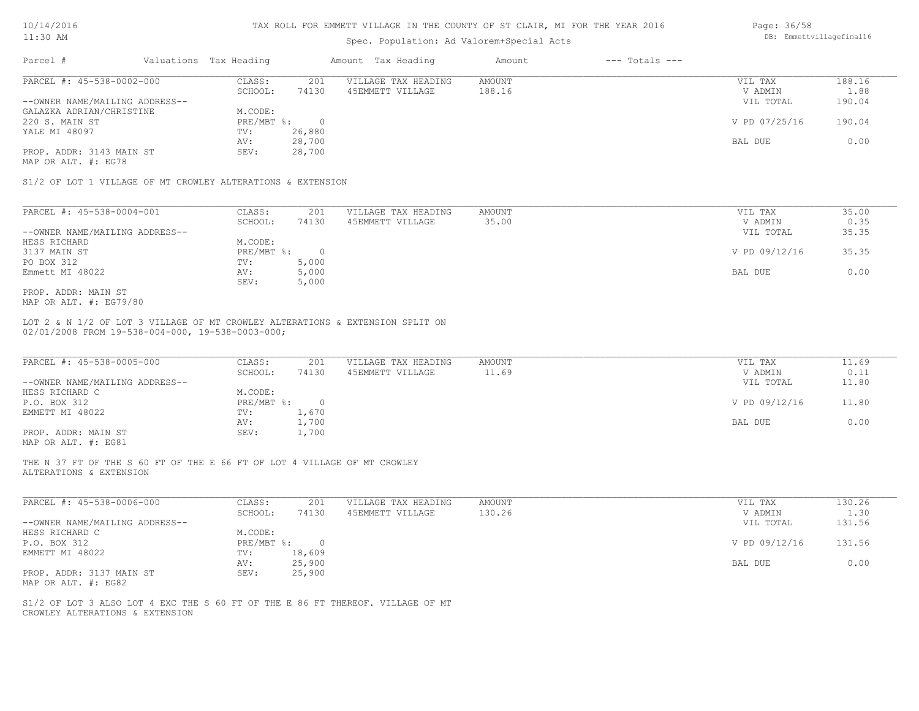| 10/14/2016 |  |
|------------|--|
| :30        |  |

### Spec. Population: Ad Valorem+Special Acts

| 10/14/2016<br>$11:30$ AM |                        | TAX ROLL FOR EMMETT VILLAGE IN THE COUNTY OF ST CLAIR, MI FOR THE YEAR 2016 |        |                | Page: 36/58<br>DB: Emmettvillagefinal16 |
|--------------------------|------------------------|-----------------------------------------------------------------------------|--------|----------------|-----------------------------------------|
|                          |                        | Spec. Population: Ad Valorem+Special Acts                                   |        |                |                                         |
| Parcel                   | Valuations Tax Heading | Amount Tax Heading                                                          | Amount | --- Totals --- |                                         |

| PARCEL #: 45-538-0002-000      | CLASS:       | 201    | VILLAGE TAX HEADING | AMOUNT | VIL TAX       | 188.16 |
|--------------------------------|--------------|--------|---------------------|--------|---------------|--------|
|                                | SCHOOL:      | 74130  | 45EMMETT VILLAGE    | 188.16 | V ADMIN       | 1.88   |
| --OWNER NAME/MAILING ADDRESS-- |              |        |                     |        | VIL TOTAL     | 190.04 |
| GALAZKA ADRIAN/CHRISTINE       | M.CODE:      |        |                     |        |               |        |
| 220 S. MAIN ST                 | $PRE/MBT$ %: |        |                     |        | V PD 07/25/16 | 190.04 |
| YALE MI 48097                  | TV:          | 26,880 |                     |        |               |        |
|                                | AV:          | 28,700 |                     |        | BAL DUE       | 0.00   |
| PROP. ADDR: 3143 MAIN ST       | SEV:         | 28,700 |                     |        |               |        |
| MAP OR ALT. #: EG78            |              |        |                     |        |               |        |

S1/2 OF LOT 1 VILLAGE OF MT CROWLEY ALTERATIONS & EXTENSION

| PARCEL #: 45-538-0004-001      | CLASS:     | 201   | VILLAGE TAX HEADING | AMOUNT | VIL TAX       | 35.00 |
|--------------------------------|------------|-------|---------------------|--------|---------------|-------|
|                                | SCHOOL:    | 74130 | 45EMMETT VILLAGE    | 35.00  | V ADMIN       | 0.35  |
| --OWNER NAME/MAILING ADDRESS-- |            |       |                     |        | VIL TOTAL     | 35.35 |
| HESS RICHARD                   | M.CODE:    |       |                     |        |               |       |
| 3137 MAIN ST                   | PRE/MBT %: |       |                     |        | V PD 09/12/16 | 35.35 |
| PO BOX 312                     | TV:        | 5,000 |                     |        |               |       |
| Emmett MI 48022                | AV:        | 5,000 |                     |        | BAL DUE       | 0.00  |
|                                | SEV:       | 5,000 |                     |        |               |       |
| PROP. ADDR: MAIN ST            |            |       |                     |        |               |       |

MAP OR ALT. #: EG79/80

02/01/2008 FROM 19-538-004-000, 19-538-0003-000; LOT 2 & N 1/2 OF LOT 3 VILLAGE OF MT CROWLEY ALTERATIONS & EXTENSION SPLIT ON

| PARCEL #: 45-538-0005-000      | CLASS:       | 201   | VILLAGE TAX HEADING | AMOUNT | VIL TAX       | 11.69 |
|--------------------------------|--------------|-------|---------------------|--------|---------------|-------|
|                                | SCHOOL:      | 74130 | 45EMMETT VILLAGE    | 11.69  | V ADMIN       | 0.11  |
| --OWNER NAME/MAILING ADDRESS-- |              |       |                     |        | VIL TOTAL     | 11.80 |
| HESS RICHARD C                 | M.CODE:      |       |                     |        |               |       |
| P.O. BOX 312                   | $PRE/MBT$ %: |       |                     |        | V PD 09/12/16 | 11.80 |
| EMMETT MI 48022                | TV:          | 1,670 |                     |        |               |       |
|                                | AV:          | 1,700 |                     |        | BAL DUE       | 0.00  |
| PROP. ADDR: MAIN ST            | SEV:         | 1,700 |                     |        |               |       |
|                                |              |       |                     |        |               |       |

MAP OR ALT. #: EG81

ALTERATIONS & EXTENSION THE N 37 FT OF THE S 60 FT OF THE E 66 FT OF LOT 4 VILLAGE OF MT CROWLEY

| PARCEL #: 45-538-0006-000      | CLASS:     | 201      | VILLAGE TAX HEADING | AMOUNT | VIL TAX       | 130.26 |
|--------------------------------|------------|----------|---------------------|--------|---------------|--------|
|                                | SCHOOL:    | 74130    | 45EMMETT VILLAGE    | 130.26 | V ADMIN       | 1.30   |
| --OWNER NAME/MAILING ADDRESS-- |            |          |                     |        | VIL TOTAL     | 131.56 |
| HESS RICHARD C                 | M.CODE:    |          |                     |        |               |        |
| P.O. BOX 312                   | PRE/MBT %: | $\Omega$ |                     |        | V PD 09/12/16 | 131.56 |
| EMMETT MI 48022                | TV:        | 18,609   |                     |        |               |        |
|                                | AV:        | 25,900   |                     |        | BAL DUE       | 0.00   |
| PROP. ADDR: 3137 MAIN ST       | SEV:       | 25,900   |                     |        |               |        |
| MAP OR ALT. #: EG82            |            |          |                     |        |               |        |

 $\mathcal{L}_\mathcal{L} = \mathcal{L}_\mathcal{L} = \mathcal{L}_\mathcal{L} = \mathcal{L}_\mathcal{L} = \mathcal{L}_\mathcal{L} = \mathcal{L}_\mathcal{L} = \mathcal{L}_\mathcal{L} = \mathcal{L}_\mathcal{L} = \mathcal{L}_\mathcal{L} = \mathcal{L}_\mathcal{L} = \mathcal{L}_\mathcal{L} = \mathcal{L}_\mathcal{L} = \mathcal{L}_\mathcal{L} = \mathcal{L}_\mathcal{L} = \mathcal{L}_\mathcal{L} = \mathcal{L}_\mathcal{L} = \mathcal{L}_\mathcal{L}$ 

CROWLEY ALTERATIONS & EXTENSION S1/2 OF LOT 3 ALSO LOT 4 EXC THE S 60 FT OF THE E 86 FT THEREOF. VILLAGE OF MT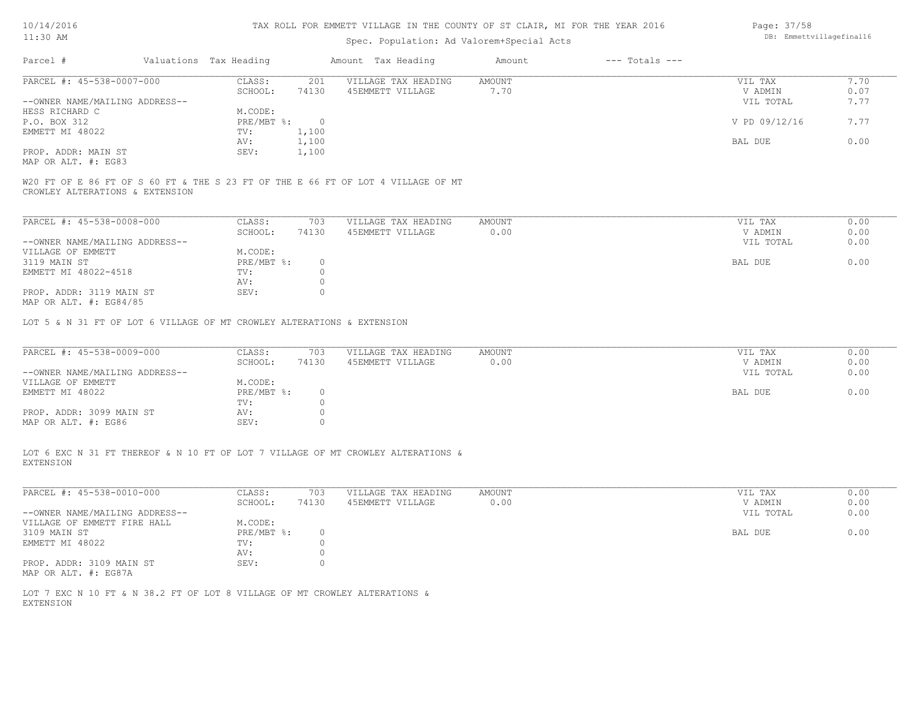#### TAX ROLL FOR EMMETT VILLAGE IN THE COUNTY OF ST CLAIR, MI FOR THE YEAR 2016

# Spec. Population: Ad Valorem+Special Acts

| Parcel #                       |  | Valuations Tax Heading |       | Amount Tax Heading  | Amount | $---$ Totals $---$ |               |      |
|--------------------------------|--|------------------------|-------|---------------------|--------|--------------------|---------------|------|
| PARCEL #: 45-538-0007-000      |  | CLASS:                 | 201   | VILLAGE TAX HEADING | AMOUNT |                    | VIL TAX       | 7.70 |
|                                |  | SCHOOL:                | 74130 | 45EMMETT VILLAGE    | 7.70   |                    | V ADMIN       | 0.07 |
| --OWNER NAME/MAILING ADDRESS-- |  |                        |       |                     |        |                    | VIL TOTAL     | 7.77 |
| HESS RICHARD C                 |  | M.CODE:                |       |                     |        |                    |               |      |
| P.O. BOX 312                   |  | PRE/MBT %:             |       |                     |        |                    | V PD 09/12/16 | 7.77 |
| EMMETT MI 48022                |  | TV:                    | 1,100 |                     |        |                    |               |      |
|                                |  | AV:                    | 1,100 |                     |        |                    | BAL DUE       | 0.00 |
| PROP. ADDR: MAIN ST            |  | SEV:                   | 1,100 |                     |        |                    |               |      |
| MAP OR ALT. #: EG83            |  |                        |       |                     |        |                    |               |      |

CROWLEY ALTERATIONS & EXTENSION W20 FT OF E 86 FT OF S 60 FT & THE S 23 FT OF THE E 66 FT OF LOT 4 VILLAGE OF MT

| PARCEL #: 45-538-0008-000      | CLASS:     | 703   | VILLAGE TAX HEADING | AMOUNT | VIL TAX   | 0.00 |
|--------------------------------|------------|-------|---------------------|--------|-----------|------|
|                                | SCHOOL:    | 74130 | 45EMMETT VILLAGE    | 0.00   | V ADMIN   | 0.00 |
| --OWNER NAME/MAILING ADDRESS-- |            |       |                     |        | VIL TOTAL | 0.00 |
| VILLAGE OF EMMETT              | M.CODE:    |       |                     |        |           |      |
| 3119 MAIN ST                   | PRE/MBT %: |       |                     |        | BAL DUE   | 0.00 |
| EMMETT MI 48022-4518           | TV:        |       |                     |        |           |      |
|                                | AV:        |       |                     |        |           |      |
| PROP. ADDR: 3119 MAIN ST       | SEV:       |       |                     |        |           |      |
| MAP OR ALT. $\#$ : EG84/85     |            |       |                     |        |           |      |

LOT 5 & N 31 FT OF LOT 6 VILLAGE OF MT CROWLEY ALTERATIONS & EXTENSION

| PARCEL #: 45-538-0009-000      | CLASS:     | 703   | VILLAGE TAX HEADING | AMOUNT | VIL TAX   | 0.00 |
|--------------------------------|------------|-------|---------------------|--------|-----------|------|
|                                | SCHOOL:    | 74130 | 45EMMETT VILLAGE    | 0.00   | V ADMIN   | 0.00 |
| --OWNER NAME/MAILING ADDRESS-- |            |       |                     |        | VIL TOTAL | 0.00 |
| VILLAGE OF EMMETT              | M.CODE:    |       |                     |        |           |      |
| EMMETT MI 48022                | PRE/MBT %: |       |                     |        | BAL DUE   | 0.00 |
|                                | TV:        |       |                     |        |           |      |
| PROP. ADDR: 3099 MAIN ST       | AV:        |       |                     |        |           |      |
| MAP OR ALT. #: EG86            | SEV:       |       |                     |        |           |      |

EXTENSION LOT 6 EXC N 31 FT THEREOF & N 10 FT OF LOT 7 VILLAGE OF MT CROWLEY ALTERATIONS &

| PARCEL #: 45-538-0010-000      | CLASS:     | 703   | VILLAGE TAX HEADING | AMOUNT | VIL TAX   | 0.00 |
|--------------------------------|------------|-------|---------------------|--------|-----------|------|
|                                | SCHOOL:    | 74130 | 45EMMETT VILLAGE    | 0.00   | V ADMIN   | 0.00 |
| --OWNER NAME/MAILING ADDRESS-- |            |       |                     |        | VIL TOTAL | 0.00 |
| VILLAGE OF EMMETT FIRE HALL    | M.CODE:    |       |                     |        |           |      |
| 3109 MAIN ST                   | PRE/MBT %: |       |                     |        | BAL DUE   | 0.00 |
| EMMETT MI 48022                | TV:        |       |                     |        |           |      |
|                                | AV:        |       |                     |        |           |      |
| PROP. ADDR: 3109 MAIN ST       | SEV:       |       |                     |        |           |      |
| MAP OR ALT. #: EG87A           |            |       |                     |        |           |      |

EXTENSION LOT 7 EXC N 10 FT & N 38.2 FT OF LOT 8 VILLAGE OF MT CROWLEY ALTERATIONS & Page: 37/58 DB: Emmettvillagefinal16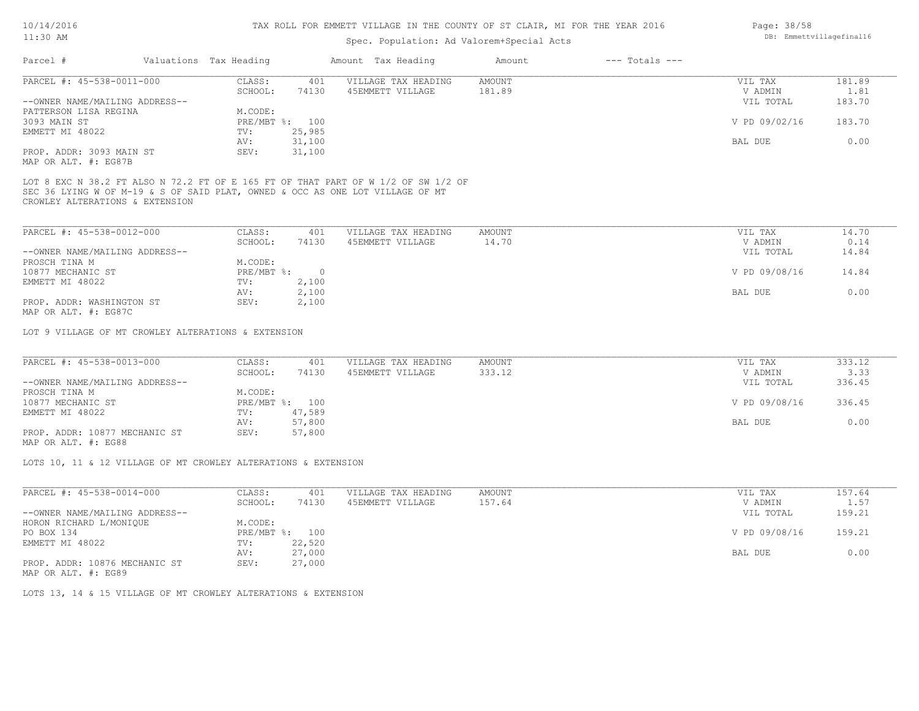### Spec. Population: Ad Valorem+Special Acts

| Parcel #                       | Valuations Tax Heading |        | Amount Tax Heading  | Amount | $---$ Totals $---$ |               |        |
|--------------------------------|------------------------|--------|---------------------|--------|--------------------|---------------|--------|
| PARCEL #: 45-538-0011-000      | CLASS:                 | 401    | VILLAGE TAX HEADING | AMOUNT |                    | VIL TAX       | 181.89 |
|                                | SCHOOL:                | 74130  | 45EMMETT VILLAGE    | 181.89 |                    | V ADMIN       | 1.81   |
| --OWNER NAME/MAILING ADDRESS-- |                        |        |                     |        |                    | VIL TOTAL     | 183.70 |
| PATTERSON LISA REGINA          | M.CODE:                |        |                     |        |                    |               |        |
| 3093 MAIN ST                   | PRE/MBT %: 100         |        |                     |        |                    | V PD 09/02/16 | 183.70 |
| EMMETT MI 48022                | TV:                    | 25,985 |                     |        |                    |               |        |
|                                | AV:                    | 31,100 |                     |        |                    | BAL DUE       | 0.00   |
| PROP. ADDR: 3093 MAIN ST       | SEV:                   | 31,100 |                     |        |                    |               |        |
|                                |                        |        |                     |        |                    |               |        |

MAP OR ALT. #: EG87B

CROWLEY ALTERATIONS & EXTENSION SEC 36 LYING W OF M-19 & S OF SAID PLAT, OWNED & OCC AS ONE LOT VILLAGE OF MT LOT 8 EXC N 38.2 FT ALSO N 72.2 FT OF E 165 FT OF THAT PART OF W 1/2 OF SW 1/2 OF

| PARCEL #: 45-538-0012-000      | CLASS:     | 401   | VILLAGE TAX HEADING | AMOUNT | VIL TAX       | 14.70 |
|--------------------------------|------------|-------|---------------------|--------|---------------|-------|
|                                | SCHOOL:    | 74130 | 45EMMETT VILLAGE    | 14.70  | V ADMIN       | 0.14  |
| --OWNER NAME/MAILING ADDRESS-- |            |       |                     |        | VIL TOTAL     | 14.84 |
| PROSCH TINA M                  | M.CODE:    |       |                     |        |               |       |
| 10877 MECHANIC ST              | PRE/MBT %: |       |                     |        | V PD 09/08/16 | 14.84 |
| EMMETT MI 48022                | TV:        | 2,100 |                     |        |               |       |
|                                | AV:        | 2,100 |                     |        | BAL DUE       | 0.00  |
| PROP. ADDR: WASHINGTON ST      | SEV:       | 2,100 |                     |        |               |       |
| $\cdots$                       |            |       |                     |        |               |       |

MAP OR ALT. #: EG87C

LOT 9 VILLAGE OF MT CROWLEY ALTERATIONS & EXTENSION

| PARCEL #: 45-538-0013-000      | CLASS:  | 401            | VILLAGE TAX HEADING | AMOUNT | VIL TAX       | 333.12 |
|--------------------------------|---------|----------------|---------------------|--------|---------------|--------|
|                                | SCHOOL: | 74130          | 45EMMETT VILLAGE    | 333.12 | V ADMIN       | 3.33   |
| --OWNER NAME/MAILING ADDRESS-- |         |                |                     |        | VIL TOTAL     | 336.45 |
| PROSCH TINA M                  | M.CODE: |                |                     |        |               |        |
| 10877 MECHANIC ST              |         | PRE/MBT %: 100 |                     |        | V PD 09/08/16 | 336.45 |
| EMMETT MI 48022                | TV:     | 47,589         |                     |        |               |        |
|                                | AV:     | 57,800         |                     |        | BAL DUE       | 0.00   |
| PROP. ADDR: 10877 MECHANIC ST  | SEV:    | 57,800         |                     |        |               |        |
|                                |         |                |                     |        |               |        |

MAP OR ALT. #: EG88

LOTS 10, 11 & 12 VILLAGE OF MT CROWLEY ALTERATIONS & EXTENSION

| 401                                                | VILLAGE TAX HEADING | AMOUNT | VIL TAX       | 157.64 |
|----------------------------------------------------|---------------------|--------|---------------|--------|
| 74130                                              | 45EMMETT VILLAGE    | 157.64 | V ADMIN       | 1.57   |
|                                                    |                     |        | VIL TOTAL     | 159.21 |
|                                                    |                     |        |               |        |
| 100                                                |                     |        | V PD 09/08/16 | 159.21 |
| 22,520                                             |                     |        |               |        |
| 27,000                                             |                     |        | BAL DUE       | 0.00   |
| 27,000                                             |                     |        |               |        |
| CLASS:<br>SCHOOL:<br>M.CODE:<br>TV:<br>AV:<br>SEV: | PRE/MBT %:          |        |               |        |

MAP OR ALT. #: EG89

LOTS 13, 14 & 15 VILLAGE OF MT CROWLEY ALTERATIONS & EXTENSION

Page: 38/58 DB: Emmettvillagefinal16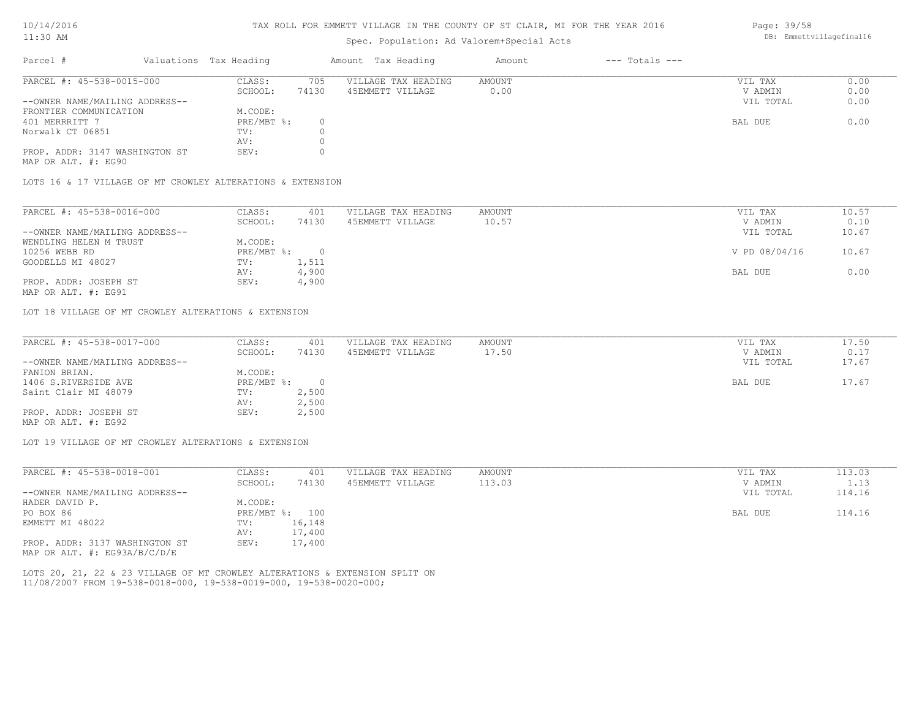#### TAX ROLL FOR EMMETT VILLAGE IN THE COUNTY OF ST CLAIR, MI FOR THE YEAR 2016

### Spec. Population: Ad Valorem+Special Acts

| Parcel #                       | Valuations Tax Heading |       | Amount Tax Heading  | Amount | $---$ Totals $---$ |           |      |
|--------------------------------|------------------------|-------|---------------------|--------|--------------------|-----------|------|
| PARCEL #: 45-538-0015-000      | CLASS:                 | 705   | VILLAGE TAX HEADING | AMOUNT |                    | VIL TAX   | 0.00 |
|                                | SCHOOL:                | 74130 | 45EMMETT VILLAGE    | 0.00   |                    | V ADMIN   | 0.00 |
| --OWNER NAME/MAILING ADDRESS-- |                        |       |                     |        |                    | VIL TOTAL | 0.00 |
| FRONTIER COMMUNICATION         | M.CODE:                |       |                     |        |                    |           |      |
| 401 MERRRITT 7                 | $PRE/MBT$ %:           |       |                     |        |                    | BAL DUE   | 0.00 |
| Norwalk CT 06851               | TV:                    |       |                     |        |                    |           |      |
|                                | AV:                    |       |                     |        |                    |           |      |
| PROP. ADDR: 3147 WASHINGTON ST | SEV:                   |       |                     |        |                    |           |      |

MAP OR ALT. #: EG90

LOTS 16 & 17 VILLAGE OF MT CROWLEY ALTERATIONS & EXTENSION

| PARCEL #: 45-538-0016-000      | CLASS:     | 401   | VILLAGE TAX HEADING | AMOUNT | VIL TAX       | 10.57 |
|--------------------------------|------------|-------|---------------------|--------|---------------|-------|
|                                | SCHOOL:    | 74130 | 45EMMETT VILLAGE    | 10.57  | V ADMIN       | 0.10  |
| --OWNER NAME/MAILING ADDRESS-- |            |       |                     |        | VIL TOTAL     | 10.67 |
| WENDLING HELEN M TRUST         | M.CODE:    |       |                     |        |               |       |
| 10256 WEBB RD                  | PRE/MBT %: |       |                     |        | V PD 08/04/16 | 10.67 |
| GOODELLS MI 48027              | TV:        | 1,511 |                     |        |               |       |
|                                | AV:        | 4,900 |                     |        | BAL DUE       | 0.00  |
| PROP. ADDR: JOSEPH ST          | SEV:       | 4,900 |                     |        |               |       |
|                                |            |       |                     |        |               |       |

MAP OR ALT. #: EG91

LOT 18 VILLAGE OF MT CROWLEY ALTERATIONS & EXTENSION

| PARCEL #: 45-538-0017-000      | CLASS:     | 401   | VILLAGE TAX HEADING | AMOUNT | VIL TAX   | 17.50 |
|--------------------------------|------------|-------|---------------------|--------|-----------|-------|
|                                | SCHOOL:    | 74130 | 45EMMETT VILLAGE    | 17.50  | V ADMIN   | 0.17  |
| --OWNER NAME/MAILING ADDRESS-- |            |       |                     |        | VIL TOTAL | 17.67 |
| FANION BRIAN.                  | M.CODE:    |       |                     |        |           |       |
| 1406 S.RIVERSIDE AVE           | PRE/MBT %: |       |                     |        | BAL DUE   | 17.67 |
| Saint Clair MI 48079           | TV:        | 2,500 |                     |        |           |       |
|                                | AV:        | 2,500 |                     |        |           |       |
| PROP. ADDR: JOSEPH ST          | SEV:       | 2,500 |                     |        |           |       |
| MAP OR ALT. #: EG92            |            |       |                     |        |           |       |

LOT 19 VILLAGE OF MT CROWLEY ALTERATIONS & EXTENSION

| PARCEL #: 45-538-0018-001        | CLASS:       | 401    | VILLAGE TAX HEADING | AMOUNT | VIL TAX   | 113.03 |
|----------------------------------|--------------|--------|---------------------|--------|-----------|--------|
|                                  | SCHOOL:      | 74130  | 45EMMETT VILLAGE    | 113.03 | V ADMIN   | 1.13   |
| --OWNER NAME/MAILING ADDRESS--   |              |        |                     |        | VIL TOTAL | 114.16 |
| HADER DAVID P.                   | M.CODE:      |        |                     |        |           |        |
| PO BOX 86                        | $PRE/MBT$ %: | 100    |                     |        | BAL DUE   | 114.16 |
| EMMETT MI 48022                  | TV:          | 16,148 |                     |        |           |        |
|                                  | AV:          | 17,400 |                     |        |           |        |
| PROP. ADDR: 3137 WASHINGTON ST   | SEV:         | 17,400 |                     |        |           |        |
| MAP OR ALT. $\#$ : EG93A/B/C/D/E |              |        |                     |        |           |        |

11/08/2007 FROM 19-538-0018-000, 19-538-0019-000, 19-538-0020-000; LOTS 20, 21, 22 & 23 VILLAGE OF MT CROWLEY ALTERATIONS & EXTENSION SPLIT ON Page: 39/58 DB: Emmettvillagefinal16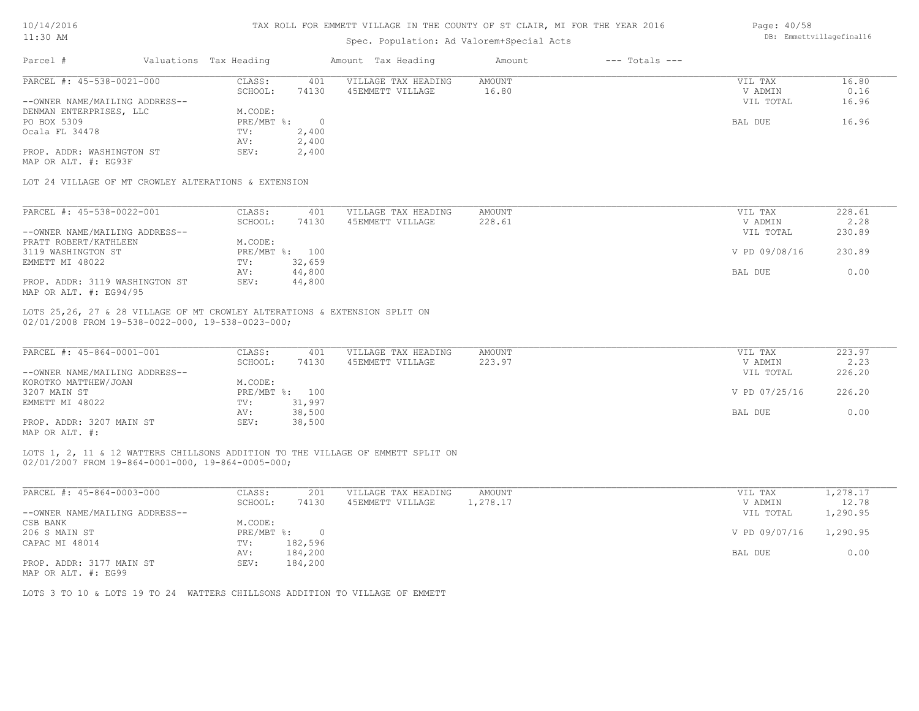|  | 10/14/2016 |  |
|--|------------|--|
|--|------------|--|

| 10/14/2016                                                                                                                       |                        | TAX ROLL FOR EMMETT VILLAGE IN THE COUNTY OF ST CLAIR, MI FOR THE YEAR 2016 | Page: 40/58                                                                     |               |                    |                    |                          |
|----------------------------------------------------------------------------------------------------------------------------------|------------------------|-----------------------------------------------------------------------------|---------------------------------------------------------------------------------|---------------|--------------------|--------------------|--------------------------|
| $11:30$ AM                                                                                                                       |                        |                                                                             | Spec. Population: Ad Valorem+Special Acts                                       |               |                    |                    | DB: Emmettvillagefinal16 |
| Parcel #                                                                                                                         | Valuations Tax Heading |                                                                             | Amount Tax Heading                                                              | Amount        | $---$ Totals $---$ |                    |                          |
| PARCEL #: 45-538-0021-000                                                                                                        | CLASS:                 | 401                                                                         | VILLAGE TAX HEADING                                                             | <b>AMOUNT</b> |                    | VIL TAX            | 16.80                    |
|                                                                                                                                  | SCHOOL:                | 74130                                                                       | 45EMMETT VILLAGE                                                                | 16.80         |                    | V ADMIN            | 0.16                     |
| --OWNER NAME/MAILING ADDRESS--                                                                                                   |                        |                                                                             |                                                                                 |               |                    | VIL TOTAL          | 16.96                    |
| DENMAN ENTERPRISES, LLC                                                                                                          | M.CODE:                |                                                                             |                                                                                 |               |                    |                    |                          |
| PO BOX 5309                                                                                                                      | $PRE/MBT$ $\div$       | $\overline{0}$                                                              |                                                                                 |               |                    | BAL DUE            | 16.96                    |
| Ocala FL 34478                                                                                                                   | TV:                    | 2,400                                                                       |                                                                                 |               |                    |                    |                          |
|                                                                                                                                  | AV:                    | 2,400                                                                       |                                                                                 |               |                    |                    |                          |
| PROP. ADDR: WASHINGTON ST                                                                                                        | SEV:                   | 2,400                                                                       |                                                                                 |               |                    |                    |                          |
| MAP OR ALT. #: EG93F                                                                                                             |                        |                                                                             |                                                                                 |               |                    |                    |                          |
| LOT 24 VILLAGE OF MT CROWLEY ALTERATIONS & EXTENSION                                                                             |                        |                                                                             |                                                                                 |               |                    |                    |                          |
| PARCEL #: 45-538-0022-001                                                                                                        | CLASS:                 | 401                                                                         | VILLAGE TAX HEADING                                                             | AMOUNT        |                    | VIL TAX            | 228.61                   |
|                                                                                                                                  | SCHOOL:                | 74130                                                                       | 45EMMETT VILLAGE                                                                | 228.61        |                    | V ADMIN            | 2.28                     |
| --OWNER NAME/MAILING ADDRESS--                                                                                                   |                        |                                                                             |                                                                                 |               |                    | VIL TOTAL          | 230.89                   |
| PRATT ROBERT/KATHLEEN                                                                                                            | M.CODE:                |                                                                             |                                                                                 |               |                    |                    |                          |
| 3119 WASHINGTON ST                                                                                                               |                        | PRE/MBT %: 100                                                              |                                                                                 |               |                    | V PD 09/08/16      | 230.89                   |
| EMMETT MI 48022                                                                                                                  | TV:                    | 32,659                                                                      |                                                                                 |               |                    |                    |                          |
|                                                                                                                                  | AV:                    | 44,800                                                                      |                                                                                 |               |                    | BAL DUE            | 0.00                     |
| PROP. ADDR: 3119 WASHINGTON ST                                                                                                   | SEV:                   | 44,800                                                                      |                                                                                 |               |                    |                    |                          |
| MAP OR ALT. #: EG94/95                                                                                                           |                        |                                                                             |                                                                                 |               |                    |                    |                          |
| LOTS 25, 26, 27 & 28 VILLAGE OF MT CROWLEY ALTERATIONS & EXTENSION SPLIT ON<br>02/01/2008 FROM 19-538-0022-000, 19-538-0023-000; |                        |                                                                             |                                                                                 |               |                    |                    |                          |
| PARCEL #: 45-864-0001-001                                                                                                        |                        | 401                                                                         |                                                                                 | <b>AMOUNT</b> |                    |                    | 223.97                   |
|                                                                                                                                  | CLASS:<br>SCHOOL:      | 74130                                                                       | VILLAGE TAX HEADING<br>45EMMETT VILLAGE                                         | 223.97        |                    | VIL TAX<br>V ADMIN | 2.23                     |
| --OWNER NAME/MAILING ADDRESS--                                                                                                   |                        |                                                                             |                                                                                 |               |                    | VIL TOTAL          | 226.20                   |
| KOROTKO MATTHEW/JOAN                                                                                                             | M.CODE:                |                                                                             |                                                                                 |               |                    |                    |                          |
| 3207 MAIN ST                                                                                                                     |                        | PRE/MBT %: 100                                                              |                                                                                 |               |                    | V PD 07/25/16      | 226.20                   |
| EMMETT MI 48022                                                                                                                  | TV:                    | 31,997                                                                      |                                                                                 |               |                    |                    |                          |
|                                                                                                                                  | AV:                    | 38,500                                                                      |                                                                                 |               |                    | BAL DUE            | 0.00                     |
| PROP. ADDR: 3207 MAIN ST                                                                                                         | SEV:                   | 38,500                                                                      |                                                                                 |               |                    |                    |                          |
| MAP OR ALT. #:                                                                                                                   |                        |                                                                             |                                                                                 |               |                    |                    |                          |
|                                                                                                                                  |                        |                                                                             |                                                                                 |               |                    |                    |                          |
| 02/01/2007 FROM 19-864-0001-000, 19-864-0005-000;                                                                                |                        |                                                                             | LOTS 1, 2, 11 & 12 WATTERS CHILLSONS ADDITION TO THE VILLAGE OF EMMETT SPLIT ON |               |                    |                    |                          |
| PARCEL #: 45-864-0003-000                                                                                                        | CLASS:                 | 201                                                                         | VILLAGE TAX HEADING                                                             | <b>AMOUNT</b> |                    | VIL TAX            | 1,278.17                 |
|                                                                                                                                  | SCHOOL:                | 74130                                                                       | 45EMMETT VILLAGE                                                                | 1,278.17      |                    | V ADMIN            | 12.78                    |
| --OWNER NAME/MAILING ADDRESS--                                                                                                   |                        |                                                                             |                                                                                 |               |                    | VIL TOTAL          | 1,290.95                 |
| CSB BANK                                                                                                                         | M.CODE:                |                                                                             |                                                                                 |               |                    |                    |                          |
|                                                                                                                                  |                        |                                                                             |                                                                                 |               |                    |                    |                          |

MAP OR ALT. #: EG99 PROP. ADDR: 3177 MAIN ST SEV: 184,200 AV: 184,200 BAL DUE 0.00 CAPAC MI 48014 TV: 182,596 206 S MAIN ST PRE/MBT %: 0 V PD 09/07/16 1,290.95

LOTS 3 TO 10 & LOTS 19 TO 24 WATTERS CHILLSONS ADDITION TO VILLAGE OF EMMETT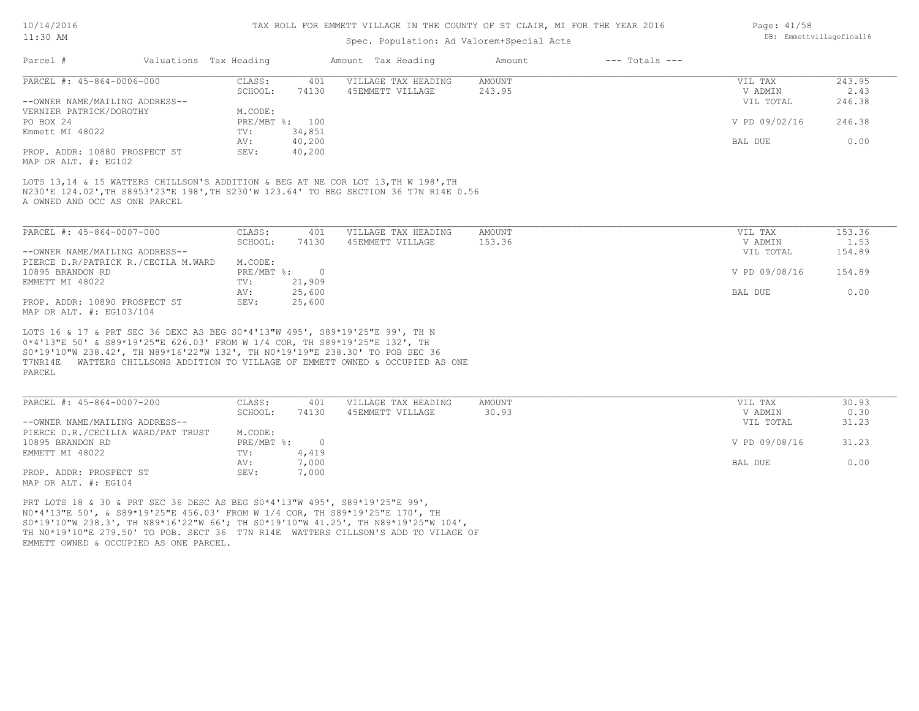#### TAX ROLL FOR EMMETT VILLAGE IN THE COUNTY OF ST CLAIR, MI FOR THE YEAR 2016

### Spec. Population: Ad Valorem+Special Acts

| Page: $41/58$            |
|--------------------------|
| DB: Emmettvillagefinal16 |

| Parcel #                                                                | Valuations Tax Heading |        | Amount Tax Heading  | Amount | $---$ Totals $---$ |               |        |
|-------------------------------------------------------------------------|------------------------|--------|---------------------|--------|--------------------|---------------|--------|
| PARCEL #: 45-864-0006-000                                               | CLASS:                 | 401    | VILLAGE TAX HEADING | AMOUNT |                    | VIL TAX       | 243.95 |
|                                                                         | SCHOOL:                | 74130  | 45EMMETT VILLAGE    | 243.95 |                    | V ADMIN       | 2.43   |
| --OWNER NAME/MAILING ADDRESS--                                          |                        |        |                     |        |                    | VIL TOTAL     | 246.38 |
| VERNIER PATRICK/DOROTHY                                                 | M.CODE:                |        |                     |        |                    |               |        |
| PO BOX 24                                                               | PRE/MBT %: 100         |        |                     |        |                    | V PD 09/02/16 | 246.38 |
| Emmett MI 48022                                                         | TV:                    | 34,851 |                     |        |                    |               |        |
|                                                                         | AV:                    | 40,200 |                     |        |                    | BAL DUE       | 0.00   |
| PROP. ADDR: 10880 PROSPECT ST<br>$1.75 \times 1.75$ $1.701 \times 1.75$ | SEV:                   | 40,200 |                     |        |                    |               |        |

MAP OR ALT. #: EG102

A OWNED AND OCC AS ONE PARCEL N230'E 124.02',TH S8953'23"E 198',TH S230'W 123.64' TO BEG SECTION 36 T7N R14E 0.56 LOTS 13,14 & 15 WATTERS CHILLSON'S ADDITION & BEG AT NE COR LOT 13, TH W 198', TH

| PARCEL #: 45-864-0007-000           | CLASS:     | 401    | VILLAGE TAX HEADING | AMOUNT | VIL TAX       | 153.36 |
|-------------------------------------|------------|--------|---------------------|--------|---------------|--------|
|                                     | SCHOOL:    | 74130  | 45EMMETT VILLAGE    | 153.36 | V ADMIN       | 1.53   |
| --OWNER NAME/MAILING ADDRESS--      |            |        |                     |        | VIL TOTAL     | 154.89 |
| PIERCE D.R/PATRICK R./CECILA M.WARD | M.CODE:    |        |                     |        |               |        |
| 10895 BRANDON RD                    | PRE/MBT %: |        |                     |        | V PD 09/08/16 | 154.89 |
| EMMETT MI 48022                     | TV:        | 21,909 |                     |        |               |        |
|                                     | AV:        | 25,600 |                     |        | BAL DUE       | 0.00   |
| PROP. ADDR: 10890 PROSPECT ST       | SEV:       | 25,600 |                     |        |               |        |
| MAP OR ALT. #: EG103/104            |            |        |                     |        |               |        |

PARCEL T7NR14E WATTERS CHILLSONS ADDITION TO VILLAGE OF EMMETT OWNED & OCCUPIED AS ONE S0\*19'10"W 238.42', TH N89\*16'22"W 132', TH N0\*19'19"E 238.30' TO POB SEC 36 0\*4'13"E 50' & S89\*19'25"E 626.03' FROM W 1/4 COR, TH S89\*19'25"E 132', TH LOTS 16 & 17 & PRT SEC 36 DEXC AS BEG S0\*4'13"W 495', S89\*19'25"E 99', TH N

| PARCEL #: 45-864-0007-200          | CLASS:     | 401   | VILLAGE TAX HEADING | AMOUNT | VIL TAX       | 30.93 |
|------------------------------------|------------|-------|---------------------|--------|---------------|-------|
|                                    | SCHOOL:    | 74130 | 45EMMETT VILLAGE    | 30.93  | V ADMIN       | 0.30  |
| --OWNER NAME/MAILING ADDRESS--     |            |       |                     |        | VIL TOTAL     | 31.23 |
| PIERCE D.R./CECILIA WARD/PAT TRUST | M.CODE:    |       |                     |        |               |       |
| 10895 BRANDON RD                   | PRE/MBT %: |       |                     |        | V PD 09/08/16 | 31.23 |
| EMMETT MI 48022                    | TV:        | 4,419 |                     |        |               |       |
|                                    | AV:        | 7,000 |                     |        | BAL DUE       | 0.00  |
| PROP. ADDR: PROSPECT ST            | SEV:       | 7,000 |                     |        |               |       |
| MAP OR ALT. #: EG104               |            |       |                     |        |               |       |

EMMETT OWNED & OCCUPIED AS ONE PARCEL. TH N0\*19'10"E 279.50' TO POB. SECT 36 T7N R14E WATTERS CILLSON'S ADD TO VILAGE OF S0\*19'10"W 238.3', TH N89\*16'22"W 66'; TH S0\*19'10"W 41.25', TH N89\*19'25"W 104', N0\*4'13"E 50', & S89\*19'25"E 456.03' FROM W 1/4 COR, TH S89\*19'25"E 170', TH PRT LOTS 18 & 30 & PRT SEC 36 DESC AS BEG S0\*4'13"W 495', S89\*19'25"E 99',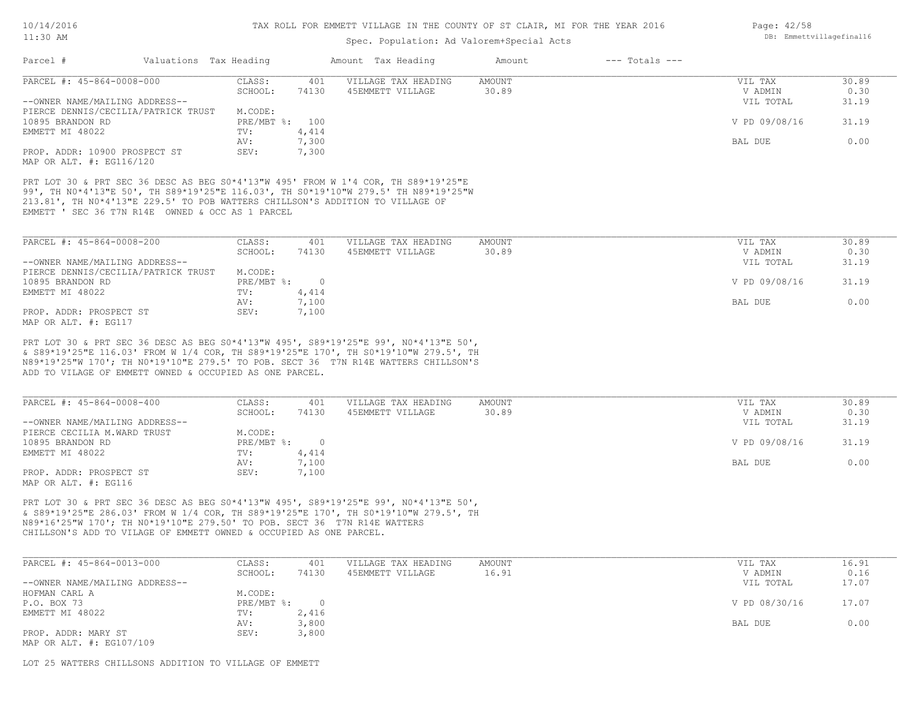### Spec. Population: Ad Valorem+Special Acts

| Valuations Tax Heading<br>Parcel #               |                |            | Amount Tax Heading  | Amount | $---$ Totals $---$ |               |       |
|--------------------------------------------------|----------------|------------|---------------------|--------|--------------------|---------------|-------|
| PARCEL #: 45-864-0008-000                        | CLASS:         | 401        | VILLAGE TAX HEADING | AMOUNT |                    | VIL TAX       | 30.89 |
|                                                  | SCHOOL:        | 74130      | 45EMMETT VILLAGE    | 30.89  |                    | V ADMIN       | 0.30  |
| --OWNER NAME/MAILING ADDRESS--                   |                |            |                     |        |                    | VIL TOTAL     | 31.19 |
| PIERCE DENNIS/CECILIA/PATRICK TRUST              | M.CODE:        |            |                     |        |                    |               |       |
| 10895 BRANDON RD                                 | PRE/MBT %: 100 |            |                     |        |                    | V PD 09/08/16 | 31.19 |
| EMMETT MI 48022                                  | TV:            | 4,414      |                     |        |                    |               |       |
|                                                  | AV:            | 7,300      |                     |        |                    | BAL DUE       | 0.00  |
| PROP. ADDR: 10900 PROSPECT ST                    | SEV:           | 7,300      |                     |        |                    |               |       |
| MAP OR ALT. #: EG116/120                         |                |            |                     |        |                    |               |       |
| EMMETT ' SEC 36 T7N R14E OWNED & OCC AS 1 PARCEL |                |            |                     |        |                    |               |       |
| PARCEL #: 45-864-0008-200                        | CLASS:         | 401        | VILLAGE TAX HEADING | AMOUNT |                    | VIL TAX       | 30.89 |
|                                                  | SCHOOL:        | 74130      | 45EMMETT VILLAGE    | 30.89  |                    | V ADMIN       | 0.30  |
| --OWNER NAME/MAILING ADDRESS--                   |                |            |                     |        |                    | VIL TOTAL     | 31.19 |
| PIERCE DENNIS/CECILIA/PATRICK TRUST              | M.CODE:        |            |                     |        |                    |               |       |
| 10895 BRANDON RD                                 | PRE/MBT %:     | $\bigcirc$ |                     |        |                    | V PD 09/08/16 | 31.19 |
| EMMETT MI 48022                                  | TV:            | 4,414      |                     |        |                    |               |       |
|                                                  | AV:            | 7,100      |                     |        |                    | BAL DUE       | 0.00  |
| PROP. ADDR: PROSPECT ST<br>MAP OR ALT. #: EG117  | SEV:           | 7,100      |                     |        |                    |               |       |

ADD TO VILAGE OF EMMETT OWNED & OCCUPIED AS ONE PARCEL. N89\*19'25"W 170'; TH N0\*19'10"E 279.5' TO POB. SECT 36 T7N R14E WATTERS CHILLSON'S & S89\*19'25"E 116.03' FROM W 1/4 COR, TH S89\*19'25"E 170', TH S0\*19'10"W 279.5', TH PRT LOT 30 & PRT SEC 36 DESC AS BEG S0\*4'13"W 495', S89\*19'25"E 99', N0\*4'13"E 50',

| PARCEL #: 45-864-0008-400      | CLASS:       | 401   | VILLAGE TAX HEADING | AMOUNT | VIL TAX       | 30.89 |
|--------------------------------|--------------|-------|---------------------|--------|---------------|-------|
|                                | SCHOOL:      | 74130 | 45EMMETT VILLAGE    | 30.89  | V ADMIN       | 0.30  |
| --OWNER NAME/MAILING ADDRESS-- |              |       |                     |        | VIL TOTAL     | 31.19 |
| PIERCE CECILIA M.WARD TRUST    | M.CODE:      |       |                     |        |               |       |
| 10895 BRANDON RD               | $PRE/MBT$ %: |       |                     |        | V PD 09/08/16 | 31.19 |
| EMMETT MI 48022                | TV:          | 4,414 |                     |        |               |       |
|                                | AV:          | 7,100 |                     |        | BAL DUE       | 0.00  |
| PROP. ADDR: PROSPECT ST        | SEV:         | 7,100 |                     |        |               |       |
| MAP OR ALT. #: EG116           |              |       |                     |        |               |       |

CHILLSON'S ADD TO VILAGE OF EMMETT OWNED & OCCUPIED AS ONE PARCEL. N89\*16'25"W 170'; TH N0\*19'10"E 279.50' TO POB. SECT 36 T7N R14E WATTERS & S89\*19'25"E 286.03' FROM W 1/4 COR, TH S89\*19'25"E 170', TH S0\*19'10"W 279.5', TH PRT LOT 30 & PRT SEC 36 DESC AS BEG S0\*4'13"W 495', S89\*19'25"E 99', N0\*4'13"E 50',

| PARCEL #: 45-864-0013-000      | CLASS:     | 401   | VILLAGE TAX HEADING | AMOUNT | VIL TAX       | 16.91 |
|--------------------------------|------------|-------|---------------------|--------|---------------|-------|
|                                | SCHOOL:    | 74130 | 45EMMETT VILLAGE    | 16.91  | V ADMIN       | 0.16  |
| --OWNER NAME/MAILING ADDRESS-- |            |       |                     |        | VIL TOTAL     | 17.07 |
| HOFMAN CARL A                  | M.CODE:    |       |                     |        |               |       |
| P.O. BOX 73                    | PRE/MBT %: |       |                     |        | V PD 08/30/16 | 17.07 |
| EMMETT MI 48022                | TV:        | 2,416 |                     |        |               |       |
|                                | AV:        | 3,800 |                     |        | BAL DUE       | 0.00  |
| PROP. ADDR: MARY ST            | SEV:       | 3,800 |                     |        |               |       |
| MAP OR ALT. #: EG107/109       |            |       |                     |        |               |       |

LOT 25 WATTERS CHILLSONS ADDITION TO VILLAGE OF EMMETT

Page: 42/58 DB: Emmettvillagefinal16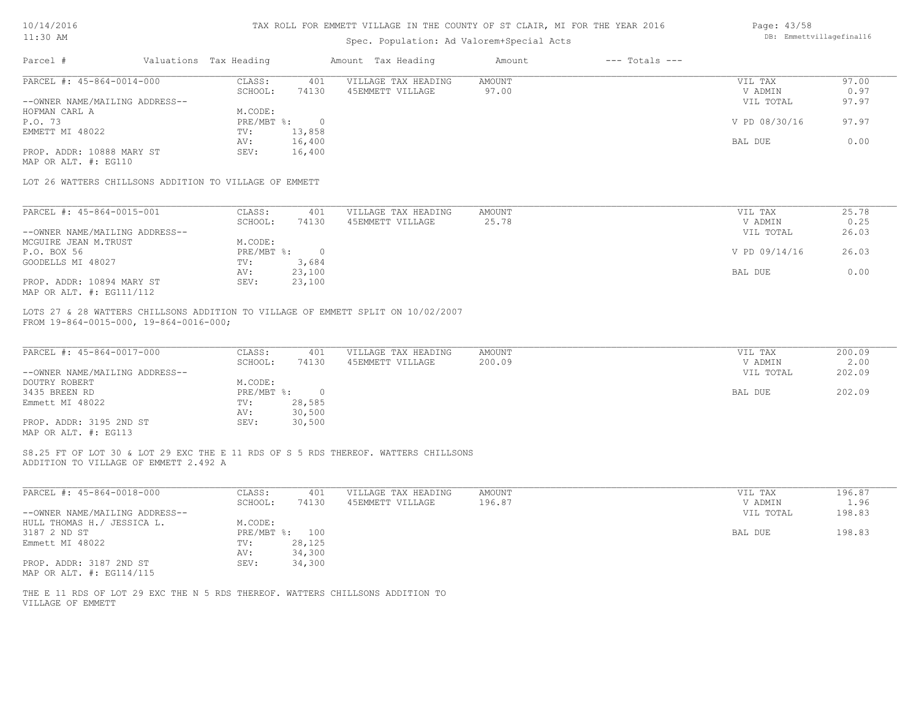|  | 10/14/2016 |  |
|--|------------|--|
|--|------------|--|

| Page: 43/58 |                         |
|-------------|-------------------------|
|             | DB: Emmettvillagefinall |

| 10/14/2016                                                                                                                  |                        |                | TAX ROLL FOR EMMETT VILLAGE IN THE COUNTY OF ST CLAIR, MI FOR THE YEAR 2016                                                 |                         |                    | Page: 43/58        |                |
|-----------------------------------------------------------------------------------------------------------------------------|------------------------|----------------|-----------------------------------------------------------------------------------------------------------------------------|-------------------------|--------------------|--------------------|----------------|
| 11:30 AM                                                                                                                    |                        |                | DB: Emmettvillagefinal16                                                                                                    |                         |                    |                    |                |
| Parcel #                                                                                                                    | Valuations Tax Heading |                | Amount Tax Heading                                                                                                          | Amount                  | $---$ Totals $---$ |                    |                |
| PARCEL #: 45-864-0014-000                                                                                                   | CLASS:                 | 401            | VILLAGE TAX HEADING                                                                                                         | <b>AMOUNT</b>           |                    | VIL TAX            | 97.00          |
|                                                                                                                             | SCHOOL:                | 74130          | 45EMMETT VILLAGE                                                                                                            | 97.00                   |                    | V ADMIN            | 0.97           |
| --OWNER NAME/MAILING ADDRESS--                                                                                              |                        |                |                                                                                                                             |                         |                    | VIL TOTAL          | 97.97          |
| HOFMAN CARL A                                                                                                               | M.CODE:                |                |                                                                                                                             |                         |                    |                    |                |
| P.O. 73                                                                                                                     | PRE/MBT %:             | $\circ$        |                                                                                                                             |                         |                    | V PD 08/30/16      | 97.97          |
| EMMETT MI 48022                                                                                                             | TV:                    | 13,858         |                                                                                                                             |                         |                    |                    |                |
|                                                                                                                             | AV:                    | 16,400         |                                                                                                                             |                         |                    | BAL DUE            | 0.00           |
| PROP. ADDR: 10888 MARY ST<br>MAP OR ALT. #: EG110                                                                           | SEV:                   | 16,400         |                                                                                                                             |                         |                    |                    |                |
| LOT 26 WATTERS CHILLSONS ADDITION TO VILLAGE OF EMMETT                                                                      |                        |                |                                                                                                                             |                         |                    |                    |                |
| PARCEL #: 45-864-0015-001                                                                                                   | CLASS:                 | 401            | VILLAGE TAX HEADING                                                                                                         | AMOUNT                  |                    | VIL TAX            | 25.78          |
|                                                                                                                             | SCHOOL:                | 74130          | 45EMMETT VILLAGE                                                                                                            | 25.78                   |                    | V ADMIN            | 0.25           |
| --OWNER NAME/MAILING ADDRESS--                                                                                              |                        |                |                                                                                                                             |                         |                    | VIL TOTAL          | 26.03          |
| MCGUIRE JEAN M.TRUST                                                                                                        | M.CODE:                |                |                                                                                                                             |                         |                    |                    |                |
| P.O. BOX 56                                                                                                                 | PRE/MBT %:             | $\overline{0}$ |                                                                                                                             |                         |                    | V PD 09/14/16      | 26.03          |
| GOODELLS MI 48027                                                                                                           | TV:                    | 3,684          |                                                                                                                             |                         |                    |                    |                |
|                                                                                                                             | AV:                    | 23,100         |                                                                                                                             |                         |                    | BAL DUE            | 0.00           |
| PROP. ADDR: 10894 MARY ST                                                                                                   | SEV:                   | 23,100         |                                                                                                                             |                         |                    |                    |                |
| MAP OR ALT. #: EG111/112                                                                                                    |                        |                |                                                                                                                             |                         |                    |                    |                |
| FROM 19-864-0015-000, 19-864-0016-000;<br>PARCEL #: 45-864-0017-000                                                         | CLASS:<br>SCHOOL:      | 401<br>74130   | LOTS 27 & 28 WATTERS CHILLSONS ADDITION TO VILLAGE OF EMMETT SPLIT ON 10/02/2007<br>VILLAGE TAX HEADING<br>45EMMETT VILLAGE | <b>AMOUNT</b><br>200.09 |                    | VIL TAX<br>V ADMIN | 200.09<br>2.00 |
| --OWNER NAME/MAILING ADDRESS--                                                                                              |                        |                |                                                                                                                             |                         |                    | VIL TOTAL          | 202.09         |
| DOUTRY ROBERT                                                                                                               | M.CODE:                |                |                                                                                                                             |                         |                    |                    |                |
| 3435 BREEN RD                                                                                                               | PRE/MBT %:             | $\overline{0}$ |                                                                                                                             |                         |                    | BAL DUE            | 202.09         |
| Emmett MI 48022                                                                                                             | TV:                    | 28,585         |                                                                                                                             |                         |                    |                    |                |
|                                                                                                                             | AV:                    | 30,500         |                                                                                                                             |                         |                    |                    |                |
| PROP. ADDR: 3195 2ND ST<br>MAP OR ALT. #: EG113                                                                             | SEV:                   | 30,500         |                                                                                                                             |                         |                    |                    |                |
| S8.25 FT OF LOT 30 & LOT 29 EXC THE E 11 RDS OF S 5 RDS THEREOF. WATTERS CHILLSONS<br>ADDITION TO VILLAGE OF EMMETT 2.492 A |                        |                |                                                                                                                             |                         |                    |                    |                |
| PARCEL #: 45-864-0018-000                                                                                                   | CLASS:                 | 401            | VILLAGE TAX HEADING                                                                                                         | <b>AMOUNT</b>           |                    | VIL TAX            | 196.87         |
|                                                                                                                             | SCHOOL:                | 74130          | 45EMMETT VILLAGE                                                                                                            | 196.87                  |                    | V ADMIN            | 1.96           |
| --OWNER NAME/MAILING ADDRESS--                                                                                              |                        |                |                                                                                                                             |                         |                    | VIL TOTAL          | 198.83         |
| HULL THOMAS H./ JESSICA L.                                                                                                  | M.CODE:                |                |                                                                                                                             |                         |                    |                    |                |
| 3187 2 ND ST                                                                                                                |                        | PRE/MBT %: 100 |                                                                                                                             |                         |                    | BAL DUE            | 198.83         |
| Emmett MI 48022                                                                                                             | TV:                    | 28,125         |                                                                                                                             |                         |                    |                    |                |

MAP OR ALT. #: EG114/115 PROP. ADDR: 3187 2ND ST

VILLAGE OF EMMETT THE E 11 RDS OF LOT 29 EXC THE N 5 RDS THEREOF. WATTERS CHILLSONS ADDITION TO

AV: 34,300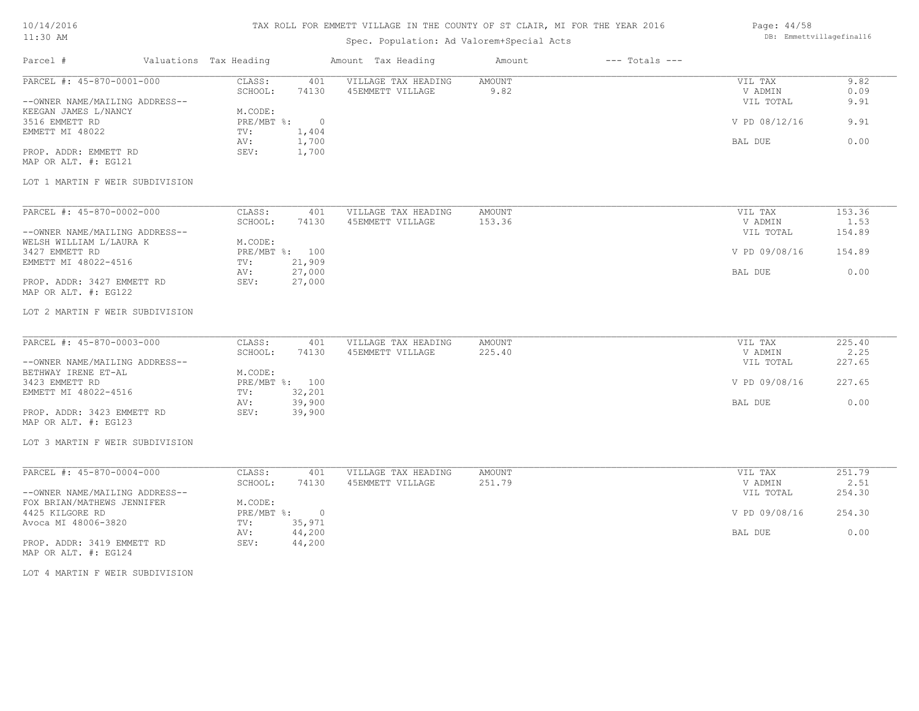# TAX ROLL FOR EMMETT VILLAGE IN THE COUNTY OF ST CLAIR, MI FOR THE YEAR 2016

# Spec. Population: Ad Valorem+Special Acts

#### Page: 44/58 DB: Emmettvillagefinal16

| Parcel #                                                    | Valuations Tax Heading |                                 |                | Amount Tax Heading                      | Amount         | $---$ Totals $---$ |                                 |                      |
|-------------------------------------------------------------|------------------------|---------------------------------|----------------|-----------------------------------------|----------------|--------------------|---------------------------------|----------------------|
| PARCEL #: 45-870-0001-000<br>--OWNER NAME/MAILING ADDRESS-- |                        | CLASS:<br>SCHOOL:               | 401<br>74130   | VILLAGE TAX HEADING<br>45EMMETT VILLAGE | AMOUNT<br>9.82 |                    | VIL TAX<br>V ADMIN<br>VIL TOTAL | 9.82<br>0.09<br>9.91 |
| KEEGAN JAMES L/NANCY<br>3516 EMMETT RD                      |                        | M.CODE:<br>PRE/MBT %: 0         |                |                                         |                |                    | V PD 08/12/16                   | 9.91                 |
| EMMETT MI 48022                                             |                        | TV:<br>AV:                      | 1,404<br>1,700 |                                         |                |                    | BAL DUE                         | 0.00                 |
| PROP. ADDR: EMMETT RD<br>MAP OR ALT. #: EG121               |                        | SEV:                            | 1,700          |                                         |                |                    |                                 |                      |
| LOT 1 MARTIN F WEIR SUBDIVISION                             |                        |                                 |                |                                         |                |                    |                                 |                      |
| PARCEL #: 45-870-0002-000                                   |                        | CLASS:                          | 401            | VILLAGE TAX HEADING                     | <b>AMOUNT</b>  |                    | VIL TAX                         | 153.36               |
| --OWNER NAME/MAILING ADDRESS--                              |                        | SCHOOL:                         | 74130          | 45EMMETT VILLAGE                        | 153.36         |                    | V ADMIN<br>VIL TOTAL            | 1.53<br>154.89       |
| WELSH WILLIAM L/LAURA K                                     |                        | M.CODE:                         |                |                                         |                |                    |                                 |                      |
| 3427 EMMETT RD<br>EMMETT MI 48022-4516                      |                        | PRE/MBT %: 100<br>21,909<br>TV: |                |                                         |                |                    | V PD 09/08/16                   | 154.89               |
|                                                             |                        | 27,000<br>AV:                   |                |                                         |                |                    | BAL DUE                         | 0.00                 |
| PROP. ADDR: 3427 EMMETT RD<br>MAP OR ALT. #: EG122          |                        | SEV:<br>27,000                  |                |                                         |                |                    |                                 |                      |
| LOT 2 MARTIN F WEIR SUBDIVISION                             |                        |                                 |                |                                         |                |                    |                                 |                      |
| PARCEL #: 45-870-0003-000                                   |                        | CLASS:                          | 401            | VILLAGE TAX HEADING                     | <b>AMOUNT</b>  |                    | VIL TAX                         | 225.40               |
| --OWNER NAME/MAILING ADDRESS--                              |                        | SCHOOL:                         | 74130          | 45EMMETT VILLAGE                        | 225.40         |                    | V ADMIN<br>VIL TOTAL            | 2.25<br>227.65       |
| BETHWAY IRENE ET-AL                                         |                        | M.CODE:                         |                |                                         |                |                    |                                 |                      |
| 3423 EMMETT RD                                              |                        | PRE/MBT %: 100                  |                |                                         |                |                    | V PD 09/08/16                   | 227.65               |
| EMMETT MI 48022-4516                                        |                        | 32,201<br>TV:<br>39,900<br>AV:  |                |                                         |                |                    | BAL DUE                         | 0.00                 |
| PROP. ADDR: 3423 EMMETT RD<br>MAP OR ALT. #: EG123          |                        | SEV:<br>39,900                  |                |                                         |                |                    |                                 |                      |
| LOT 3 MARTIN F WEIR SUBDIVISION                             |                        |                                 |                |                                         |                |                    |                                 |                      |
| PARCEL #: 45-870-0004-000                                   |                        | CLASS:                          | 401            | VILLAGE TAX HEADING                     | <b>AMOUNT</b>  |                    | VIL TAX                         | 251.79               |
| --OWNER NAME/MAILING ADDRESS--                              |                        | SCHOOL:                         | 74130          | 45EMMETT VILLAGE                        | 251.79         |                    | V ADMIN<br>VIL TOTAL            | 2.51<br>254.30       |
| FOX BRIAN/MATHEWS JENNIFER                                  |                        | M.CODE:                         |                |                                         |                |                    |                                 |                      |
| 4425 KILGORE RD                                             |                        | $PRE/MBT$ $\div$ 0              |                |                                         |                |                    | V PD 09/08/16                   | 254.30               |
| Avoca MI 48006-3820                                         |                        | TV:<br>35,971<br>44,200<br>AV:  |                |                                         |                |                    | BAL DUE                         | 0.00                 |
| PROP. ADDR: 3419 EMMETT RD<br>MAP OR ALT. #: EG124          |                        | SEV:<br>44,200                  |                |                                         |                |                    |                                 |                      |
| LOT 4 MARTIN F WEIR SUBDIVISION                             |                        |                                 |                |                                         |                |                    |                                 |                      |
|                                                             |                        |                                 |                |                                         |                |                    |                                 |                      |
|                                                             |                        |                                 |                |                                         |                |                    |                                 |                      |
|                                                             |                        |                                 |                |                                         |                |                    |                                 |                      |
|                                                             |                        |                                 |                |                                         |                |                    |                                 |                      |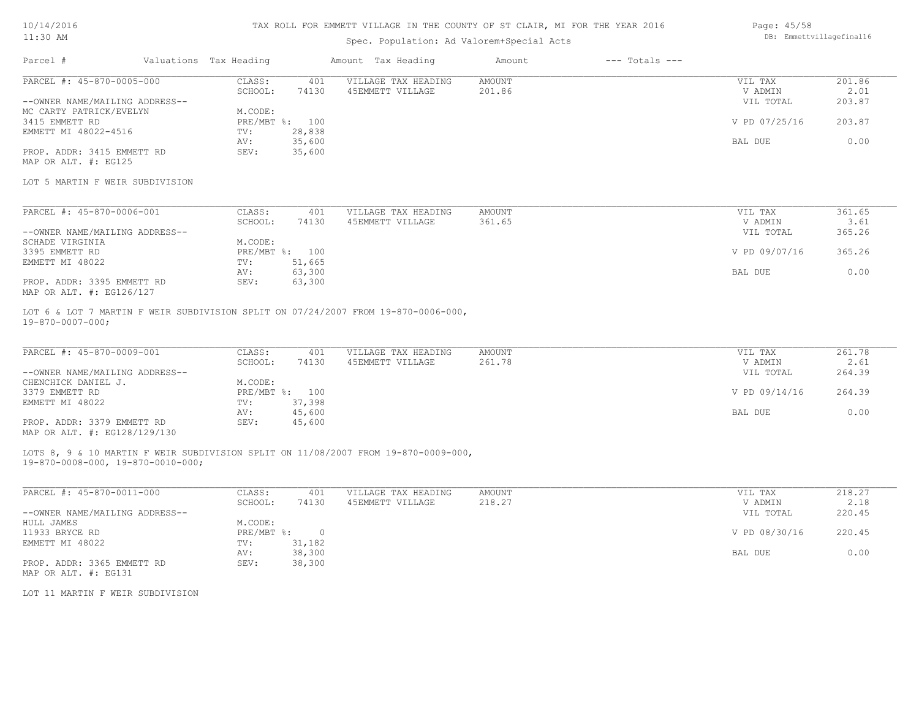### TAX ROLL FOR EMMETT VILLAGE IN THE COUNTY OF ST CLAIR, MI FOR THE YEAR 2016

# Spec. Population: Ad Valorem+Special Acts

| Parcel #                       | Valuations Tax Heading |                | Amount Tax Heading  | Amount | $---$ Totals $---$ |               |        |
|--------------------------------|------------------------|----------------|---------------------|--------|--------------------|---------------|--------|
| PARCEL #: 45-870-0005-000      | CLASS:                 | 401            | VILLAGE TAX HEADING | AMOUNT |                    | VIL TAX       | 201.86 |
|                                | SCHOOL:                | 74130          | 45EMMETT VILLAGE    | 201.86 |                    | V ADMIN       | 2.01   |
| --OWNER NAME/MAILING ADDRESS-- |                        |                |                     |        |                    | VIL TOTAL     | 203.87 |
| MC CARTY PATRICK/EVELYN        | M.CODE:                |                |                     |        |                    |               |        |
| 3415 EMMETT RD                 |                        | PRE/MBT %: 100 |                     |        |                    | V PD 07/25/16 | 203.87 |
| EMMETT MI 48022-4516           | TV:                    | 28,838         |                     |        |                    |               |        |
|                                | AV:                    | 35,600         |                     |        |                    | BAL DUE       | 0.00   |
| PROP. ADDR: 3415 EMMETT RD     | SEV:                   | 35,600         |                     |        |                    |               |        |
|                                |                        |                |                     |        |                    |               |        |

MAP OR ALT. #: EG125

#### LOT 5 MARTIN F WEIR SUBDIVISION

| PARCEL #: 45-870-0006-001      | CLASS:  | 401            | VILLAGE TAX HEADING | AMOUNT | VIL TAX       | 361.65 |
|--------------------------------|---------|----------------|---------------------|--------|---------------|--------|
|                                | SCHOOL: | 74130          | 45EMMETT VILLAGE    | 361.65 | V ADMIN       | 3.61   |
| --OWNER NAME/MAILING ADDRESS-- |         |                |                     |        | VIL TOTAL     | 365.26 |
| SCHADE VIRGINIA                | M.CODE: |                |                     |        |               |        |
| 3395 EMMETT RD                 |         | PRE/MBT %: 100 |                     |        | V PD 09/07/16 | 365.26 |
| EMMETT MI 48022                | TV:     | 51,665         |                     |        |               |        |
|                                | AV:     | 63,300         |                     |        | BAL DUE       | 0.00   |
| PROP. ADDR: 3395 EMMETT RD     | SEV:    | 63,300         |                     |        |               |        |
| MAP OR ALT. #: EG126/127       |         |                |                     |        |               |        |

19-870-0007-000; LOT 6 & LOT 7 MARTIN F WEIR SUBDIVISION SPLIT ON 07/24/2007 FROM 19-870-0006-000,

| PARCEL #: 45-870-0009-001      | CLASS:  | 401            | VILLAGE TAX HEADING | AMOUNT | VIL TAX       | 261.78 |
|--------------------------------|---------|----------------|---------------------|--------|---------------|--------|
|                                | SCHOOL: | 74130          | 45EMMETT VILLAGE    | 261.78 | V ADMIN       | 2.61   |
| --OWNER NAME/MAILING ADDRESS-- |         |                |                     |        | VIL TOTAL     | 264.39 |
| CHENCHICK DANIEL J.            | M.CODE: |                |                     |        |               |        |
| 3379 EMMETT RD                 |         | PRE/MBT %: 100 |                     |        | V PD 09/14/16 | 264.39 |
| EMMETT MI 48022                | TV:     | 37,398         |                     |        |               |        |
|                                | AV:     | 45,600         |                     |        | BAL DUE       | 0.00   |
| PROP. ADDR: 3379 EMMETT RD     | SEV:    | 45,600         |                     |        |               |        |
| MAP OR ALT. #: EG128/129/130   |         |                |                     |        |               |        |

19-870-0008-000, 19-870-0010-000; LOTS 8, 9 & 10 MARTIN F WEIR SUBDIVISION SPLIT ON 11/08/2007 FROM 19-870-0009-000,

| PARCEL #: 45-870-0011-000      | CLASS:     | 401    | VILLAGE TAX HEADING | AMOUNT | VIL TAX       | 218.27 |
|--------------------------------|------------|--------|---------------------|--------|---------------|--------|
|                                | SCHOOL:    | 74130  | 45EMMETT VILLAGE    | 218.27 | V ADMIN       | 2.18   |
| --OWNER NAME/MAILING ADDRESS-- |            |        |                     |        | VIL TOTAL     | 220.45 |
| HULL JAMES                     | M.CODE:    |        |                     |        |               |        |
| 11933 BRYCE RD                 | PRE/MBT %: |        |                     |        | V PD 08/30/16 | 220.45 |
| EMMETT MI 48022                | TV:        | 31,182 |                     |        |               |        |
|                                | AV:        | 38,300 |                     |        | BAL DUE       | 0.00   |
| PROP. ADDR: 3365 EMMETT RD     | SEV:       | 38,300 |                     |        |               |        |
| MAP OR ALT. #: EG131           |            |        |                     |        |               |        |

LOT 11 MARTIN F WEIR SUBDIVISION

Page: 45/58 DB: Emmettvillagefinal16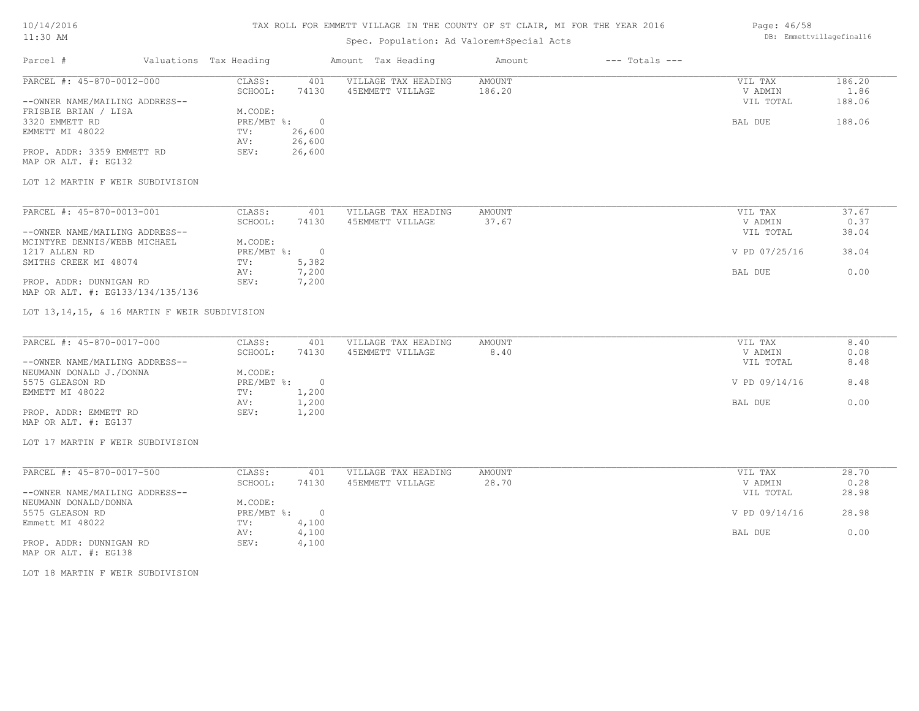### TAX ROLL FOR EMMETT VILLAGE IN THE COUNTY OF ST CLAIR, MI FOR THE YEAR 2016

# Spec. Population: Ad Valorem+Special Acts

| 186.20<br>VIL TAX   |
|---------------------|
| 1.86<br>V ADMIN     |
| 188.06<br>VIL TOTAL |
|                     |
| 188.06              |
|                     |
|                     |
|                     |
|                     |

MAP OR ALT. #: EG132

#### LOT 12 MARTIN F WEIR SUBDIVISION

| PARCEL #: 45-870-0013-001        | CLASS:       | 401   | VILLAGE TAX HEADING | AMOUNT | VIL TAX       | 37.67 |
|----------------------------------|--------------|-------|---------------------|--------|---------------|-------|
|                                  | SCHOOL:      | 74130 | 45EMMETT VILLAGE    | 37.67  | V ADMIN       | 0.37  |
| --OWNER NAME/MAILING ADDRESS--   |              |       |                     |        | VIL TOTAL     | 38.04 |
| MCINTYRE DENNIS/WEBB MICHAEL     | M.CODE:      |       |                     |        |               |       |
| 1217 ALLEN RD                    | $PRE/MBT$ %: |       |                     |        | V PD 07/25/16 | 38.04 |
| SMITHS CREEK MI 48074            | TV:          | 5,382 |                     |        |               |       |
|                                  | AV:          | 7,200 |                     |        | BAL DUE       | 0.00  |
| PROP. ADDR: DUNNIGAN RD          | SEV:         | 7,200 |                     |        |               |       |
| MAP OR ALT. #: EG133/134/135/136 |              |       |                     |        |               |       |

#### LOT 13,14,15, & 16 MARTIN F WEIR SUBDIVISION

| PARCEL #: 45-870-0017-000      | CLASS:     | 401   | VILLAGE TAX HEADING | AMOUNT | VIL TAX       | 8.40 |
|--------------------------------|------------|-------|---------------------|--------|---------------|------|
|                                | SCHOOL:    | 74130 | 45EMMETT VILLAGE    | 8.40   | V ADMIN       | 0.08 |
| --OWNER NAME/MAILING ADDRESS-- |            |       |                     |        | VIL TOTAL     | 8.48 |
| NEUMANN DONALD J./DONNA        | M.CODE:    |       |                     |        |               |      |
| 5575 GLEASON RD                | PRE/MBT %: |       |                     |        | V PD 09/14/16 | 8.48 |
| EMMETT MI 48022                | TV:        | 1,200 |                     |        |               |      |
|                                | AV:        | 1,200 |                     |        | BAL DUE       | 0.00 |
| PROP. ADDR: EMMETT RD          | SEV:       | 1,200 |                     |        |               |      |
| MAP OR ALT. #: EG137           |            |       |                     |        |               |      |

#### LOT 17 MARTIN F WEIR SUBDIVISION

| PARCEL #: 45-870-0017-500      | CLASS:     | 401   | VILLAGE TAX HEADING | AMOUNT | VIL TAX       | 28.70 |
|--------------------------------|------------|-------|---------------------|--------|---------------|-------|
|                                | SCHOOL:    | 74130 | 45EMMETT VILLAGE    | 28.70  | V ADMIN       | 0.28  |
| --OWNER NAME/MAILING ADDRESS-- |            |       |                     |        | VIL TOTAL     | 28.98 |
| NEUMANN DONALD/DONNA           | M.CODE:    |       |                     |        |               |       |
| 5575 GLEASON RD                | PRE/MBT %: |       |                     |        | V PD 09/14/16 | 28.98 |
| Emmett MI 48022                | TV:        | 4,100 |                     |        |               |       |
|                                | AV:        | 4,100 |                     |        | BAL DUE       | 0.00  |
| PROP. ADDR: DUNNIGAN RD        | SEV:       | 4,100 |                     |        |               |       |

MAP OR ALT. #: EG138

LOT 18 MARTIN F WEIR SUBDIVISION

Page: 46/58 DB: Emmettvillagefinal16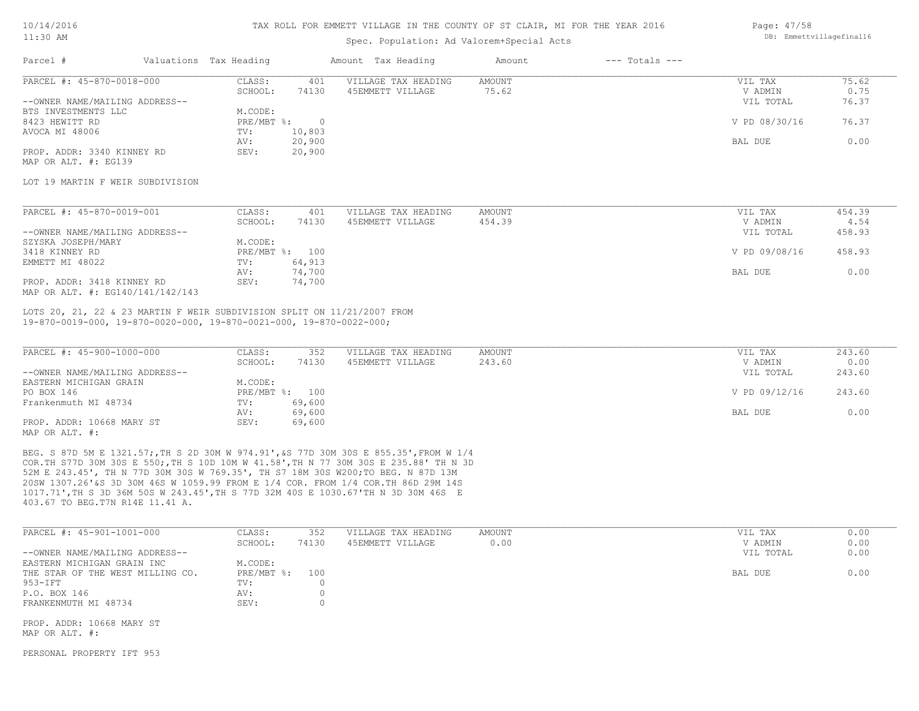#### TAX ROLL FOR EMMETT VILLAGE IN THE COUNTY OF ST CLAIR, MI FOR THE YEAR 2016

Parcel # Valuations Tax Heading Amount Tax Heading Amount --- Totals ---

## Spec. Population: Ad Valorem+Special Acts

| Page: 47/58              |
|--------------------------|
| DB: Emmettvillagefinal16 |

| PARCEL #: 45-870-0018-000      | CLASS:       | 401    | VILLAGE TAX HEADING | AMOUNT | VIL TAX       | 75.62 |
|--------------------------------|--------------|--------|---------------------|--------|---------------|-------|
|                                | SCHOOL:      | 74130  | 45EMMETT VILLAGE    | 75.62  | V ADMIN       | 0.75  |
| --OWNER NAME/MAILING ADDRESS-- |              |        |                     |        | VIL TOTAL     | 76.37 |
| BTS INVESTMENTS LLC            | M.CODE:      |        |                     |        |               |       |
| 8423 HEWITT RD                 | $PRE/MBT$ %: |        |                     |        | V PD 08/30/16 | 76.37 |
| AVOCA MI 48006                 | TV:          | 10,803 |                     |        |               |       |
|                                | AV:          | 20,900 |                     |        | BAL DUE       | 0.00  |
| PROP. ADDR: 3340 KINNEY RD     | SEV:         | 20,900 |                     |        |               |       |
| MAP OR ALT. #: EG139           |              |        |                     |        |               |       |

### LOT 19 MARTIN F WEIR SUBDIVISION

| PARCEL #: 45-870-0019-001        | CLASS:  | 401            | VILLAGE TAX HEADING | AMOUNT | VIL TAX       | 454.39 |
|----------------------------------|---------|----------------|---------------------|--------|---------------|--------|
|                                  | SCHOOL: | 74130          | 45EMMETT VILLAGE    | 454.39 | V ADMIN       | 4.54   |
| --OWNER NAME/MAILING ADDRESS--   |         |                |                     |        | VIL TOTAL     | 458.93 |
| SZYSKA JOSEPH/MARY               | M.CODE: |                |                     |        |               |        |
| 3418 KINNEY RD                   |         | PRE/MBT %: 100 |                     |        | V PD 09/08/16 | 458.93 |
| EMMETT MI 48022                  | TV:     | 64,913         |                     |        |               |        |
|                                  | AV:     | 74,700         |                     |        | BAL DUE       | 0.00   |
| PROP. ADDR: 3418 KINNEY RD       | SEV:    | 74,700         |                     |        |               |        |
| MAP OR ALT. #: EG140/141/142/143 |         |                |                     |        |               |        |

19-870-0019-000, 19-870-0020-000, 19-870-0021-000, 19-870-0022-000; LOTS 20, 21, 22 & 23 MARTIN F WEIR SUBDIVISION SPLIT ON 11/21/2007 FROM

| PARCEL #: 45-900-1000-000      | CLASS:  | 352            | VILLAGE TAX HEADING | AMOUNT | VIL TAX       | 243.60 |
|--------------------------------|---------|----------------|---------------------|--------|---------------|--------|
|                                | SCHOOL: | 74130          | 45EMMETT VILLAGE    | 243.60 | V ADMIN       | 0.00   |
| --OWNER NAME/MAILING ADDRESS-- |         |                |                     |        | VIL TOTAL     | 243.60 |
| EASTERN MICHIGAN GRAIN         | M.CODE: |                |                     |        |               |        |
| PO BOX 146                     |         | PRE/MBT %: 100 |                     |        | V PD 09/12/16 | 243.60 |
| Frankenmuth MI 48734           | TV:     | 69,600         |                     |        |               |        |
|                                | AV:     | 69,600         |                     |        | BAL DUE       | 0.00   |
| PROP. ADDR: 10668 MARY ST      | SEV:    | 69,600         |                     |        |               |        |
| MAP OR ALT. #:                 |         |                |                     |        |               |        |

403.67 TO BEG.T7N R14E 11.41 A. 1017.71',TH S 3D 36M 50S W 243.45',TH S 77D 32M 40S E 1030.67'TH N 3D 30M 46S E 20SW 1307.26'&S 3D 30M 46S W 1059.99 FROM E 1/4 COR. FROM 1/4 COR.TH 86D 29M 14S 52M E 243.45', TH N 77D 30M 30S W 769.35', TH S7 18M 30S W200;TO BEG. N 87D 13M COR.TH S77D 30M 30S E 550;,TH S 10D 10M W 41.58',TH N 77 30M 30S E 235.88' TH N 3D BEG. S 87D 5M E 1321.57;,TH S 2D 30M W 974.91',&S 77D 30M 30S E 855.35',FROM W 1/4

| PARCEL #: 45-901-1001-000        | CLASS:       | 352   | VILLAGE TAX HEADING | AMOUNT | VIL TAX   | 0.00 |
|----------------------------------|--------------|-------|---------------------|--------|-----------|------|
|                                  | SCHOOL:      | 74130 | 45EMMETT VILLAGE    | 0.00   | V ADMIN   | 0.00 |
| --OWNER NAME/MAILING ADDRESS--   |              |       |                     |        | VIL TOTAL | 0.00 |
| EASTERN MICHIGAN GRAIN INC       | M.CODE:      |       |                     |        |           |      |
| THE STAR OF THE WEST MILLING CO. | $PRE/MBT$ %: | 100   |                     |        | BAL DUE   | 0.00 |
| 953-IFT                          | TV:          |       |                     |        |           |      |
| P.O. BOX 146                     | AV:          |       |                     |        |           |      |
| FRANKENMUTH MI 48734             | SEV:         |       |                     |        |           |      |
|                                  |              |       |                     |        |           |      |
| PROP. ADDR: 10668 MARY ST        |              |       |                     |        |           |      |

MAP OR ALT. #:

PERSONAL PROPERTY IFT 953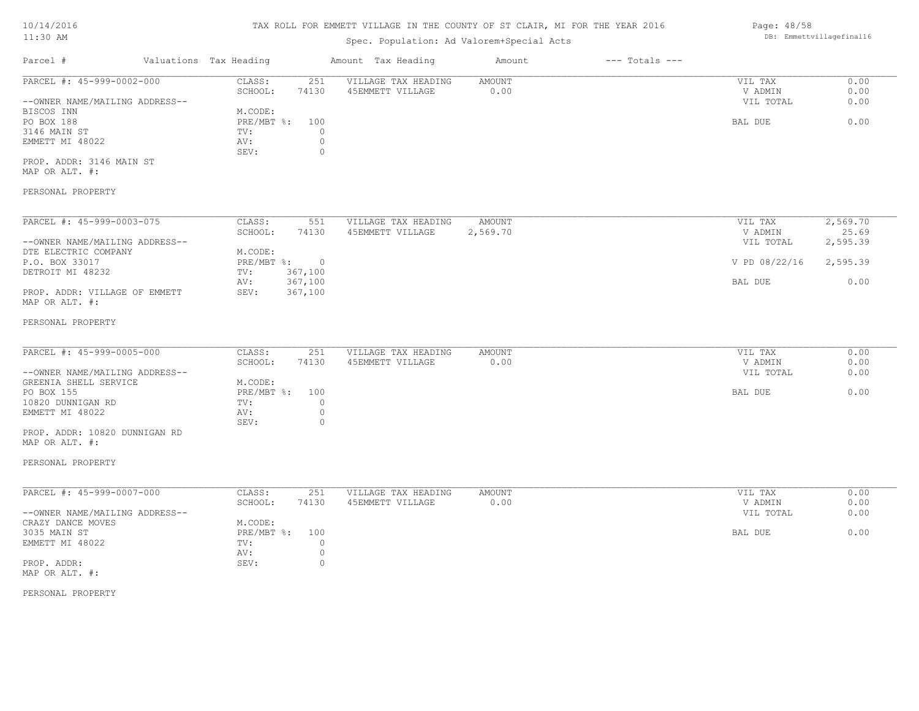# TAX ROLL FOR EMMETT VILLAGE IN THE COUNTY OF ST CLAIR, MI FOR THE YEAR 2016

# Spec. Population: Ad Valorem+Special Acts

| Parcel #                       | Valuations Tax Heading |       | Amount Tax Heading  | Amount | $---$ Totals $---$ |           |      |
|--------------------------------|------------------------|-------|---------------------|--------|--------------------|-----------|------|
| PARCEL #: 45-999-0002-000      | CLASS:                 | 251   | VILLAGE TAX HEADING | AMOUNT |                    | VIL TAX   | 0.00 |
|                                | SCHOOL:                | 74130 | 45EMMETT VILLAGE    | 0.00   |                    | V ADMIN   | 0.00 |
| --OWNER NAME/MAILING ADDRESS-- |                        |       |                     |        |                    | VIL TOTAL | 0.00 |
| BISCOS INN                     | M.CODE:                |       |                     |        |                    |           |      |
| PO BOX 188                     | $PRE/MBT$ %:           | 100   |                     |        |                    | BAL DUE   | 0.00 |
| 3146 MAIN ST                   | TV:                    |       |                     |        |                    |           |      |
| EMMETT MI 48022                | AV:                    |       |                     |        |                    |           |      |
|                                | SEV:                   |       |                     |        |                    |           |      |
| PROP. ADDR: 3146 MAIN ST       |                        |       |                     |        |                    |           |      |
| MAP OR ALT. #:                 |                        |       |                     |        |                    |           |      |

### PERSONAL PROPERTY

| PARCEL #: 45-999-0003-075      | CLASS:     | 551      | VILLAGE TAX HEADING | AMOUNT   | VIL TAX       | 2,569.70 |
|--------------------------------|------------|----------|---------------------|----------|---------------|----------|
|                                | SCHOOL:    | 74130    | 45EMMETT VILLAGE    | 2,569.70 | V ADMIN       | 25.69    |
| --OWNER NAME/MAILING ADDRESS-- |            |          |                     |          | VIL TOTAL     | 2,595.39 |
| DTE ELECTRIC COMPANY           | M.CODE:    |          |                     |          |               |          |
| P.O. BOX 33017                 | PRE/MBT %: | $\Omega$ |                     |          | V PD 08/22/16 | 2,595.39 |
| DETROIT MI 48232               | TV:        | 367,100  |                     |          |               |          |
|                                | AV:        | 367,100  |                     |          | BAL DUE       | 0.00     |
| PROP. ADDR: VILLAGE OF EMMETT  | SEV:       | 367,100  |                     |          |               |          |
| MAP OR ALT. #:                 |            |          |                     |          |               |          |

#### PERSONAL PROPERTY

| PARCEL #: 45-999-0005-000      | CLASS:         | 251   | VILLAGE TAX HEADING | AMOUNT | VIL TAX   | 0.00 |
|--------------------------------|----------------|-------|---------------------|--------|-----------|------|
|                                | SCHOOL:        | 74130 | 45EMMETT VILLAGE    | 0.00   | V ADMIN   | 0.00 |
| --OWNER NAME/MAILING ADDRESS-- |                |       |                     |        | VIL TOTAL | 0.00 |
| GREENIA SHELL SERVICE          | M.CODE:        |       |                     |        |           |      |
| PO BOX 155                     | PRE/MBT %: 100 |       |                     |        | BAL DUE   | 0.00 |
| 10820 DUNNIGAN RD              | TV:            |       |                     |        |           |      |
| EMMETT MI 48022                | AV:            |       |                     |        |           |      |
|                                | SEV:           |       |                     |        |           |      |
| PROP. ADDR: 10820 DUNNIGAN RD  |                |       |                     |        |           |      |

# MAP OR ALT. #:

### PERSONAL PROPERTY

| PARCEL #: 45-999-0007-000      | CLASS:     | 251   | VILLAGE TAX HEADING | AMOUNT | VIL TAX   | 0.00 |
|--------------------------------|------------|-------|---------------------|--------|-----------|------|
|                                | SCHOOL:    | 74130 | 45EMMETT VILLAGE    | 0.00   | V ADMIN   | 0.00 |
| --OWNER NAME/MAILING ADDRESS-- |            |       |                     |        | VIL TOTAL | 0.00 |
| CRAZY DANCE MOVES              | M.CODE:    |       |                     |        |           |      |
| 3035 MAIN ST                   | PRE/MBT %: | 100   |                     |        | BAL DUE   | 0.00 |
| EMMETT MI 48022                | TV:        |       |                     |        |           |      |
|                                | AV:        |       |                     |        |           |      |
| PROP. ADDR:                    | SEV:       |       |                     |        |           |      |
| MAP OR ALT. #:                 |            |       |                     |        |           |      |

PERSONAL PROPERTY

Page: 48/58 DB: Emmettvillagefinal16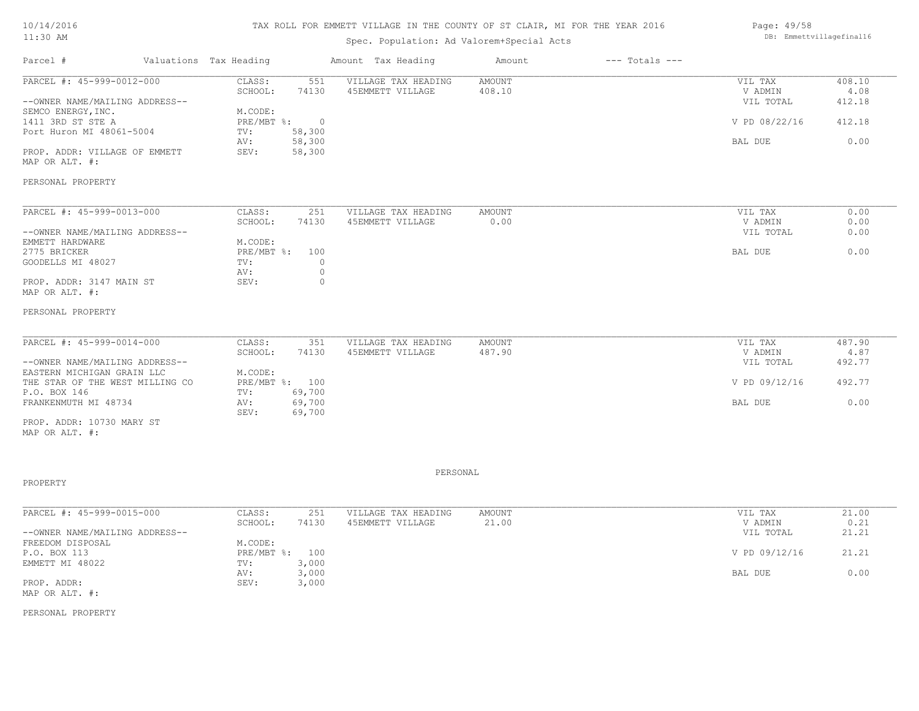#### TAX ROLL FOR EMMETT VILLAGE IN THE COUNTY OF ST CLAIR, MI FOR THE YEAR 2016

### Spec. Population: Ad Valorem+Special Acts

| Parcel #                       | Valuations Tax Heading |            | Amount Tax Heading  | Amount | $---$ Totals $---$ |               |        |
|--------------------------------|------------------------|------------|---------------------|--------|--------------------|---------------|--------|
| PARCEL #: 45-999-0012-000      | CLASS:                 | 551        | VILLAGE TAX HEADING | AMOUNT |                    | VIL TAX       | 408.10 |
|                                | SCHOOL:                | 74130      | 45EMMETT VILLAGE    | 408.10 |                    | V ADMIN       | 4.08   |
| --OWNER NAME/MAILING ADDRESS-- |                        |            |                     |        |                    | VIL TOTAL     | 412.18 |
| SEMCO ENERGY, INC.             | M.CODE:                |            |                     |        |                    |               |        |
| 1411 3RD ST STE A              | $PRE/MBT$ %:           | $\bigcirc$ |                     |        |                    | V PD 08/22/16 | 412.18 |
| Port Huron MI 48061-5004       | TV:                    | 58,300     |                     |        |                    |               |        |
|                                | AV:                    | 58,300     |                     |        |                    | BAL DUE       | 0.00   |
| PROP. ADDR: VILLAGE OF EMMETT  | SEV:                   | 58,300     |                     |        |                    |               |        |
| MAP OR ALT. #:                 |                        |            |                     |        |                    |               |        |
|                                |                        |            |                     |        |                    |               |        |
| PERSONAL PROPERTY              |                        |            |                     |        |                    |               |        |
|                                |                        |            |                     |        |                    |               |        |

| PARCEL #: 45-999-0013-000      | CLASS:         | 251   | VILLAGE TAX HEADING | AMOUNT | VIL TAX   | 0.00 |
|--------------------------------|----------------|-------|---------------------|--------|-----------|------|
|                                | SCHOOL:        | 74130 | 45EMMETT VILLAGE    | 0.00   | V ADMIN   | 0.00 |
| --OWNER NAME/MAILING ADDRESS-- |                |       |                     |        | VIL TOTAL | 0.00 |
| EMMETT HARDWARE                | M.CODE:        |       |                     |        |           |      |
| 2775 BRICKER                   | PRE/MBT %: 100 |       |                     |        | BAL DUE   | 0.00 |
| GOODELLS MI 48027              | TV:            |       |                     |        |           |      |
|                                | AV:            |       |                     |        |           |      |
| PROP. ADDR: 3147 MAIN ST       | SEV:           |       |                     |        |           |      |
| MAP OR ALT. #:                 |                |       |                     |        |           |      |

#### PERSONAL PROPERTY

| PARCEL #: 45-999-0014-000       | CLASS:         | 351    | VILLAGE TAX HEADING | AMOUNT | VIL TAX       | 487.90 |
|---------------------------------|----------------|--------|---------------------|--------|---------------|--------|
|                                 | SCHOOL:        | 74130  | 45EMMETT VILLAGE    | 487.90 | V ADMIN       | 4.87   |
| --OWNER NAME/MAILING ADDRESS--  |                |        |                     |        | VIL TOTAL     | 492.77 |
| EASTERN MICHIGAN GRAIN LLC      | M.CODE:        |        |                     |        |               |        |
| THE STAR OF THE WEST MILLING CO | PRE/MBT %: 100 |        |                     |        | V PD 09/12/16 | 492.77 |
| P.O. BOX 146                    | TV:            | 69,700 |                     |        |               |        |
| FRANKENMUTH MI 48734            | AV:            | 69,700 |                     |        | BAL DUE       | 0.00   |
|                                 | SEV:           | 69,700 |                     |        |               |        |
| PROP. ADDR: 10730 MARY ST       |                |        |                     |        |               |        |

MAP OR ALT. #:

#### PROPERTY

MAP OR ALT. #: PROP. ADDR: SEV: 3,000 AV: 3,000 BAL DUE 0.00 EMMETT MI 48022 TV: 3,000<br>AV: 3,000 P.O. BOX 113 PRE/MBT %: 100 V PD 09/12/16 21.21 FREEDOM DISPOSAL M.CODE:<br>
P.O. BOX 113 PRE/MBT %: 100 --OWNER NAME/MAILING ADDRESS-- VIL TOTAL 21.21 SCHOOL: 74130 45EMMETT VILLAGE 21.00 V ADMIN 0.21 PARCEL #: 45-999-0015-000 CLASS: 251 VILLAGE TAX HEADING AMOUNT NULLAGE 21.00 VADMIN 21.00 21 \_\_\_\_\_\_\_\_\_\_\_\_\_\_\_\_\_\_\_\_\_\_\_\_\_\_\_\_\_\_\_\_\_\_\_\_\_\_\_\_\_\_\_\_\_\_\_\_\_\_\_\_\_\_\_\_\_\_\_\_\_\_\_\_\_\_\_\_\_\_\_\_\_\_\_\_\_\_\_\_\_\_\_\_\_\_\_\_\_\_\_\_\_\_\_\_\_\_\_\_\_\_\_\_\_\_\_\_\_\_\_\_\_\_\_\_\_\_\_\_\_\_\_\_\_\_\_\_\_\_\_\_\_\_\_\_\_\_\_\_\_\_\_\_\_\_\_\_\_\_\_\_\_\_\_\_\_\_\_\_\_\_\_\_\_\_\_\_\_\_\_\_\_\_\_

PERSONAL PROPERTY

Page: 49/58 DB: Emmettvillagefinal16

PERSONAL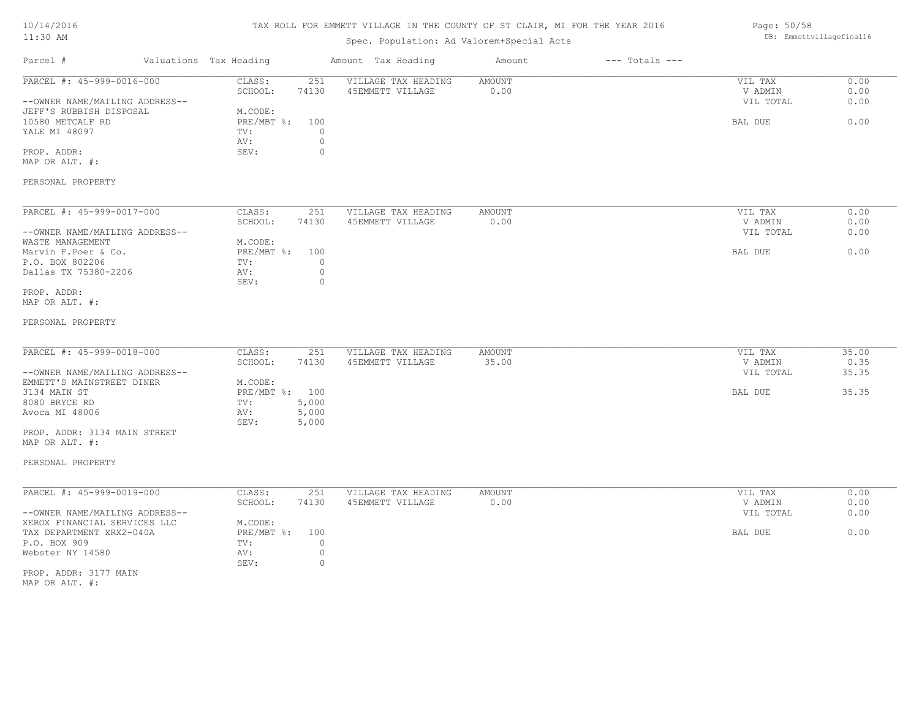# TAX ROLL FOR EMMETT VILLAGE IN THE COUNTY OF ST CLAIR, MI FOR THE YEAR 2016

# Spec. Population: Ad Valorem+Special Acts

| Page: 50/58              |
|--------------------------|
| DB: Emmettvillagefinal16 |

| Parcel #                                                                               | Valuations Tax Heading       |                                    | Amount Tax Heading                      | Amount                | $---$ Totals $---$ |                                 |                      |
|----------------------------------------------------------------------------------------|------------------------------|------------------------------------|-----------------------------------------|-----------------------|--------------------|---------------------------------|----------------------|
| PARCEL #: 45-999-0016-000<br>--OWNER NAME/MAILING ADDRESS--<br>JEFF'S RUBBISH DISPOSAL | CLASS:<br>SCHOOL:<br>M.CODE: | 251<br>74130                       | VILLAGE TAX HEADING<br>45EMMETT VILLAGE | AMOUNT<br>0.00        |                    | VIL TAX<br>V ADMIN<br>VIL TOTAL | 0.00<br>0.00<br>0.00 |
| 10580 METCALF RD<br>YALE MI 48097                                                      | PRE/MBT %:<br>TV:<br>AV:     | 100<br>$\Omega$<br>$\circ$         |                                         |                       |                    | BAL DUE                         | 0.00                 |
| PROP. ADDR:<br>MAP OR ALT. #:                                                          | SEV:                         | $\circ$                            |                                         |                       |                    |                                 |                      |
| PERSONAL PROPERTY                                                                      |                              |                                    |                                         |                       |                    |                                 |                      |
| PARCEL #: 45-999-0017-000                                                              | CLASS:<br>SCHOOL:            | 251<br>74130                       | VILLAGE TAX HEADING<br>45EMMETT VILLAGE | <b>AMOUNT</b><br>0.00 |                    | VIL TAX<br>V ADMIN              | 0.00<br>0.00         |
| --OWNER NAME/MAILING ADDRESS--<br>WASTE MANAGEMENT                                     | M.CODE:                      |                                    |                                         |                       |                    | VIL TOTAL                       | 0.00                 |
| Marvin F. Poer & Co.                                                                   | PRE/MBT %:                   | 100                                |                                         |                       |                    | BAL DUE                         | 0.00                 |
| P.O. BOX 802206<br>Dallas TX 75380-2206                                                | TV:<br>AV:<br>SEV:           | $\circ$<br>$\circ$<br>$\circ$      |                                         |                       |                    |                                 |                      |
| PROP. ADDR:<br>MAP OR ALT. #:                                                          |                              |                                    |                                         |                       |                    |                                 |                      |
| PERSONAL PROPERTY                                                                      |                              |                                    |                                         |                       |                    |                                 |                      |
| PARCEL #: 45-999-0018-000                                                              | CLASS:                       | 251                                | VILLAGE TAX HEADING                     | <b>AMOUNT</b>         |                    | VIL TAX                         | 35.00                |
|                                                                                        | SCHOOL:                      | 74130                              | 45EMMETT VILLAGE                        | 35.00                 |                    | V ADMIN                         | 0.35                 |
| --OWNER NAME/MAILING ADDRESS--<br>EMMETT'S MAINSTREET DINER                            | M.CODE:                      |                                    |                                         |                       |                    | VIL TOTAL                       | 35.35                |
| 3134 MAIN ST                                                                           | PRE/MBT %: 100               |                                    |                                         |                       |                    | BAL DUE                         | 35.35                |
| 8080 BRYCE RD                                                                          | TV:                          | 5,000                              |                                         |                       |                    |                                 |                      |
| Avoca MI 48006                                                                         | AV:<br>SEV:                  | 5,000<br>5,000                     |                                         |                       |                    |                                 |                      |
| PROP. ADDR: 3134 MAIN STREET<br>MAP OR ALT. #:                                         |                              |                                    |                                         |                       |                    |                                 |                      |
| PERSONAL PROPERTY                                                                      |                              |                                    |                                         |                       |                    |                                 |                      |
| PARCEL #: 45-999-0019-000                                                              | CLASS:<br>SCHOOL:            | 251<br>74130                       | VILLAGE TAX HEADING<br>45EMMETT VILLAGE | AMOUNT<br>0.00        |                    | VIL TAX<br>V ADMIN              | 0.00<br>0.00         |
| --OWNER NAME/MAILING ADDRESS--                                                         |                              |                                    |                                         |                       |                    | VIL TOTAL                       | 0.00                 |
| XEROX FINANCIAL SERVICES LLC                                                           | M.CODE:                      |                                    |                                         |                       |                    |                                 |                      |
| TAX DEPARTMENT XRX2-040A                                                               | $PRE/MBT$ $\div$             | 100                                |                                         |                       |                    | BAL DUE                         | 0.00                 |
| P.O. BOX 909<br>Webster NY 14580                                                       | TV:<br>AV:<br>SEV:           | $\mathbf{0}$<br>$\circ$<br>$\circ$ |                                         |                       |                    |                                 |                      |
| PROP. ADDR: 3177 MAIN<br>MAP OR ALT. #:                                                |                              |                                    |                                         |                       |                    |                                 |                      |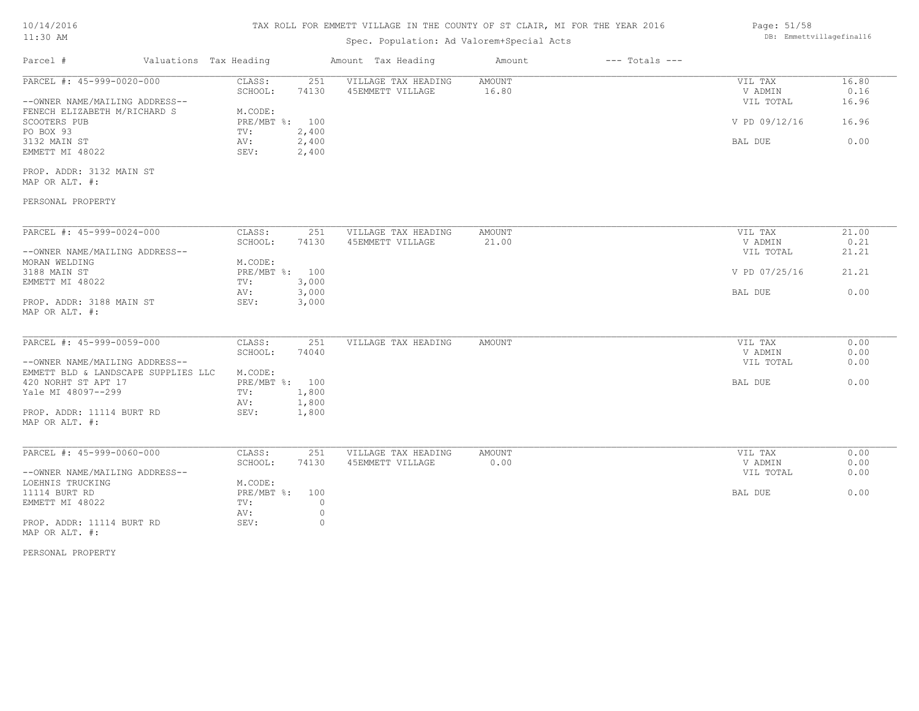| 10/14/2016 |  |
|------------|--|
| $11:30$ AM |  |

# Spec. Population: Ad Valorem+Special Acts

| Page: 51/58              |
|--------------------------|
| DB: Emmettvillagefinal16 |

| Parcel #                                                              | Valuations Tax Heading                         | Amount Tax Heading                             | Amount                 | $---$ Totals $---$ |                                 |                        |
|-----------------------------------------------------------------------|------------------------------------------------|------------------------------------------------|------------------------|--------------------|---------------------------------|------------------------|
| PARCEL #: 45-999-0020-000<br>--OWNER NAME/MAILING ADDRESS--           | 251<br>CLASS:<br>74130<br>SCHOOL:              | VILLAGE TAX HEADING<br>45EMMETT VILLAGE        | <b>AMOUNT</b><br>16.80 |                    | VIL TAX<br>V ADMIN<br>VIL TOTAL | 16.80<br>0.16<br>16.96 |
| FENECH ELIZABETH M/RICHARD S<br>SCOOTERS PUB<br>PO BOX 93             | M.CODE:<br>PRE/MBT %: 100<br>2,400<br>TV:      |                                                |                        |                    | V PD 09/12/16                   | 16.96                  |
| 3132 MAIN ST<br>EMMETT MI 48022                                       | AV:<br>2,400<br>2,400<br>SEV:                  |                                                |                        |                    | BAL DUE                         | 0.00                   |
| PROP. ADDR: 3132 MAIN ST<br>MAP OR ALT. #:                            |                                                |                                                |                        |                    |                                 |                        |
| PERSONAL PROPERTY                                                     |                                                |                                                |                        |                    |                                 |                        |
| PARCEL #: 45-999-0024-000<br>--OWNER NAME/MAILING ADDRESS--           | CLASS:<br>SCHOOL:<br>74130                     | 251<br>VILLAGE TAX HEADING<br>45EMMETT VILLAGE | <b>AMOUNT</b><br>21.00 |                    | VIL TAX<br>V ADMIN<br>VIL TOTAL | 21.00<br>0.21<br>21.21 |
| MORAN WELDING<br>3188 MAIN ST                                         | M.CODE:<br>PRE/MBT %: 100                      |                                                |                        |                    | V PD 07/25/16                   | 21.21                  |
| EMMETT MI 48022<br>PROP. ADDR: 3188 MAIN ST                           | 3,000<br>TV:<br>3,000<br>AV:<br>3,000<br>SEV:  |                                                |                        |                    | BAL DUE                         | 0.00                   |
| MAP OR ALT. #:                                                        |                                                |                                                |                        |                    |                                 |                        |
| PARCEL #: 45-999-0059-000                                             | CLASS:<br>74040<br>SCHOOL:                     | 251<br>VILLAGE TAX HEADING                     | AMOUNT                 |                    | VIL TAX<br>V ADMIN              | 0.00<br>0.00           |
| --OWNER NAME/MAILING ADDRESS--<br>EMMETT BLD & LANDSCAPE SUPPLIES LLC | M.CODE:                                        |                                                |                        |                    | VIL TOTAL                       | 0.00                   |
| 420 NORHT ST APT 17<br>Yale MI 48097--299                             | PRE/MBT %: 100<br>1,800<br>TV:<br>1,800<br>AV: |                                                |                        |                    | BAL DUE                         | 0.00                   |
| PROP. ADDR: 11114 BURT RD<br>MAP OR ALT. #:                           | SEV:<br>1,800                                  |                                                |                        |                    |                                 |                        |
| PARCEL #: 45-999-0060-000                                             | CLASS:<br>SCHOOL:<br>74130                     | 251<br>VILLAGE TAX HEADING<br>45EMMETT VILLAGE | AMOUNT<br>0.00         |                    | VIL TAX<br>V ADMIN              | 0.00<br>0.00           |
| --OWNER NAME/MAILING ADDRESS--<br>LOEHNIS TRUCKING                    | M.CODE:                                        |                                                |                        |                    | VIL TOTAL                       | 0.00                   |
| 11114 BURT RD<br>EMMETT MI 48022                                      | $PRE/MBT$ $\div$<br>100<br>TV:<br>AV:          | $\circ$<br>$\circ$                             |                        |                    | BAL DUE                         | 0.00                   |
| PROP. ADDR: 11114 BURT RD<br>MAP OR ALT. #:                           | SEV:                                           | $\circ$                                        |                        |                    |                                 |                        |

PERSONAL PROPERTY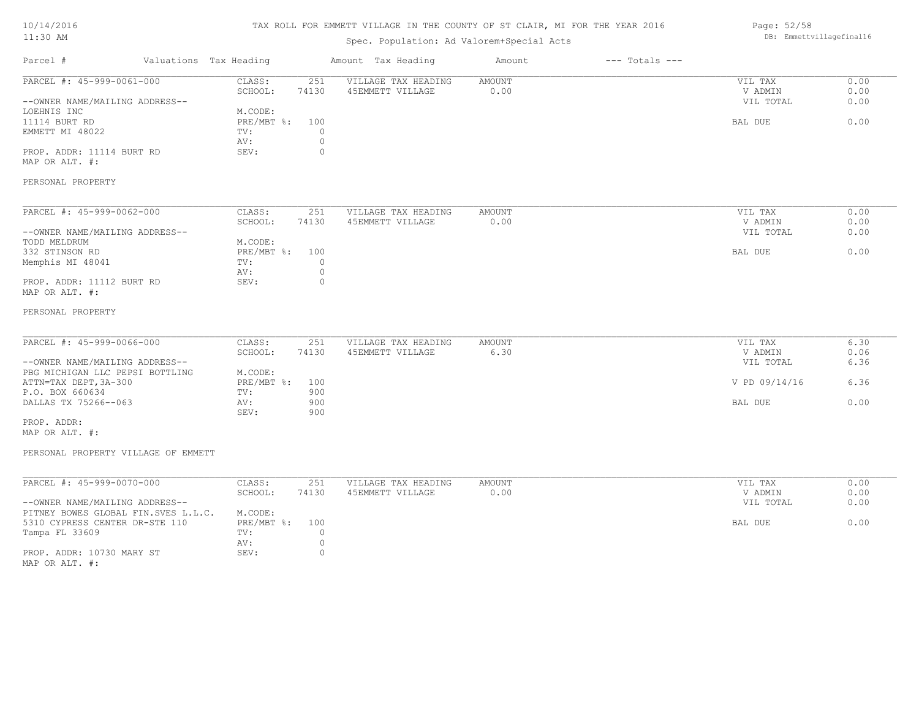# TAX ROLL FOR EMMETT VILLAGE IN THE COUNTY OF ST CLAIR, MI FOR THE YEAR 2016

# Spec. Population: Ad Valorem+Special Acts

#### Page: 52/58 DB: Emmettvillagefinal16

| Parcel #                            | Valuations Tax Heading           | Amount Tax Heading  | Amount        | $---$ Totals $---$ |               |      |
|-------------------------------------|----------------------------------|---------------------|---------------|--------------------|---------------|------|
| PARCEL #: 45-999-0061-000           | CLASS:<br>251                    | VILLAGE TAX HEADING | AMOUNT        |                    | VIL TAX       | 0.00 |
|                                     | SCHOOL:<br>74130                 | 45EMMETT VILLAGE    | 0.00          |                    | V ADMIN       | 0.00 |
| --OWNER NAME/MAILING ADDRESS--      |                                  |                     |               |                    | VIL TOTAL     | 0.00 |
| LOEHNIS INC                         | M.CODE:                          |                     |               |                    |               |      |
| 11114 BURT RD                       | $PRE/MBT$ $\div$<br>100          |                     |               |                    | BAL DUE       | 0.00 |
| EMMETT MI 48022                     | $\Omega$<br>TV:                  |                     |               |                    |               |      |
|                                     | $\circ$<br>AV:                   |                     |               |                    |               |      |
| PROP. ADDR: 11114 BURT RD           | SEV:<br>$\circ$                  |                     |               |                    |               |      |
| MAP OR ALT. #:                      |                                  |                     |               |                    |               |      |
|                                     |                                  |                     |               |                    |               |      |
| PERSONAL PROPERTY                   |                                  |                     |               |                    |               |      |
| PARCEL #: 45-999-0062-000           | CLASS:<br>251                    | VILLAGE TAX HEADING | AMOUNT        |                    | VIL TAX       | 0.00 |
|                                     | SCHOOL:<br>74130                 | 45EMMETT VILLAGE    | 0.00          |                    | V ADMIN       | 0.00 |
|                                     |                                  |                     |               |                    |               |      |
| --OWNER NAME/MAILING ADDRESS--      |                                  |                     |               |                    | VIL TOTAL     | 0.00 |
| TODD MELDRUM                        | M.CODE:                          |                     |               |                    |               |      |
| 332 STINSON RD                      | $PRE/MBT$ $\frac{6}{3}$ :<br>100 |                     |               |                    | BAL DUE       | 0.00 |
| Memphis MI 48041                    | TV:<br>$\circ$                   |                     |               |                    |               |      |
|                                     | $\circ$<br>AV:                   |                     |               |                    |               |      |
| PROP. ADDR: 11112 BURT RD           | $\circ$<br>SEV:                  |                     |               |                    |               |      |
| MAP OR ALT. #:                      |                                  |                     |               |                    |               |      |
| PERSONAL PROPERTY                   |                                  |                     |               |                    |               |      |
|                                     |                                  |                     |               |                    |               |      |
| PARCEL #: 45-999-0066-000           | CLASS:<br>251                    | VILLAGE TAX HEADING | AMOUNT        |                    | VIL TAX       | 6.30 |
|                                     | SCHOOL:<br>74130                 | 45EMMETT VILLAGE    | 6.30          |                    | V ADMIN       | 0.06 |
| --OWNER NAME/MAILING ADDRESS--      |                                  |                     |               |                    | VIL TOTAL     | 6.36 |
| PBG MICHIGAN LLC PEPSI BOTTLING     | M.CODE:                          |                     |               |                    |               |      |
| ATTN=TAX DEPT, 3A-300               | $PRE/MBT$ $\frac{6}{3}$ :<br>100 |                     |               |                    | V PD 09/14/16 | 6.36 |
| P.O. BOX 660634                     | 900<br>TV:                       |                     |               |                    |               |      |
| DALLAS TX 75266--063                | 900<br>AV:                       |                     |               |                    | BAL DUE       | 0.00 |
|                                     | SEV:<br>900                      |                     |               |                    |               |      |
| PROP. ADDR:                         |                                  |                     |               |                    |               |      |
| MAP OR ALT. #:                      |                                  |                     |               |                    |               |      |
|                                     |                                  |                     |               |                    |               |      |
| PERSONAL PROPERTY VILLAGE OF EMMETT |                                  |                     |               |                    |               |      |
|                                     |                                  |                     |               |                    |               |      |
| PARCEL #: 45-999-0070-000           | CLASS:<br>251                    | VILLAGE TAX HEADING | <b>AMOUNT</b> |                    | VIL TAX       | 0.00 |
|                                     | SCHOOL:<br>74130                 | 45EMMETT VILLAGE    | 0.00          |                    | V ADMIN       | 0.00 |
| --OWNER NAME/MAILING ADDRESS--      |                                  |                     |               |                    | VIL TOTAL     | 0.00 |
| PITNEY BOWES GLOBAL FIN.SVES L.L.C. | M.CODE:                          |                     |               |                    |               |      |
| 5310 CYPRESS CENTER DR-STE 110      | PRE/MBT %:<br>100                |                     |               |                    | BAL DUE       | 0.00 |
| Tampa FL 33609                      | $\circ$<br>TV:                   |                     |               |                    |               |      |
|                                     | $\circ$<br>AV:                   |                     |               |                    |               |      |
| PROP. ADDR: 10730 MARY ST           | SEV:<br>$\circ$                  |                     |               |                    |               |      |
| MAP OR ALT. #:                      |                                  |                     |               |                    |               |      |
|                                     |                                  |                     |               |                    |               |      |
|                                     |                                  |                     |               |                    |               |      |
|                                     |                                  |                     |               |                    |               |      |
|                                     |                                  |                     |               |                    |               |      |
|                                     |                                  |                     |               |                    |               |      |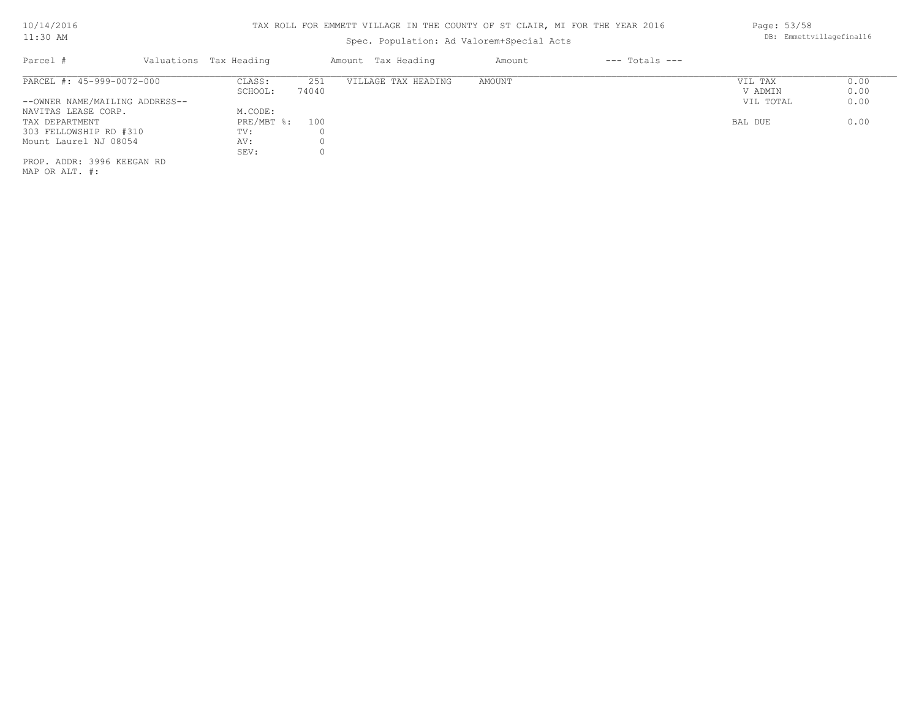# Spec. Population: Ad Valorem+Special Acts

| Parcel #                       | Valuations Tax Heading |       | Amount Tax Heading  | Amount | $---$ Totals $---$ |           |      |
|--------------------------------|------------------------|-------|---------------------|--------|--------------------|-----------|------|
| PARCEL #: 45-999-0072-000      | CLASS:                 | 251   | VILLAGE TAX HEADING | AMOUNT |                    | VIL TAX   | 0.00 |
|                                | SCHOOL:                | 74040 |                     |        |                    | V ADMIN   | 0.00 |
| --OWNER NAME/MAILING ADDRESS-- |                        |       |                     |        |                    | VIL TOTAL | 0.00 |
| NAVITAS LEASE CORP.            | M.CODE:                |       |                     |        |                    |           |      |
| TAX DEPARTMENT                 | $PRE/MBT$ %:           | 100   |                     |        |                    | BAL DUE   | 0.00 |
| 303 FELLOWSHIP RD #310         | TV:                    |       |                     |        |                    |           |      |
| Mount Laurel NJ 08054          | AV:                    |       |                     |        |                    |           |      |
|                                | SEV:                   |       |                     |        |                    |           |      |
| PROP. ADDR: 3996 KEEGAN RD     |                        |       |                     |        |                    |           |      |
|                                |                        |       |                     |        |                    |           |      |

MAP OR ALT. #:

Page: 53/58 DB: Emmettvillagefinal16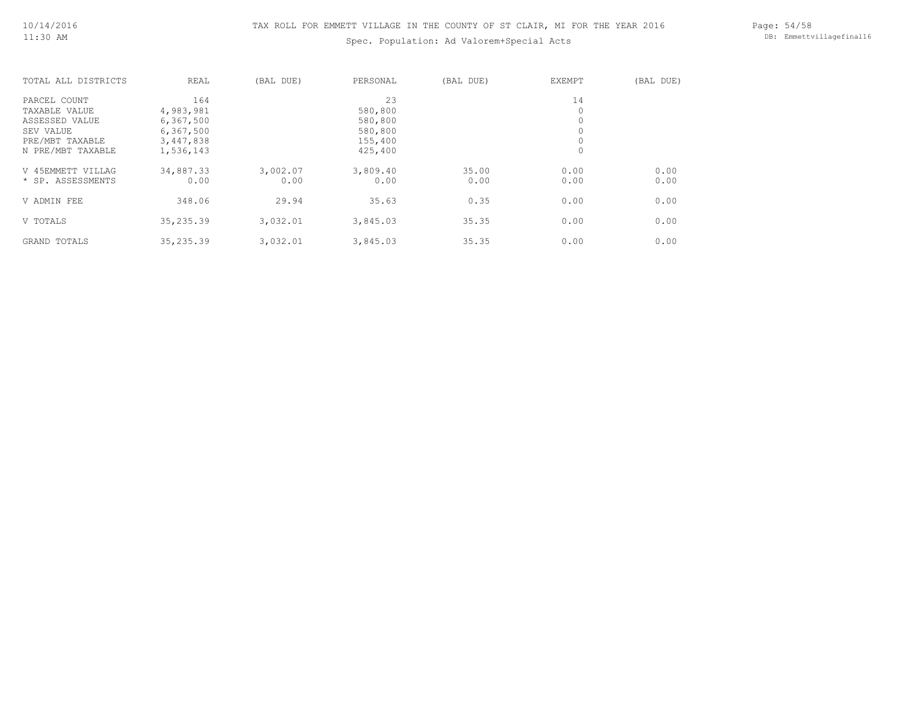Spec. Population: Ad Valorem+Special Acts

Page: 54/58 DB: Emmettvillagefinal16

| TOTAL ALL DISTRICTS | REAL       | (BAL DUE) | PERSONAL | (BAL DUE) | <b>EXEMPT</b> | (BAL DUE) |
|---------------------|------------|-----------|----------|-----------|---------------|-----------|
| PARCEL COUNT        | 164        |           | 23       |           | 14            |           |
| TAXABLE VALUE       | 4,983,981  |           | 580,800  |           | 0             |           |
| ASSESSED VALUE      | 6,367,500  |           | 580,800  |           | 0             |           |
| SEV VALUE           | 6,367,500  |           | 580,800  |           |               |           |
| PRE/MBT TAXABLE     | 3,447,838  |           | 155,400  |           |               |           |
| N PRE/MBT TAXABLE   | 1,536,143  |           | 425,400  |           | $\circ$       |           |
| V 45EMMETT VILLAG   | 34,887.33  | 3,002.07  | 3,809.40 | 35.00     | 0.00          | 0.00      |
| * SP. ASSESSMENTS   | 0.00       | 0.00      | 0.00     | 0.00      | 0.00          | 0.00      |
| V ADMIN FEE         | 348.06     | 29.94     | 35.63    | 0.35      | 0.00          | 0.00      |
| V TOTALS            | 35, 235.39 | 3,032.01  | 3,845.03 | 35.35     | 0.00          | 0.00      |
| <b>GRAND TOTALS</b> | 35,235.39  | 3,032.01  | 3,845.03 | 35.35     | 0.00          | 0.00      |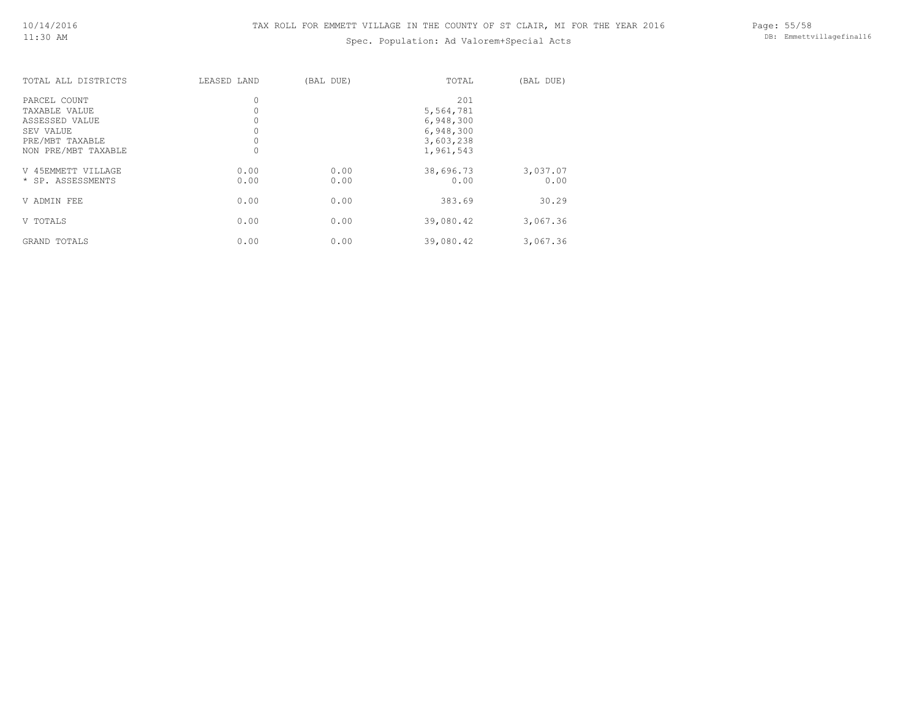# Spec. Population: Ad Valorem+Special Acts

Page: 55/58 DB: Emmettvillagefinal16

|  |  | spec. Population: Ad valorem special A |  |
|--|--|----------------------------------------|--|
|  |  |                                        |  |
|  |  |                                        |  |

| TOTAL ALL DISTRICTS | LEASED LAND | (BAL DUE) | TOTAL     | (BAL DUE) |
|---------------------|-------------|-----------|-----------|-----------|
| PARCEL COUNT        | 0           |           | 201       |           |
| TAXABLE VALUE       |             |           | 5,564,781 |           |
| ASSESSED VALUE      |             |           | 6,948,300 |           |
| SEV VALUE           |             |           | 6,948,300 |           |
| PRE/MBT TAXABLE     |             |           | 3,603,238 |           |
| NON PRE/MBT TAXABLE | $\circ$     |           | 1,961,543 |           |
| V 45EMMETT VILLAGE  | 0.00        | 0.00      | 38,696.73 | 3,037.07  |
| * SP. ASSESSMENTS   | 0.00        | 0.00      | 0.00      | 0.00      |
| V ADMIN FEE         | 0.00        | 0.00      | 383.69    | 30.29     |
| V TOTALS            | 0.00        | 0.00      | 39,080.42 | 3,067.36  |
| GRAND TOTALS        | 0.00        | 0.00      | 39,080.42 | 3,067.36  |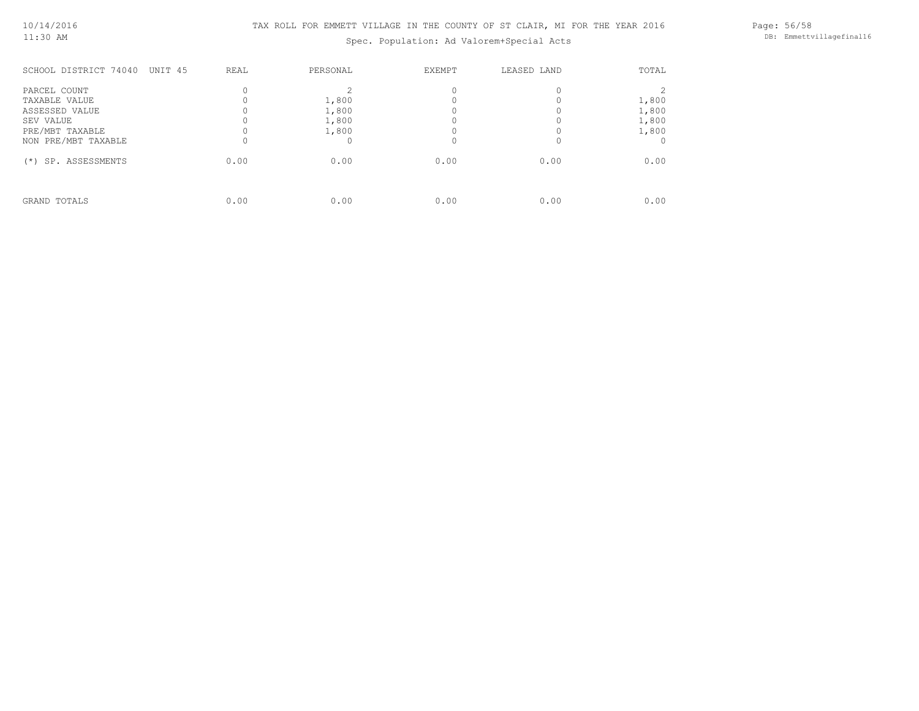Spec. Population: Ad Valorem+Special Acts

Page: 56/58 DB: Emmettvillagefinal16

| SCHOOL DISTRICT 74040<br>UNIT 45                                                | REAL             | PERSONAL                         | EXEMPT | LEASED LAND | TOTAL                            |
|---------------------------------------------------------------------------------|------------------|----------------------------------|--------|-------------|----------------------------------|
| PARCEL COUNT<br>TAXABLE VALUE<br>ASSESSED VALUE<br>SEV VALUE<br>PRE/MBT TAXABLE | $\Omega$         | 1,800<br>1,800<br>1,800<br>1,800 |        | $\Omega$    | 1,800<br>1,800<br>1,800<br>1,800 |
| NON PRE/MBT TAXABLE<br>SP. ASSESSMENTS<br>$(*)$                                 | $\Omega$<br>0.00 | 0.00                             | 0.00   | 0.00        | 0.00                             |
| GRAND TOTALS                                                                    | 0.00             | 0.00                             | 0.00   | 0.00        | 0.00                             |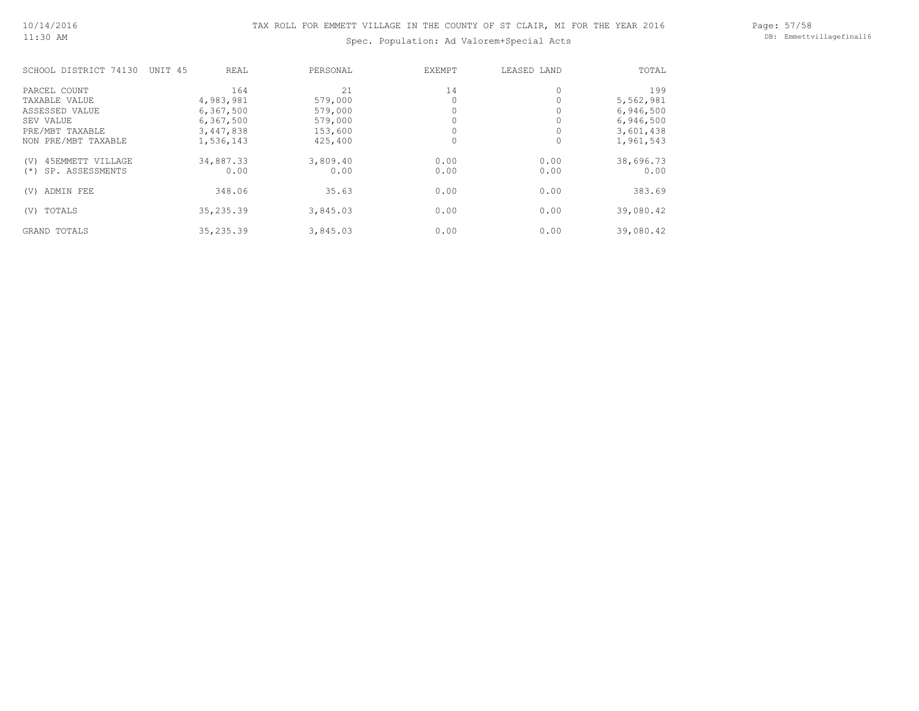# Spec. Population: Ad Valorem+Special Acts

| SCHOOL DISTRICT 74130    | UNIT 45 | <b>REAL</b> | PERSONAL | <b>EXEMPT</b> | LEASED LAND | TOTAL     |
|--------------------------|---------|-------------|----------|---------------|-------------|-----------|
| PARCEL COUNT             |         | 164         | 21       | 14            |             | 199       |
| TAXABLE VALUE            |         | 4,983,981   | 579,000  |               |             | 5,562,981 |
| ASSESSED VALUE           |         | 6,367,500   | 579,000  |               |             | 6,946,500 |
| SEV VALUE                |         | 6,367,500   | 579,000  |               |             | 6,946,500 |
| PRE/MBT TAXABLE          |         | 3,447,838   | 153,600  |               |             | 3,601,438 |
| NON PRE/MBT TAXABLE      |         | 1,536,143   | 425,400  |               |             | 1,961,543 |
| 45EMMETT VILLAGE<br>(V)  |         | 34,887.33   | 3,809.40 | 0.00          | 0.00        | 38,696.73 |
| SP. ASSESSMENTS<br>$(*)$ |         | 0.00        | 0.00     | 0.00          | 0.00        | 0.00      |
| ADMIN FEE<br>(V)         |         | 348.06      | 35.63    | 0.00          | 0.00        | 383.69    |
| TOTALS<br>(V)            |         | 35, 235.39  | 3,845.03 | 0.00          | 0.00        | 39,080.42 |
| GRAND TOTALS             |         | 35, 235.39  | 3,845.03 | 0.00          | 0.00        | 39,080.42 |